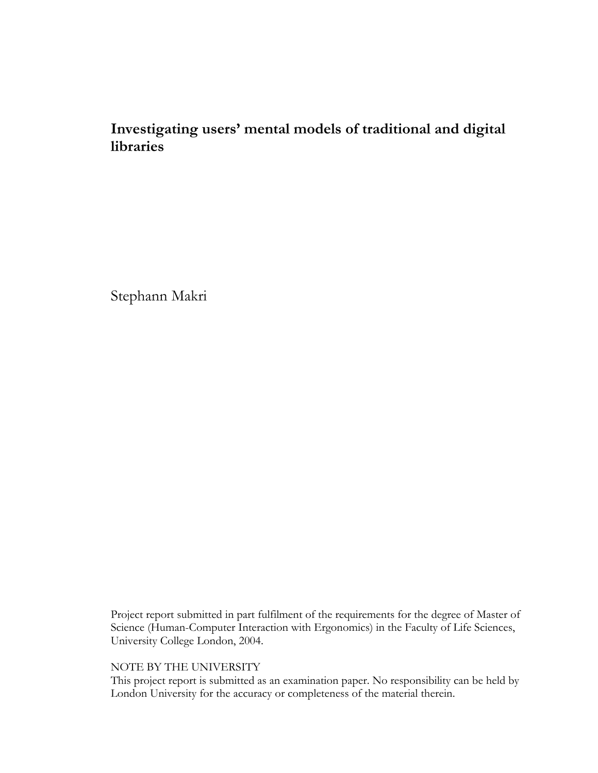# **Investigating users' mental models of traditional and digital libraries**

Stephann Makri

Project report submitted in part fulfilment of the requirements for the degree of Master of Science (Human-Computer Interaction with Ergonomics) in the Faculty of Life Sciences, University College London, 2004.

## NOTE BY THE UNIVERSITY

This project report is submitted as an examination paper. No responsibility can be held by London University for the accuracy or completeness of the material therein.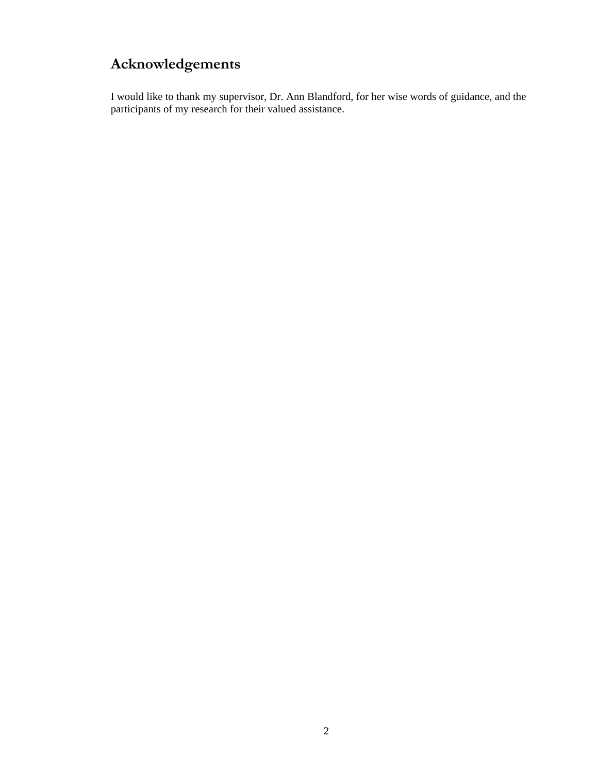# **Acknowledgements**

I would like to thank my supervisor, Dr. Ann Blandford, for her wise words of guidance, and the participants of my research for their valued assistance.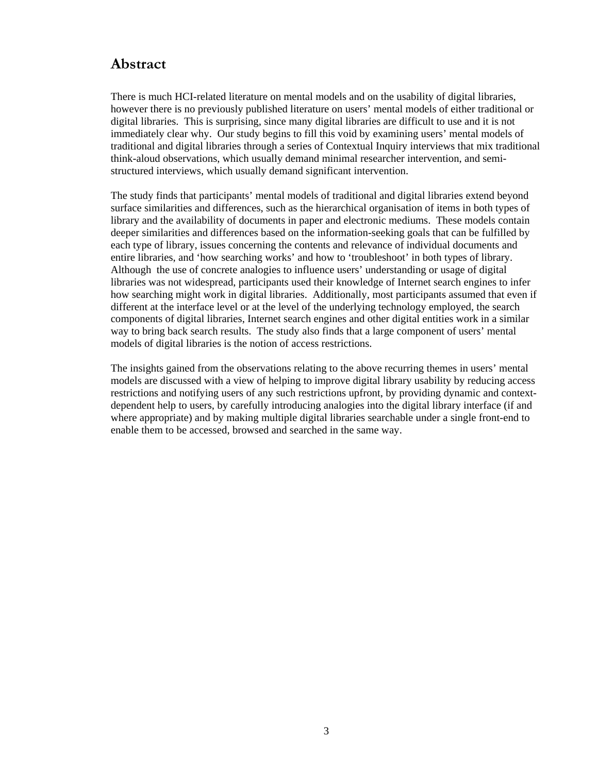## **Abstract**

There is much HCI-related literature on mental models and on the usability of digital libraries, however there is no previously published literature on users' mental models of either traditional or digital libraries. This is surprising, since many digital libraries are difficult to use and it is not immediately clear why. Our study begins to fill this void by examining users' mental models of traditional and digital libraries through a series of Contextual Inquiry interviews that mix traditional think-aloud observations, which usually demand minimal researcher intervention, and semistructured interviews, which usually demand significant intervention.

The study finds that participants' mental models of traditional and digital libraries extend beyond surface similarities and differences, such as the hierarchical organisation of items in both types of library and the availability of documents in paper and electronic mediums. These models contain deeper similarities and differences based on the information-seeking goals that can be fulfilled by each type of library, issues concerning the contents and relevance of individual documents and entire libraries, and 'how searching works' and how to 'troubleshoot' in both types of library. Although the use of concrete analogies to influence users' understanding or usage of digital libraries was not widespread, participants used their knowledge of Internet search engines to infer how searching might work in digital libraries. Additionally, most participants assumed that even if different at the interface level or at the level of the underlying technology employed, the search components of digital libraries, Internet search engines and other digital entities work in a similar way to bring back search results. The study also finds that a large component of users' mental models of digital libraries is the notion of access restrictions.

The insights gained from the observations relating to the above recurring themes in users' mental models are discussed with a view of helping to improve digital library usability by reducing access restrictions and notifying users of any such restrictions upfront, by providing dynamic and contextdependent help to users, by carefully introducing analogies into the digital library interface (if and where appropriate) and by making multiple digital libraries searchable under a single front-end to enable them to be accessed, browsed and searched in the same way.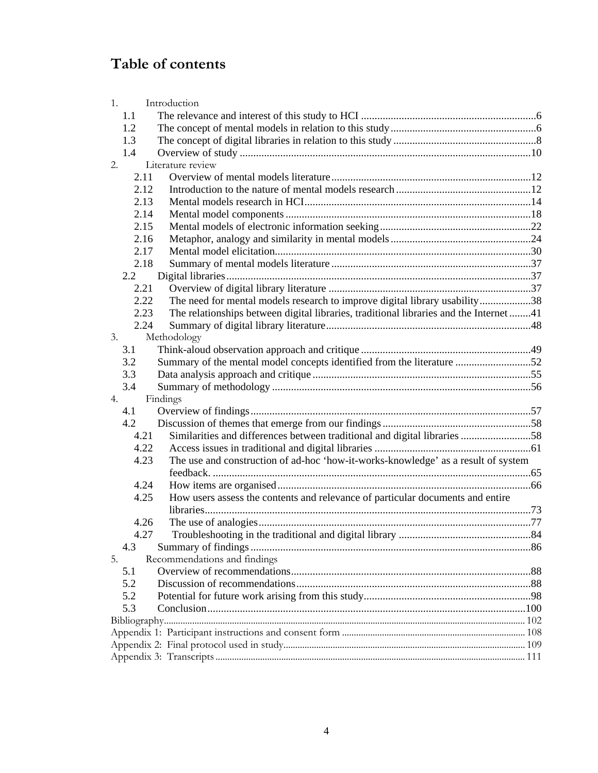# **Table of contents**

|    | 1.   | Introduction                                                                           |  |
|----|------|----------------------------------------------------------------------------------------|--|
|    | 1.1  |                                                                                        |  |
|    | 1.2  |                                                                                        |  |
|    | 1.3  |                                                                                        |  |
|    | 1.4  |                                                                                        |  |
| 2. |      | Literature review                                                                      |  |
|    | 2.11 |                                                                                        |  |
|    | 2.12 |                                                                                        |  |
|    | 2.13 |                                                                                        |  |
|    | 2.14 |                                                                                        |  |
|    | 2.15 |                                                                                        |  |
|    | 2.16 |                                                                                        |  |
|    | 2.17 |                                                                                        |  |
|    | 2.18 |                                                                                        |  |
|    | 2.2  |                                                                                        |  |
|    | 2.21 |                                                                                        |  |
|    | 2.22 | The need for mental models research to improve digital library usability38             |  |
|    | 2.23 | The relationships between digital libraries, traditional libraries and the Internet 41 |  |
|    | 2.24 |                                                                                        |  |
| 3. |      | Methodology                                                                            |  |
|    | 3.1  |                                                                                        |  |
|    | 3.2  | Summary of the mental model concepts identified from the literature 52                 |  |
|    | 3.3  |                                                                                        |  |
|    | 3.4  |                                                                                        |  |
| 4. |      | Findings                                                                               |  |
|    | 4.1  |                                                                                        |  |
|    | 4.2  |                                                                                        |  |
|    | 4.21 | Similarities and differences between traditional and digital libraries 58              |  |
|    | 4.22 |                                                                                        |  |
|    | 4.23 | The use and construction of ad-hoc 'how-it-works-knowledge' as a result of system      |  |
|    |      |                                                                                        |  |
|    | 4.24 |                                                                                        |  |
|    | 4.25 | How users assess the contents and relevance of particular documents and entire         |  |
|    |      |                                                                                        |  |
|    | 4.26 |                                                                                        |  |
|    | 4.27 | Troubleshooting in the traditional and digital library.                                |  |
|    | 4.3  |                                                                                        |  |
| 5. |      | Recommendations and findings                                                           |  |
|    | 5.1  |                                                                                        |  |
|    | 5.2  |                                                                                        |  |
|    | 5.2  |                                                                                        |  |
|    | 5.3  |                                                                                        |  |
|    |      |                                                                                        |  |
|    |      |                                                                                        |  |
|    |      |                                                                                        |  |
|    |      |                                                                                        |  |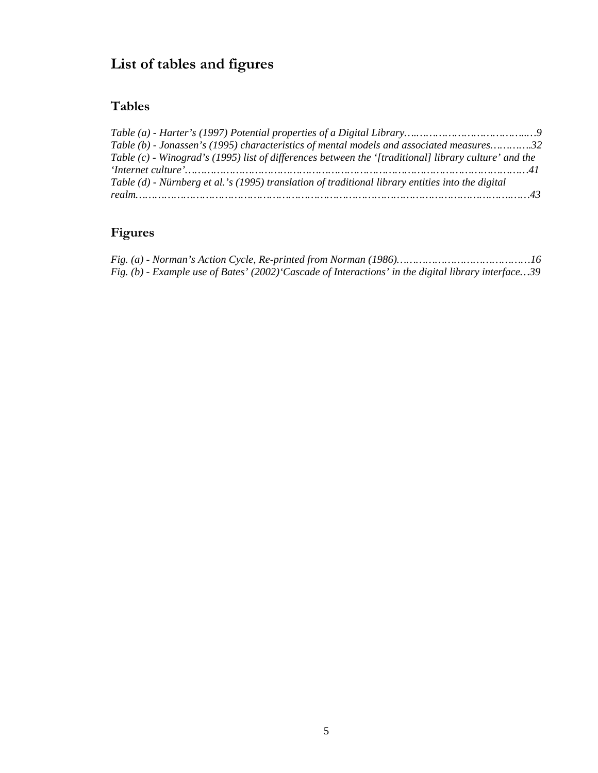# **List of tables and figures**

# **Tables**

| Table (b) - Jonassen's (1995) characteristics of mental models and associated measures32              |  |
|-------------------------------------------------------------------------------------------------------|--|
| Table (c) - Winograd's (1995) list of differences between the '[traditional] library culture' and the |  |
|                                                                                                       |  |
| Table (d) - Nürnberg et al.'s (1995) translation of traditional library entities into the digital     |  |
|                                                                                                       |  |

# **Figures**

|  | Fig. (b) - Example use of Bates' (2002) Cascade of Interactions' in the digital library interface39 |
|--|-----------------------------------------------------------------------------------------------------|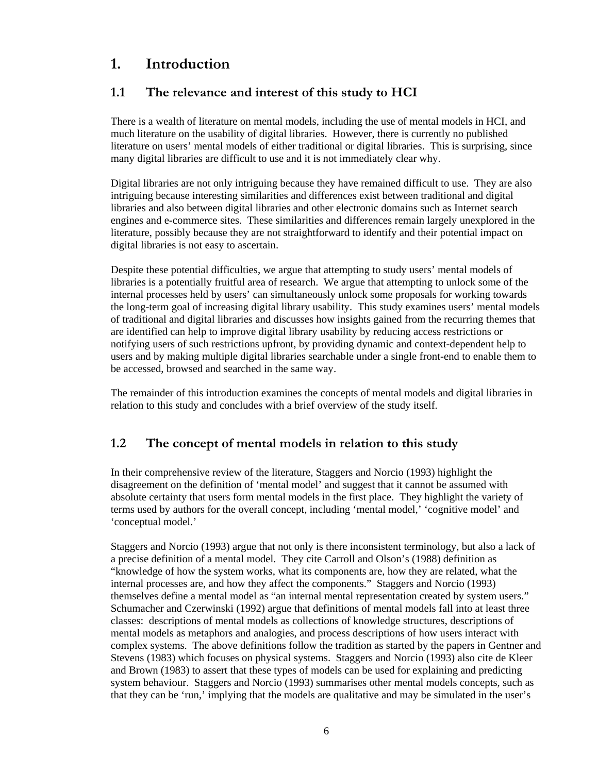# <span id="page-5-0"></span>**1. Introduction**

## **1.1 The relevance and interest of this study to HCI**

There is a wealth of literature on mental models, including the use of mental models in HCI, and much literature on the usability of digital libraries. However, there is currently no published literature on users' mental models of either traditional or digital libraries. This is surprising, since many digital libraries are difficult to use and it is not immediately clear why.

Digital libraries are not only intriguing because they have remained difficult to use. They are also intriguing because interesting similarities and differences exist between traditional and digital libraries and also between digital libraries and other electronic domains such as Internet search engines and e-commerce sites. These similarities and differences remain largely unexplored in the literature, possibly because they are not straightforward to identify and their potential impact on digital libraries is not easy to ascertain.

Despite these potential difficulties, we argue that attempting to study users' mental models of libraries is a potentially fruitful area of research. We argue that attempting to unlock some of the internal processes held by users' can simultaneously unlock some proposals for working towards the long-term goal of increasing digital library usability. This study examines users' mental models of traditional and digital libraries and discusses how insights gained from the recurring themes that are identified can help to improve digital library usability by reducing access restrictions or notifying users of such restrictions upfront, by providing dynamic and context-dependent help to users and by making multiple digital libraries searchable under a single front-end to enable them to be accessed, browsed and searched in the same way.

The remainder of this introduction examines the concepts of mental models and digital libraries in relation to this study and concludes with a brief overview of the study itself.

## **1.2 The concept of mental models in relation to this study**

In their comprehensive review of the literature, Staggers and Norcio (1993) highlight the disagreement on the definition of 'mental model' and suggest that it cannot be assumed with absolute certainty that users form mental models in the first place. They highlight the variety of terms used by authors for the overall concept, including 'mental model,' 'cognitive model' and 'conceptual model.'

Staggers and Norcio (1993) argue that not only is there inconsistent terminology, but also a lack of a precise definition of a mental model. They cite Carroll and Olson's (1988) definition as "knowledge of how the system works, what its components are, how they are related, what the internal processes are, and how they affect the components." Staggers and Norcio (1993) themselves define a mental model as "an internal mental representation created by system users." Schumacher and Czerwinski (1992) argue that definitions of mental models fall into at least three classes: descriptions of mental models as collections of knowledge structures, descriptions of mental models as metaphors and analogies, and process descriptions of how users interact with complex systems. The above definitions follow the tradition as started by the papers in Gentner and Stevens (1983) which focuses on physical systems. Staggers and Norcio (1993) also cite de Kleer and Brown (1983) to assert that these types of models can be used for explaining and predicting system behaviour. Staggers and Norcio (1993) summarises other mental models concepts, such as that they can be 'run,' implying that the models are qualitative and may be simulated in the user's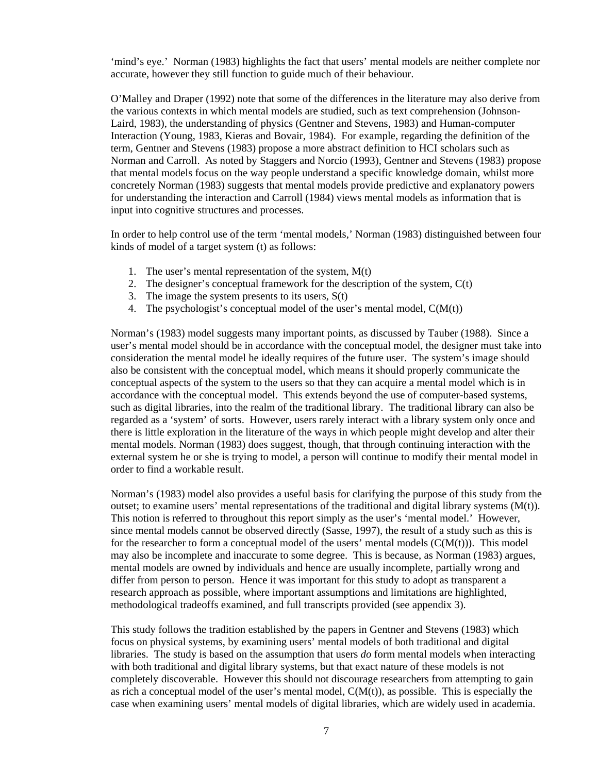'mind's eye.' Norman (1983) highlights the fact that users' mental models are neither complete nor accurate, however they still function to guide much of their behaviour.

O'Malley and Draper (1992) note that some of the differences in the literature may also derive from the various contexts in which mental models are studied, such as text comprehension (Johnson-Laird, 1983), the understanding of physics (Gentner and Stevens, 1983) and Human-computer Interaction (Young, 1983, Kieras and Bovair, 1984). For example, regarding the definition of the term, Gentner and Stevens (1983) propose a more abstract definition to HCI scholars such as Norman and Carroll. As noted by Staggers and Norcio (1993), Gentner and Stevens (1983) propose that mental models focus on the way people understand a specific knowledge domain, whilst more concretely Norman (1983) suggests that mental models provide predictive and explanatory powers for understanding the interaction and Carroll (1984) views mental models as information that is input into cognitive structures and processes.

In order to help control use of the term 'mental models,' Norman (1983) distinguished between four kinds of model of a target system (t) as follows:

- 1. The user's mental representation of the system, M(t)
- 2. The designer's conceptual framework for the description of the system,  $C(t)$
- 3. The image the system presents to its users,  $S(t)$
- 4. The psychologist's conceptual model of the user's mental model,  $C(M(t))$

Norman's (1983) model suggests many important points, as discussed by Tauber (1988). Since a user's mental model should be in accordance with the conceptual model, the designer must take into consideration the mental model he ideally requires of the future user. The system's image should also be consistent with the conceptual model, which means it should properly communicate the conceptual aspects of the system to the users so that they can acquire a mental model which is in accordance with the conceptual model. This extends beyond the use of computer-based systems, such as digital libraries, into the realm of the traditional library. The traditional library can also be regarded as a 'system' of sorts. However, users rarely interact with a library system only once and there is little exploration in the literature of the ways in which people might develop and alter their mental models. Norman (1983) does suggest, though, that through continuing interaction with the external system he or she is trying to model, a person will continue to modify their mental model in order to find a workable result.

Norman's (1983) model also provides a useful basis for clarifying the purpose of this study from the outset; to examine users' mental representations of the traditional and digital library systems  $(M(t))$ . This notion is referred to throughout this report simply as the user's 'mental model.' However, since mental models cannot be observed directly (Sasse, 1997), the result of a study such as this is for the researcher to form a conceptual model of the users' mental models  $(C(M(t)))$ . This model may also be incomplete and inaccurate to some degree. This is because, as Norman (1983) argues, mental models are owned by individuals and hence are usually incomplete, partially wrong and differ from person to person. Hence it was important for this study to adopt as transparent a research approach as possible, where important assumptions and limitations are highlighted, methodological tradeoffs examined, and full transcripts provided (see appendix 3).

This study follows the tradition established by the papers in Gentner and Stevens (1983) which focus on physical systems, by examining users' mental models of both traditional and digital libraries. The study is based on the assumption that users *do* form mental models when interacting with both traditional and digital library systems, but that exact nature of these models is not completely discoverable. However this should not discourage researchers from attempting to gain as rich a conceptual model of the user's mental model,  $C(M(t))$ , as possible. This is especially the case when examining users' mental models of digital libraries, which are widely used in academia.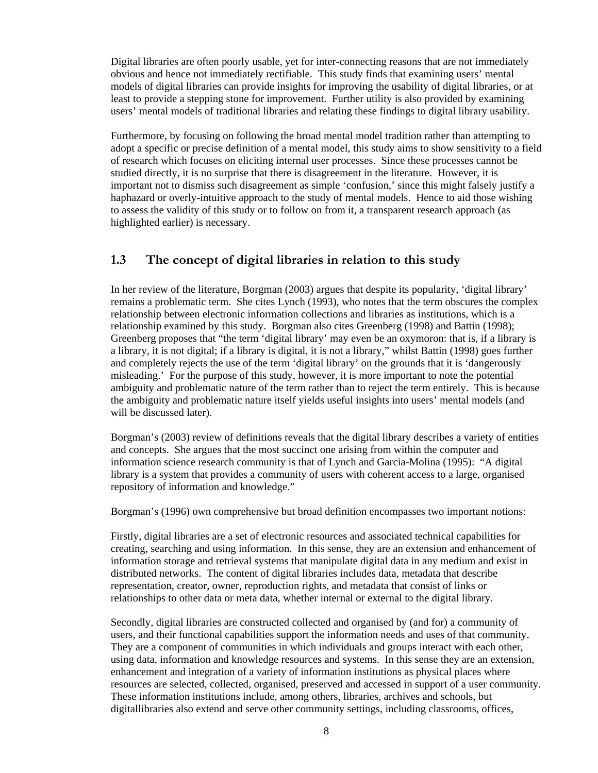<span id="page-7-0"></span>Digital libraries are often poorly usable, yet for inter-connecting reasons that are not immediately obvious and hence not immediately rectifiable. This study finds that examining users' mental models of digital libraries can provide insights for improving the usability of digital libraries, or at least to provide a stepping stone for improvement. Further utility is also provided by examining users' mental models of traditional libraries and relating these findings to digital library usability.

Furthermore, by focusing on following the broad mental model tradition rather than attempting to adopt a specific or precise definition of a mental model, this study aims to show sensitivity to a field of research which focuses on eliciting internal user processes. Since these processes cannot be studied directly, it is no surprise that there is disagreement in the literature. However, it is important not to dismiss such disagreement as simple 'confusion,' since this might falsely justify a haphazard or overly-intuitive approach to the study of mental models. Hence to aid those wishing to assess the validity of this study or to follow on from it, a transparent research approach (as highlighted earlier) is necessary.

## **1.3 The concept of digital libraries in relation to this study**

In her review of the literature, Borgman (2003) argues that despite its popularity, 'digital library' remains a problematic term. She cites Lynch (1993), who notes that the term obscures the complex relationship between electronic information collections and libraries as institutions, which is a relationship examined by this study. Borgman also cites Greenberg (1998) and Battin (1998); Greenberg proposes that "the term 'digital library' may even be an oxymoron: that is, if a library is a library, it is not digital; if a library is digital, it is not a library," whilst Battin (1998) goes further and completely rejects the use of the term 'digital library' on the grounds that it is 'dangerously misleading.' For the purpose of this study, however, it is more important to note the potential ambiguity and problematic nature of the term rather than to reject the term entirely. This is because the ambiguity and problematic nature itself yields useful insights into users' mental models (and will be discussed later).

Borgman's (2003) review of definitions reveals that the digital library describes a variety of entities and concepts. She argues that the most succinct one arising from within the computer and information science research community is that of Lynch and Garcia-Molina (1995): "A digital library is a system that provides a community of users with coherent access to a large, organised repository of information and knowledge."

Borgman's (1996) own comprehensive but broad definition encompasses two important notions:

Firstly, digital libraries are a set of electronic resources and associated technical capabilities for creating, searching and using information. In this sense, they are an extension and enhancement of information storage and retrieval systems that manipulate digital data in any medium and exist in distributed networks. The content of digital libraries includes data, metadata that describe representation, creator, owner, reproduction rights, and metadata that consist of links or relationships to other data or meta data, whether internal or external to the digital library.

Secondly, digital libraries are constructed collected and organised by (and for) a community of users, and their functional capabilities support the information needs and uses of that community. They are a component of communities in which individuals and groups interact with each other, using data, information and knowledge resources and systems. In this sense they are an extension, enhancement and integration of a variety of information institutions as physical places where resources are selected, collected, organised, preserved and accessed in support of a user community. These information institutions include, among others, libraries, archives and schools, but digitallibraries also extend and serve other community settings, including classrooms, offices,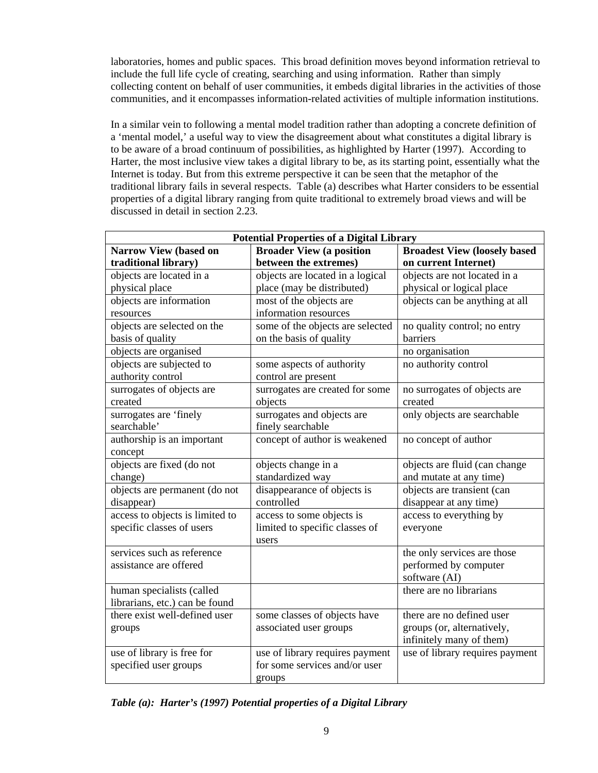laboratories, homes and public spaces. This broad definition moves beyond information retrieval to include the full life cycle of creating, searching and using information. Rather than simply collecting content on behalf of user communities, it embeds digital libraries in the activities of those communities, and it encompasses information-related activities of multiple information institutions.

In a similar vein to following a mental model tradition rather than adopting a concrete definition of a 'mental model,' a useful way to view the disagreement about what constitutes a digital library is to be aware of a broad continuum of possibilities, as highlighted by Harter (1997). According to Harter, the most inclusive view takes a digital library to be, as its starting point, essentially what the Internet is today. But from this extreme perspective it can be seen that the metaphor of the traditional library fails in several respects. Table (a) describes what Harter considers to be essential properties of a digital library ranging from quite traditional to extremely broad views and will be discussed in detail in section 2.23.

| <b>Potential Properties of a Digital Library</b> |                                  |                                      |  |  |  |
|--------------------------------------------------|----------------------------------|--------------------------------------|--|--|--|
| <b>Narrow View (based on</b>                     | <b>Broader View (a position</b>  | <b>Broadest View (loosely based)</b> |  |  |  |
| traditional library)                             | between the extremes)            | on current Internet)                 |  |  |  |
| objects are located in a                         | objects are located in a logical | objects are not located in a         |  |  |  |
| physical place                                   | place (may be distributed)       | physical or logical place            |  |  |  |
| objects are information                          | most of the objects are          | objects can be anything at all       |  |  |  |
| resources                                        | information resources            |                                      |  |  |  |
| objects are selected on the                      | some of the objects are selected | no quality control; no entry         |  |  |  |
| basis of quality                                 | on the basis of quality          | barriers                             |  |  |  |
| objects are organised                            |                                  | no organisation                      |  |  |  |
| objects are subjected to                         | some aspects of authority        | no authority control                 |  |  |  |
| authority control                                | control are present              |                                      |  |  |  |
| surrogates of objects are                        | surrogates are created for some  | no surrogates of objects are         |  |  |  |
| created                                          | objects                          | created                              |  |  |  |
| surrogates are 'finely                           | surrogates and objects are       | only objects are searchable          |  |  |  |
| searchable'                                      | finely searchable                |                                      |  |  |  |
| authorship is an important                       | concept of author is weakened    | no concept of author                 |  |  |  |
| concept                                          |                                  |                                      |  |  |  |
| objects are fixed (do not                        | objects change in a              | objects are fluid (can change        |  |  |  |
| change)                                          | standardized way                 | and mutate at any time)              |  |  |  |
| objects are permanent (do not                    | disappearance of objects is      | objects are transient (can           |  |  |  |
| disappear)                                       | controlled                       | disappear at any time)               |  |  |  |
| access to objects is limited to                  | access to some objects is        | access to everything by              |  |  |  |
| specific classes of users                        | limited to specific classes of   | everyone                             |  |  |  |
|                                                  | users                            |                                      |  |  |  |
| services such as reference                       |                                  | the only services are those          |  |  |  |
| assistance are offered                           |                                  | performed by computer                |  |  |  |
|                                                  |                                  | software (AI)                        |  |  |  |
| human specialists (called                        |                                  | there are no librarians              |  |  |  |
| librarians, etc.) can be found                   |                                  |                                      |  |  |  |
| there exist well-defined user                    | some classes of objects have     | there are no defined user            |  |  |  |
| groups                                           | associated user groups           | groups (or, alternatively,           |  |  |  |
|                                                  |                                  | infinitely many of them)             |  |  |  |
| use of library is free for                       | use of library requires payment  | use of library requires payment      |  |  |  |
| specified user groups                            | for some services and/or user    |                                      |  |  |  |
|                                                  | groups                           |                                      |  |  |  |

*Table (a): Harter's (1997) Potential properties of a Digital Library*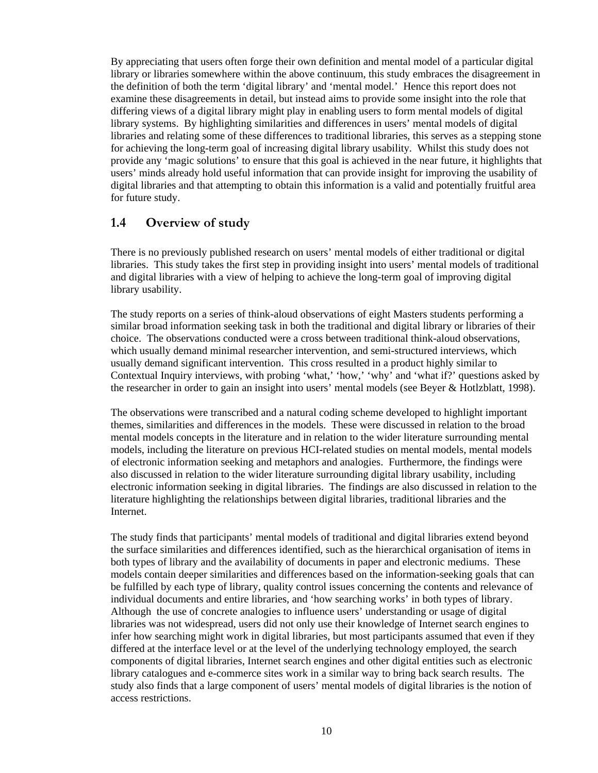<span id="page-9-0"></span>By appreciating that users often forge their own definition and mental model of a particular digital library or libraries somewhere within the above continuum, this study embraces the disagreement in the definition of both the term 'digital library' and 'mental model.' Hence this report does not examine these disagreements in detail, but instead aims to provide some insight into the role that differing views of a digital library might play in enabling users to form mental models of digital library systems. By highlighting similarities and differences in users' mental models of digital libraries and relating some of these differences to traditional libraries, this serves as a stepping stone for achieving the long-term goal of increasing digital library usability. Whilst this study does not provide any 'magic solutions' to ensure that this goal is achieved in the near future, it highlights that users' minds already hold useful information that can provide insight for improving the usability of digital libraries and that attempting to obtain this information is a valid and potentially fruitful area for future study.

## **1.4 Overview of study**

There is no previously published research on users' mental models of either traditional or digital libraries. This study takes the first step in providing insight into users' mental models of traditional and digital libraries with a view of helping to achieve the long-term goal of improving digital library usability.

The study reports on a series of think-aloud observations of eight Masters students performing a similar broad information seeking task in both the traditional and digital library or libraries of their choice. The observations conducted were a cross between traditional think-aloud observations, which usually demand minimal researcher intervention, and semi-structured interviews, which usually demand significant intervention. This cross resulted in a product highly similar to Contextual Inquiry interviews, with probing 'what,' 'how,' 'why' and 'what if?' questions asked by the researcher in order to gain an insight into users' mental models (see Beyer & Hotlzblatt, 1998).

The observations were transcribed and a natural coding scheme developed to highlight important themes, similarities and differences in the models. These were discussed in relation to the broad mental models concepts in the literature and in relation to the wider literature surrounding mental models, including the literature on previous HCI-related studies on mental models, mental models of electronic information seeking and metaphors and analogies. Furthermore, the findings were also discussed in relation to the wider literature surrounding digital library usability, including electronic information seeking in digital libraries. The findings are also discussed in relation to the literature highlighting the relationships between digital libraries, traditional libraries and the Internet.

The study finds that participants' mental models of traditional and digital libraries extend beyond the surface similarities and differences identified, such as the hierarchical organisation of items in both types of library and the availability of documents in paper and electronic mediums. These models contain deeper similarities and differences based on the information-seeking goals that can be fulfilled by each type of library, quality control issues concerning the contents and relevance of individual documents and entire libraries, and 'how searching works' in both types of library. Although the use of concrete analogies to influence users' understanding or usage of digital libraries was not widespread, users did not only use their knowledge of Internet search engines to infer how searching might work in digital libraries, but most participants assumed that even if they differed at the interface level or at the level of the underlying technology employed, the search components of digital libraries, Internet search engines and other digital entities such as electronic library catalogues and e-commerce sites work in a similar way to bring back search results. The study also finds that a large component of users' mental models of digital libraries is the notion of access restrictions.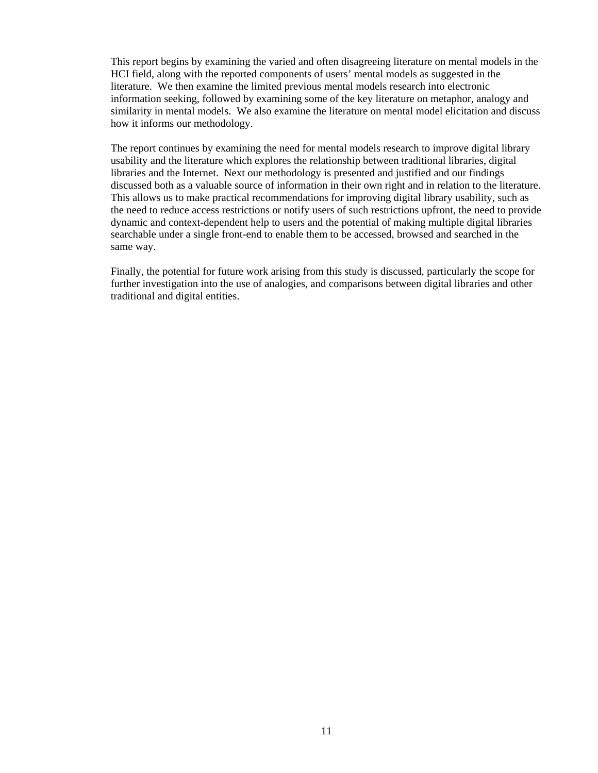This report begins by examining the varied and often disagreeing literature on mental models in the HCI field, along with the reported components of users' mental models as suggested in the literature. We then examine the limited previous mental models research into electronic information seeking, followed by examining some of the key literature on metaphor, analogy and similarity in mental models. We also examine the literature on mental model elicitation and discuss how it informs our methodology.

The report continues by examining the need for mental models research to improve digital library usability and the literature which explores the relationship between traditional libraries, digital libraries and the Internet. Next our methodology is presented and justified and our findings discussed both as a valuable source of information in their own right and in relation to the literature. This allows us to make practical recommendations for improving digital library usability, such as the need to reduce access restrictions or notify users of such restrictions upfront, the need to provide dynamic and context-dependent help to users and the potential of making multiple digital libraries searchable under a single front-end to enable them to be accessed, browsed and searched in the same way.

Finally, the potential for future work arising from this study is discussed, particularly the scope for further investigation into the use of analogies, and comparisons between digital libraries and other traditional and digital entities.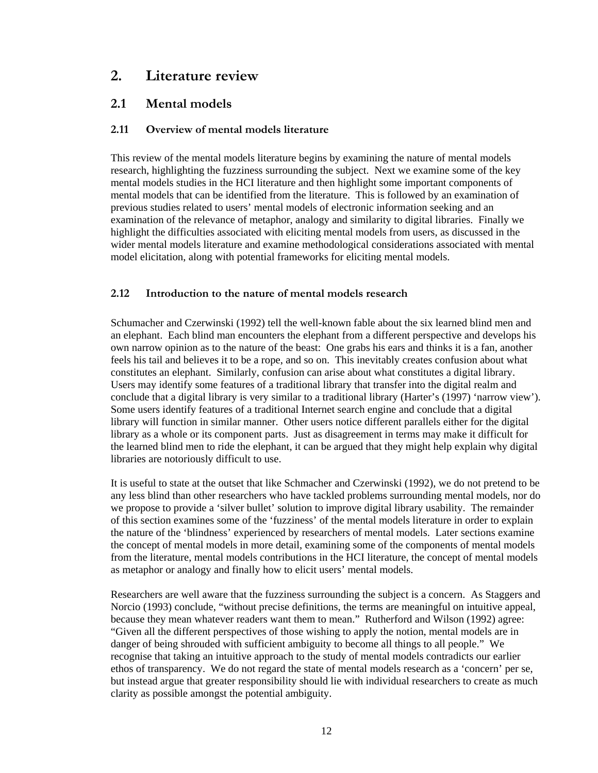## <span id="page-11-0"></span>**2. Literature review**

## **2.1 Mental models**

## **2.11 Overview of mental models literature**

This review of the mental models literature begins by examining the nature of mental models research, highlighting the fuzziness surrounding the subject. Next we examine some of the key mental models studies in the HCI literature and then highlight some important components of mental models that can be identified from the literature. This is followed by an examination of previous studies related to users' mental models of electronic information seeking and an examination of the relevance of metaphor, analogy and similarity to digital libraries. Finally we highlight the difficulties associated with eliciting mental models from users, as discussed in the wider mental models literature and examine methodological considerations associated with mental model elicitation, along with potential frameworks for eliciting mental models.

## **2.12 Introduction to the nature of mental models research**

Schumacher and Czerwinski (1992) tell the well-known fable about the six learned blind men and an elephant. Each blind man encounters the elephant from a different perspective and develops his own narrow opinion as to the nature of the beast: One grabs his ears and thinks it is a fan, another feels his tail and believes it to be a rope, and so on. This inevitably creates confusion about what constitutes an elephant. Similarly, confusion can arise about what constitutes a digital library. Users may identify some features of a traditional library that transfer into the digital realm and conclude that a digital library is very similar to a traditional library (Harter's (1997) 'narrow view'). Some users identify features of a traditional Internet search engine and conclude that a digital library will function in similar manner. Other users notice different parallels either for the digital library as a whole or its component parts. Just as disagreement in terms may make it difficult for the learned blind men to ride the elephant, it can be argued that they might help explain why digital libraries are notoriously difficult to use.

It is useful to state at the outset that like Schmacher and Czerwinski (1992), we do not pretend to be any less blind than other researchers who have tackled problems surrounding mental models, nor do we propose to provide a 'silver bullet' solution to improve digital library usability. The remainder of this section examines some of the 'fuzziness' of the mental models literature in order to explain the nature of the 'blindness' experienced by researchers of mental models. Later sections examine the concept of mental models in more detail, examining some of the components of mental models from the literature, mental models contributions in the HCI literature, the concept of mental models as metaphor or analogy and finally how to elicit users' mental models.

Researchers are well aware that the fuzziness surrounding the subject is a concern. As Staggers and Norcio (1993) conclude, "without precise definitions, the terms are meaningful on intuitive appeal, because they mean whatever readers want them to mean." Rutherford and Wilson (1992) agree: "Given all the different perspectives of those wishing to apply the notion, mental models are in danger of being shrouded with sufficient ambiguity to become all things to all people." We recognise that taking an intuitive approach to the study of mental models contradicts our earlier ethos of transparency. We do not regard the state of mental models research as a 'concern' per se, but instead argue that greater responsibility should lie with individual researchers to create as much clarity as possible amongst the potential ambiguity.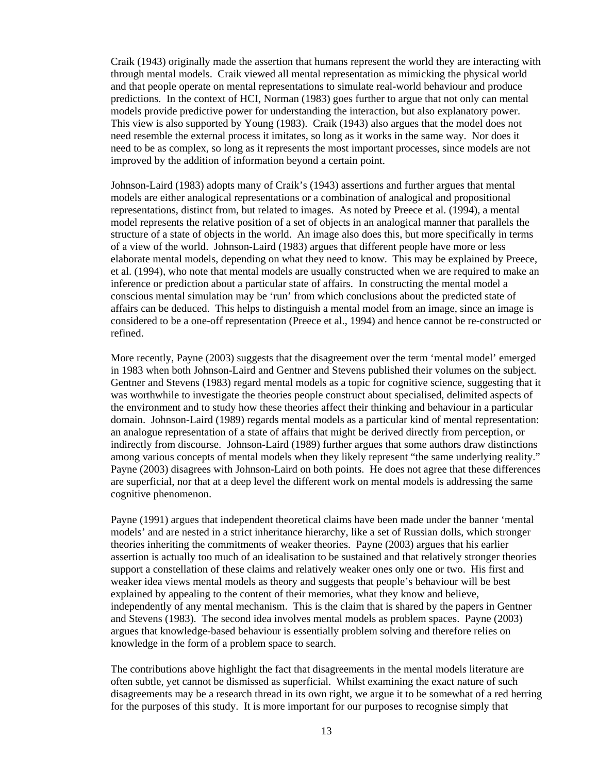Craik (1943) originally made the assertion that humans represent the world they are interacting with through mental models. Craik viewed all mental representation as mimicking the physical world and that people operate on mental representations to simulate real-world behaviour and produce predictions. In the context of HCI, Norman (1983) goes further to argue that not only can mental models provide predictive power for understanding the interaction, but also explanatory power. This view is also supported by Young (1983). Craik (1943) also argues that the model does not need resemble the external process it imitates, so long as it works in the same way. Nor does it need to be as complex, so long as it represents the most important processes, since models are not improved by the addition of information beyond a certain point.

Johnson-Laird (1983) adopts many of Craik's (1943) assertions and further argues that mental models are either analogical representations or a combination of analogical and propositional representations, distinct from, but related to images. As noted by Preece et al. (1994), a mental model represents the relative position of a set of objects in an analogical manner that parallels the structure of a state of objects in the world. An image also does this, but more specifically in terms of a view of the world. Johnson-Laird (1983) argues that different people have more or less elaborate mental models, depending on what they need to know. This may be explained by Preece, et al. (1994), who note that mental models are usually constructed when we are required to make an inference or prediction about a particular state of affairs. In constructing the mental model a conscious mental simulation may be 'run' from which conclusions about the predicted state of affairs can be deduced. This helps to distinguish a mental model from an image, since an image is considered to be a one-off representation (Preece et al., 1994) and hence cannot be re-constructed or refined.

More recently, Payne (2003) suggests that the disagreement over the term 'mental model' emerged in 1983 when both Johnson-Laird and Gentner and Stevens published their volumes on the subject. Gentner and Stevens (1983) regard mental models as a topic for cognitive science, suggesting that it was worthwhile to investigate the theories people construct about specialised, delimited aspects of the environment and to study how these theories affect their thinking and behaviour in a particular domain. Johnson-Laird (1989) regards mental models as a particular kind of mental representation: an analogue representation of a state of affairs that might be derived directly from perception, or indirectly from discourse. Johnson-Laird (1989) further argues that some authors draw distinctions among various concepts of mental models when they likely represent "the same underlying reality." Payne (2003) disagrees with Johnson-Laird on both points. He does not agree that these differences are superficial, nor that at a deep level the different work on mental models is addressing the same cognitive phenomenon.

Payne (1991) argues that independent theoretical claims have been made under the banner 'mental models' and are nested in a strict inheritance hierarchy, like a set of Russian dolls, which stronger theories inheriting the commitments of weaker theories. Payne (2003) argues that his earlier assertion is actually too much of an idealisation to be sustained and that relatively stronger theories support a constellation of these claims and relatively weaker ones only one or two. His first and weaker idea views mental models as theory and suggests that people's behaviour will be best explained by appealing to the content of their memories, what they know and believe, independently of any mental mechanism. This is the claim that is shared by the papers in Gentner and Stevens (1983). The second idea involves mental models as problem spaces. Payne (2003) argues that knowledge-based behaviour is essentially problem solving and therefore relies on knowledge in the form of a problem space to search.

The contributions above highlight the fact that disagreements in the mental models literature are often subtle, yet cannot be dismissed as superficial. Whilst examining the exact nature of such disagreements may be a research thread in its own right, we argue it to be somewhat of a red herring for the purposes of this study. It is more important for our purposes to recognise simply that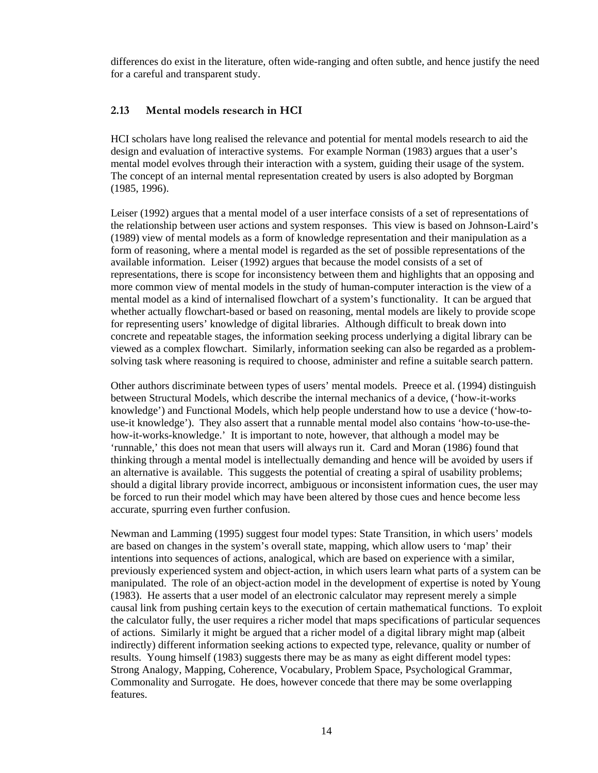<span id="page-13-0"></span>differences do exist in the literature, often wide-ranging and often subtle, and hence justify the need for a careful and transparent study.

### **2.13 Mental models research in HCI**

HCI scholars have long realised the relevance and potential for mental models research to aid the design and evaluation of interactive systems. For example Norman (1983) argues that a user's mental model evolves through their interaction with a system, guiding their usage of the system. The concept of an internal mental representation created by users is also adopted by Borgman (1985, 1996).

Leiser (1992) argues that a mental model of a user interface consists of a set of representations of the relationship between user actions and system responses. This view is based on Johnson-Laird's (1989) view of mental models as a form of knowledge representation and their manipulation as a form of reasoning, where a mental model is regarded as the set of possible representations of the available information. Leiser (1992) argues that because the model consists of a set of representations, there is scope for inconsistency between them and highlights that an opposing and more common view of mental models in the study of human-computer interaction is the view of a mental model as a kind of internalised flowchart of a system's functionality. It can be argued that whether actually flowchart-based or based on reasoning, mental models are likely to provide scope for representing users' knowledge of digital libraries. Although difficult to break down into concrete and repeatable stages, the information seeking process underlying a digital library can be viewed as a complex flowchart. Similarly, information seeking can also be regarded as a problemsolving task where reasoning is required to choose, administer and refine a suitable search pattern.

Other authors discriminate between types of users' mental models. Preece et al. (1994) distinguish between Structural Models, which describe the internal mechanics of a device, ('how-it-works knowledge') and Functional Models, which help people understand how to use a device ('how-touse-it knowledge'). They also assert that a runnable mental model also contains 'how-to-use-thehow-it-works-knowledge.' It is important to note, however, that although a model may be 'runnable,' this does not mean that users will always run it. Card and Moran (1986) found that thinking through a mental model is intellectually demanding and hence will be avoided by users if an alternative is available. This suggests the potential of creating a spiral of usability problems; should a digital library provide incorrect, ambiguous or inconsistent information cues, the user may be forced to run their model which may have been altered by those cues and hence become less accurate, spurring even further confusion.

Newman and Lamming (1995) suggest four model types: State Transition, in which users' models are based on changes in the system's overall state, mapping, which allow users to 'map' their intentions into sequences of actions, analogical, which are based on experience with a similar, previously experienced system and object-action, in which users learn what parts of a system can be manipulated. The role of an object-action model in the development of expertise is noted by Young (1983). He asserts that a user model of an electronic calculator may represent merely a simple causal link from pushing certain keys to the execution of certain mathematical functions. To exploit the calculator fully, the user requires a richer model that maps specifications of particular sequences of actions. Similarly it might be argued that a richer model of a digital library might map (albeit indirectly) different information seeking actions to expected type, relevance, quality or number of results. Young himself (1983) suggests there may be as many as eight different model types: Strong Analogy, Mapping, Coherence, Vocabulary, Problem Space, Psychological Grammar, Commonality and Surrogate. He does, however concede that there may be some overlapping features.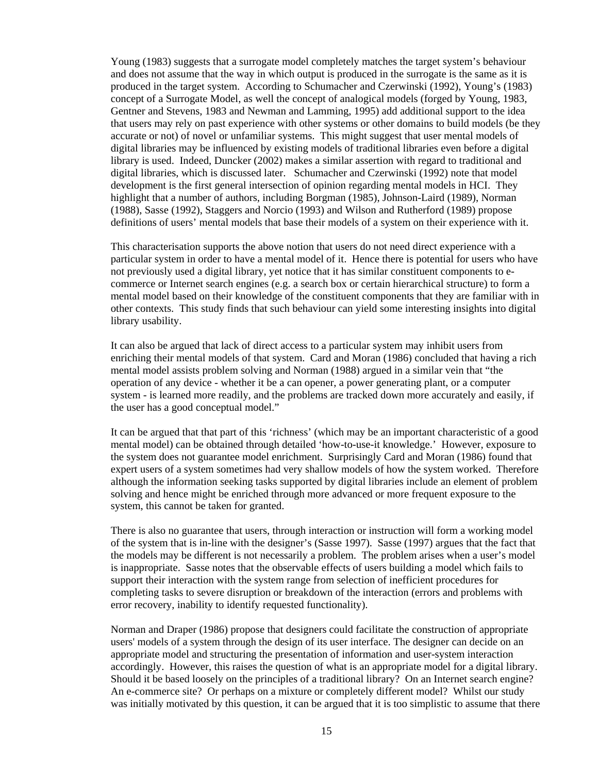Young (1983) suggests that a surrogate model completely matches the target system's behaviour and does not assume that the way in which output is produced in the surrogate is the same as it is produced in the target system. According to Schumacher and Czerwinski (1992), Young's (1983) concept of a Surrogate Model, as well the concept of analogical models (forged by Young, 1983, Gentner and Stevens, 1983 and Newman and Lamming, 1995) add additional support to the idea that users may rely on past experience with other systems or other domains to build models (be they accurate or not) of novel or unfamiliar systems. This might suggest that user mental models of digital libraries may be influenced by existing models of traditional libraries even before a digital library is used. Indeed, Duncker (2002) makes a similar assertion with regard to traditional and digital libraries, which is discussed later. Schumacher and Czerwinski (1992) note that model development is the first general intersection of opinion regarding mental models in HCI. They highlight that a number of authors, including Borgman (1985), Johnson-Laird (1989), Norman (1988), Sasse (1992), Staggers and Norcio (1993) and Wilson and Rutherford (1989) propose definitions of users' mental models that base their models of a system on their experience with it.

This characterisation supports the above notion that users do not need direct experience with a particular system in order to have a mental model of it. Hence there is potential for users who have not previously used a digital library, yet notice that it has similar constituent components to ecommerce or Internet search engines (e.g. a search box or certain hierarchical structure) to form a mental model based on their knowledge of the constituent components that they are familiar with in other contexts. This study finds that such behaviour can yield some interesting insights into digital library usability.

It can also be argued that lack of direct access to a particular system may inhibit users from enriching their mental models of that system. Card and Moran (1986) concluded that having a rich mental model assists problem solving and Norman (1988) argued in a similar vein that "the operation of any device - whether it be a can opener, a power generating plant, or a computer system - is learned more readily, and the problems are tracked down more accurately and easily, if the user has a good conceptual model."

It can be argued that that part of this 'richness' (which may be an important characteristic of a good mental model) can be obtained through detailed 'how-to-use-it knowledge.' However, exposure to the system does not guarantee model enrichment. Surprisingly Card and Moran (1986) found that expert users of a system sometimes had very shallow models of how the system worked. Therefore although the information seeking tasks supported by digital libraries include an element of problem solving and hence might be enriched through more advanced or more frequent exposure to the system, this cannot be taken for granted.

There is also no guarantee that users, through interaction or instruction will form a working model of the system that is in-line with the designer's (Sasse 1997). Sasse (1997) argues that the fact that the models may be different is not necessarily a problem. The problem arises when a user's model is inappropriate. Sasse notes that the observable effects of users building a model which fails to support their interaction with the system range from selection of inefficient procedures for completing tasks to severe disruption or breakdown of the interaction (errors and problems with error recovery, inability to identify requested functionality).

Norman and Draper (1986) propose that designers could facilitate the construction of appropriate users' models of a system through the design of its user interface. The designer can decide on an appropriate model and structuring the presentation of information and user-system interaction accordingly. However, this raises the question of what is an appropriate model for a digital library. Should it be based loosely on the principles of a traditional library? On an Internet search engine? An e-commerce site? Or perhaps on a mixture or completely different model? Whilst our study was initially motivated by this question, it can be argued that it is too simplistic to assume that there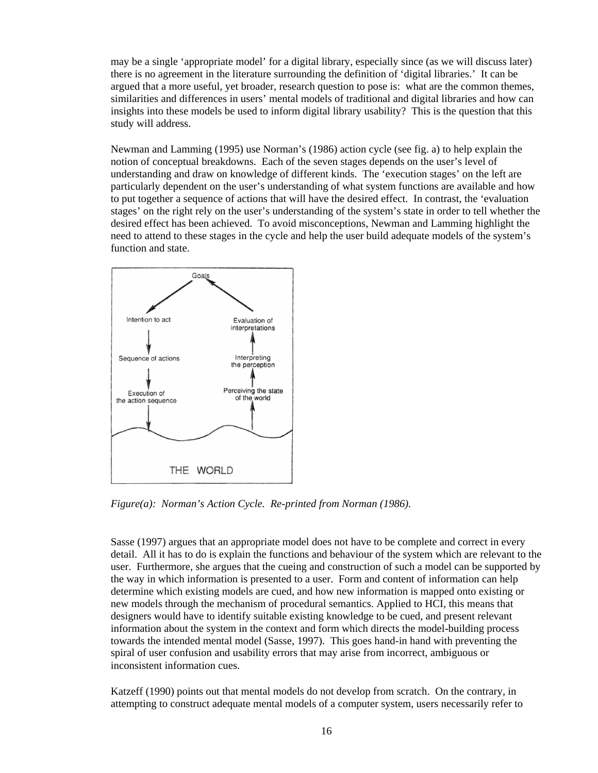may be a single 'appropriate model' for a digital library, especially since (as we will discuss later) there is no agreement in the literature surrounding the definition of 'digital libraries.' It can be argued that a more useful, yet broader, research question to pose is: what are the common themes, similarities and differences in users' mental models of traditional and digital libraries and how can insights into these models be used to inform digital library usability? This is the question that this study will address.

Newman and Lamming (1995) use Norman's (1986) action cycle (see fig. a) to help explain the notion of conceptual breakdowns. Each of the seven stages depends on the user's level of understanding and draw on knowledge of different kinds. The 'execution stages' on the left are particularly dependent on the user's understanding of what system functions are available and how to put together a sequence of actions that will have the desired effect. In contrast, the 'evaluation stages' on the right rely on the user's understanding of the system's state in order to tell whether the desired effect has been achieved. To avoid misconceptions, Newman and Lamming highlight the need to attend to these stages in the cycle and help the user build adequate models of the system's function and state.



*Figure(a): Norman's Action Cycle. Re-printed from Norman (1986).* 

Sasse (1997) argues that an appropriate model does not have to be complete and correct in every detail. All it has to do is explain the functions and behaviour of the system which are relevant to the user. Furthermore, she argues that the cueing and construction of such a model can be supported by the way in which information is presented to a user. Form and content of information can help determine which existing models are cued, and how new information is mapped onto existing or new models through the mechanism of procedural semantics. Applied to HCI, this means that designers would have to identify suitable existing knowledge to be cued, and present relevant information about the system in the context and form which directs the model-building process towards the intended mental model (Sasse, 1997). This goes hand-in hand with preventing the spiral of user confusion and usability errors that may arise from incorrect, ambiguous or inconsistent information cues.

Katzeff (1990) points out that mental models do not develop from scratch. On the contrary, in attempting to construct adequate mental models of a computer system, users necessarily refer to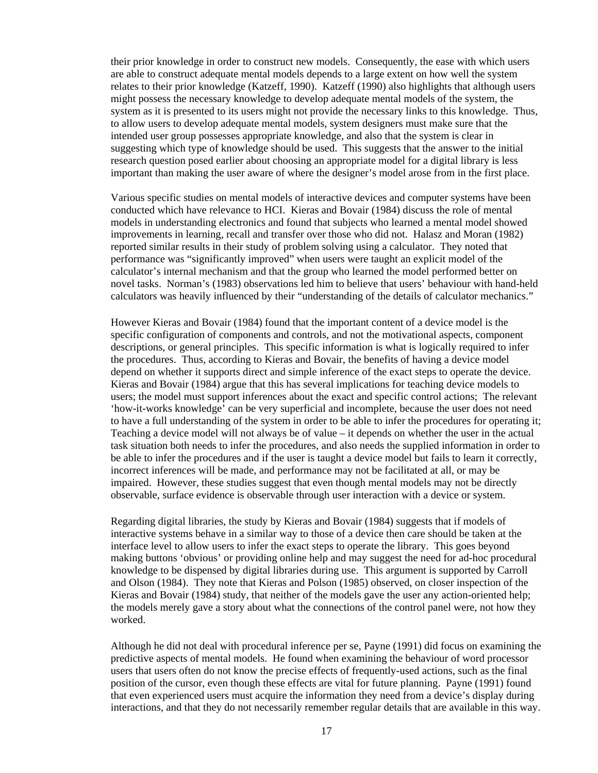their prior knowledge in order to construct new models. Consequently, the ease with which users are able to construct adequate mental models depends to a large extent on how well the system relates to their prior knowledge (Katzeff, 1990). Katzeff (1990) also highlights that although users might possess the necessary knowledge to develop adequate mental models of the system, the system as it is presented to its users might not provide the necessary links to this knowledge. Thus, to allow users to develop adequate mental models, system designers must make sure that the intended user group possesses appropriate knowledge, and also that the system is clear in suggesting which type of knowledge should be used. This suggests that the answer to the initial research question posed earlier about choosing an appropriate model for a digital library is less important than making the user aware of where the designer's model arose from in the first place.

Various specific studies on mental models of interactive devices and computer systems have been conducted which have relevance to HCI. Kieras and Bovair (1984) discuss the role of mental models in understanding electronics and found that subjects who learned a mental model showed improvements in learning, recall and transfer over those who did not. Halasz and Moran (1982) reported similar results in their study of problem solving using a calculator. They noted that performance was "significantly improved" when users were taught an explicit model of the calculator's internal mechanism and that the group who learned the model performed better on novel tasks. Norman's (1983) observations led him to believe that users' behaviour with hand-held calculators was heavily influenced by their "understanding of the details of calculator mechanics."

However Kieras and Bovair (1984) found that the important content of a device model is the specific configuration of components and controls, and not the motivational aspects, component descriptions, or general principles. This specific information is what is logically required to infer the procedures. Thus, according to Kieras and Bovair, the benefits of having a device model depend on whether it supports direct and simple inference of the exact steps to operate the device. Kieras and Bovair (1984) argue that this has several implications for teaching device models to users; the model must support inferences about the exact and specific control actions; The relevant 'how-it-works knowledge' can be very superficial and incomplete, because the user does not need to have a full understanding of the system in order to be able to infer the procedures for operating it; Teaching a device model will not always be of value – it depends on whether the user in the actual task situation both needs to infer the procedures, and also needs the supplied information in order to be able to infer the procedures and if the user is taught a device model but fails to learn it correctly, incorrect inferences will be made, and performance may not be facilitated at all, or may be impaired. However, these studies suggest that even though mental models may not be directly observable, surface evidence is observable through user interaction with a device or system.

Regarding digital libraries, the study by Kieras and Bovair (1984) suggests that if models of interactive systems behave in a similar way to those of a device then care should be taken at the interface level to allow users to infer the exact steps to operate the library. This goes beyond making buttons 'obvious' or providing online help and may suggest the need for ad-hoc procedural knowledge to be dispensed by digital libraries during use. This argument is supported by Carroll and Olson (1984). They note that Kieras and Polson (1985) observed, on closer inspection of the Kieras and Bovair (1984) study, that neither of the models gave the user any action-oriented help; the models merely gave a story about what the connections of the control panel were, not how they worked.

Although he did not deal with procedural inference per se, Payne (1991) did focus on examining the predictive aspects of mental models. He found when examining the behaviour of word processor users that users often do not know the precise effects of frequently-used actions, such as the final position of the cursor, even though these effects are vital for future planning. Payne (1991) found that even experienced users must acquire the information they need from a device's display during interactions, and that they do not necessarily remember regular details that are available in this way.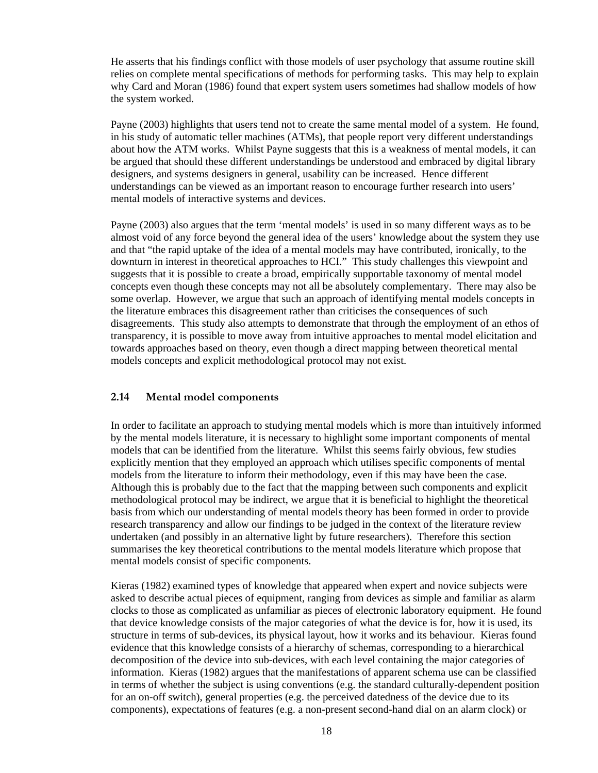<span id="page-17-0"></span>He asserts that his findings conflict with those models of user psychology that assume routine skill relies on complete mental specifications of methods for performing tasks. This may help to explain why Card and Moran (1986) found that expert system users sometimes had shallow models of how the system worked.

Payne (2003) highlights that users tend not to create the same mental model of a system. He found, in his study of automatic teller machines (ATMs), that people report very different understandings about how the ATM works. Whilst Payne suggests that this is a weakness of mental models, it can be argued that should these different understandings be understood and embraced by digital library designers, and systems designers in general, usability can be increased. Hence different understandings can be viewed as an important reason to encourage further research into users' mental models of interactive systems and devices.

Payne (2003) also argues that the term 'mental models' is used in so many different ways as to be almost void of any force beyond the general idea of the users' knowledge about the system they use and that "the rapid uptake of the idea of a mental models may have contributed, ironically, to the downturn in interest in theoretical approaches to HCI." This study challenges this viewpoint and suggests that it is possible to create a broad, empirically supportable taxonomy of mental model concepts even though these concepts may not all be absolutely complementary. There may also be some overlap. However, we argue that such an approach of identifying mental models concepts in the literature embraces this disagreement rather than criticises the consequences of such disagreements. This study also attempts to demonstrate that through the employment of an ethos of transparency, it is possible to move away from intuitive approaches to mental model elicitation and towards approaches based on theory, even though a direct mapping between theoretical mental models concepts and explicit methodological protocol may not exist.

## **2.14 Mental model components**

In order to facilitate an approach to studying mental models which is more than intuitively informed by the mental models literature, it is necessary to highlight some important components of mental models that can be identified from the literature. Whilst this seems fairly obvious, few studies explicitly mention that they employed an approach which utilises specific components of mental models from the literature to inform their methodology, even if this may have been the case. Although this is probably due to the fact that the mapping between such components and explicit methodological protocol may be indirect, we argue that it is beneficial to highlight the theoretical basis from which our understanding of mental models theory has been formed in order to provide research transparency and allow our findings to be judged in the context of the literature review undertaken (and possibly in an alternative light by future researchers). Therefore this section summarises the key theoretical contributions to the mental models literature which propose that mental models consist of specific components.

Kieras (1982) examined types of knowledge that appeared when expert and novice subjects were asked to describe actual pieces of equipment, ranging from devices as simple and familiar as alarm clocks to those as complicated as unfamiliar as pieces of electronic laboratory equipment. He found that device knowledge consists of the major categories of what the device is for, how it is used, its structure in terms of sub-devices, its physical layout, how it works and its behaviour. Kieras found evidence that this knowledge consists of a hierarchy of schemas, corresponding to a hierarchical decomposition of the device into sub-devices, with each level containing the major categories of information. Kieras (1982) argues that the manifestations of apparent schema use can be classified in terms of whether the subject is using conventions (e.g. the standard culturally-dependent position for an on-off switch), general properties (e.g. the perceived datedness of the device due to its components), expectations of features (e.g. a non-present second-hand dial on an alarm clock) or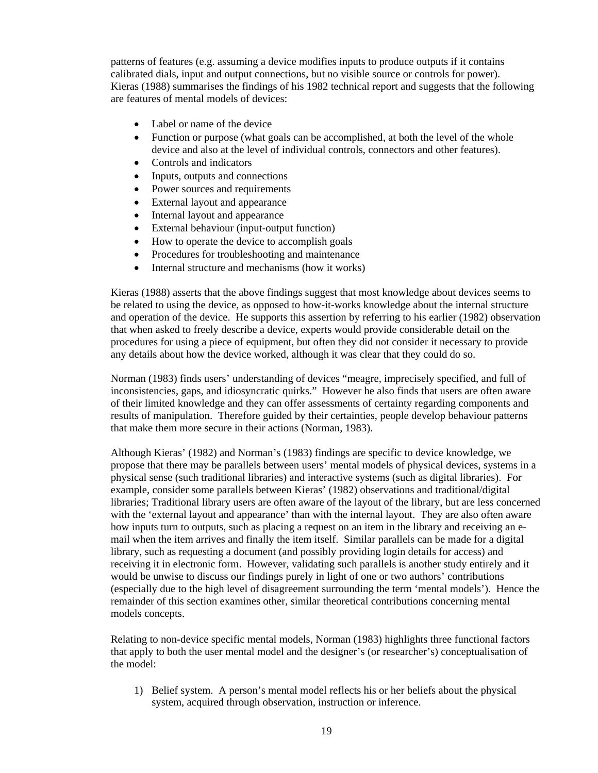patterns of features (e.g. assuming a device modifies inputs to produce outputs if it contains calibrated dials, input and output connections, but no visible source or controls for power). Kieras (1988) summarises the findings of his 1982 technical report and suggests that the following are features of mental models of devices:

- Label or name of the device
- Function or purpose (what goals can be accomplished, at both the level of the whole device and also at the level of individual controls, connectors and other features).
- Controls and indicators
- Inputs, outputs and connections
- Power sources and requirements
- External layout and appearance
- Internal layout and appearance
- External behaviour (input-output function)
- How to operate the device to accomplish goals
- Procedures for troubleshooting and maintenance
- Internal structure and mechanisms (how it works)

Kieras (1988) asserts that the above findings suggest that most knowledge about devices seems to be related to using the device, as opposed to how-it-works knowledge about the internal structure and operation of the device. He supports this assertion by referring to his earlier (1982) observation that when asked to freely describe a device, experts would provide considerable detail on the procedures for using a piece of equipment, but often they did not consider it necessary to provide any details about how the device worked, although it was clear that they could do so.

Norman (1983) finds users' understanding of devices "meagre, imprecisely specified, and full of inconsistencies, gaps, and idiosyncratic quirks." However he also finds that users are often aware of their limited knowledge and they can offer assessments of certainty regarding components and results of manipulation. Therefore guided by their certainties, people develop behaviour patterns that make them more secure in their actions (Norman, 1983).

Although Kieras' (1982) and Norman's (1983) findings are specific to device knowledge, we propose that there may be parallels between users' mental models of physical devices, systems in a physical sense (such traditional libraries) and interactive systems (such as digital libraries). For example, consider some parallels between Kieras' (1982) observations and traditional/digital libraries; Traditional library users are often aware of the layout of the library, but are less concerned with the 'external layout and appearance' than with the internal layout. They are also often aware how inputs turn to outputs, such as placing a request on an item in the library and receiving an email when the item arrives and finally the item itself. Similar parallels can be made for a digital library, such as requesting a document (and possibly providing login details for access) and receiving it in electronic form. However, validating such parallels is another study entirely and it would be unwise to discuss our findings purely in light of one or two authors' contributions (especially due to the high level of disagreement surrounding the term 'mental models'). Hence the remainder of this section examines other, similar theoretical contributions concerning mental models concepts.

Relating to non-device specific mental models, Norman (1983) highlights three functional factors that apply to both the user mental model and the designer's (or researcher's) conceptualisation of the model:

1) Belief system. A person's mental model reflects his or her beliefs about the physical system, acquired through observation, instruction or inference.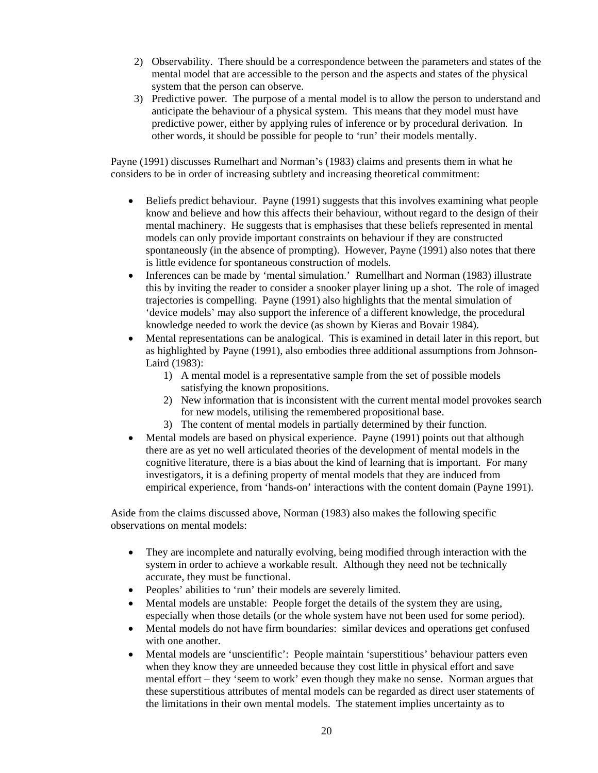- 2) Observability. There should be a correspondence between the parameters and states of the mental model that are accessible to the person and the aspects and states of the physical system that the person can observe.
- 3) Predictive power. The purpose of a mental model is to allow the person to understand and anticipate the behaviour of a physical system. This means that they model must have predictive power, either by applying rules of inference or by procedural derivation. In other words, it should be possible for people to 'run' their models mentally.

Payne (1991) discusses Rumelhart and Norman's (1983) claims and presents them in what he considers to be in order of increasing subtlety and increasing theoretical commitment:

- Beliefs predict behaviour. Payne (1991) suggests that this involves examining what people know and believe and how this affects their behaviour, without regard to the design of their mental machinery. He suggests that is emphasises that these beliefs represented in mental models can only provide important constraints on behaviour if they are constructed spontaneously (in the absence of prompting). However, Payne (1991) also notes that there is little evidence for spontaneous construction of models.
- Inferences can be made by 'mental simulation.' Rumellhart and Norman (1983) illustrate this by inviting the reader to consider a snooker player lining up a shot. The role of imaged trajectories is compelling. Payne (1991) also highlights that the mental simulation of 'device models' may also support the inference of a different knowledge, the procedural knowledge needed to work the device (as shown by Kieras and Bovair 1984).
- Mental representations can be analogical. This is examined in detail later in this report, but as highlighted by Payne (1991), also embodies three additional assumptions from Johnson-Laird (1983):
	- 1) A mental model is a representative sample from the set of possible models satisfying the known propositions.
	- 2) New information that is inconsistent with the current mental model provokes search for new models, utilising the remembered propositional base.
	- 3) The content of mental models in partially determined by their function.
- Mental models are based on physical experience. Payne (1991) points out that although there are as yet no well articulated theories of the development of mental models in the cognitive literature, there is a bias about the kind of learning that is important. For many investigators, it is a defining property of mental models that they are induced from empirical experience, from 'hands-on' interactions with the content domain (Payne 1991).

Aside from the claims discussed above, Norman (1983) also makes the following specific observations on mental models:

- They are incomplete and naturally evolving, being modified through interaction with the system in order to achieve a workable result. Although they need not be technically accurate, they must be functional.
- Peoples' abilities to 'run' their models are severely limited.
- Mental models are unstable: People forget the details of the system they are using, especially when those details (or the whole system have not been used for some period).
- Mental models do not have firm boundaries: similar devices and operations get confused with one another.
- Mental models are 'unscientific': People maintain 'superstitious' behaviour patters even when they know they are unneeded because they cost little in physical effort and save mental effort – they 'seem to work' even though they make no sense. Norman argues that these superstitious attributes of mental models can be regarded as direct user statements of the limitations in their own mental models. The statement implies uncertainty as to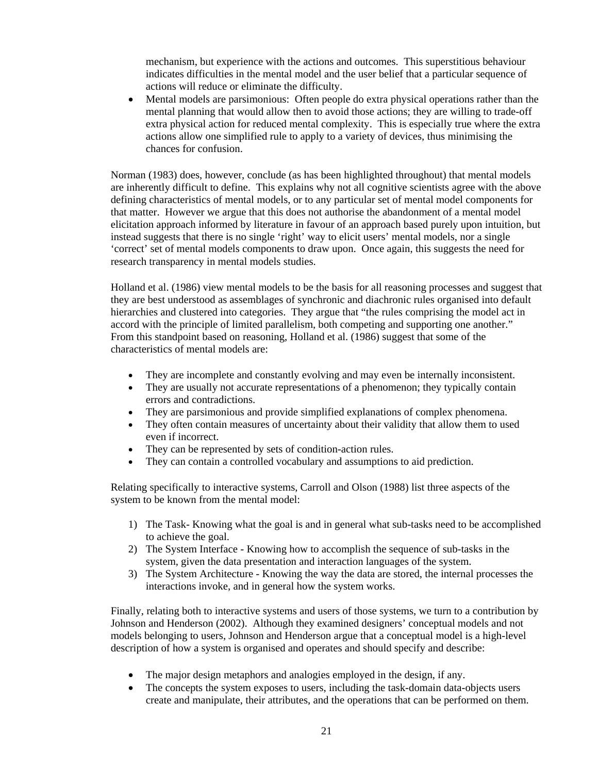mechanism, but experience with the actions and outcomes. This superstitious behaviour indicates difficulties in the mental model and the user belief that a particular sequence of actions will reduce or eliminate the difficulty.

• Mental models are parsimonious: Often people do extra physical operations rather than the mental planning that would allow then to avoid those actions; they are willing to trade-off extra physical action for reduced mental complexity. This is especially true where the extra actions allow one simplified rule to apply to a variety of devices, thus minimising the chances for confusion.

Norman (1983) does, however, conclude (as has been highlighted throughout) that mental models are inherently difficult to define. This explains why not all cognitive scientists agree with the above defining characteristics of mental models, or to any particular set of mental model components for that matter. However we argue that this does not authorise the abandonment of a mental model elicitation approach informed by literature in favour of an approach based purely upon intuition, but instead suggests that there is no single 'right' way to elicit users' mental models, nor a single 'correct' set of mental models components to draw upon. Once again, this suggests the need for research transparency in mental models studies.

Holland et al. (1986) view mental models to be the basis for all reasoning processes and suggest that they are best understood as assemblages of synchronic and diachronic rules organised into default hierarchies and clustered into categories. They argue that "the rules comprising the model act in accord with the principle of limited parallelism, both competing and supporting one another." From this standpoint based on reasoning, Holland et al. (1986) suggest that some of the characteristics of mental models are:

- They are incomplete and constantly evolving and may even be internally inconsistent.
- They are usually not accurate representations of a phenomenon; they typically contain errors and contradictions.
- They are parsimonious and provide simplified explanations of complex phenomena.
- They often contain measures of uncertainty about their validity that allow them to used even if incorrect.
- They can be represented by sets of condition-action rules.
- They can contain a controlled vocabulary and assumptions to aid prediction.

Relating specifically to interactive systems, Carroll and Olson (1988) list three aspects of the system to be known from the mental model:

- 1) The Task- Knowing what the goal is and in general what sub-tasks need to be accomplished to achieve the goal.
- 2) The System Interface Knowing how to accomplish the sequence of sub-tasks in the system, given the data presentation and interaction languages of the system.
- 3) The System Architecture Knowing the way the data are stored, the internal processes the interactions invoke, and in general how the system works.

Finally, relating both to interactive systems and users of those systems, we turn to a contribution by Johnson and Henderson (2002). Although they examined designers' conceptual models and not models belonging to users, Johnson and Henderson argue that a conceptual model is a high-level description of how a system is organised and operates and should specify and describe:

- The major design metaphors and analogies employed in the design, if any.
- The concepts the system exposes to users, including the task-domain data-objects users create and manipulate, their attributes, and the operations that can be performed on them.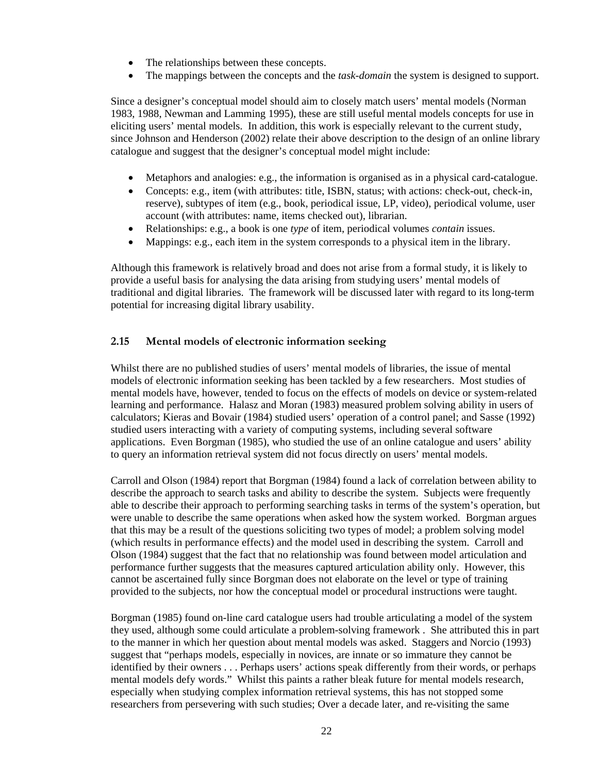- <span id="page-21-0"></span>The relationships between these concepts.
- The mappings between the concepts and the *task-domain* the system is designed to support.

Since a designer's conceptual model should aim to closely match users' mental models (Norman 1983, 1988, Newman and Lamming 1995), these are still useful mental models concepts for use in eliciting users' mental models. In addition, this work is especially relevant to the current study, since Johnson and Henderson (2002) relate their above description to the design of an online library catalogue and suggest that the designer's conceptual model might include:

- Metaphors and analogies: e.g., the information is organised as in a physical card-catalogue.
- Concepts: e.g., item (with attributes: title, ISBN, status; with actions: check-out, check-in, reserve), subtypes of item (e.g., book, periodical issue, LP, video), periodical volume, user account (with attributes: name, items checked out), librarian.
- Relationships: e.g., a book is one *type* of item, periodical volumes *contain* issues.
- Mappings: e.g., each item in the system corresponds to a physical item in the library.

Although this framework is relatively broad and does not arise from a formal study, it is likely to provide a useful basis for analysing the data arising from studying users' mental models of traditional and digital libraries. The framework will be discussed later with regard to its long-term potential for increasing digital library usability.

### **2.15 Mental models of electronic information seeking**

Whilst there are no published studies of users' mental models of libraries, the issue of mental models of electronic information seeking has been tackled by a few researchers. Most studies of mental models have, however, tended to focus on the effects of models on device or system-related learning and performance. Halasz and Moran (1983) measured problem solving ability in users of calculators; Kieras and Bovair (1984) studied users' operation of a control panel; and Sasse (1992) studied users interacting with a variety of computing systems, including several software applications. Even Borgman (1985), who studied the use of an online catalogue and users' ability to query an information retrieval system did not focus directly on users' mental models.

Carroll and Olson (1984) report that Borgman (1984) found a lack of correlation between ability to describe the approach to search tasks and ability to describe the system. Subjects were frequently able to describe their approach to performing searching tasks in terms of the system's operation, but were unable to describe the same operations when asked how the system worked. Borgman argues that this may be a result of the questions soliciting two types of model; a problem solving model (which results in performance effects) and the model used in describing the system. Carroll and Olson (1984) suggest that the fact that no relationship was found between model articulation and performance further suggests that the measures captured articulation ability only. However, this cannot be ascertained fully since Borgman does not elaborate on the level or type of training provided to the subjects, nor how the conceptual model or procedural instructions were taught.

Borgman (1985) found on-line card catalogue users had trouble articulating a model of the system they used, although some could articulate a problem-solving framework . She attributed this in part to the manner in which her question about mental models was asked. Staggers and Norcio (1993) suggest that "perhaps models, especially in novices, are innate or so immature they cannot be identified by their owners . . . Perhaps users' actions speak differently from their words, or perhaps mental models defy words." Whilst this paints a rather bleak future for mental models research, especially when studying complex information retrieval systems, this has not stopped some researchers from persevering with such studies; Over a decade later, and re-visiting the same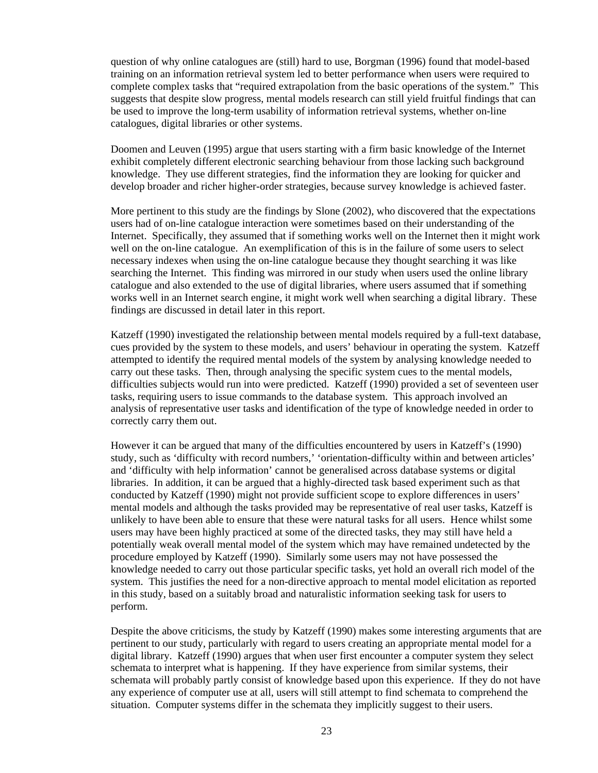question of why online catalogues are (still) hard to use, Borgman (1996) found that model-based training on an information retrieval system led to better performance when users were required to complete complex tasks that "required extrapolation from the basic operations of the system." This suggests that despite slow progress, mental models research can still yield fruitful findings that can be used to improve the long-term usability of information retrieval systems, whether on-line catalogues, digital libraries or other systems.

Doomen and Leuven (1995) argue that users starting with a firm basic knowledge of the Internet exhibit completely different electronic searching behaviour from those lacking such background knowledge. They use different strategies, find the information they are looking for quicker and develop broader and richer higher-order strategies, because survey knowledge is achieved faster.

More pertinent to this study are the findings by Slone (2002), who discovered that the expectations users had of on-line catalogue interaction were sometimes based on their understanding of the Internet. Specifically, they assumed that if something works well on the Internet then it might work well on the on-line catalogue. An exemplification of this is in the failure of some users to select necessary indexes when using the on-line catalogue because they thought searching it was like searching the Internet. This finding was mirrored in our study when users used the online library catalogue and also extended to the use of digital libraries, where users assumed that if something works well in an Internet search engine, it might work well when searching a digital library. These findings are discussed in detail later in this report.

Katzeff (1990) investigated the relationship between mental models required by a full-text database, cues provided by the system to these models, and users' behaviour in operating the system. Katzeff attempted to identify the required mental models of the system by analysing knowledge needed to carry out these tasks. Then, through analysing the specific system cues to the mental models, difficulties subjects would run into were predicted. Katzeff (1990) provided a set of seventeen user tasks, requiring users to issue commands to the database system. This approach involved an analysis of representative user tasks and identification of the type of knowledge needed in order to correctly carry them out.

However it can be argued that many of the difficulties encountered by users in Katzeff's (1990) study, such as 'difficulty with record numbers,' 'orientation-difficulty within and between articles' and 'difficulty with help information' cannot be generalised across database systems or digital libraries. In addition, it can be argued that a highly-directed task based experiment such as that conducted by Katzeff (1990) might not provide sufficient scope to explore differences in users' mental models and although the tasks provided may be representative of real user tasks, Katzeff is unlikely to have been able to ensure that these were natural tasks for all users. Hence whilst some users may have been highly practiced at some of the directed tasks, they may still have held a potentially weak overall mental model of the system which may have remained undetected by the procedure employed by Katzeff (1990). Similarly some users may not have possessed the knowledge needed to carry out those particular specific tasks, yet hold an overall rich model of the system. This justifies the need for a non-directive approach to mental model elicitation as reported in this study, based on a suitably broad and naturalistic information seeking task for users to perform.

Despite the above criticisms, the study by Katzeff (1990) makes some interesting arguments that are pertinent to our study, particularly with regard to users creating an appropriate mental model for a digital library. Katzeff (1990) argues that when user first encounter a computer system they select schemata to interpret what is happening. If they have experience from similar systems, their schemata will probably partly consist of knowledge based upon this experience. If they do not have any experience of computer use at all, users will still attempt to find schemata to comprehend the situation. Computer systems differ in the schemata they implicitly suggest to their users.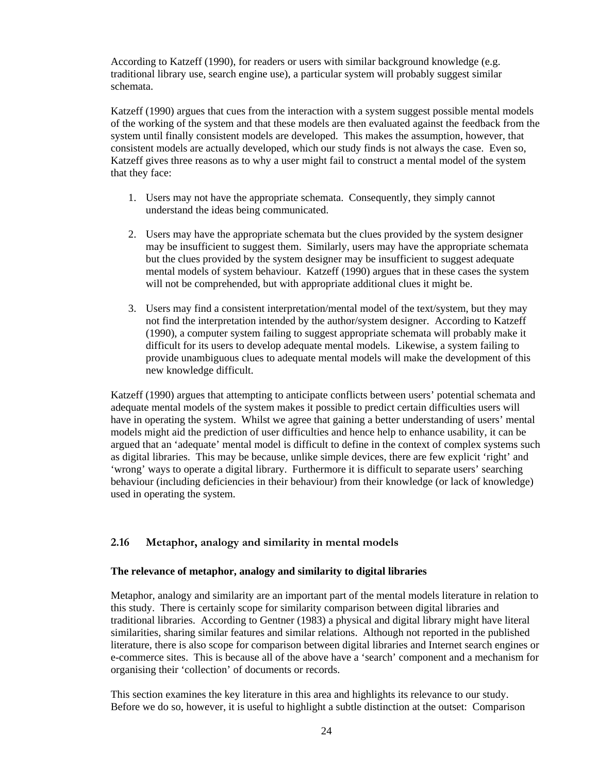<span id="page-23-0"></span>According to Katzeff (1990), for readers or users with similar background knowledge (e.g. traditional library use, search engine use), a particular system will probably suggest similar schemata.

Katzeff (1990) argues that cues from the interaction with a system suggest possible mental models of the working of the system and that these models are then evaluated against the feedback from the system until finally consistent models are developed. This makes the assumption, however, that consistent models are actually developed, which our study finds is not always the case. Even so, Katzeff gives three reasons as to why a user might fail to construct a mental model of the system that they face:

- 1. Users may not have the appropriate schemata. Consequently, they simply cannot understand the ideas being communicated.
- 2. Users may have the appropriate schemata but the clues provided by the system designer may be insufficient to suggest them. Similarly, users may have the appropriate schemata but the clues provided by the system designer may be insufficient to suggest adequate mental models of system behaviour. Katzeff (1990) argues that in these cases the system will not be comprehended, but with appropriate additional clues it might be.
- 3. Users may find a consistent interpretation/mental model of the text/system, but they may not find the interpretation intended by the author/system designer. According to Katzeff (1990), a computer system failing to suggest appropriate schemata will probably make it difficult for its users to develop adequate mental models. Likewise, a system failing to provide unambiguous clues to adequate mental models will make the development of this new knowledge difficult.

Katzeff (1990) argues that attempting to anticipate conflicts between users' potential schemata and adequate mental models of the system makes it possible to predict certain difficulties users will have in operating the system. Whilst we agree that gaining a better understanding of users' mental models might aid the prediction of user difficulties and hence help to enhance usability, it can be argued that an 'adequate' mental model is difficult to define in the context of complex systems such as digital libraries. This may be because, unlike simple devices, there are few explicit 'right' and 'wrong' ways to operate a digital library. Furthermore it is difficult to separate users' searching behaviour (including deficiencies in their behaviour) from their knowledge (or lack of knowledge) used in operating the system.

### **2.16 Metaphor, analogy and similarity in mental models**

### **The relevance of metaphor, analogy and similarity to digital libraries**

Metaphor, analogy and similarity are an important part of the mental models literature in relation to this study. There is certainly scope for similarity comparison between digital libraries and traditional libraries. According to Gentner (1983) a physical and digital library might have literal similarities, sharing similar features and similar relations. Although not reported in the published literature, there is also scope for comparison between digital libraries and Internet search engines or e-commerce sites. This is because all of the above have a 'search' component and a mechanism for organising their 'collection' of documents or records.

This section examines the key literature in this area and highlights its relevance to our study. Before we do so, however, it is useful to highlight a subtle distinction at the outset: Comparison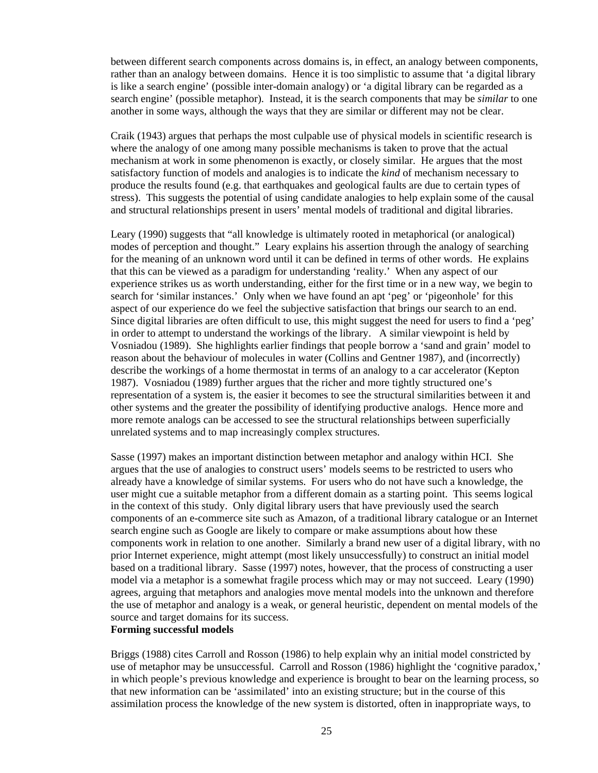between different search components across domains is, in effect, an analogy between components, rather than an analogy between domains. Hence it is too simplistic to assume that 'a digital library is like a search engine' (possible inter-domain analogy) or 'a digital library can be regarded as a search engine' (possible metaphor). Instead, it is the search components that may be *similar* to one another in some ways, although the ways that they are similar or different may not be clear.

Craik (1943) argues that perhaps the most culpable use of physical models in scientific research is where the analogy of one among many possible mechanisms is taken to prove that the actual mechanism at work in some phenomenon is exactly, or closely similar. He argues that the most satisfactory function of models and analogies is to indicate the *kind* of mechanism necessary to produce the results found (e.g. that earthquakes and geological faults are due to certain types of stress). This suggests the potential of using candidate analogies to help explain some of the causal and structural relationships present in users' mental models of traditional and digital libraries.

Leary (1990) suggests that "all knowledge is ultimately rooted in metaphorical (or analogical) modes of perception and thought." Leary explains his assertion through the analogy of searching for the meaning of an unknown word until it can be defined in terms of other words. He explains that this can be viewed as a paradigm for understanding 'reality.' When any aspect of our experience strikes us as worth understanding, either for the first time or in a new way, we begin to search for 'similar instances.' Only when we have found an apt 'peg' or 'pigeonhole' for this aspect of our experience do we feel the subjective satisfaction that brings our search to an end. Since digital libraries are often difficult to use, this might suggest the need for users to find a 'peg' in order to attempt to understand the workings of the library. A similar viewpoint is held by Vosniadou (1989). She highlights earlier findings that people borrow a 'sand and grain' model to reason about the behaviour of molecules in water (Collins and Gentner 1987), and (incorrectly) describe the workings of a home thermostat in terms of an analogy to a car accelerator (Kepton 1987). Vosniadou (1989) further argues that the richer and more tightly structured one's representation of a system is, the easier it becomes to see the structural similarities between it and other systems and the greater the possibility of identifying productive analogs. Hence more and more remote analogs can be accessed to see the structural relationships between superficially unrelated systems and to map increasingly complex structures.

Sasse (1997) makes an important distinction between metaphor and analogy within HCI. She argues that the use of analogies to construct users' models seems to be restricted to users who already have a knowledge of similar systems. For users who do not have such a knowledge, the user might cue a suitable metaphor from a different domain as a starting point. This seems logical in the context of this study. Only digital library users that have previously used the search components of an e-commerce site such as Amazon, of a traditional library catalogue or an Internet search engine such as Google are likely to compare or make assumptions about how these components work in relation to one another. Similarly a brand new user of a digital library, with no prior Internet experience, might attempt (most likely unsuccessfully) to construct an initial model based on a traditional library. Sasse (1997) notes, however, that the process of constructing a user model via a metaphor is a somewhat fragile process which may or may not succeed. Leary (1990) agrees, arguing that metaphors and analogies move mental models into the unknown and therefore the use of metaphor and analogy is a weak, or general heuristic, dependent on mental models of the source and target domains for its success.

#### **Forming successful models**

Briggs (1988) cites Carroll and Rosson (1986) to help explain why an initial model constricted by use of metaphor may be unsuccessful. Carroll and Rosson (1986) highlight the 'cognitive paradox,' in which people's previous knowledge and experience is brought to bear on the learning process, so that new information can be 'assimilated' into an existing structure; but in the course of this assimilation process the knowledge of the new system is distorted, often in inappropriate ways, to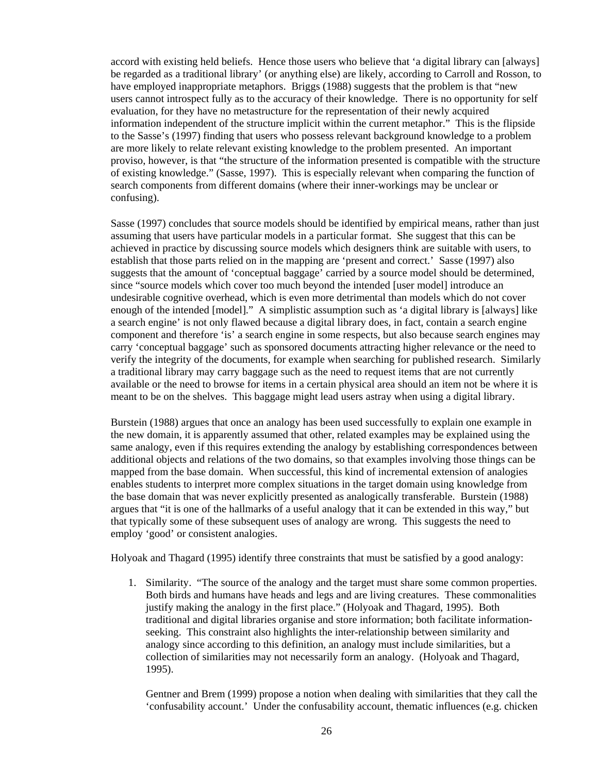accord with existing held beliefs. Hence those users who believe that 'a digital library can [always] be regarded as a traditional library' (or anything else) are likely, according to Carroll and Rosson, to have employed inappropriate metaphors. Briggs (1988) suggests that the problem is that "new users cannot introspect fully as to the accuracy of their knowledge. There is no opportunity for self evaluation, for they have no metastructure for the representation of their newly acquired information independent of the structure implicit within the current metaphor." This is the flipside to the Sasse's (1997) finding that users who possess relevant background knowledge to a problem are more likely to relate relevant existing knowledge to the problem presented. An important proviso, however, is that "the structure of the information presented is compatible with the structure of existing knowledge." (Sasse, 1997). This is especially relevant when comparing the function of search components from different domains (where their inner-workings may be unclear or confusing).

Sasse (1997) concludes that source models should be identified by empirical means, rather than just assuming that users have particular models in a particular format. She suggest that this can be achieved in practice by discussing source models which designers think are suitable with users, to establish that those parts relied on in the mapping are 'present and correct.' Sasse (1997) also suggests that the amount of 'conceptual baggage' carried by a source model should be determined, since "source models which cover too much beyond the intended [user model] introduce an undesirable cognitive overhead, which is even more detrimental than models which do not cover enough of the intended [model]." A simplistic assumption such as 'a digital library is [always] like a search engine' is not only flawed because a digital library does, in fact, contain a search engine component and therefore 'is' a search engine in some respects, but also because search engines may carry 'conceptual baggage' such as sponsored documents attracting higher relevance or the need to verify the integrity of the documents, for example when searching for published research. Similarly a traditional library may carry baggage such as the need to request items that are not currently available or the need to browse for items in a certain physical area should an item not be where it is meant to be on the shelves. This baggage might lead users astray when using a digital library.

Burstein (1988) argues that once an analogy has been used successfully to explain one example in the new domain, it is apparently assumed that other, related examples may be explained using the same analogy, even if this requires extending the analogy by establishing correspondences between additional objects and relations of the two domains, so that examples involving those things can be mapped from the base domain. When successful, this kind of incremental extension of analogies enables students to interpret more complex situations in the target domain using knowledge from the base domain that was never explicitly presented as analogically transferable. Burstein (1988) argues that "it is one of the hallmarks of a useful analogy that it can be extended in this way," but that typically some of these subsequent uses of analogy are wrong. This suggests the need to employ 'good' or consistent analogies.

Holyoak and Thagard (1995) identify three constraints that must be satisfied by a good analogy:

1. Similarity. "The source of the analogy and the target must share some common properties. Both birds and humans have heads and legs and are living creatures. These commonalities justify making the analogy in the first place." (Holyoak and Thagard, 1995). Both traditional and digital libraries organise and store information; both facilitate informationseeking. This constraint also highlights the inter-relationship between similarity and analogy since according to this definition, an analogy must include similarities, but a collection of similarities may not necessarily form an analogy. (Holyoak and Thagard, 1995).

Gentner and Brem (1999) propose a notion when dealing with similarities that they call the 'confusability account.' Under the confusability account, thematic influences (e.g. chicken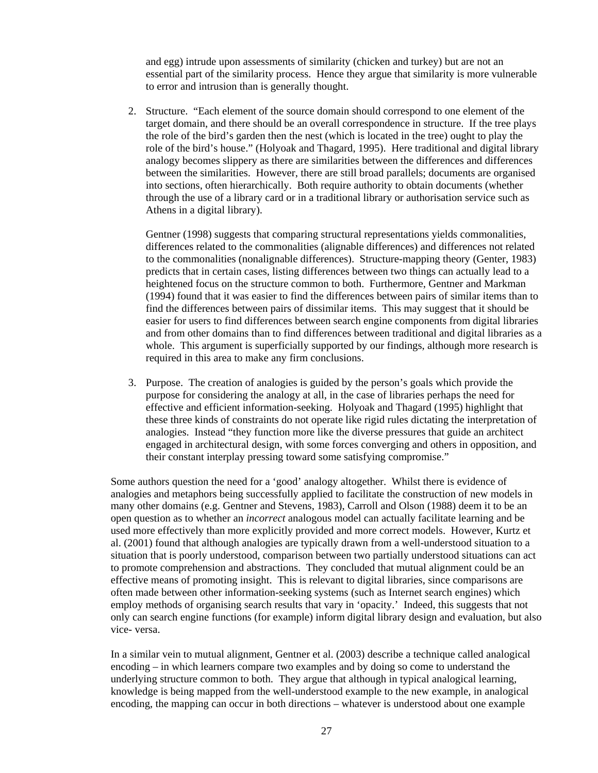and egg) intrude upon assessments of similarity (chicken and turkey) but are not an essential part of the similarity process. Hence they argue that similarity is more vulnerable to error and intrusion than is generally thought.

2. Structure. "Each element of the source domain should correspond to one element of the target domain, and there should be an overall correspondence in structure. If the tree plays the role of the bird's garden then the nest (which is located in the tree) ought to play the role of the bird's house." (Holyoak and Thagard, 1995). Here traditional and digital library analogy becomes slippery as there are similarities between the differences and differences between the similarities. However, there are still broad parallels; documents are organised into sections, often hierarchically. Both require authority to obtain documents (whether through the use of a library card or in a traditional library or authorisation service such as Athens in a digital library).

Gentner (1998) suggests that comparing structural representations yields commonalities, differences related to the commonalities (alignable differences) and differences not related to the commonalities (nonalignable differences). Structure-mapping theory (Genter, 1983) predicts that in certain cases, listing differences between two things can actually lead to a heightened focus on the structure common to both. Furthermore, Gentner and Markman (1994) found that it was easier to find the differences between pairs of similar items than to find the differences between pairs of dissimilar items. This may suggest that it should be easier for users to find differences between search engine components from digital libraries and from other domains than to find differences between traditional and digital libraries as a whole. This argument is superficially supported by our findings, although more research is required in this area to make any firm conclusions.

3. Purpose. The creation of analogies is guided by the person's goals which provide the purpose for considering the analogy at all, in the case of libraries perhaps the need for effective and efficient information-seeking. Holyoak and Thagard (1995) highlight that these three kinds of constraints do not operate like rigid rules dictating the interpretation of analogies. Instead "they function more like the diverse pressures that guide an architect engaged in architectural design, with some forces converging and others in opposition, and their constant interplay pressing toward some satisfying compromise."

Some authors question the need for a 'good' analogy altogether. Whilst there is evidence of analogies and metaphors being successfully applied to facilitate the construction of new models in many other domains (e.g. Gentner and Stevens, 1983), Carroll and Olson (1988) deem it to be an open question as to whether an *incorrect* analogous model can actually facilitate learning and be used more effectively than more explicitly provided and more correct models. However, Kurtz et al. (2001) found that although analogies are typically drawn from a well-understood situation to a situation that is poorly understood, comparison between two partially understood situations can act to promote comprehension and abstractions. They concluded that mutual alignment could be an effective means of promoting insight. This is relevant to digital libraries, since comparisons are often made between other information-seeking systems (such as Internet search engines) which employ methods of organising search results that vary in 'opacity.' Indeed, this suggests that not only can search engine functions (for example) inform digital library design and evaluation, but also vice- versa.

In a similar vein to mutual alignment, Gentner et al. (2003) describe a technique called analogical encoding – in which learners compare two examples and by doing so come to understand the underlying structure common to both. They argue that although in typical analogical learning, knowledge is being mapped from the well-understood example to the new example, in analogical encoding, the mapping can occur in both directions – whatever is understood about one example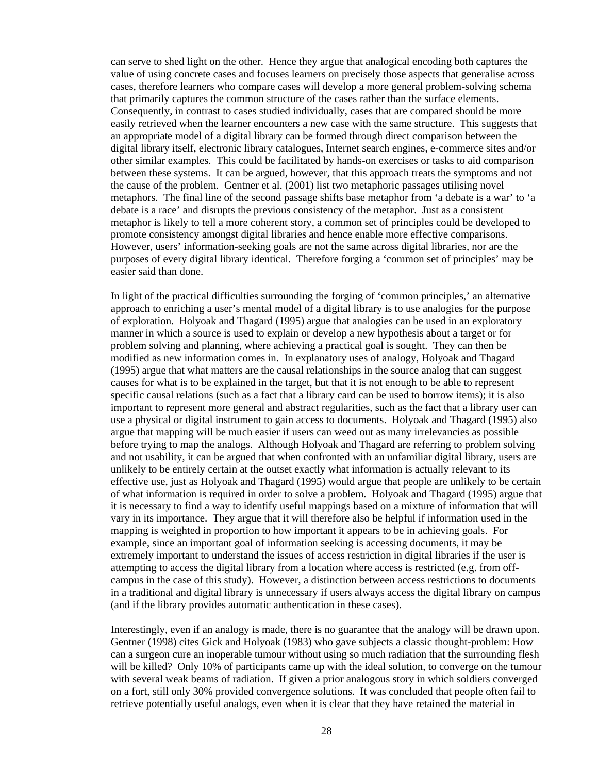can serve to shed light on the other. Hence they argue that analogical encoding both captures the value of using concrete cases and focuses learners on precisely those aspects that generalise across cases, therefore learners who compare cases will develop a more general problem-solving schema that primarily captures the common structure of the cases rather than the surface elements. Consequently, in contrast to cases studied individually, cases that are compared should be more easily retrieved when the learner encounters a new case with the same structure. This suggests that an appropriate model of a digital library can be formed through direct comparison between the digital library itself, electronic library catalogues, Internet search engines, e-commerce sites and/or other similar examples. This could be facilitated by hands-on exercises or tasks to aid comparison between these systems. It can be argued, however, that this approach treats the symptoms and not the cause of the problem. Gentner et al. (2001) list two metaphoric passages utilising novel metaphors. The final line of the second passage shifts base metaphor from 'a debate is a war' to 'a debate is a race' and disrupts the previous consistency of the metaphor. Just as a consistent metaphor is likely to tell a more coherent story, a common set of principles could be developed to promote consistency amongst digital libraries and hence enable more effective comparisons. However, users' information-seeking goals are not the same across digital libraries, nor are the purposes of every digital library identical. Therefore forging a 'common set of principles' may be easier said than done.

In light of the practical difficulties surrounding the forging of 'common principles,' an alternative approach to enriching a user's mental model of a digital library is to use analogies for the purpose of exploration. Holyoak and Thagard (1995) argue that analogies can be used in an exploratory manner in which a source is used to explain or develop a new hypothesis about a target or for problem solving and planning, where achieving a practical goal is sought. They can then be modified as new information comes in. In explanatory uses of analogy, Holyoak and Thagard (1995) argue that what matters are the causal relationships in the source analog that can suggest causes for what is to be explained in the target, but that it is not enough to be able to represent specific causal relations (such as a fact that a library card can be used to borrow items); it is also important to represent more general and abstract regularities, such as the fact that a library user can use a physical or digital instrument to gain access to documents. Holyoak and Thagard (1995) also argue that mapping will be much easier if users can weed out as many irrelevancies as possible before trying to map the analogs. Although Holyoak and Thagard are referring to problem solving and not usability, it can be argued that when confronted with an unfamiliar digital library, users are unlikely to be entirely certain at the outset exactly what information is actually relevant to its effective use, just as Holyoak and Thagard (1995) would argue that people are unlikely to be certain of what information is required in order to solve a problem. Holyoak and Thagard (1995) argue that it is necessary to find a way to identify useful mappings based on a mixture of information that will vary in its importance. They argue that it will therefore also be helpful if information used in the mapping is weighted in proportion to how important it appears to be in achieving goals. For example, since an important goal of information seeking is accessing documents, it may be extremely important to understand the issues of access restriction in digital libraries if the user is attempting to access the digital library from a location where access is restricted (e.g. from offcampus in the case of this study). However, a distinction between access restrictions to documents in a traditional and digital library is unnecessary if users always access the digital library on campus (and if the library provides automatic authentication in these cases).

Interestingly, even if an analogy is made, there is no guarantee that the analogy will be drawn upon. Gentner (1998) cites Gick and Holyoak (1983) who gave subjects a classic thought-problem: How can a surgeon cure an inoperable tumour without using so much radiation that the surrounding flesh will be killed? Only 10% of participants came up with the ideal solution, to converge on the tumour with several weak beams of radiation. If given a prior analogous story in which soldiers converged on a fort, still only 30% provided convergence solutions. It was concluded that people often fail to retrieve potentially useful analogs, even when it is clear that they have retained the material in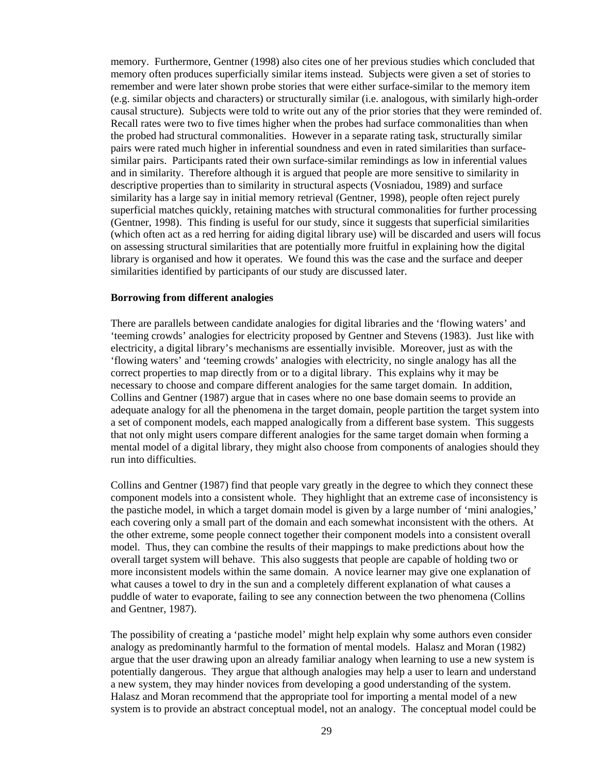memory. Furthermore, Gentner (1998) also cites one of her previous studies which concluded that memory often produces superficially similar items instead. Subjects were given a set of stories to remember and were later shown probe stories that were either surface-similar to the memory item (e.g. similar objects and characters) or structurally similar (i.e. analogous, with similarly high-order causal structure). Subjects were told to write out any of the prior stories that they were reminded of. Recall rates were two to five times higher when the probes had surface commonalities than when the probed had structural commonalities. However in a separate rating task, structurally similar pairs were rated much higher in inferential soundness and even in rated similarities than surfacesimilar pairs. Participants rated their own surface-similar remindings as low in inferential values and in similarity. Therefore although it is argued that people are more sensitive to similarity in descriptive properties than to similarity in structural aspects (Vosniadou, 1989) and surface similarity has a large say in initial memory retrieval (Gentner, 1998), people often reject purely superficial matches quickly, retaining matches with structural commonalities for further processing (Gentner, 1998). This finding is useful for our study, since it suggests that superficial similarities (which often act as a red herring for aiding digital library use) will be discarded and users will focus on assessing structural similarities that are potentially more fruitful in explaining how the digital library is organised and how it operates. We found this was the case and the surface and deeper similarities identified by participants of our study are discussed later.

### **Borrowing from different analogies**

There are parallels between candidate analogies for digital libraries and the 'flowing waters' and 'teeming crowds' analogies for electricity proposed by Gentner and Stevens (1983). Just like with electricity, a digital library's mechanisms are essentially invisible. Moreover, just as with the 'flowing waters' and 'teeming crowds' analogies with electricity, no single analogy has all the correct properties to map directly from or to a digital library. This explains why it may be necessary to choose and compare different analogies for the same target domain. In addition, Collins and Gentner (1987) argue that in cases where no one base domain seems to provide an adequate analogy for all the phenomena in the target domain, people partition the target system into a set of component models, each mapped analogically from a different base system. This suggests that not only might users compare different analogies for the same target domain when forming a mental model of a digital library, they might also choose from components of analogies should they run into difficulties.

Collins and Gentner (1987) find that people vary greatly in the degree to which they connect these component models into a consistent whole. They highlight that an extreme case of inconsistency is the pastiche model, in which a target domain model is given by a large number of 'mini analogies,' each covering only a small part of the domain and each somewhat inconsistent with the others. At the other extreme, some people connect together their component models into a consistent overall model. Thus, they can combine the results of their mappings to make predictions about how the overall target system will behave. This also suggests that people are capable of holding two or more inconsistent models within the same domain. A novice learner may give one explanation of what causes a towel to dry in the sun and a completely different explanation of what causes a puddle of water to evaporate, failing to see any connection between the two phenomena (Collins and Gentner, 1987).

The possibility of creating a 'pastiche model' might help explain why some authors even consider analogy as predominantly harmful to the formation of mental models. Halasz and Moran (1982) argue that the user drawing upon an already familiar analogy when learning to use a new system is potentially dangerous. They argue that although analogies may help a user to learn and understand a new system, they may hinder novices from developing a good understanding of the system. Halasz and Moran recommend that the appropriate tool for importing a mental model of a new system is to provide an abstract conceptual model, not an analogy. The conceptual model could be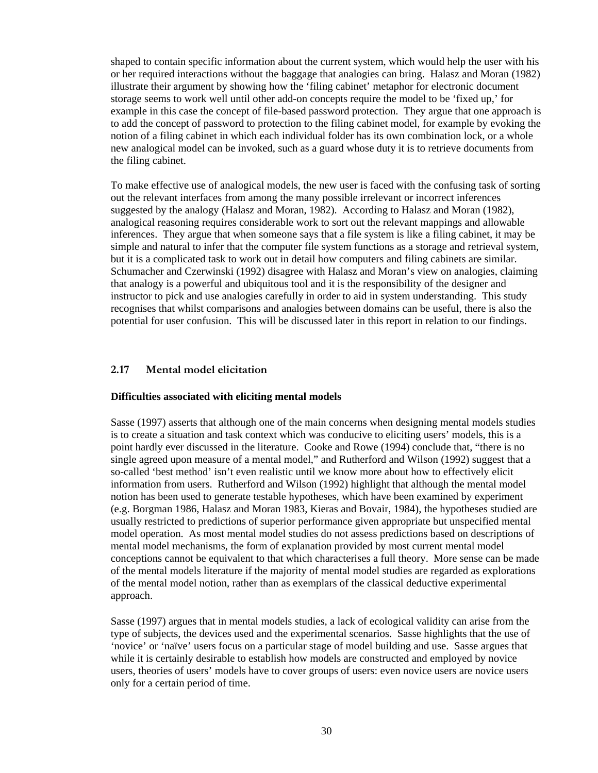<span id="page-29-0"></span>shaped to contain specific information about the current system, which would help the user with his or her required interactions without the baggage that analogies can bring. Halasz and Moran (1982) illustrate their argument by showing how the 'filing cabinet' metaphor for electronic document storage seems to work well until other add-on concepts require the model to be 'fixed up,' for example in this case the concept of file-based password protection. They argue that one approach is to add the concept of password to protection to the filing cabinet model, for example by evoking the notion of a filing cabinet in which each individual folder has its own combination lock, or a whole new analogical model can be invoked, such as a guard whose duty it is to retrieve documents from the filing cabinet.

To make effective use of analogical models, the new user is faced with the confusing task of sorting out the relevant interfaces from among the many possible irrelevant or incorrect inferences suggested by the analogy (Halasz and Moran, 1982). According to Halasz and Moran (1982), analogical reasoning requires considerable work to sort out the relevant mappings and allowable inferences. They argue that when someone says that a file system is like a filing cabinet, it may be simple and natural to infer that the computer file system functions as a storage and retrieval system, but it is a complicated task to work out in detail how computers and filing cabinets are similar. Schumacher and Czerwinski (1992) disagree with Halasz and Moran's view on analogies, claiming that analogy is a powerful and ubiquitous tool and it is the responsibility of the designer and instructor to pick and use analogies carefully in order to aid in system understanding. This study recognises that whilst comparisons and analogies between domains can be useful, there is also the potential for user confusion. This will be discussed later in this report in relation to our findings.

### **2.17 Mental model elicitation**

### **Difficulties associated with eliciting mental models**

Sasse (1997) asserts that although one of the main concerns when designing mental models studies is to create a situation and task context which was conducive to eliciting users' models, this is a point hardly ever discussed in the literature. Cooke and Rowe (1994) conclude that, "there is no single agreed upon measure of a mental model," and Rutherford and Wilson (1992) suggest that a so-called 'best method' isn't even realistic until we know more about how to effectively elicit information from users. Rutherford and Wilson (1992) highlight that although the mental model notion has been used to generate testable hypotheses, which have been examined by experiment (e.g. Borgman 1986, Halasz and Moran 1983, Kieras and Bovair, 1984), the hypotheses studied are usually restricted to predictions of superior performance given appropriate but unspecified mental model operation. As most mental model studies do not assess predictions based on descriptions of mental model mechanisms, the form of explanation provided by most current mental model conceptions cannot be equivalent to that which characterises a full theory. More sense can be made of the mental models literature if the majority of mental model studies are regarded as explorations of the mental model notion, rather than as exemplars of the classical deductive experimental approach.

Sasse (1997) argues that in mental models studies, a lack of ecological validity can arise from the type of subjects, the devices used and the experimental scenarios. Sasse highlights that the use of 'novice' or 'naïve' users focus on a particular stage of model building and use. Sasse argues that while it is certainly desirable to establish how models are constructed and employed by novice users, theories of users' models have to cover groups of users: even novice users are novice users only for a certain period of time.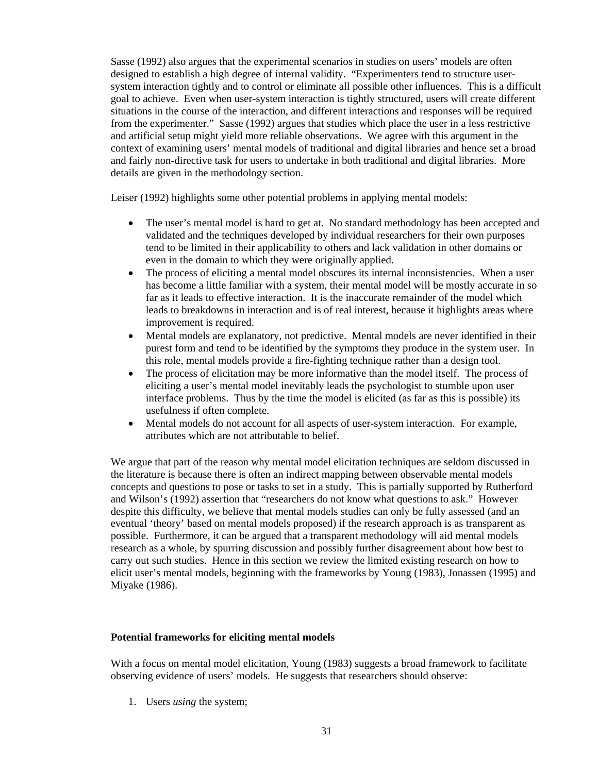Sasse (1992) also argues that the experimental scenarios in studies on users' models are often designed to establish a high degree of internal validity. "Experimenters tend to structure usersystem interaction tightly and to control or eliminate all possible other influences. This is a difficult goal to achieve. Even when user-system interaction is tightly structured, users will create different situations in the course of the interaction, and different interactions and responses will be required from the experimenter." Sasse (1992) argues that studies which place the user in a less restrictive and artificial setup might yield more reliable observations. We agree with this argument in the context of examining users' mental models of traditional and digital libraries and hence set a broad and fairly non-directive task for users to undertake in both traditional and digital libraries. More details are given in the methodology section.

Leiser (1992) highlights some other potential problems in applying mental models:

- The user's mental model is hard to get at. No standard methodology has been accepted and validated and the techniques developed by individual researchers for their own purposes tend to be limited in their applicability to others and lack validation in other domains or even in the domain to which they were originally applied.
- The process of eliciting a mental model obscures its internal inconsistencies. When a user has become a little familiar with a system, their mental model will be mostly accurate in so far as it leads to effective interaction. It is the inaccurate remainder of the model which leads to breakdowns in interaction and is of real interest, because it highlights areas where improvement is required.
- Mental models are explanatory, not predictive. Mental models are never identified in their purest form and tend to be identified by the symptoms they produce in the system user. In this role, mental models provide a fire-fighting technique rather than a design tool.
- The process of elicitation may be more informative than the model itself. The process of eliciting a user's mental model inevitably leads the psychologist to stumble upon user interface problems. Thus by the time the model is elicited (as far as this is possible) its usefulness if often complete.
- Mental models do not account for all aspects of user-system interaction. For example, attributes which are not attributable to belief.

We argue that part of the reason why mental model elicitation techniques are seldom discussed in the literature is because there is often an indirect mapping between observable mental models concepts and questions to pose or tasks to set in a study. This is partially supported by Rutherford and Wilson's (1992) assertion that "researchers do not know what questions to ask." However despite this difficulty, we believe that mental models studies can only be fully assessed (and an eventual 'theory' based on mental models proposed) if the research approach is as transparent as possible. Furthermore, it can be argued that a transparent methodology will aid mental models research as a whole, by spurring discussion and possibly further disagreement about how best to carry out such studies. Hence in this section we review the limited existing research on how to elicit user's mental models, beginning with the frameworks by Young (1983), Jonassen (1995) and Miyake (1986).

### **Potential frameworks for eliciting mental models**

With a focus on mental model elicitation, Young (1983) suggests a broad framework to facilitate observing evidence of users' models. He suggests that researchers should observe:

1. Users *using* the system;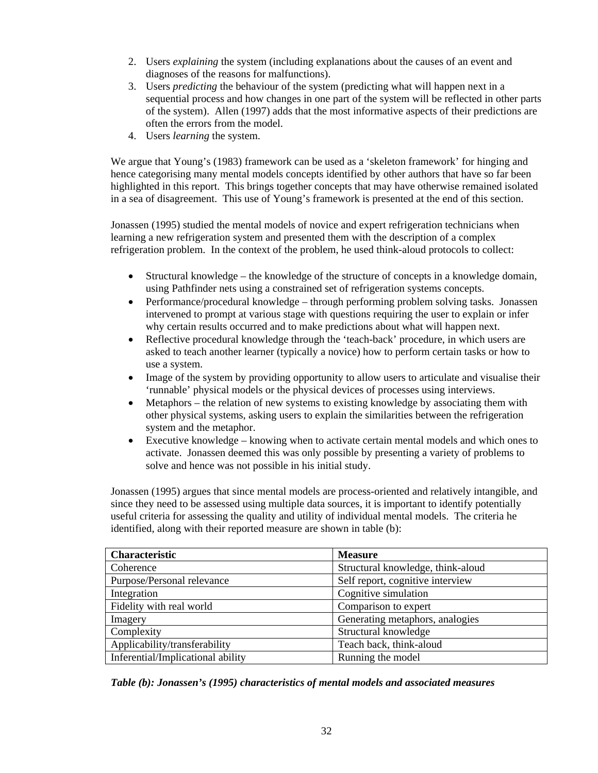- 2. Users *explaining* the system (including explanations about the causes of an event and diagnoses of the reasons for malfunctions).
- 3. Users *predicting* the behaviour of the system (predicting what will happen next in a sequential process and how changes in one part of the system will be reflected in other parts of the system). Allen (1997) adds that the most informative aspects of their predictions are often the errors from the model.
- 4. Users *learning* the system.

We argue that Young's (1983) framework can be used as a 'skeleton framework' for hinging and hence categorising many mental models concepts identified by other authors that have so far been highlighted in this report. This brings together concepts that may have otherwise remained isolated in a sea of disagreement. This use of Young's framework is presented at the end of this section.

Jonassen (1995) studied the mental models of novice and expert refrigeration technicians when learning a new refrigeration system and presented them with the description of a complex refrigeration problem. In the context of the problem, he used think-aloud protocols to collect:

- Structural knowledge the knowledge of the structure of concepts in a knowledge domain, using Pathfinder nets using a constrained set of refrigeration systems concepts.
- Performance/procedural knowledge through performing problem solving tasks. Jonassen intervened to prompt at various stage with questions requiring the user to explain or infer why certain results occurred and to make predictions about what will happen next.
- Reflective procedural knowledge through the 'teach-back' procedure, in which users are asked to teach another learner (typically a novice) how to perform certain tasks or how to use a system.
- Image of the system by providing opportunity to allow users to articulate and visualise their 'runnable' physical models or the physical devices of processes using interviews.
- Metaphors the relation of new systems to existing knowledge by associating them with other physical systems, asking users to explain the similarities between the refrigeration system and the metaphor.
- Executive knowledge knowing when to activate certain mental models and which ones to activate. Jonassen deemed this was only possible by presenting a variety of problems to solve and hence was not possible in his initial study.

Jonassen (1995) argues that since mental models are process-oriented and relatively intangible, and since they need to be assessed using multiple data sources, it is important to identify potentially useful criteria for assessing the quality and utility of individual mental models. The criteria he identified, along with their reported measure are shown in table (b):

| <b>Characteristic</b>             | <b>Measure</b>                    |
|-----------------------------------|-----------------------------------|
| Coherence                         | Structural knowledge, think-aloud |
| Purpose/Personal relevance        | Self report, cognitive interview  |
| Integration                       | Cognitive simulation              |
| Fidelity with real world          | Comparison to expert              |
| Imagery                           | Generating metaphors, analogies   |
| Complexity                        | Structural knowledge              |
| Applicability/transferability     | Teach back, think-aloud           |
| Inferential/Implicational ability | Running the model                 |

*Table (b): Jonassen's (1995) characteristics of mental models and associated measures*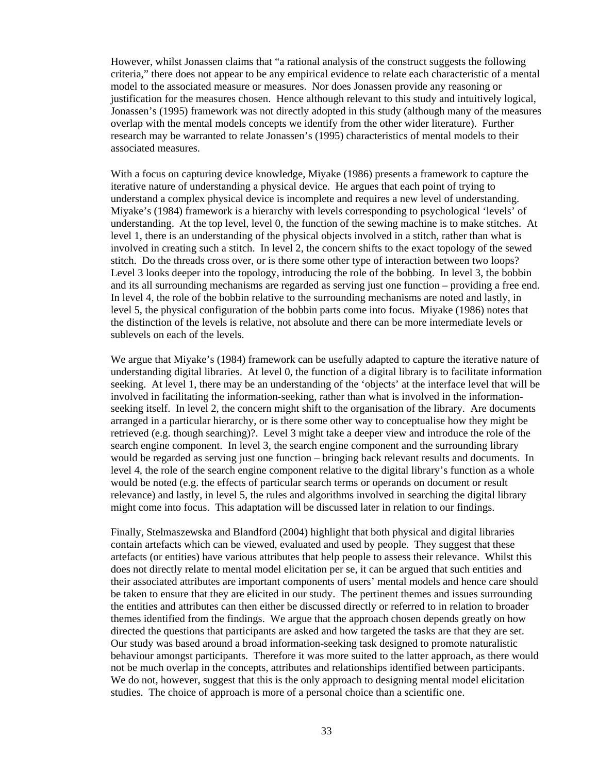However, whilst Jonassen claims that "a rational analysis of the construct suggests the following criteria," there does not appear to be any empirical evidence to relate each characteristic of a mental model to the associated measure or measures. Nor does Jonassen provide any reasoning or justification for the measures chosen. Hence although relevant to this study and intuitively logical, Jonassen's (1995) framework was not directly adopted in this study (although many of the measures overlap with the mental models concepts we identify from the other wider literature). Further research may be warranted to relate Jonassen's (1995) characteristics of mental models to their associated measures.

With a focus on capturing device knowledge, Miyake (1986) presents a framework to capture the iterative nature of understanding a physical device. He argues that each point of trying to understand a complex physical device is incomplete and requires a new level of understanding. Miyake's (1984) framework is a hierarchy with levels corresponding to psychological 'levels' of understanding. At the top level, level 0, the function of the sewing machine is to make stitches. At level 1, there is an understanding of the physical objects involved in a stitch, rather than what is involved in creating such a stitch. In level 2, the concern shifts to the exact topology of the sewed stitch. Do the threads cross over, or is there some other type of interaction between two loops? Level 3 looks deeper into the topology, introducing the role of the bobbing. In level 3, the bobbin and its all surrounding mechanisms are regarded as serving just one function – providing a free end. In level 4, the role of the bobbin relative to the surrounding mechanisms are noted and lastly, in level 5, the physical configuration of the bobbin parts come into focus. Miyake (1986) notes that the distinction of the levels is relative, not absolute and there can be more intermediate levels or sublevels on each of the levels.

We argue that Miyake's (1984) framework can be usefully adapted to capture the iterative nature of understanding digital libraries. At level 0, the function of a digital library is to facilitate information seeking. At level 1, there may be an understanding of the 'objects' at the interface level that will be involved in facilitating the information-seeking, rather than what is involved in the informationseeking itself. In level 2, the concern might shift to the organisation of the library. Are documents arranged in a particular hierarchy, or is there some other way to conceptualise how they might be retrieved (e.g. though searching)?. Level 3 might take a deeper view and introduce the role of the search engine component. In level 3, the search engine component and the surrounding library would be regarded as serving just one function – bringing back relevant results and documents. In level 4, the role of the search engine component relative to the digital library's function as a whole would be noted (e.g. the effects of particular search terms or operands on document or result relevance) and lastly, in level 5, the rules and algorithms involved in searching the digital library might come into focus. This adaptation will be discussed later in relation to our findings.

Finally, Stelmaszewska and Blandford (2004) highlight that both physical and digital libraries contain artefacts which can be viewed, evaluated and used by people. They suggest that these artefacts (or entities) have various attributes that help people to assess their relevance. Whilst this does not directly relate to mental model elicitation per se, it can be argued that such entities and their associated attributes are important components of users' mental models and hence care should be taken to ensure that they are elicited in our study. The pertinent themes and issues surrounding the entities and attributes can then either be discussed directly or referred to in relation to broader themes identified from the findings. We argue that the approach chosen depends greatly on how directed the questions that participants are asked and how targeted the tasks are that they are set. Our study was based around a broad information-seeking task designed to promote naturalistic behaviour amongst participants. Therefore it was more suited to the latter approach, as there would not be much overlap in the concepts, attributes and relationships identified between participants. We do not, however, suggest that this is the only approach to designing mental model elicitation studies. The choice of approach is more of a personal choice than a scientific one.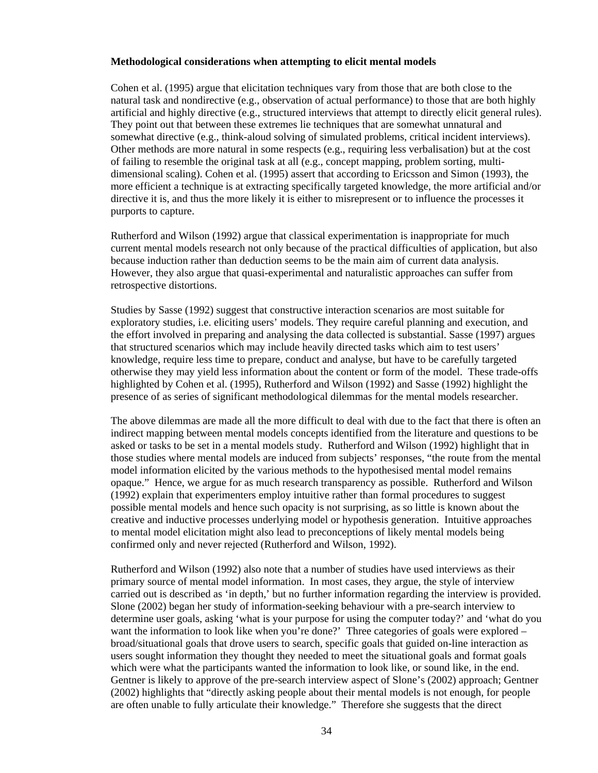### **Methodological considerations when attempting to elicit mental models**

Cohen et al. (1995) argue that elicitation techniques vary from those that are both close to the natural task and nondirective (e.g., observation of actual performance) to those that are both highly artificial and highly directive (e.g., structured interviews that attempt to directly elicit general rules). They point out that between these extremes lie techniques that are somewhat unnatural and somewhat directive (e.g., think-aloud solving of simulated problems, critical incident interviews). Other methods are more natural in some respects (e.g., requiring less verbalisation) but at the cost of failing to resemble the original task at all (e.g., concept mapping, problem sorting, multidimensional scaling). Cohen et al. (1995) assert that according to Ericsson and Simon (1993), the more efficient a technique is at extracting specifically targeted knowledge, the more artificial and/or directive it is, and thus the more likely it is either to misrepresent or to influence the processes it purports to capture.

Rutherford and Wilson (1992) argue that classical experimentation is inappropriate for much current mental models research not only because of the practical difficulties of application, but also because induction rather than deduction seems to be the main aim of current data analysis. However, they also argue that quasi-experimental and naturalistic approaches can suffer from retrospective distortions.

Studies by Sasse (1992) suggest that constructive interaction scenarios are most suitable for exploratory studies, i.e. eliciting users' models. They require careful planning and execution, and the effort involved in preparing and analysing the data collected is substantial. Sasse (1997) argues that structured scenarios which may include heavily directed tasks which aim to test users' knowledge, require less time to prepare, conduct and analyse, but have to be carefully targeted otherwise they may yield less information about the content or form of the model. These trade-offs highlighted by Cohen et al. (1995), Rutherford and Wilson (1992) and Sasse (1992) highlight the presence of as series of significant methodological dilemmas for the mental models researcher.

The above dilemmas are made all the more difficult to deal with due to the fact that there is often an indirect mapping between mental models concepts identified from the literature and questions to be asked or tasks to be set in a mental models study. Rutherford and Wilson (1992) highlight that in those studies where mental models are induced from subjects' responses, "the route from the mental model information elicited by the various methods to the hypothesised mental model remains opaque." Hence, we argue for as much research transparency as possible. Rutherford and Wilson (1992) explain that experimenters employ intuitive rather than formal procedures to suggest possible mental models and hence such opacity is not surprising, as so little is known about the creative and inductive processes underlying model or hypothesis generation. Intuitive approaches to mental model elicitation might also lead to preconceptions of likely mental models being confirmed only and never rejected (Rutherford and Wilson, 1992).

Rutherford and Wilson (1992) also note that a number of studies have used interviews as their primary source of mental model information. In most cases, they argue, the style of interview carried out is described as 'in depth,' but no further information regarding the interview is provided. Slone (2002) began her study of information-seeking behaviour with a pre-search interview to determine user goals, asking 'what is your purpose for using the computer today?' and 'what do you want the information to look like when you're done?' Three categories of goals were explored – broad/situational goals that drove users to search, specific goals that guided on-line interaction as users sought information they thought they needed to meet the situational goals and format goals which were what the participants wanted the information to look like, or sound like, in the end. Gentner is likely to approve of the pre-search interview aspect of Slone's (2002) approach; Gentner (2002) highlights that "directly asking people about their mental models is not enough, for people are often unable to fully articulate their knowledge." Therefore she suggests that the direct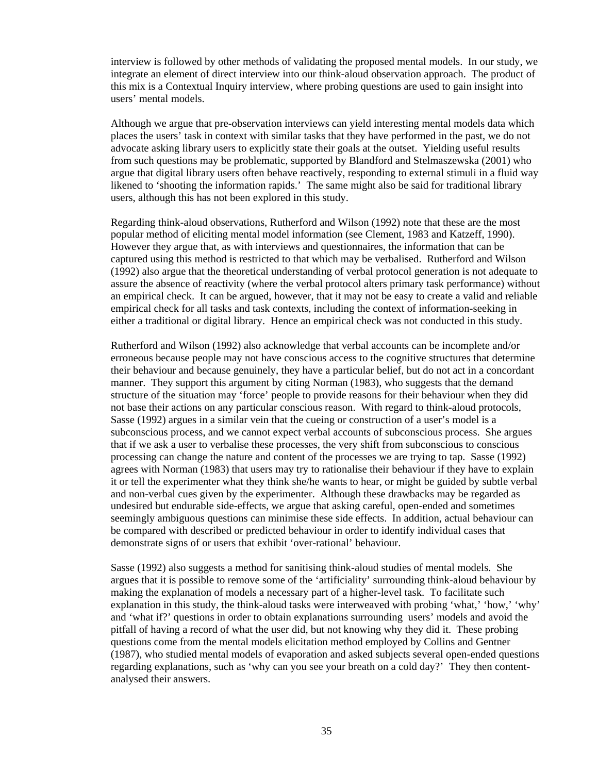interview is followed by other methods of validating the proposed mental models. In our study, we integrate an element of direct interview into our think-aloud observation approach. The product of this mix is a Contextual Inquiry interview, where probing questions are used to gain insight into users' mental models.

Although we argue that pre-observation interviews can yield interesting mental models data which places the users' task in context with similar tasks that they have performed in the past, we do not advocate asking library users to explicitly state their goals at the outset. Yielding useful results from such questions may be problematic, supported by Blandford and Stelmaszewska (2001) who argue that digital library users often behave reactively, responding to external stimuli in a fluid way likened to 'shooting the information rapids.' The same might also be said for traditional library users, although this has not been explored in this study.

Regarding think-aloud observations, Rutherford and Wilson (1992) note that these are the most popular method of eliciting mental model information (see Clement, 1983 and Katzeff, 1990). However they argue that, as with interviews and questionnaires, the information that can be captured using this method is restricted to that which may be verbalised. Rutherford and Wilson (1992) also argue that the theoretical understanding of verbal protocol generation is not adequate to assure the absence of reactivity (where the verbal protocol alters primary task performance) without an empirical check. It can be argued, however, that it may not be easy to create a valid and reliable empirical check for all tasks and task contexts, including the context of information-seeking in either a traditional or digital library. Hence an empirical check was not conducted in this study.

Rutherford and Wilson (1992) also acknowledge that verbal accounts can be incomplete and/or erroneous because people may not have conscious access to the cognitive structures that determine their behaviour and because genuinely, they have a particular belief, but do not act in a concordant manner. They support this argument by citing Norman (1983), who suggests that the demand structure of the situation may 'force' people to provide reasons for their behaviour when they did not base their actions on any particular conscious reason. With regard to think-aloud protocols, Sasse (1992) argues in a similar vein that the cueing or construction of a user's model is a subconscious process, and we cannot expect verbal accounts of subconscious process. She argues that if we ask a user to verbalise these processes, the very shift from subconscious to conscious processing can change the nature and content of the processes we are trying to tap. Sasse (1992) agrees with Norman (1983) that users may try to rationalise their behaviour if they have to explain it or tell the experimenter what they think she/he wants to hear, or might be guided by subtle verbal and non-verbal cues given by the experimenter. Although these drawbacks may be regarded as undesired but endurable side-effects, we argue that asking careful, open-ended and sometimes seemingly ambiguous questions can minimise these side effects. In addition, actual behaviour can be compared with described or predicted behaviour in order to identify individual cases that demonstrate signs of or users that exhibit 'over-rational' behaviour.

Sasse (1992) also suggests a method for sanitising think-aloud studies of mental models. She argues that it is possible to remove some of the 'artificiality' surrounding think-aloud behaviour by making the explanation of models a necessary part of a higher-level task. To facilitate such explanation in this study, the think-aloud tasks were interweaved with probing 'what,' 'how,' 'why' and 'what if?' questions in order to obtain explanations surrounding users' models and avoid the pitfall of having a record of what the user did, but not knowing why they did it. These probing questions come from the mental models elicitation method employed by Collins and Gentner (1987), who studied mental models of evaporation and asked subjects several open-ended questions regarding explanations, such as 'why can you see your breath on a cold day?' They then contentanalysed their answers.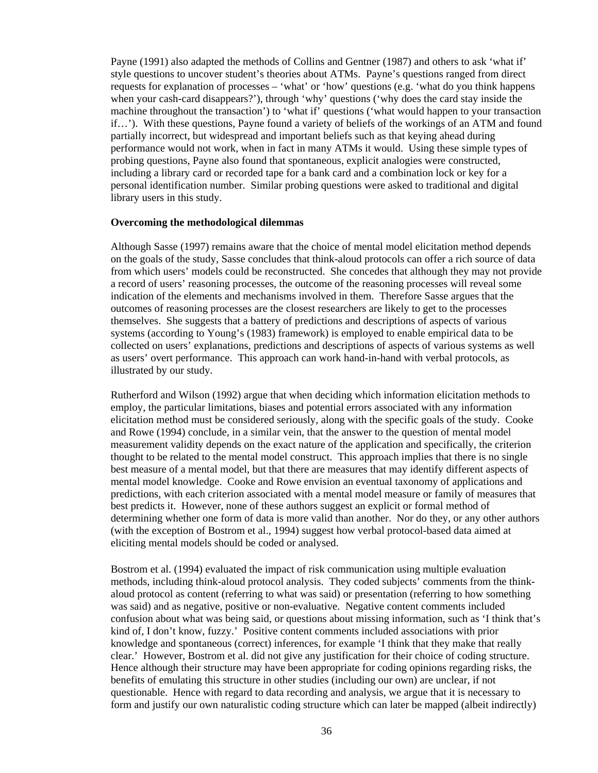Payne (1991) also adapted the methods of Collins and Gentner (1987) and others to ask 'what if' style questions to uncover student's theories about ATMs. Payne's questions ranged from direct requests for explanation of processes – 'what' or 'how' questions (e.g. 'what do you think happens when your cash-card disappears?'), through 'why' questions ('why does the card stay inside the machine throughout the transaction') to 'what if' questions ('what would happen to your transaction if…'). With these questions, Payne found a variety of beliefs of the workings of an ATM and found partially incorrect, but widespread and important beliefs such as that keying ahead during performance would not work, when in fact in many ATMs it would. Using these simple types of probing questions, Payne also found that spontaneous, explicit analogies were constructed, including a library card or recorded tape for a bank card and a combination lock or key for a personal identification number. Similar probing questions were asked to traditional and digital library users in this study.

#### **Overcoming the methodological dilemmas**

Although Sasse (1997) remains aware that the choice of mental model elicitation method depends on the goals of the study, Sasse concludes that think-aloud protocols can offer a rich source of data from which users' models could be reconstructed. She concedes that although they may not provide a record of users' reasoning processes, the outcome of the reasoning processes will reveal some indication of the elements and mechanisms involved in them. Therefore Sasse argues that the outcomes of reasoning processes are the closest researchers are likely to get to the processes themselves. She suggests that a battery of predictions and descriptions of aspects of various systems (according to Young's (1983) framework) is employed to enable empirical data to be collected on users' explanations, predictions and descriptions of aspects of various systems as well as users' overt performance. This approach can work hand-in-hand with verbal protocols, as illustrated by our study.

Rutherford and Wilson (1992) argue that when deciding which information elicitation methods to employ, the particular limitations, biases and potential errors associated with any information elicitation method must be considered seriously, along with the specific goals of the study. Cooke and Rowe (1994) conclude, in a similar vein, that the answer to the question of mental model measurement validity depends on the exact nature of the application and specifically, the criterion thought to be related to the mental model construct. This approach implies that there is no single best measure of a mental model, but that there are measures that may identify different aspects of mental model knowledge. Cooke and Rowe envision an eventual taxonomy of applications and predictions, with each criterion associated with a mental model measure or family of measures that best predicts it. However, none of these authors suggest an explicit or formal method of determining whether one form of data is more valid than another. Nor do they, or any other authors (with the exception of Bostrom et al., 1994) suggest how verbal protocol-based data aimed at eliciting mental models should be coded or analysed.

Bostrom et al. (1994) evaluated the impact of risk communication using multiple evaluation methods, including think-aloud protocol analysis. They coded subjects' comments from the thinkaloud protocol as content (referring to what was said) or presentation (referring to how something was said) and as negative, positive or non-evaluative. Negative content comments included confusion about what was being said, or questions about missing information, such as 'I think that's kind of, I don't know, fuzzy.' Positive content comments included associations with prior knowledge and spontaneous (correct) inferences, for example 'I think that they make that really clear.' However, Bostrom et al. did not give any justification for their choice of coding structure. Hence although their structure may have been appropriate for coding opinions regarding risks, the benefits of emulating this structure in other studies (including our own) are unclear, if not questionable. Hence with regard to data recording and analysis, we argue that it is necessary to form and justify our own naturalistic coding structure which can later be mapped (albeit indirectly)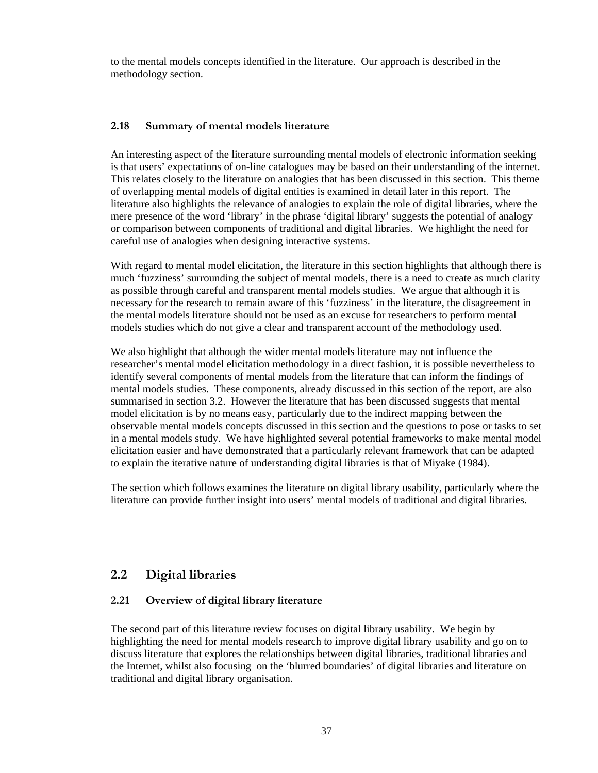to the mental models concepts identified in the literature. Our approach is described in the methodology section.

## **2.18 Summary of mental models literature**

An interesting aspect of the literature surrounding mental models of electronic information seeking is that users' expectations of on-line catalogues may be based on their understanding of the internet. This relates closely to the literature on analogies that has been discussed in this section. This theme of overlapping mental models of digital entities is examined in detail later in this report. The literature also highlights the relevance of analogies to explain the role of digital libraries, where the mere presence of the word 'library' in the phrase 'digital library' suggests the potential of analogy or comparison between components of traditional and digital libraries. We highlight the need for careful use of analogies when designing interactive systems.

With regard to mental model elicitation, the literature in this section highlights that although there is much 'fuzziness' surrounding the subject of mental models, there is a need to create as much clarity as possible through careful and transparent mental models studies. We argue that although it is necessary for the research to remain aware of this 'fuzziness' in the literature, the disagreement in the mental models literature should not be used as an excuse for researchers to perform mental models studies which do not give a clear and transparent account of the methodology used.

We also highlight that although the wider mental models literature may not influence the researcher's mental model elicitation methodology in a direct fashion, it is possible nevertheless to identify several components of mental models from the literature that can inform the findings of mental models studies. These components, already discussed in this section of the report, are also summarised in section 3.2. However the literature that has been discussed suggests that mental model elicitation is by no means easy, particularly due to the indirect mapping between the observable mental models concepts discussed in this section and the questions to pose or tasks to set in a mental models study. We have highlighted several potential frameworks to make mental model elicitation easier and have demonstrated that a particularly relevant framework that can be adapted to explain the iterative nature of understanding digital libraries is that of Miyake (1984).

The section which follows examines the literature on digital library usability, particularly where the literature can provide further insight into users' mental models of traditional and digital libraries.

# **2.2 Digital libraries**

# **2.21 Overview of digital library literature**

The second part of this literature review focuses on digital library usability. We begin by highlighting the need for mental models research to improve digital library usability and go on to discuss literature that explores the relationships between digital libraries, traditional libraries and the Internet, whilst also focusing on the 'blurred boundaries' of digital libraries and literature on traditional and digital library organisation.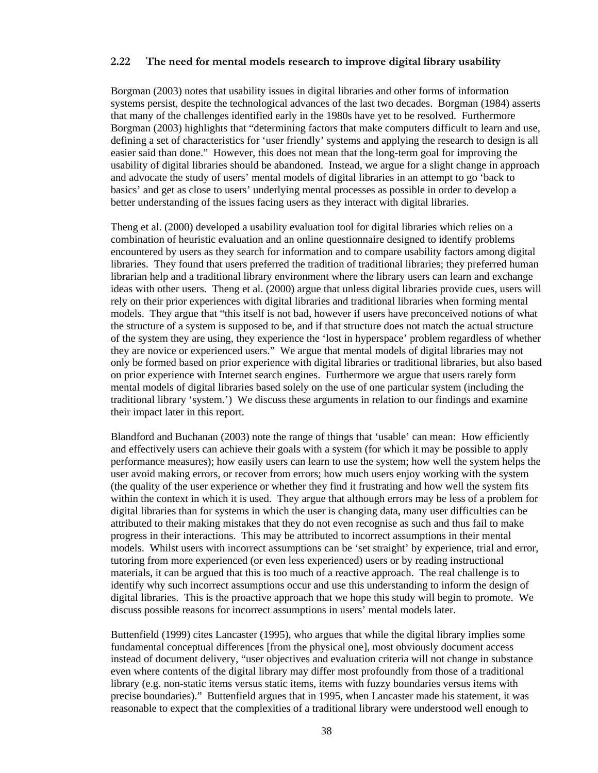## **2.22 The need for mental models research to improve digital library usability**

Borgman (2003) notes that usability issues in digital libraries and other forms of information systems persist, despite the technological advances of the last two decades. Borgman (1984) asserts that many of the challenges identified early in the 1980s have yet to be resolved. Furthermore Borgman (2003) highlights that "determining factors that make computers difficult to learn and use, defining a set of characteristics for 'user friendly' systems and applying the research to design is all easier said than done." However, this does not mean that the long-term goal for improving the usability of digital libraries should be abandoned. Instead, we argue for a slight change in approach and advocate the study of users' mental models of digital libraries in an attempt to go 'back to basics' and get as close to users' underlying mental processes as possible in order to develop a better understanding of the issues facing users as they interact with digital libraries.

Theng et al. (2000) developed a usability evaluation tool for digital libraries which relies on a combination of heuristic evaluation and an online questionnaire designed to identify problems encountered by users as they search for information and to compare usability factors among digital libraries. They found that users preferred the tradition of traditional libraries; they preferred human librarian help and a traditional library environment where the library users can learn and exchange ideas with other users. Theng et al. (2000) argue that unless digital libraries provide cues, users will rely on their prior experiences with digital libraries and traditional libraries when forming mental models. They argue that "this itself is not bad, however if users have preconceived notions of what the structure of a system is supposed to be, and if that structure does not match the actual structure of the system they are using, they experience the 'lost in hyperspace' problem regardless of whether they are novice or experienced users." We argue that mental models of digital libraries may not only be formed based on prior experience with digital libraries or traditional libraries, but also based on prior experience with Internet search engines. Furthermore we argue that users rarely form mental models of digital libraries based solely on the use of one particular system (including the traditional library 'system.') We discuss these arguments in relation to our findings and examine their impact later in this report.

Blandford and Buchanan (2003) note the range of things that 'usable' can mean: How efficiently and effectively users can achieve their goals with a system (for which it may be possible to apply performance measures); how easily users can learn to use the system; how well the system helps the user avoid making errors, or recover from errors; how much users enjoy working with the system (the quality of the user experience or whether they find it frustrating and how well the system fits within the context in which it is used. They argue that although errors may be less of a problem for digital libraries than for systems in which the user is changing data, many user difficulties can be attributed to their making mistakes that they do not even recognise as such and thus fail to make progress in their interactions. This may be attributed to incorrect assumptions in their mental models. Whilst users with incorrect assumptions can be 'set straight' by experience, trial and error, tutoring from more experienced (or even less experienced) users or by reading instructional materials, it can be argued that this is too much of a reactive approach. The real challenge is to identify why such incorrect assumptions occur and use this understanding to inform the design of digital libraries. This is the proactive approach that we hope this study will begin to promote. We discuss possible reasons for incorrect assumptions in users' mental models later.

Buttenfield (1999) cites Lancaster (1995), who argues that while the digital library implies some fundamental conceptual differences [from the physical one], most obviously document access instead of document delivery, "user objectives and evaluation criteria will not change in substance even where contents of the digital library may differ most profoundly from those of a traditional library (e.g. non-static items versus static items, items with fuzzy boundaries versus items with precise boundaries)." Buttenfield argues that in 1995, when Lancaster made his statement, it was reasonable to expect that the complexities of a traditional library were understood well enough to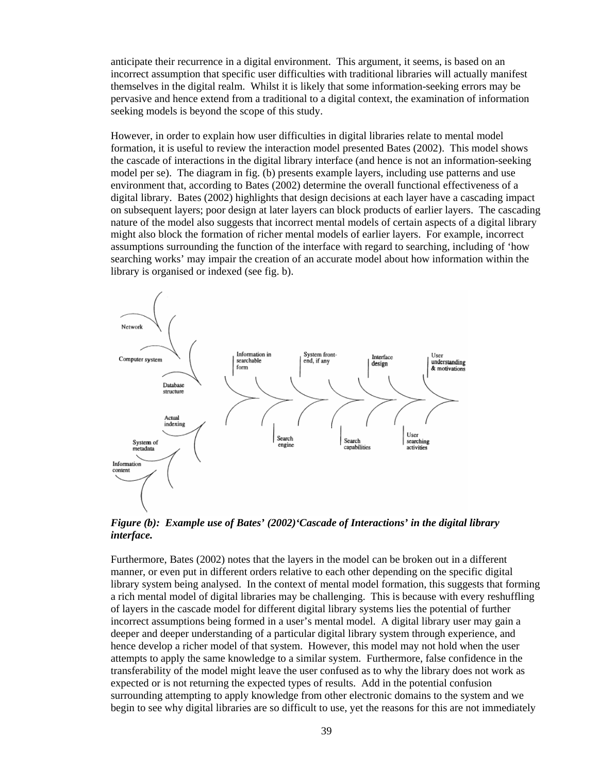anticipate their recurrence in a digital environment. This argument, it seems, is based on an incorrect assumption that specific user difficulties with traditional libraries will actually manifest themselves in the digital realm. Whilst it is likely that some information-seeking errors may be pervasive and hence extend from a traditional to a digital context, the examination of information seeking models is beyond the scope of this study.

However, in order to explain how user difficulties in digital libraries relate to mental model formation, it is useful to review the interaction model presented Bates (2002). This model shows the cascade of interactions in the digital library interface (and hence is not an information-seeking model per se). The diagram in fig. (b) presents example layers, including use patterns and use environment that, according to Bates (2002) determine the overall functional effectiveness of a digital library. Bates (2002) highlights that design decisions at each layer have a cascading impact on subsequent layers; poor design at later layers can block products of earlier layers. The cascading nature of the model also suggests that incorrect mental models of certain aspects of a digital library might also block the formation of richer mental models of earlier layers. For example, incorrect assumptions surrounding the function of the interface with regard to searching, including of 'how searching works' may impair the creation of an accurate model about how information within the library is organised or indexed (see fig. b).



*Figure (b): Example use of Bates' (2002)'Cascade of Interactions' in the digital library interface.* 

Furthermore, Bates (2002) notes that the layers in the model can be broken out in a different manner, or even put in different orders relative to each other depending on the specific digital library system being analysed. In the context of mental model formation, this suggests that forming a rich mental model of digital libraries may be challenging. This is because with every reshuffling of layers in the cascade model for different digital library systems lies the potential of further incorrect assumptions being formed in a user's mental model. A digital library user may gain a deeper and deeper understanding of a particular digital library system through experience, and hence develop a richer model of that system. However, this model may not hold when the user attempts to apply the same knowledge to a similar system. Furthermore, false confidence in the transferability of the model might leave the user confused as to why the library does not work as expected or is not returning the expected types of results. Add in the potential confusion surrounding attempting to apply knowledge from other electronic domains to the system and we begin to see why digital libraries are so difficult to use, yet the reasons for this are not immediately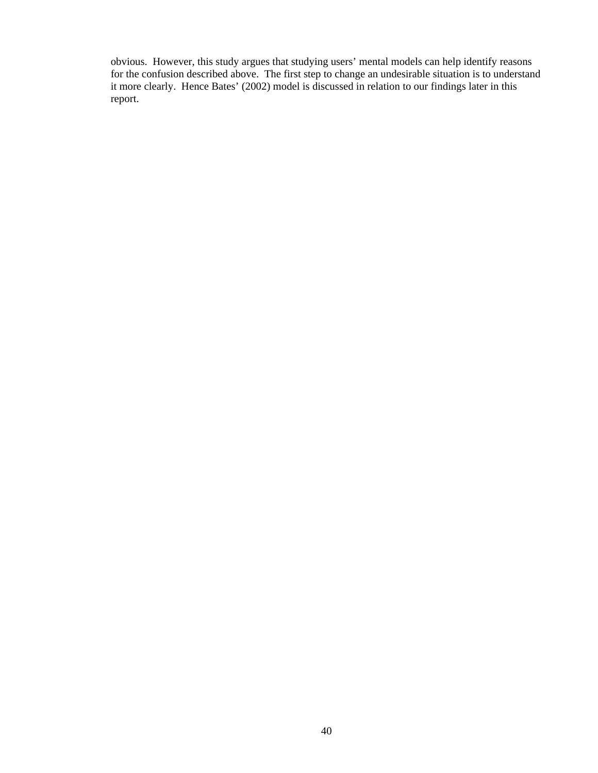obvious. However, this study argues that studying users' mental models can help identify reasons for the confusion described above. The first step to change an undesirable situation is to understand it more clearly. Hence Bates' (2002) model is discussed in relation to our findings later in this report.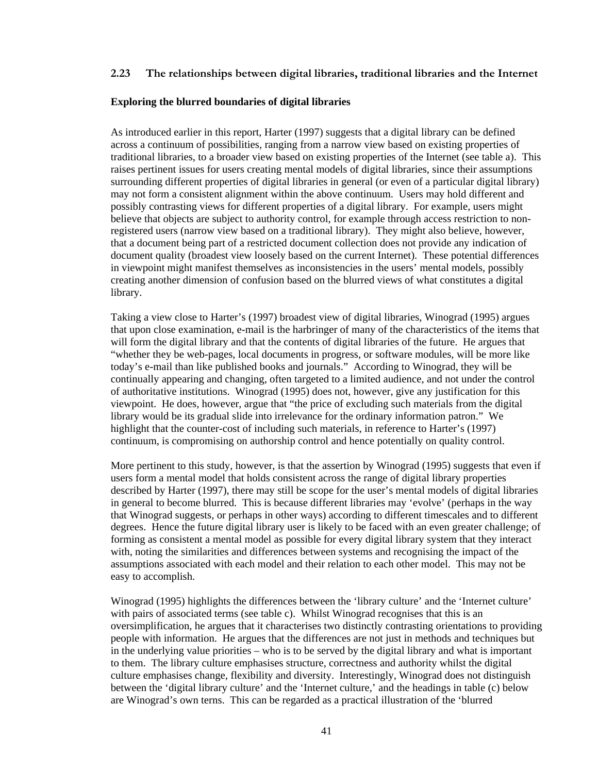### **2.23 The relationships between digital libraries, traditional libraries and the Internet**

#### **Exploring the blurred boundaries of digital libraries**

As introduced earlier in this report, Harter (1997) suggests that a digital library can be defined across a continuum of possibilities, ranging from a narrow view based on existing properties of traditional libraries, to a broader view based on existing properties of the Internet (see table a). This raises pertinent issues for users creating mental models of digital libraries, since their assumptions surrounding different properties of digital libraries in general (or even of a particular digital library) may not form a consistent alignment within the above continuum. Users may hold different and possibly contrasting views for different properties of a digital library. For example, users might believe that objects are subject to authority control, for example through access restriction to nonregistered users (narrow view based on a traditional library). They might also believe, however, that a document being part of a restricted document collection does not provide any indication of document quality (broadest view loosely based on the current Internet). These potential differences in viewpoint might manifest themselves as inconsistencies in the users' mental models, possibly creating another dimension of confusion based on the blurred views of what constitutes a digital library.

Taking a view close to Harter's (1997) broadest view of digital libraries, Winograd (1995) argues that upon close examination, e-mail is the harbringer of many of the characteristics of the items that will form the digital library and that the contents of digital libraries of the future. He argues that "whether they be web-pages, local documents in progress, or software modules, will be more like today's e-mail than like published books and journals." According to Winograd, they will be continually appearing and changing, often targeted to a limited audience, and not under the control of authoritative institutions. Winograd (1995) does not, however, give any justification for this viewpoint. He does, however, argue that "the price of excluding such materials from the digital library would be its gradual slide into irrelevance for the ordinary information patron." We highlight that the counter-cost of including such materials, in reference to Harter's (1997) continuum, is compromising on authorship control and hence potentially on quality control.

More pertinent to this study, however, is that the assertion by Winograd (1995) suggests that even if users form a mental model that holds consistent across the range of digital library properties described by Harter (1997), there may still be scope for the user's mental models of digital libraries in general to become blurred. This is because different libraries may 'evolve' (perhaps in the way that Winograd suggests, or perhaps in other ways) according to different timescales and to different degrees. Hence the future digital library user is likely to be faced with an even greater challenge; of forming as consistent a mental model as possible for every digital library system that they interact with, noting the similarities and differences between systems and recognising the impact of the assumptions associated with each model and their relation to each other model. This may not be easy to accomplish.

Winograd (1995) highlights the differences between the 'library culture' and the 'Internet culture' with pairs of associated terms (see table c). Whilst Winograd recognises that this is an oversimplification, he argues that it characterises two distinctly contrasting orientations to providing people with information. He argues that the differences are not just in methods and techniques but in the underlying value priorities – who is to be served by the digital library and what is important to them. The library culture emphasises structure, correctness and authority whilst the digital culture emphasises change, flexibility and diversity. Interestingly, Winograd does not distinguish between the 'digital library culture' and the 'Internet culture,' and the headings in table (c) below are Winograd's own terns. This can be regarded as a practical illustration of the 'blurred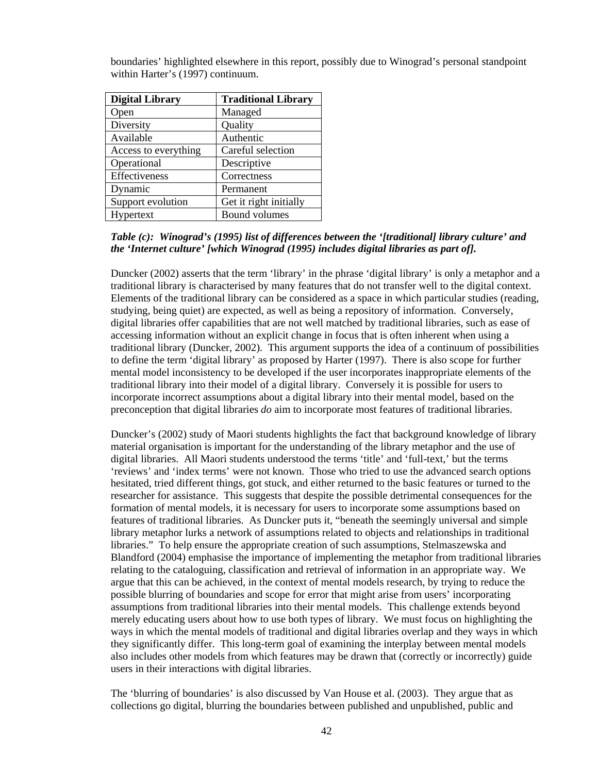| <b>Digital Library</b> | <b>Traditional Library</b> |  |
|------------------------|----------------------------|--|
| Open                   | Managed                    |  |
| Diversity              | Quality                    |  |
| Available              | Authentic                  |  |
| Access to everything   | Careful selection          |  |
| Operational            | Descriptive                |  |
| Effectiveness          | Correctness                |  |
| Dynamic                | Permanent                  |  |
| Support evolution      | Get it right initially     |  |
| Hypertext              | <b>Bound volumes</b>       |  |

boundaries' highlighted elsewhere in this report, possibly due to Winograd's personal standpoint within Harter's (1997) continuum.

## *Table (c): Winograd's (1995) list of differences between the '[traditional] library culture' and the 'Internet culture' [which Winograd (1995) includes digital libraries as part of].*

Duncker (2002) asserts that the term 'library' in the phrase 'digital library' is only a metaphor and a traditional library is characterised by many features that do not transfer well to the digital context. Elements of the traditional library can be considered as a space in which particular studies (reading, studying, being quiet) are expected, as well as being a repository of information. Conversely, digital libraries offer capabilities that are not well matched by traditional libraries, such as ease of accessing information without an explicit change in focus that is often inherent when using a traditional library (Duncker, 2002). This argument supports the idea of a continuum of possibilities to define the term 'digital library' as proposed by Harter (1997). There is also scope for further mental model inconsistency to be developed if the user incorporates inappropriate elements of the traditional library into their model of a digital library. Conversely it is possible for users to incorporate incorrect assumptions about a digital library into their mental model, based on the preconception that digital libraries *do* aim to incorporate most features of traditional libraries.

Duncker's (2002) study of Maori students highlights the fact that background knowledge of library material organisation is important for the understanding of the library metaphor and the use of digital libraries. All Maori students understood the terms 'title' and 'full-text,' but the terms 'reviews' and 'index terms' were not known. Those who tried to use the advanced search options hesitated, tried different things, got stuck, and either returned to the basic features or turned to the researcher for assistance. This suggests that despite the possible detrimental consequences for the formation of mental models, it is necessary for users to incorporate some assumptions based on features of traditional libraries. As Duncker puts it, "beneath the seemingly universal and simple library metaphor lurks a network of assumptions related to objects and relationships in traditional libraries." To help ensure the appropriate creation of such assumptions, Stelmaszewska and Blandford (2004) emphasise the importance of implementing the metaphor from traditional libraries relating to the cataloguing, classification and retrieval of information in an appropriate way. We argue that this can be achieved, in the context of mental models research, by trying to reduce the possible blurring of boundaries and scope for error that might arise from users' incorporating assumptions from traditional libraries into their mental models. This challenge extends beyond merely educating users about how to use both types of library. We must focus on highlighting the ways in which the mental models of traditional and digital libraries overlap and they ways in which they significantly differ. This long-term goal of examining the interplay between mental models also includes other models from which features may be drawn that (correctly or incorrectly) guide users in their interactions with digital libraries.

The 'blurring of boundaries' is also discussed by Van House et al. (2003). They argue that as collections go digital, blurring the boundaries between published and unpublished, public and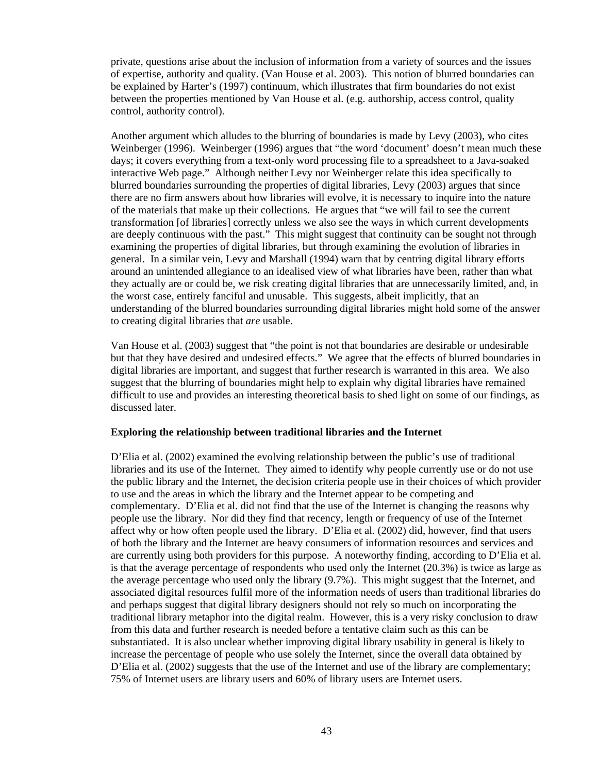private, questions arise about the inclusion of information from a variety of sources and the issues of expertise, authority and quality. (Van House et al. 2003). This notion of blurred boundaries can be explained by Harter's (1997) continuum, which illustrates that firm boundaries do not exist between the properties mentioned by Van House et al. (e.g. authorship, access control, quality control, authority control).

Another argument which alludes to the blurring of boundaries is made by Levy (2003), who cites Weinberger (1996). Weinberger (1996) argues that "the word 'document' doesn't mean much these days; it covers everything from a text-only word processing file to a spreadsheet to a Java-soaked interactive Web page." Although neither Levy nor Weinberger relate this idea specifically to blurred boundaries surrounding the properties of digital libraries, Levy (2003) argues that since there are no firm answers about how libraries will evolve, it is necessary to inquire into the nature of the materials that make up their collections. He argues that "we will fail to see the current transformation [of libraries] correctly unless we also see the ways in which current developments are deeply continuous with the past." This might suggest that continuity can be sought not through examining the properties of digital libraries, but through examining the evolution of libraries in general. In a similar vein, Levy and Marshall (1994) warn that by centring digital library efforts around an unintended allegiance to an idealised view of what libraries have been, rather than what they actually are or could be, we risk creating digital libraries that are unnecessarily limited, and, in the worst case, entirely fanciful and unusable. This suggests, albeit implicitly, that an understanding of the blurred boundaries surrounding digital libraries might hold some of the answer to creating digital libraries that *are* usable.

Van House et al. (2003) suggest that "the point is not that boundaries are desirable or undesirable but that they have desired and undesired effects." We agree that the effects of blurred boundaries in digital libraries are important, and suggest that further research is warranted in this area. We also suggest that the blurring of boundaries might help to explain why digital libraries have remained difficult to use and provides an interesting theoretical basis to shed light on some of our findings, as discussed later.

#### **Exploring the relationship between traditional libraries and the Internet**

D'Elia et al. (2002) examined the evolving relationship between the public's use of traditional libraries and its use of the Internet. They aimed to identify why people currently use or do not use the public library and the Internet, the decision criteria people use in their choices of which provider to use and the areas in which the library and the Internet appear to be competing and complementary. D'Elia et al. did not find that the use of the Internet is changing the reasons why people use the library. Nor did they find that recency, length or frequency of use of the Internet affect why or how often people used the library. D'Elia et al. (2002) did, however, find that users of both the library and the Internet are heavy consumers of information resources and services and are currently using both providers for this purpose. A noteworthy finding, according to D'Elia et al. is that the average percentage of respondents who used only the Internet (20.3%) is twice as large as the average percentage who used only the library (9.7%). This might suggest that the Internet, and associated digital resources fulfil more of the information needs of users than traditional libraries do and perhaps suggest that digital library designers should not rely so much on incorporating the traditional library metaphor into the digital realm. However, this is a very risky conclusion to draw from this data and further research is needed before a tentative claim such as this can be substantiated. It is also unclear whether improving digital library usability in general is likely to increase the percentage of people who use solely the Internet, since the overall data obtained by D'Elia et al. (2002) suggests that the use of the Internet and use of the library are complementary; 75% of Internet users are library users and 60% of library users are Internet users.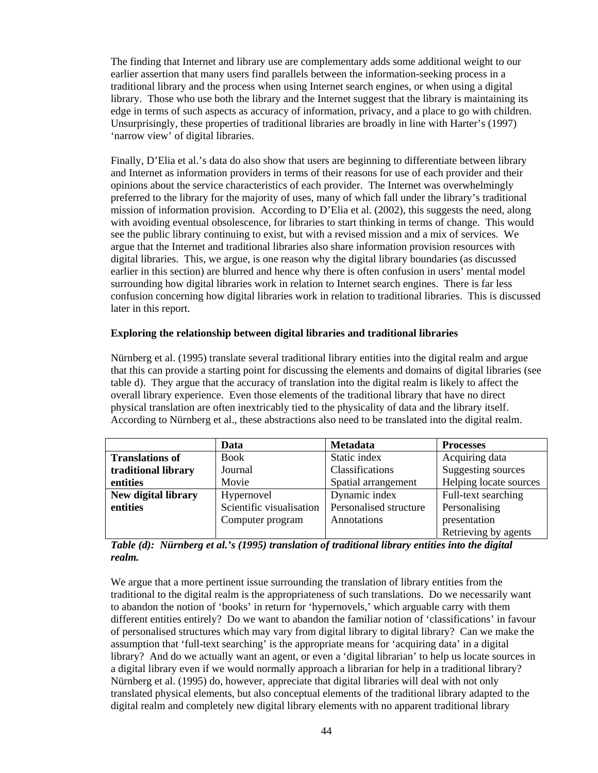The finding that Internet and library use are complementary adds some additional weight to our earlier assertion that many users find parallels between the information-seeking process in a traditional library and the process when using Internet search engines, or when using a digital library. Those who use both the library and the Internet suggest that the library is maintaining its edge in terms of such aspects as accuracy of information, privacy, and a place to go with children. Unsurprisingly, these properties of traditional libraries are broadly in line with Harter's (1997) 'narrow view' of digital libraries.

Finally, D'Elia et al.'s data do also show that users are beginning to differentiate between library and Internet as information providers in terms of their reasons for use of each provider and their opinions about the service characteristics of each provider. The Internet was overwhelmingly preferred to the library for the majority of uses, many of which fall under the library's traditional mission of information provision. According to D'Elia et al. (2002), this suggests the need, along with avoiding eventual obsolescence, for libraries to start thinking in terms of change. This would see the public library continuing to exist, but with a revised mission and a mix of services. We argue that the Internet and traditional libraries also share information provision resources with digital libraries. This, we argue, is one reason why the digital library boundaries (as discussed earlier in this section) are blurred and hence why there is often confusion in users' mental model surrounding how digital libraries work in relation to Internet search engines. There is far less confusion concerning how digital libraries work in relation to traditional libraries. This is discussed later in this report.

### **Exploring the relationship between digital libraries and traditional libraries**

Nürnberg et al. (1995) translate several traditional library entities into the digital realm and argue that this can provide a starting point for discussing the elements and domains of digital libraries (see table d). They argue that the accuracy of translation into the digital realm is likely to affect the overall library experience. Even those elements of the traditional library that have no direct physical translation are often inextricably tied to the physicality of data and the library itself. According to Nürnberg et al., these abstractions also need to be translated into the digital realm.

|                        | Data                     | <b>Metadata</b>        | <b>Processes</b>       |
|------------------------|--------------------------|------------------------|------------------------|
| <b>Translations of</b> | <b>Book</b>              | Static index           | Acquiring data         |
| traditional library    | Journal                  | Classifications        | Suggesting sources     |
| entities               | Movie                    | Spatial arrangement    | Helping locate sources |
| New digital library    | Hypernovel               | Dynamic index          | Full-text searching    |
| entities               | Scientific visualisation | Personalised structure | Personalising          |
|                        | Computer program         | Annotations            | presentation           |
|                        |                          |                        | Retrieving by agents   |

*Table (d): Nürnberg et al.'s (1995) translation of traditional library entities into the digital realm.* 

We argue that a more pertinent issue surrounding the translation of library entities from the traditional to the digital realm is the appropriateness of such translations. Do we necessarily want to abandon the notion of 'books' in return for 'hypernovels,' which arguable carry with them different entities entirely? Do we want to abandon the familiar notion of 'classifications' in favour of personalised structures which may vary from digital library to digital library? Can we make the assumption that 'full-text searching' is the appropriate means for 'acquiring data' in a digital library? And do we actually want an agent, or even a 'digital librarian' to help us locate sources in a digital library even if we would normally approach a librarian for help in a traditional library? Nürnberg et al. (1995) do, however, appreciate that digital libraries will deal with not only translated physical elements, but also conceptual elements of the traditional library adapted to the digital realm and completely new digital library elements with no apparent traditional library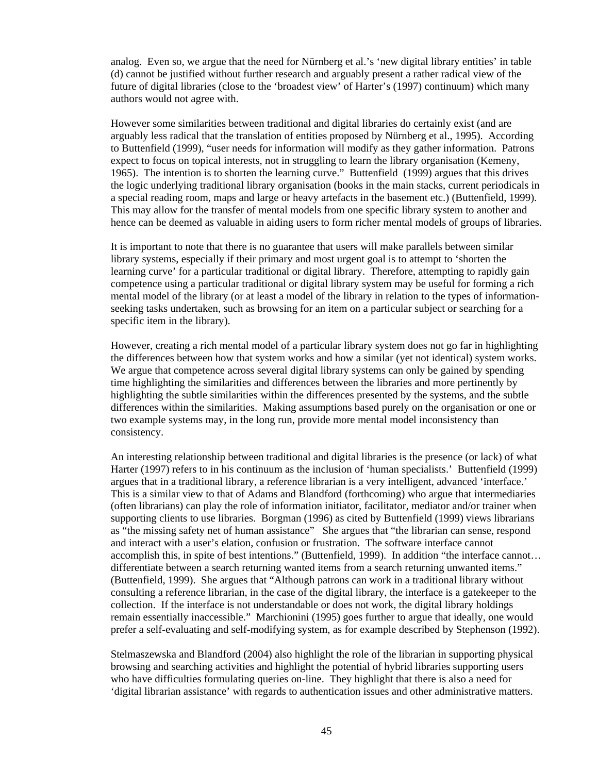analog. Even so, we argue that the need for Nürnberg et al.'s 'new digital library entities' in table (d) cannot be justified without further research and arguably present a rather radical view of the future of digital libraries (close to the 'broadest view' of Harter's (1997) continuum) which many authors would not agree with.

However some similarities between traditional and digital libraries do certainly exist (and are arguably less radical that the translation of entities proposed by Nürnberg et al., 1995). According to Buttenfield (1999), "user needs for information will modify as they gather information. Patrons expect to focus on topical interests, not in struggling to learn the library organisation (Kemeny, 1965). The intention is to shorten the learning curve." Buttenfield (1999) argues that this drives the logic underlying traditional library organisation (books in the main stacks, current periodicals in a special reading room, maps and large or heavy artefacts in the basement etc.) (Buttenfield, 1999). This may allow for the transfer of mental models from one specific library system to another and hence can be deemed as valuable in aiding users to form richer mental models of groups of libraries.

It is important to note that there is no guarantee that users will make parallels between similar library systems, especially if their primary and most urgent goal is to attempt to 'shorten the learning curve' for a particular traditional or digital library. Therefore, attempting to rapidly gain competence using a particular traditional or digital library system may be useful for forming a rich mental model of the library (or at least a model of the library in relation to the types of informationseeking tasks undertaken, such as browsing for an item on a particular subject or searching for a specific item in the library).

However, creating a rich mental model of a particular library system does not go far in highlighting the differences between how that system works and how a similar (yet not identical) system works. We argue that competence across several digital library systems can only be gained by spending time highlighting the similarities and differences between the libraries and more pertinently by highlighting the subtle similarities within the differences presented by the systems, and the subtle differences within the similarities. Making assumptions based purely on the organisation or one or two example systems may, in the long run, provide more mental model inconsistency than consistency.

An interesting relationship between traditional and digital libraries is the presence (or lack) of what Harter (1997) refers to in his continuum as the inclusion of 'human specialists.' Buttenfield (1999) argues that in a traditional library, a reference librarian is a very intelligent, advanced 'interface.' This is a similar view to that of Adams and Blandford (forthcoming) who argue that intermediaries (often librarians) can play the role of information initiator, facilitator, mediator and/or trainer when supporting clients to use libraries. Borgman (1996) as cited by Buttenfield (1999) views librarians as "the missing safety net of human assistance" She argues that "the librarian can sense, respond and interact with a user's elation, confusion or frustration. The software interface cannot accomplish this, in spite of best intentions." (Buttenfield, 1999). In addition "the interface cannot… differentiate between a search returning wanted items from a search returning unwanted items." (Buttenfield, 1999). She argues that "Although patrons can work in a traditional library without consulting a reference librarian, in the case of the digital library, the interface is a gatekeeper to the collection. If the interface is not understandable or does not work, the digital library holdings remain essentially inaccessible." Marchionini (1995) goes further to argue that ideally, one would prefer a self-evaluating and self-modifying system, as for example described by Stephenson (1992).

Stelmaszewska and Blandford (2004) also highlight the role of the librarian in supporting physical browsing and searching activities and highlight the potential of hybrid libraries supporting users who have difficulties formulating queries on-line. They highlight that there is also a need for 'digital librarian assistance' with regards to authentication issues and other administrative matters.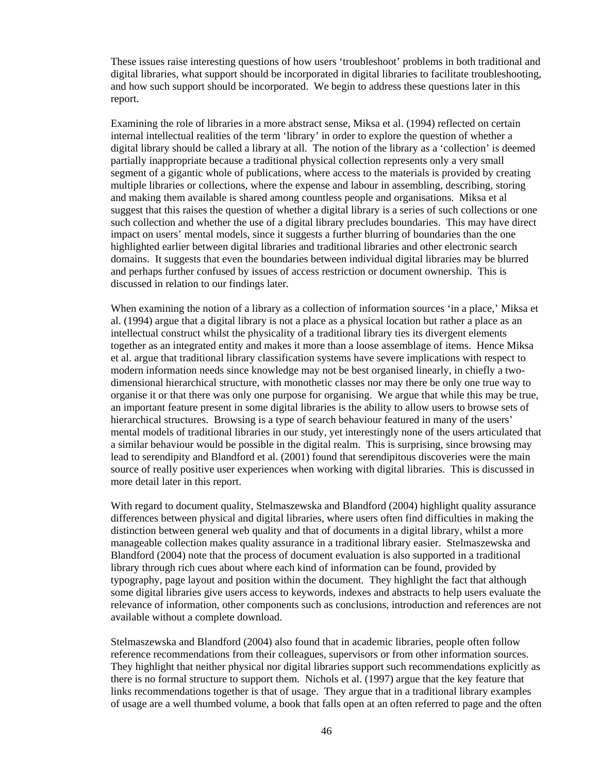These issues raise interesting questions of how users 'troubleshoot' problems in both traditional and digital libraries, what support should be incorporated in digital libraries to facilitate troubleshooting, and how such support should be incorporated. We begin to address these questions later in this report.

Examining the role of libraries in a more abstract sense, Miksa et al. (1994) reflected on certain internal intellectual realities of the term 'library' in order to explore the question of whether a digital library should be called a library at all. The notion of the library as a 'collection' is deemed partially inappropriate because a traditional physical collection represents only a very small segment of a gigantic whole of publications, where access to the materials is provided by creating multiple libraries or collections, where the expense and labour in assembling, describing, storing and making them available is shared among countless people and organisations. Miksa et al suggest that this raises the question of whether a digital library is a series of such collections or one such collection and whether the use of a digital library precludes boundaries. This may have direct impact on users' mental models, since it suggests a further blurring of boundaries than the one highlighted earlier between digital libraries and traditional libraries and other electronic search domains. It suggests that even the boundaries between individual digital libraries may be blurred and perhaps further confused by issues of access restriction or document ownership. This is discussed in relation to our findings later.

When examining the notion of a library as a collection of information sources 'in a place,' Miksa et al. (1994) argue that a digital library is not a place as a physical location but rather a place as an intellectual construct whilst the physicality of a traditional library ties its divergent elements together as an integrated entity and makes it more than a loose assemblage of items. Hence Miksa et al. argue that traditional library classification systems have severe implications with respect to modern information needs since knowledge may not be best organised linearly, in chiefly a twodimensional hierarchical structure, with monothetic classes nor may there be only one true way to organise it or that there was only one purpose for organising. We argue that while this may be true, an important feature present in some digital libraries is the ability to allow users to browse sets of hierarchical structures. Browsing is a type of search behaviour featured in many of the users' mental models of traditional libraries in our study, yet interestingly none of the users articulated that a similar behaviour would be possible in the digital realm. This is surprising, since browsing may lead to serendipity and Blandford et al. (2001) found that serendipitous discoveries were the main source of really positive user experiences when working with digital libraries. This is discussed in more detail later in this report.

With regard to document quality, Stelmaszewska and Blandford (2004) highlight quality assurance differences between physical and digital libraries, where users often find difficulties in making the distinction between general web quality and that of documents in a digital library, whilst a more manageable collection makes quality assurance in a traditional library easier. Stelmaszewska and Blandford (2004) note that the process of document evaluation is also supported in a traditional library through rich cues about where each kind of information can be found, provided by typography, page layout and position within the document. They highlight the fact that although some digital libraries give users access to keywords, indexes and abstracts to help users evaluate the relevance of information, other components such as conclusions, introduction and references are not available without a complete download.

Stelmaszewska and Blandford (2004) also found that in academic libraries, people often follow reference recommendations from their colleagues, supervisors or from other information sources. They highlight that neither physical nor digital libraries support such recommendations explicitly as there is no formal structure to support them. Nichols et al. (1997) argue that the key feature that links recommendations together is that of usage. They argue that in a traditional library examples of usage are a well thumbed volume, a book that falls open at an often referred to page and the often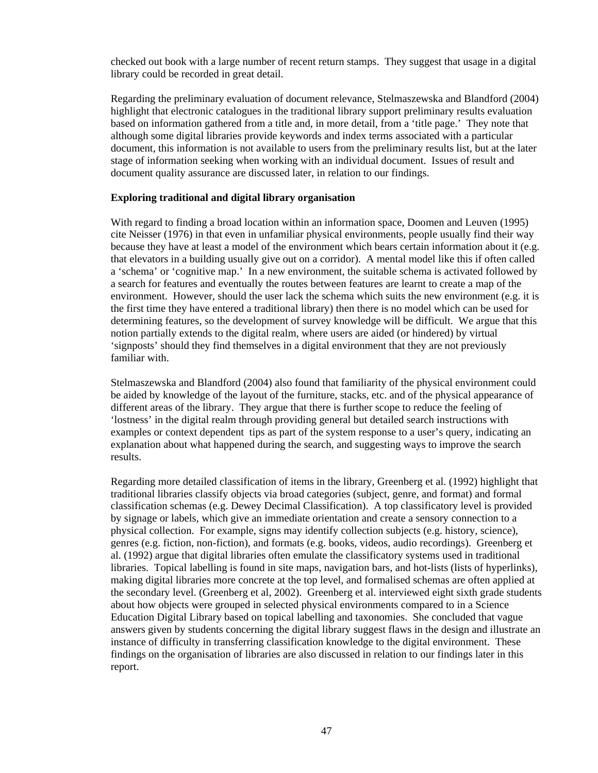checked out book with a large number of recent return stamps. They suggest that usage in a digital library could be recorded in great detail.

Regarding the preliminary evaluation of document relevance, Stelmaszewska and Blandford (2004) highlight that electronic catalogues in the traditional library support preliminary results evaluation based on information gathered from a title and, in more detail, from a 'title page.' They note that although some digital libraries provide keywords and index terms associated with a particular document, this information is not available to users from the preliminary results list, but at the later stage of information seeking when working with an individual document. Issues of result and document quality assurance are discussed later, in relation to our findings.

#### **Exploring traditional and digital library organisation**

With regard to finding a broad location within an information space, Doomen and Leuven (1995) cite Neisser (1976) in that even in unfamiliar physical environments, people usually find their way because they have at least a model of the environment which bears certain information about it (e.g. that elevators in a building usually give out on a corridor). A mental model like this if often called a 'schema' or 'cognitive map.' In a new environment, the suitable schema is activated followed by a search for features and eventually the routes between features are learnt to create a map of the environment. However, should the user lack the schema which suits the new environment (e.g. it is the first time they have entered a traditional library) then there is no model which can be used for determining features, so the development of survey knowledge will be difficult. We argue that this notion partially extends to the digital realm, where users are aided (or hindered) by virtual 'signposts' should they find themselves in a digital environment that they are not previously familiar with.

Stelmaszewska and Blandford (2004) also found that familiarity of the physical environment could be aided by knowledge of the layout of the furniture, stacks, etc. and of the physical appearance of different areas of the library. They argue that there is further scope to reduce the feeling of 'lostness' in the digital realm through providing general but detailed search instructions with examples or context dependent tips as part of the system response to a user's query, indicating an explanation about what happened during the search, and suggesting ways to improve the search results.

Regarding more detailed classification of items in the library, Greenberg et al. (1992) highlight that traditional libraries classify objects via broad categories (subject, genre, and format) and formal classification schemas (e.g. Dewey Decimal Classification). A top classificatory level is provided by signage or labels, which give an immediate orientation and create a sensory connection to a physical collection. For example, signs may identify collection subjects (e.g. history, science), genres (e.g. fiction, non-fiction), and formats (e.g. books, videos, audio recordings). Greenberg et al. (1992) argue that digital libraries often emulate the classificatory systems used in traditional libraries. Topical labelling is found in site maps, navigation bars, and hot-lists (lists of hyperlinks), making digital libraries more concrete at the top level, and formalised schemas are often applied at the secondary level. (Greenberg et al, 2002). Greenberg et al. interviewed eight sixth grade students about how objects were grouped in selected physical environments compared to in a Science Education Digital Library based on topical labelling and taxonomies. She concluded that vague answers given by students concerning the digital library suggest flaws in the design and illustrate an instance of difficulty in transferring classification knowledge to the digital environment. These findings on the organisation of libraries are also discussed in relation to our findings later in this report.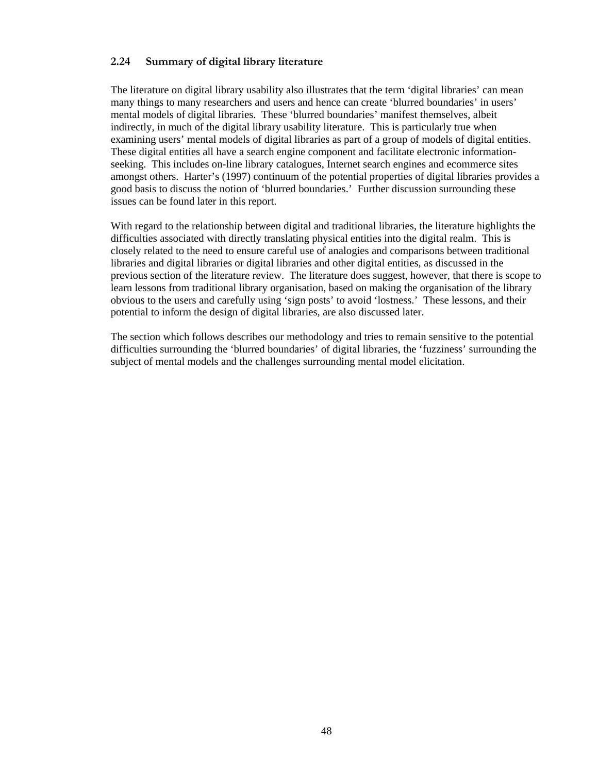## **2.24 Summary of digital library literature**

The literature on digital library usability also illustrates that the term 'digital libraries' can mean many things to many researchers and users and hence can create 'blurred boundaries' in users' mental models of digital libraries. These 'blurred boundaries' manifest themselves, albeit indirectly, in much of the digital library usability literature. This is particularly true when examining users' mental models of digital libraries as part of a group of models of digital entities. These digital entities all have a search engine component and facilitate electronic informationseeking. This includes on-line library catalogues, Internet search engines and ecommerce sites amongst others. Harter's (1997) continuum of the potential properties of digital libraries provides a good basis to discuss the notion of 'blurred boundaries.' Further discussion surrounding these issues can be found later in this report.

With regard to the relationship between digital and traditional libraries, the literature highlights the difficulties associated with directly translating physical entities into the digital realm. This is closely related to the need to ensure careful use of analogies and comparisons between traditional libraries and digital libraries or digital libraries and other digital entities, as discussed in the previous section of the literature review. The literature does suggest, however, that there is scope to learn lessons from traditional library organisation, based on making the organisation of the library obvious to the users and carefully using 'sign posts' to avoid 'lostness.' These lessons, and their potential to inform the design of digital libraries, are also discussed later.

The section which follows describes our methodology and tries to remain sensitive to the potential difficulties surrounding the 'blurred boundaries' of digital libraries, the 'fuzziness' surrounding the subject of mental models and the challenges surrounding mental model elicitation.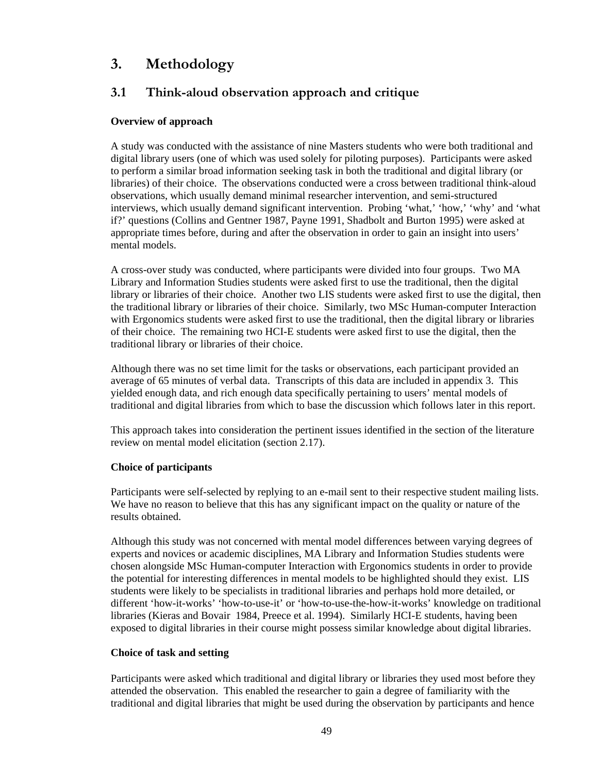# **3. Methodology**

# **3.1 Think-aloud observation approach and critique**

## **Overview of approach**

A study was conducted with the assistance of nine Masters students who were both traditional and digital library users (one of which was used solely for piloting purposes). Participants were asked to perform a similar broad information seeking task in both the traditional and digital library (or libraries) of their choice. The observations conducted were a cross between traditional think-aloud observations, which usually demand minimal researcher intervention, and semi-structured interviews, which usually demand significant intervention. Probing 'what,' 'how,' 'why' and 'what if?' questions (Collins and Gentner 1987, Payne 1991, Shadbolt and Burton 1995) were asked at appropriate times before, during and after the observation in order to gain an insight into users' mental models.

A cross-over study was conducted, where participants were divided into four groups. Two MA Library and Information Studies students were asked first to use the traditional, then the digital library or libraries of their choice. Another two LIS students were asked first to use the digital, then the traditional library or libraries of their choice. Similarly, two MSc Human-computer Interaction with Ergonomics students were asked first to use the traditional, then the digital library or libraries of their choice. The remaining two HCI-E students were asked first to use the digital, then the traditional library or libraries of their choice.

Although there was no set time limit for the tasks or observations, each participant provided an average of 65 minutes of verbal data. Transcripts of this data are included in appendix 3. This yielded enough data, and rich enough data specifically pertaining to users' mental models of traditional and digital libraries from which to base the discussion which follows later in this report.

This approach takes into consideration the pertinent issues identified in the section of the literature review on mental model elicitation (section 2.17).

## **Choice of participants**

Participants were self-selected by replying to an e-mail sent to their respective student mailing lists. We have no reason to believe that this has any significant impact on the quality or nature of the results obtained.

Although this study was not concerned with mental model differences between varying degrees of experts and novices or academic disciplines, MA Library and Information Studies students were chosen alongside MSc Human-computer Interaction with Ergonomics students in order to provide the potential for interesting differences in mental models to be highlighted should they exist. LIS students were likely to be specialists in traditional libraries and perhaps hold more detailed, or different 'how-it-works' 'how-to-use-it' or 'how-to-use-the-how-it-works' knowledge on traditional libraries (Kieras and Bovair 1984, Preece et al. 1994). Similarly HCI-E students, having been exposed to digital libraries in their course might possess similar knowledge about digital libraries.

## **Choice of task and setting**

Participants were asked which traditional and digital library or libraries they used most before they attended the observation. This enabled the researcher to gain a degree of familiarity with the traditional and digital libraries that might be used during the observation by participants and hence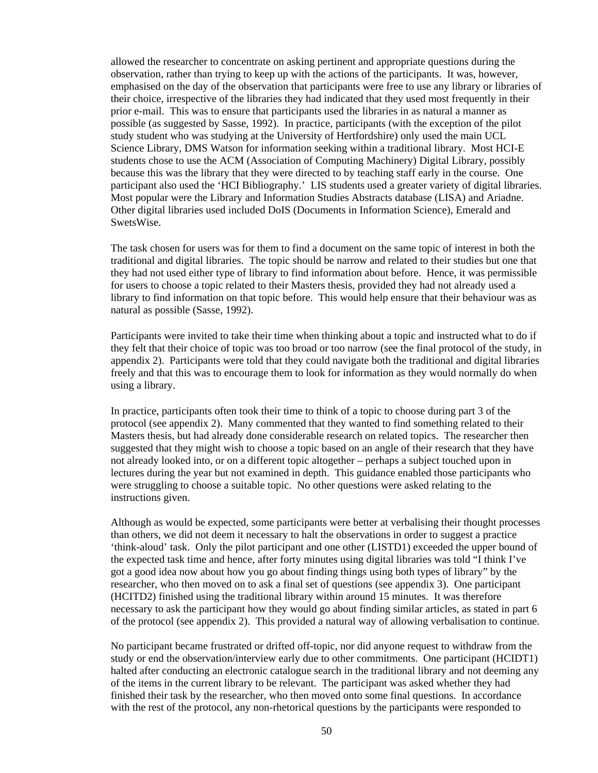allowed the researcher to concentrate on asking pertinent and appropriate questions during the observation, rather than trying to keep up with the actions of the participants. It was, however, emphasised on the day of the observation that participants were free to use any library or libraries of their choice, irrespective of the libraries they had indicated that they used most frequently in their prior e-mail. This was to ensure that participants used the libraries in as natural a manner as possible (as suggested by Sasse, 1992). In practice, participants (with the exception of the pilot study student who was studying at the University of Hertfordshire) only used the main UCL Science Library, DMS Watson for information seeking within a traditional library. Most HCI-E students chose to use the ACM (Association of Computing Machinery) Digital Library, possibly because this was the library that they were directed to by teaching staff early in the course. One participant also used the 'HCI Bibliography.' LIS students used a greater variety of digital libraries. Most popular were the Library and Information Studies Abstracts database (LISA) and Ariadne. Other digital libraries used included DoIS (Documents in Information Science), Emerald and SwetsWise.

The task chosen for users was for them to find a document on the same topic of interest in both the traditional and digital libraries. The topic should be narrow and related to their studies but one that they had not used either type of library to find information about before. Hence, it was permissible for users to choose a topic related to their Masters thesis, provided they had not already used a library to find information on that topic before. This would help ensure that their behaviour was as natural as possible (Sasse, 1992).

Participants were invited to take their time when thinking about a topic and instructed what to do if they felt that their choice of topic was too broad or too narrow (see the final protocol of the study, in appendix 2). Participants were told that they could navigate both the traditional and digital libraries freely and that this was to encourage them to look for information as they would normally do when using a library.

In practice, participants often took their time to think of a topic to choose during part 3 of the protocol (see appendix 2). Many commented that they wanted to find something related to their Masters thesis, but had already done considerable research on related topics. The researcher then suggested that they might wish to choose a topic based on an angle of their research that they have not already looked into, or on a different topic altogether – perhaps a subject touched upon in lectures during the year but not examined in depth. This guidance enabled those participants who were struggling to choose a suitable topic. No other questions were asked relating to the instructions given.

Although as would be expected, some participants were better at verbalising their thought processes than others, we did not deem it necessary to halt the observations in order to suggest a practice 'think-aloud' task. Only the pilot participant and one other (LISTD1) exceeded the upper bound of the expected task time and hence, after forty minutes using digital libraries was told "I think I've got a good idea now about how you go about finding things using both types of library" by the researcher, who then moved on to ask a final set of questions (see appendix 3). One participant (HCITD2) finished using the traditional library within around 15 minutes. It was therefore necessary to ask the participant how they would go about finding similar articles, as stated in part 6 of the protocol (see appendix 2). This provided a natural way of allowing verbalisation to continue.

No participant became frustrated or drifted off-topic, nor did anyone request to withdraw from the study or end the observation/interview early due to other commitments. One participant (HCIDT1) halted after conducting an electronic catalogue search in the traditional library and not deeming any of the items in the current library to be relevant. The participant was asked whether they had finished their task by the researcher, who then moved onto some final questions. In accordance with the rest of the protocol, any non-rhetorical questions by the participants were responded to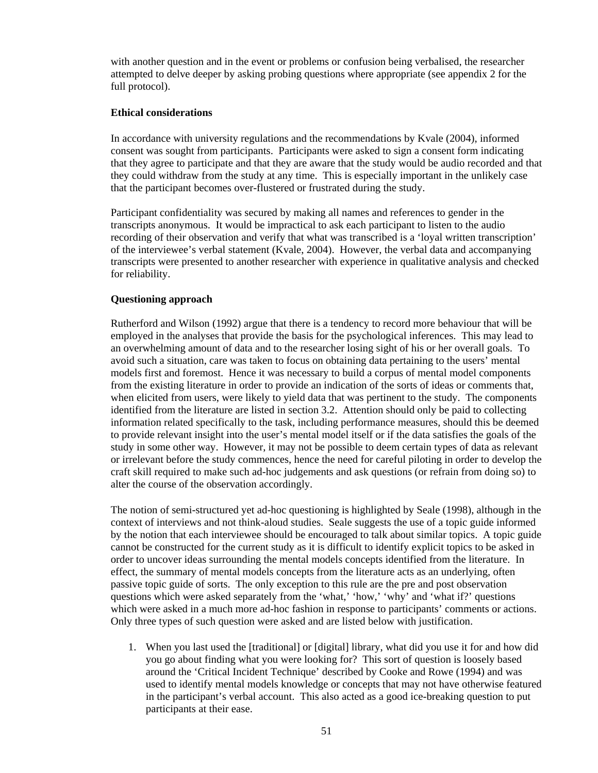with another question and in the event or problems or confusion being verbalised, the researcher attempted to delve deeper by asking probing questions where appropriate (see appendix 2 for the full protocol).

## **Ethical considerations**

In accordance with university regulations and the recommendations by Kvale (2004), informed consent was sought from participants. Participants were asked to sign a consent form indicating that they agree to participate and that they are aware that the study would be audio recorded and that they could withdraw from the study at any time. This is especially important in the unlikely case that the participant becomes over-flustered or frustrated during the study.

Participant confidentiality was secured by making all names and references to gender in the transcripts anonymous. It would be impractical to ask each participant to listen to the audio recording of their observation and verify that what was transcribed is a 'loyal written transcription' of the interviewee's verbal statement (Kvale, 2004). However, the verbal data and accompanying transcripts were presented to another researcher with experience in qualitative analysis and checked for reliability.

## **Questioning approach**

Rutherford and Wilson (1992) argue that there is a tendency to record more behaviour that will be employed in the analyses that provide the basis for the psychological inferences. This may lead to an overwhelming amount of data and to the researcher losing sight of his or her overall goals. To avoid such a situation, care was taken to focus on obtaining data pertaining to the users' mental models first and foremost. Hence it was necessary to build a corpus of mental model components from the existing literature in order to provide an indication of the sorts of ideas or comments that, when elicited from users, were likely to yield data that was pertinent to the study. The components identified from the literature are listed in section 3.2. Attention should only be paid to collecting information related specifically to the task, including performance measures, should this be deemed to provide relevant insight into the user's mental model itself or if the data satisfies the goals of the study in some other way. However, it may not be possible to deem certain types of data as relevant or irrelevant before the study commences, hence the need for careful piloting in order to develop the craft skill required to make such ad-hoc judgements and ask questions (or refrain from doing so) to alter the course of the observation accordingly.

The notion of semi-structured yet ad-hoc questioning is highlighted by Seale (1998), although in the context of interviews and not think-aloud studies. Seale suggests the use of a topic guide informed by the notion that each interviewee should be encouraged to talk about similar topics. A topic guide cannot be constructed for the current study as it is difficult to identify explicit topics to be asked in order to uncover ideas surrounding the mental models concepts identified from the literature. In effect, the summary of mental models concepts from the literature acts as an underlying, often passive topic guide of sorts. The only exception to this rule are the pre and post observation questions which were asked separately from the 'what,' 'how,' 'why' and 'what if?' questions which were asked in a much more ad-hoc fashion in response to participants' comments or actions. Only three types of such question were asked and are listed below with justification.

1. When you last used the [traditional] or [digital] library, what did you use it for and how did you go about finding what you were looking for? This sort of question is loosely based around the 'Critical Incident Technique' described by Cooke and Rowe (1994) and was used to identify mental models knowledge or concepts that may not have otherwise featured in the participant's verbal account. This also acted as a good ice-breaking question to put participants at their ease.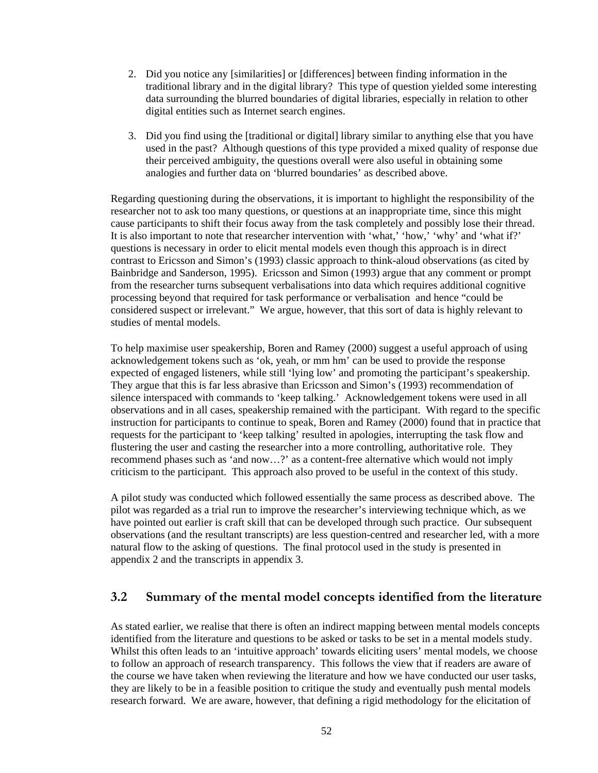- 2. Did you notice any [similarities] or [differences] between finding information in the traditional library and in the digital library? This type of question yielded some interesting data surrounding the blurred boundaries of digital libraries, especially in relation to other digital entities such as Internet search engines.
- 3. Did you find using the [traditional or digital] library similar to anything else that you have used in the past? Although questions of this type provided a mixed quality of response due their perceived ambiguity, the questions overall were also useful in obtaining some analogies and further data on 'blurred boundaries' as described above.

Regarding questioning during the observations, it is important to highlight the responsibility of the researcher not to ask too many questions, or questions at an inappropriate time, since this might cause participants to shift their focus away from the task completely and possibly lose their thread. It is also important to note that researcher intervention with 'what,' 'how,' 'why' and 'what if?' questions is necessary in order to elicit mental models even though this approach is in direct contrast to Ericsson and Simon's (1993) classic approach to think-aloud observations (as cited by Bainbridge and Sanderson, 1995). Ericsson and Simon (1993) argue that any comment or prompt from the researcher turns subsequent verbalisations into data which requires additional cognitive processing beyond that required for task performance or verbalisation and hence "could be considered suspect or irrelevant." We argue, however, that this sort of data is highly relevant to studies of mental models.

To help maximise user speakership, Boren and Ramey (2000) suggest a useful approach of using acknowledgement tokens such as 'ok, yeah, or mm hm' can be used to provide the response expected of engaged listeners, while still 'lying low' and promoting the participant's speakership. They argue that this is far less abrasive than Ericsson and Simon's (1993) recommendation of silence interspaced with commands to 'keep talking.' Acknowledgement tokens were used in all observations and in all cases, speakership remained with the participant. With regard to the specific instruction for participants to continue to speak, Boren and Ramey (2000) found that in practice that requests for the participant to 'keep talking' resulted in apologies, interrupting the task flow and flustering the user and casting the researcher into a more controlling, authoritative role. They recommend phases such as 'and now…?' as a content-free alternative which would not imply criticism to the participant. This approach also proved to be useful in the context of this study.

A pilot study was conducted which followed essentially the same process as described above. The pilot was regarded as a trial run to improve the researcher's interviewing technique which, as we have pointed out earlier is craft skill that can be developed through such practice. Our subsequent observations (and the resultant transcripts) are less question-centred and researcher led, with a more natural flow to the asking of questions. The final protocol used in the study is presented in appendix 2 and the transcripts in appendix 3.

# **3.2 Summary of the mental model concepts identified from the literature**

As stated earlier, we realise that there is often an indirect mapping between mental models concepts identified from the literature and questions to be asked or tasks to be set in a mental models study. Whilst this often leads to an 'intuitive approach' towards eliciting users' mental models, we choose to follow an approach of research transparency. This follows the view that if readers are aware of the course we have taken when reviewing the literature and how we have conducted our user tasks, they are likely to be in a feasible position to critique the study and eventually push mental models research forward. We are aware, however, that defining a rigid methodology for the elicitation of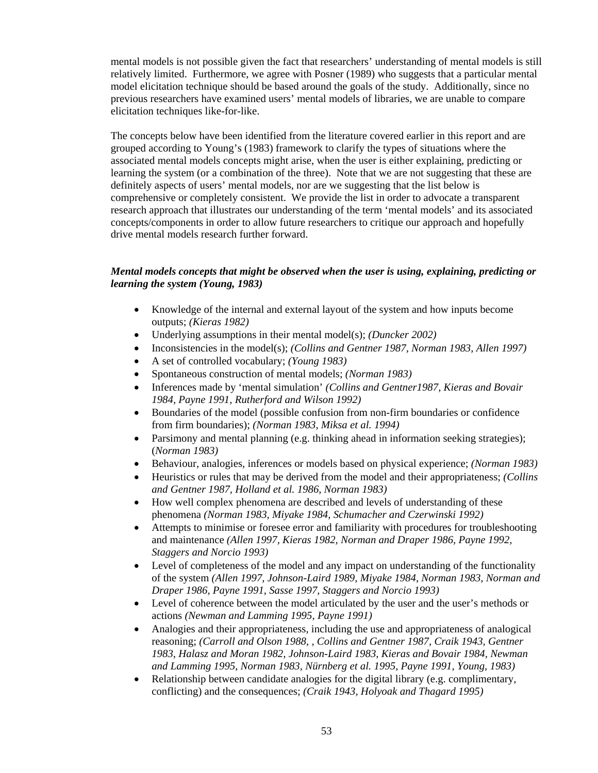mental models is not possible given the fact that researchers' understanding of mental models is still relatively limited. Furthermore, we agree with Posner (1989) who suggests that a particular mental model elicitation technique should be based around the goals of the study. Additionally, since no previous researchers have examined users' mental models of libraries, we are unable to compare elicitation techniques like-for-like.

The concepts below have been identified from the literature covered earlier in this report and are grouped according to Young's (1983) framework to clarify the types of situations where the associated mental models concepts might arise, when the user is either explaining, predicting or learning the system (or a combination of the three). Note that we are not suggesting that these are definitely aspects of users' mental models, nor are we suggesting that the list below is comprehensive or completely consistent. We provide the list in order to advocate a transparent research approach that illustrates our understanding of the term 'mental models' and its associated concepts/components in order to allow future researchers to critique our approach and hopefully drive mental models research further forward.

## *Mental models concepts that might be observed when the user is using, explaining, predicting or learning the system (Young, 1983)*

- Knowledge of the internal and external layout of the system and how inputs become outputs; *(Kieras 1982)*
- Underlying assumptions in their mental model(s); *(Duncker 2002)*
- Inconsistencies in the model(s); *(Collins and Gentner 1987, Norman 1983, Allen 1997)*
- A set of controlled vocabulary; *(Young 1983)*
- Spontaneous construction of mental models; *(Norman 1983)*
- Inferences made by 'mental simulation' *(Collins and Gentner1987, Kieras and Bovair 1984, Payne 1991, Rutherford and Wilson 1992)*
- Boundaries of the model (possible confusion from non-firm boundaries or confidence from firm boundaries); *(Norman 1983, Miksa et al. 1994)*
- Parsimony and mental planning (e.g. thinking ahead in information seeking strategies); (*Norman 1983)*
- Behaviour, analogies, inferences or models based on physical experience; *(Norman 1983)*
- Heuristics or rules that may be derived from the model and their appropriateness; *(Collins and Gentner 1987, Holland et al. 1986, Norman 1983)*
- How well complex phenomena are described and levels of understanding of these phenomena *(Norman 1983, Miyake 1984, Schumacher and Czerwinski 1992)*
- Attempts to minimise or foresee error and familiarity with procedures for troubleshooting and maintenance *(Allen 1997, Kieras 1982, Norman and Draper 1986, Payne 1992, Staggers and Norcio 1993)*
- Level of completeness of the model and any impact on understanding of the functionality of the system *(Allen 1997, Johnson-Laird 1989, Miyake 1984, Norman 1983, Norman and Draper 1986, Payne 1991, Sasse 1997, Staggers and Norcio 1993)*
- Level of coherence between the model articulated by the user and the user's methods or actions *(Newman and Lamming 1995, Payne 1991)*
- Analogies and their appropriateness, including the use and appropriateness of analogical reasoning; *(Carroll and Olson 1988, , Collins and Gentner 1987, Craik 1943, Gentner 1983, Halasz and Moran 1982, Johnson-Laird 1983, Kieras and Bovair 1984, Newman and Lamming 1995, Norman 1983, Nürnberg et al. 1995, Payne 1991, Young, 1983)*
- Relationship between candidate analogies for the digital library (e.g. complimentary, conflicting) and the consequences; *(Craik 1943, Holyoak and Thagard 1995)*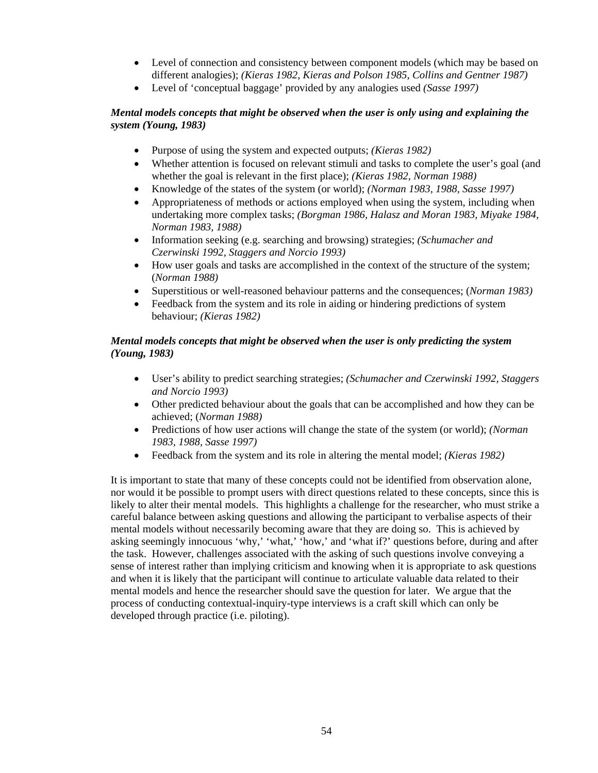- Level of connection and consistency between component models (which may be based on different analogies); *(Kieras 1982, Kieras and Polson 1985, Collins and Gentner 1987)*
- Level of 'conceptual baggage' provided by any analogies used *(Sasse 1997)*

## *Mental models concepts that might be observed when the user is only using and explaining the system (Young, 1983)*

- Purpose of using the system and expected outputs; *(Kieras 1982)*
- Whether attention is focused on relevant stimuli and tasks to complete the user's goal (and whether the goal is relevant in the first place); *(Kieras 1982, Norman 1988)*
- Knowledge of the states of the system (or world); *(Norman 1983, 1988, Sasse 1997)*
- Appropriateness of methods or actions employed when using the system, including when undertaking more complex tasks; *(Borgman 1986, Halasz and Moran 1983, Miyake 1984, Norman 1983, 1988)*
- Information seeking (e.g. searching and browsing) strategies; *(Schumacher and Czerwinski 1992, Staggers and Norcio 1993)*
- How user goals and tasks are accomplished in the context of the structure of the system; (*Norman 1988)*
- Superstitious or well-reasoned behaviour patterns and the consequences; (*Norman 1983)*
- Feedback from the system and its role in aiding or hindering predictions of system behaviour; *(Kieras 1982)*

## *Mental models concepts that might be observed when the user is only predicting the system (Young, 1983)*

- User's ability to predict searching strategies; *(Schumacher and Czerwinski 1992, Staggers and Norcio 1993)*
- Other predicted behaviour about the goals that can be accomplished and how they can be achieved; (*Norman 1988)*
- Predictions of how user actions will change the state of the system (or world); *(Norman 1983, 1988, Sasse 1997)*
- Feedback from the system and its role in altering the mental model; *(Kieras 1982)*

It is important to state that many of these concepts could not be identified from observation alone, nor would it be possible to prompt users with direct questions related to these concepts, since this is likely to alter their mental models. This highlights a challenge for the researcher, who must strike a careful balance between asking questions and allowing the participant to verbalise aspects of their mental models without necessarily becoming aware that they are doing so. This is achieved by asking seemingly innocuous 'why,' 'what,' 'how,' and 'what if?' questions before, during and after the task. However, challenges associated with the asking of such questions involve conveying a sense of interest rather than implying criticism and knowing when it is appropriate to ask questions and when it is likely that the participant will continue to articulate valuable data related to their mental models and hence the researcher should save the question for later. We argue that the process of conducting contextual-inquiry-type interviews is a craft skill which can only be developed through practice (i.e. piloting).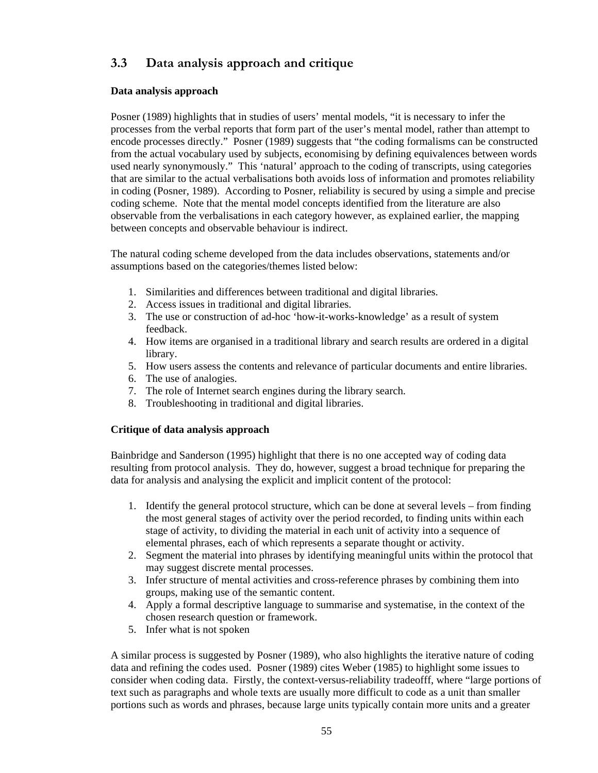# **3.3 Data analysis approach and critique**

## **Data analysis approach**

Posner (1989) highlights that in studies of users' mental models, "it is necessary to infer the processes from the verbal reports that form part of the user's mental model, rather than attempt to encode processes directly." Posner (1989) suggests that "the coding formalisms can be constructed from the actual vocabulary used by subjects, economising by defining equivalences between words used nearly synonymously." This 'natural' approach to the coding of transcripts, using categories that are similar to the actual verbalisations both avoids loss of information and promotes reliability in coding (Posner, 1989). According to Posner, reliability is secured by using a simple and precise coding scheme. Note that the mental model concepts identified from the literature are also observable from the verbalisations in each category however, as explained earlier, the mapping between concepts and observable behaviour is indirect.

The natural coding scheme developed from the data includes observations, statements and/or assumptions based on the categories/themes listed below:

- 1. Similarities and differences between traditional and digital libraries.
- 2. Access issues in traditional and digital libraries.
- 3. The use or construction of ad-hoc 'how-it-works-knowledge' as a result of system feedback.
- 4. How items are organised in a traditional library and search results are ordered in a digital library.
- 5. How users assess the contents and relevance of particular documents and entire libraries.
- 6. The use of analogies.
- 7. The role of Internet search engines during the library search.
- 8. Troubleshooting in traditional and digital libraries.

### **Critique of data analysis approach**

Bainbridge and Sanderson (1995) highlight that there is no one accepted way of coding data resulting from protocol analysis. They do, however, suggest a broad technique for preparing the data for analysis and analysing the explicit and implicit content of the protocol:

- 1. Identify the general protocol structure, which can be done at several levels from finding the most general stages of activity over the period recorded, to finding units within each stage of activity, to dividing the material in each unit of activity into a sequence of elemental phrases, each of which represents a separate thought or activity.
- 2. Segment the material into phrases by identifying meaningful units within the protocol that may suggest discrete mental processes.
- 3. Infer structure of mental activities and cross-reference phrases by combining them into groups, making use of the semantic content.
- 4. Apply a formal descriptive language to summarise and systematise, in the context of the chosen research question or framework.
- 5. Infer what is not spoken

A similar process is suggested by Posner (1989), who also highlights the iterative nature of coding data and refining the codes used. Posner (1989) cites Weber (1985) to highlight some issues to consider when coding data. Firstly, the context-versus-reliability tradeofff, where "large portions of text such as paragraphs and whole texts are usually more difficult to code as a unit than smaller portions such as words and phrases, because large units typically contain more units and a greater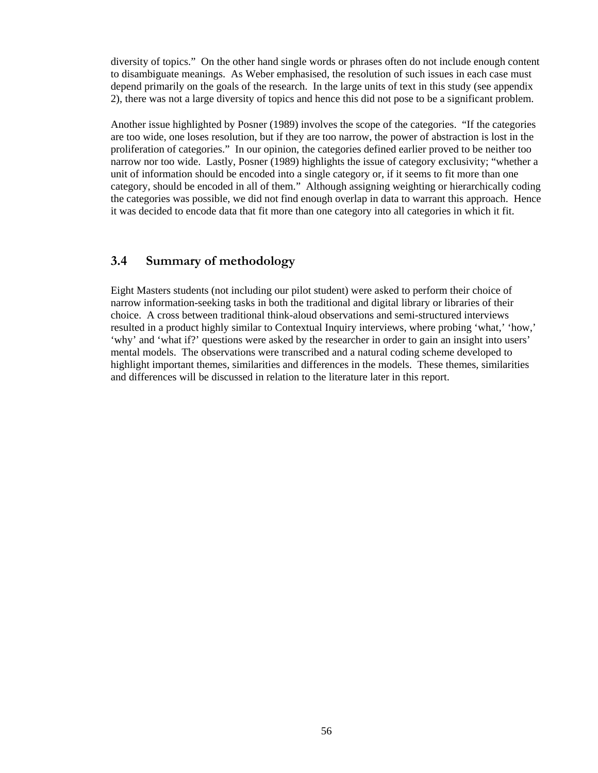diversity of topics." On the other hand single words or phrases often do not include enough content to disambiguate meanings. As Weber emphasised, the resolution of such issues in each case must depend primarily on the goals of the research. In the large units of text in this study (see appendix 2), there was not a large diversity of topics and hence this did not pose to be a significant problem.

Another issue highlighted by Posner (1989) involves the scope of the categories. "If the categories are too wide, one loses resolution, but if they are too narrow, the power of abstraction is lost in the proliferation of categories." In our opinion, the categories defined earlier proved to be neither too narrow nor too wide. Lastly, Posner (1989) highlights the issue of category exclusivity; "whether a unit of information should be encoded into a single category or, if it seems to fit more than one category, should be encoded in all of them." Although assigning weighting or hierarchically coding the categories was possible, we did not find enough overlap in data to warrant this approach. Hence it was decided to encode data that fit more than one category into all categories in which it fit.

# **3.4 Summary of methodology**

Eight Masters students (not including our pilot student) were asked to perform their choice of narrow information-seeking tasks in both the traditional and digital library or libraries of their choice. A cross between traditional think-aloud observations and semi-structured interviews resulted in a product highly similar to Contextual Inquiry interviews, where probing 'what,' 'how,' 'why' and 'what if?' questions were asked by the researcher in order to gain an insight into users' mental models. The observations were transcribed and a natural coding scheme developed to highlight important themes, similarities and differences in the models. These themes, similarities and differences will be discussed in relation to the literature later in this report.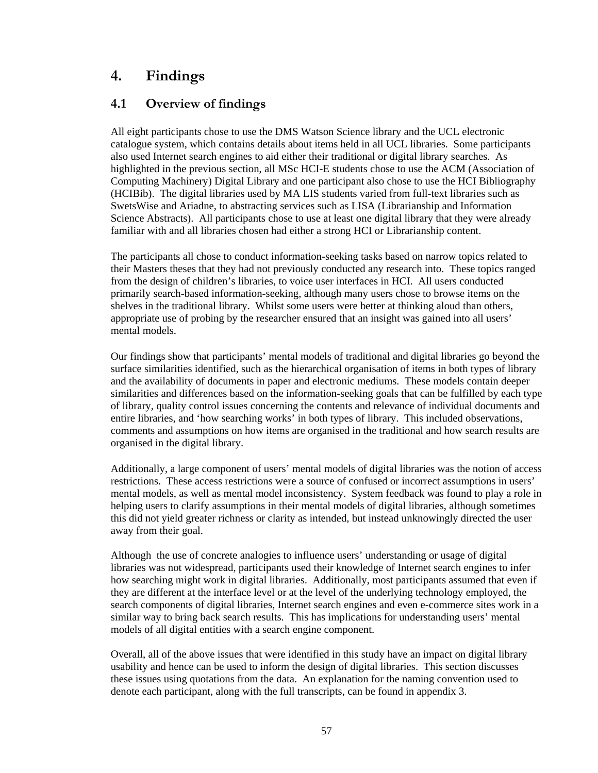# **4. Findings**

# **4.1 Overview of findings**

All eight participants chose to use the DMS Watson Science library and the UCL electronic catalogue system, which contains details about items held in all UCL libraries. Some participants also used Internet search engines to aid either their traditional or digital library searches. As highlighted in the previous section, all MSc HCI-E students chose to use the ACM (Association of Computing Machinery) Digital Library and one participant also chose to use the HCI Bibliography (HCIBib). The digital libraries used by MA LIS students varied from full-text libraries such as SwetsWise and Ariadne, to abstracting services such as LISA (Librarianship and Information Science Abstracts). All participants chose to use at least one digital library that they were already familiar with and all libraries chosen had either a strong HCI or Librarianship content.

The participants all chose to conduct information-seeking tasks based on narrow topics related to their Masters theses that they had not previously conducted any research into. These topics ranged from the design of children's libraries, to voice user interfaces in HCI. All users conducted primarily search-based information-seeking, although many users chose to browse items on the shelves in the traditional library. Whilst some users were better at thinking aloud than others, appropriate use of probing by the researcher ensured that an insight was gained into all users' mental models.

Our findings show that participants' mental models of traditional and digital libraries go beyond the surface similarities identified, such as the hierarchical organisation of items in both types of library and the availability of documents in paper and electronic mediums. These models contain deeper similarities and differences based on the information-seeking goals that can be fulfilled by each type of library, quality control issues concerning the contents and relevance of individual documents and entire libraries, and 'how searching works' in both types of library. This included observations, comments and assumptions on how items are organised in the traditional and how search results are organised in the digital library.

Additionally, a large component of users' mental models of digital libraries was the notion of access restrictions. These access restrictions were a source of confused or incorrect assumptions in users' mental models, as well as mental model inconsistency. System feedback was found to play a role in helping users to clarify assumptions in their mental models of digital libraries, although sometimes this did not yield greater richness or clarity as intended, but instead unknowingly directed the user away from their goal.

Although the use of concrete analogies to influence users' understanding or usage of digital libraries was not widespread, participants used their knowledge of Internet search engines to infer how searching might work in digital libraries. Additionally, most participants assumed that even if they are different at the interface level or at the level of the underlying technology employed, the search components of digital libraries, Internet search engines and even e-commerce sites work in a similar way to bring back search results. This has implications for understanding users' mental models of all digital entities with a search engine component.

Overall, all of the above issues that were identified in this study have an impact on digital library usability and hence can be used to inform the design of digital libraries. This section discusses these issues using quotations from the data. An explanation for the naming convention used to denote each participant, along with the full transcripts, can be found in appendix 3.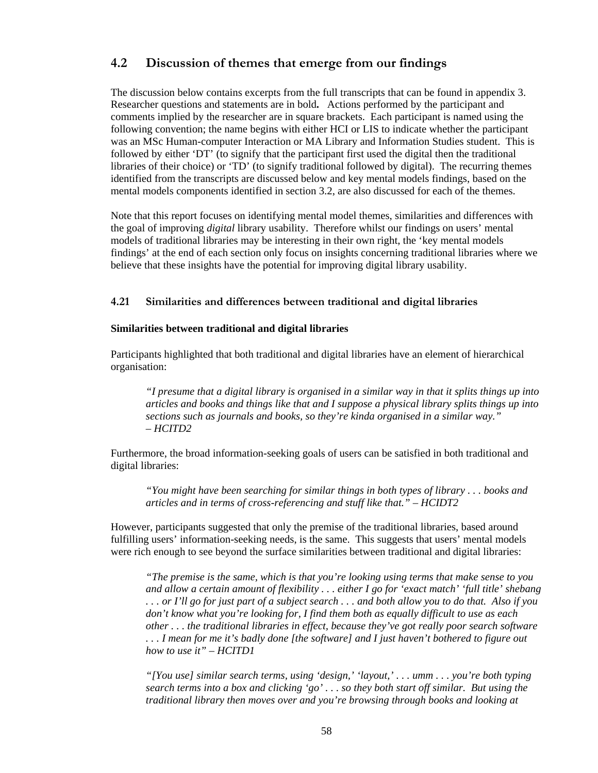# **4.2 Discussion of themes that emerge from our findings**

The discussion below contains excerpts from the full transcripts that can be found in appendix 3. Researcher questions and statements are in bold**.** Actions performed by the participant and comments implied by the researcher are in square brackets. Each participant is named using the following convention; the name begins with either HCI or LIS to indicate whether the participant was an MSc Human-computer Interaction or MA Library and Information Studies student. This is followed by either 'DT' (to signify that the participant first used the digital then the traditional libraries of their choice) or 'TD' (to signify traditional followed by digital). The recurring themes identified from the transcripts are discussed below and key mental models findings, based on the mental models components identified in section 3.2, are also discussed for each of the themes.

Note that this report focuses on identifying mental model themes, similarities and differences with the goal of improving *digital* library usability. Therefore whilst our findings on users' mental models of traditional libraries may be interesting in their own right, the 'key mental models findings' at the end of each section only focus on insights concerning traditional libraries where we believe that these insights have the potential for improving digital library usability.

### **4.21 Similarities and differences between traditional and digital libraries**

#### **Similarities between traditional and digital libraries**

Participants highlighted that both traditional and digital libraries have an element of hierarchical organisation:

*"I presume that a digital library is organised in a similar way in that it splits things up into articles and books and things like that and I suppose a physical library splits things up into sections such as journals and books, so they're kinda organised in a similar way." – HCITD2* 

Furthermore, the broad information-seeking goals of users can be satisfied in both traditional and digital libraries:

*"You might have been searching for similar things in both types of library . . . books and articles and in terms of cross-referencing and stuff like that." – HCIDT2* 

However, participants suggested that only the premise of the traditional libraries, based around fulfilling users' information-seeking needs, is the same. This suggests that users' mental models were rich enough to see beyond the surface similarities between traditional and digital libraries:

*"The premise is the same, which is that you're looking using terms that make sense to you and allow a certain amount of flexibility . . . either I go for 'exact match' 'full title' shebang . . . or I'll go for just part of a subject search . . . and both allow you to do that. Also if you don't know what you're looking for, I find them both as equally difficult to use as each other . . . the traditional libraries in effect, because they've got really poor search software . . . I mean for me it's badly done [the software] and I just haven't bothered to figure out how to use it" – HCITD1* 

*"[You use] similar search terms, using 'design,' 'layout,' . . . umm . . . you're both typing search terms into a box and clicking 'go' . . . so they both start off similar. But using the traditional library then moves over and you're browsing through books and looking at*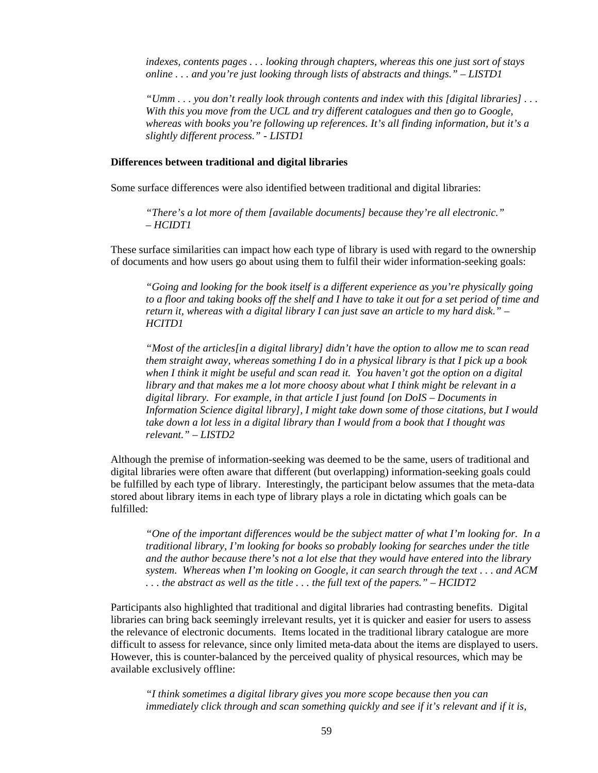*indexes, contents pages . . . looking through chapters, whereas this one just sort of stays online . . . and you're just looking through lists of abstracts and things." – LISTD1* 

*"Umm . . . you don't really look through contents and index with this [digital libraries] . . . With this you move from the UCL and try different catalogues and then go to Google, whereas with books you're following up references. It's all finding information, but it's a slightly different process." - LISTD1* 

#### **Differences between traditional and digital libraries**

Some surface differences were also identified between traditional and digital libraries:

*"There's a lot more of them [available documents] because they're all electronic." – HCIDT1* 

These surface similarities can impact how each type of library is used with regard to the ownership of documents and how users go about using them to fulfil their wider information-seeking goals:

*"Going and looking for the book itself is a different experience as you're physically going to a floor and taking books off the shelf and I have to take it out for a set period of time and return it, whereas with a digital library I can just save an article to my hard disk." – HCITD1* 

*"Most of the articles[in a digital library] didn't have the option to allow me to scan read them straight away, whereas something I do in a physical library is that I pick up a book when I think it might be useful and scan read it. You haven't got the option on a digital library and that makes me a lot more choosy about what I think might be relevant in a digital library. For example, in that article I just found [on DoIS – Documents in Information Science digital library], I might take down some of those citations, but I would take down a lot less in a digital library than I would from a book that I thought was relevant." – LISTD2* 

Although the premise of information-seeking was deemed to be the same, users of traditional and digital libraries were often aware that different (but overlapping) information-seeking goals could be fulfilled by each type of library. Interestingly, the participant below assumes that the meta-data stored about library items in each type of library plays a role in dictating which goals can be fulfilled:

*"One of the important differences would be the subject matter of what I'm looking for. In a traditional library, I'm looking for books so probably looking for searches under the title and the author because there's not a lot else that they would have entered into the library system. Whereas when I'm looking on Google, it can search through the text . . . and ACM . . . the abstract as well as the title . . . the full text of the papers." – HCIDT2* 

Participants also highlighted that traditional and digital libraries had contrasting benefits. Digital libraries can bring back seemingly irrelevant results, yet it is quicker and easier for users to assess the relevance of electronic documents. Items located in the traditional library catalogue are more difficult to assess for relevance, since only limited meta-data about the items are displayed to users. However, this is counter-balanced by the perceived quality of physical resources, which may be available exclusively offline:

*"I think sometimes a digital library gives you more scope because then you can immediately click through and scan something quickly and see if it's relevant and if it is,*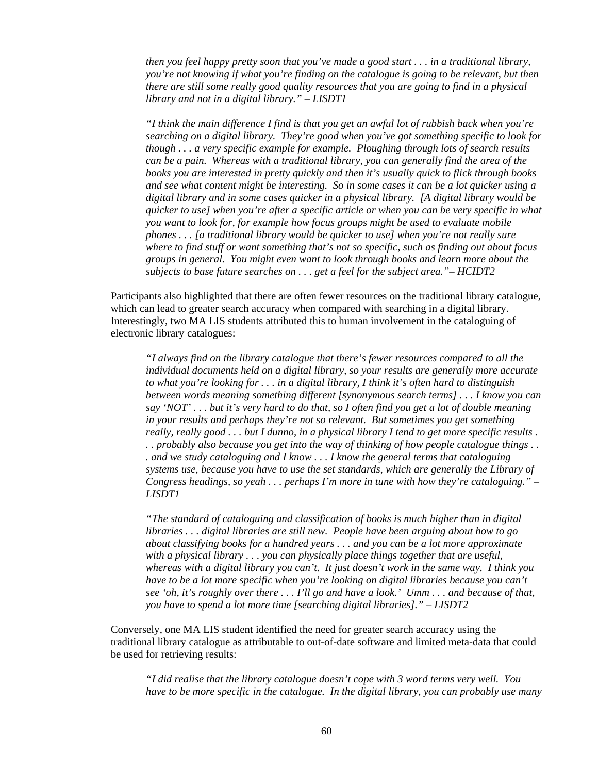*then you feel happy pretty soon that you've made a good start . . . in a traditional library, you're not knowing if what you're finding on the catalogue is going to be relevant, but then there are still some really good quality resources that you are going to find in a physical library and not in a digital library." – LISDT1* 

*"I think the main difference I find is that you get an awful lot of rubbish back when you're searching on a digital library. They're good when you've got something specific to look for though . . . a very specific example for example. Ploughing through lots of search results can be a pain. Whereas with a traditional library, you can generally find the area of the books you are interested in pretty quickly and then it's usually quick to flick through books and see what content might be interesting. So in some cases it can be a lot quicker using a digital library and in some cases quicker in a physical library. [A digital library would be quicker to use] when you're after a specific article or when you can be very specific in what you want to look for, for example how focus groups might be used to evaluate mobile phones . . . [a traditional library would be quicker to use] when you're not really sure where to find stuff or want something that's not so specific, such as finding out about focus groups in general. You might even want to look through books and learn more about the subjects to base future searches on . . . get a feel for the subject area."– HCIDT2* 

Participants also highlighted that there are often fewer resources on the traditional library catalogue, which can lead to greater search accuracy when compared with searching in a digital library. Interestingly, two MA LIS students attributed this to human involvement in the cataloguing of electronic library catalogues:

*"I always find on the library catalogue that there's fewer resources compared to all the individual documents held on a digital library, so your results are generally more accurate to what you're looking for . . . in a digital library, I think it's often hard to distinguish between words meaning something different [synonymous search terms] . . . I know you can say 'NOT' . . . but it's very hard to do that, so I often find you get a lot of double meaning in your results and perhaps they're not so relevant. But sometimes you get something really, really good . . . but I dunno, in a physical library I tend to get more specific results . . . probably also because you get into the way of thinking of how people catalogue things . . . and we study cataloguing and I know . . . I know the general terms that cataloguing systems use, because you have to use the set standards, which are generally the Library of Congress headings, so yeah . . . perhaps I'm more in tune with how they're cataloguing." – LISDT1* 

*"The standard of cataloguing and classification of books is much higher than in digital libraries . . . digital libraries are still new. People have been arguing about how to go about classifying books for a hundred years . . . and you can be a lot more approximate with a physical library . . . you can physically place things together that are useful, whereas with a digital library you can't. It just doesn't work in the same way. I think you have to be a lot more specific when you're looking on digital libraries because you can't see 'oh, it's roughly over there . . . I'll go and have a look.' Umm . . . and because of that, you have to spend a lot more time [searching digital libraries]." – LISDT2* 

Conversely, one MA LIS student identified the need for greater search accuracy using the traditional library catalogue as attributable to out-of-date software and limited meta-data that could be used for retrieving results:

*"I did realise that the library catalogue doesn't cope with 3 word terms very well. You have to be more specific in the catalogue. In the digital library, you can probably use many*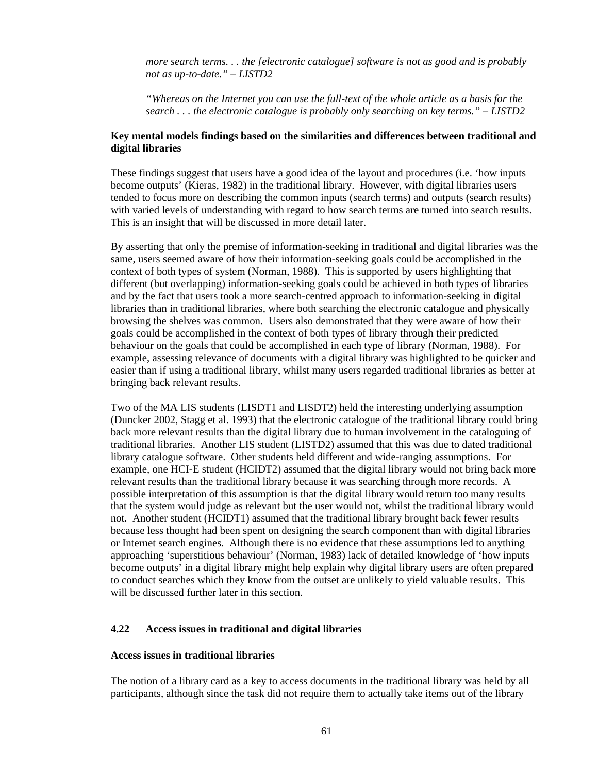*more search terms. . . the [electronic catalogue] software is not as good and is probably not as up-to-date." – LISTD2* 

*"Whereas on the Internet you can use the full-text of the whole article as a basis for the search . . . the electronic catalogue is probably only searching on key terms." – LISTD2* 

### **Key mental models findings based on the similarities and differences between traditional and digital libraries**

These findings suggest that users have a good idea of the layout and procedures (i.e. 'how inputs become outputs' (Kieras, 1982) in the traditional library. However, with digital libraries users tended to focus more on describing the common inputs (search terms) and outputs (search results) with varied levels of understanding with regard to how search terms are turned into search results. This is an insight that will be discussed in more detail later.

By asserting that only the premise of information-seeking in traditional and digital libraries was the same, users seemed aware of how their information-seeking goals could be accomplished in the context of both types of system (Norman, 1988). This is supported by users highlighting that different (but overlapping) information-seeking goals could be achieved in both types of libraries and by the fact that users took a more search-centred approach to information-seeking in digital libraries than in traditional libraries, where both searching the electronic catalogue and physically browsing the shelves was common. Users also demonstrated that they were aware of how their goals could be accomplished in the context of both types of library through their predicted behaviour on the goals that could be accomplished in each type of library (Norman, 1988). For example, assessing relevance of documents with a digital library was highlighted to be quicker and easier than if using a traditional library, whilst many users regarded traditional libraries as better at bringing back relevant results.

Two of the MA LIS students (LISDT1 and LISDT2) held the interesting underlying assumption (Duncker 2002, Stagg et al. 1993) that the electronic catalogue of the traditional library could bring back more relevant results than the digital library due to human involvement in the cataloguing of traditional libraries. Another LIS student (LISTD2) assumed that this was due to dated traditional library catalogue software. Other students held different and wide-ranging assumptions. For example, one HCI-E student (HCIDT2) assumed that the digital library would not bring back more relevant results than the traditional library because it was searching through more records. A possible interpretation of this assumption is that the digital library would return too many results that the system would judge as relevant but the user would not, whilst the traditional library would not. Another student (HCIDT1) assumed that the traditional library brought back fewer results because less thought had been spent on designing the search component than with digital libraries or Internet search engines. Although there is no evidence that these assumptions led to anything approaching 'superstitious behaviour' (Norman, 1983) lack of detailed knowledge of 'how inputs become outputs' in a digital library might help explain why digital library users are often prepared to conduct searches which they know from the outset are unlikely to yield valuable results. This will be discussed further later in this section.

#### **4.22 Access issues in traditional and digital libraries**

#### **Access issues in traditional libraries**

The notion of a library card as a key to access documents in the traditional library was held by all participants, although since the task did not require them to actually take items out of the library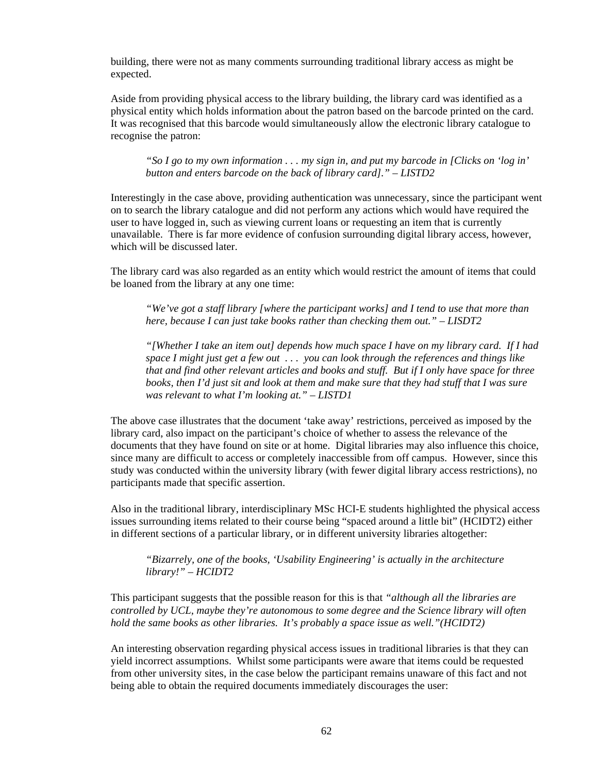building, there were not as many comments surrounding traditional library access as might be expected.

Aside from providing physical access to the library building, the library card was identified as a physical entity which holds information about the patron based on the barcode printed on the card. It was recognised that this barcode would simultaneously allow the electronic library catalogue to recognise the patron:

*"So I go to my own information . . . my sign in, and put my barcode in [Clicks on 'log in' button and enters barcode on the back of library card]." – LISTD2* 

Interestingly in the case above, providing authentication was unnecessary, since the participant went on to search the library catalogue and did not perform any actions which would have required the user to have logged in, such as viewing current loans or requesting an item that is currently unavailable. There is far more evidence of confusion surrounding digital library access, however, which will be discussed later.

The library card was also regarded as an entity which would restrict the amount of items that could be loaned from the library at any one time:

*"We've got a staff library [where the participant works] and I tend to use that more than here, because I can just take books rather than checking them out." – LISDT2* 

*"[Whether I take an item out] depends how much space I have on my library card. If I had space I might just get a few out . . . you can look through the references and things like that and find other relevant articles and books and stuff. But if I only have space for three books, then I'd just sit and look at them and make sure that they had stuff that I was sure was relevant to what I'm looking at." – LISTD1* 

The above case illustrates that the document 'take away' restrictions, perceived as imposed by the library card, also impact on the participant's choice of whether to assess the relevance of the documents that they have found on site or at home. Digital libraries may also influence this choice, since many are difficult to access or completely inaccessible from off campus. However, since this study was conducted within the university library (with fewer digital library access restrictions), no participants made that specific assertion.

Also in the traditional library, interdisciplinary MSc HCI-E students highlighted the physical access issues surrounding items related to their course being "spaced around a little bit" (HCIDT2) either in different sections of a particular library, or in different university libraries altogether:

*"Bizarrely, one of the books, 'Usability Engineering' is actually in the architecture library!" – HCIDT2* 

This participant suggests that the possible reason for this is that *"although all the libraries are controlled by UCL, maybe they're autonomous to some degree and the Science library will often hold the same books as other libraries. It's probably a space issue as well."(HCIDT2)*

An interesting observation regarding physical access issues in traditional libraries is that they can yield incorrect assumptions. Whilst some participants were aware that items could be requested from other university sites, in the case below the participant remains unaware of this fact and not being able to obtain the required documents immediately discourages the user: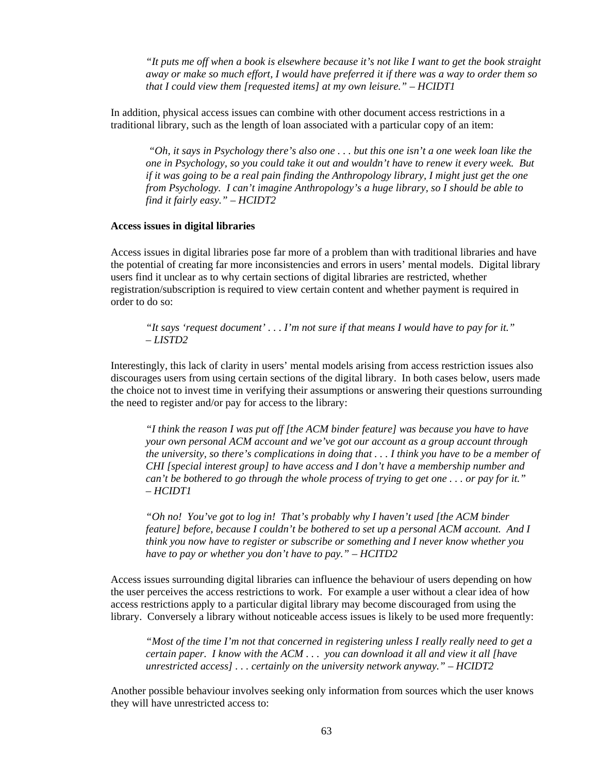*"It puts me off when a book is elsewhere because it's not like I want to get the book straight away or make so much effort, I would have preferred it if there was a way to order them so that I could view them [requested items] at my own leisure." – HCIDT1*

In addition, physical access issues can combine with other document access restrictions in a traditional library, such as the length of loan associated with a particular copy of an item:

*"Oh, it says in Psychology there's also one . . . but this one isn't a one week loan like the one in Psychology, so you could take it out and wouldn't have to renew it every week. But if it was going to be a real pain finding the Anthropology library, I might just get the one from Psychology. I can't imagine Anthropology's a huge library, so I should be able to find it fairly easy." – HCIDT2* 

#### **Access issues in digital libraries**

Access issues in digital libraries pose far more of a problem than with traditional libraries and have the potential of creating far more inconsistencies and errors in users' mental models. Digital library users find it unclear as to why certain sections of digital libraries are restricted, whether registration/subscription is required to view certain content and whether payment is required in order to do so:

*"It says 'request document' . . . I'm not sure if that means I would have to pay for it." – LISTD2* 

Interestingly, this lack of clarity in users' mental models arising from access restriction issues also discourages users from using certain sections of the digital library. In both cases below, users made the choice not to invest time in verifying their assumptions or answering their questions surrounding the need to register and/or pay for access to the library:

*"I think the reason I was put off [the ACM binder feature] was because you have to have your own personal ACM account and we've got our account as a group account through the university, so there's complications in doing that . . . I think you have to be a member of CHI [special interest group] to have access and I don't have a membership number and can't be bothered to go through the whole process of trying to get one . . . or pay for it." – HCIDT1* 

*"Oh no! You've got to log in! That's probably why I haven't used [the ACM binder feature] before, because I couldn't be bothered to set up a personal ACM account. And I think you now have to register or subscribe or something and I never know whether you have to pay or whether you don't have to pay." – HCITD2* 

Access issues surrounding digital libraries can influence the behaviour of users depending on how the user perceives the access restrictions to work. For example a user without a clear idea of how access restrictions apply to a particular digital library may become discouraged from using the library. Conversely a library without noticeable access issues is likely to be used more frequently:

*"Most of the time I'm not that concerned in registering unless I really really need to get a certain paper. I know with the ACM . . . you can download it all and view it all [have unrestricted access] . . . certainly on the university network anyway." – HCIDT2* 

Another possible behaviour involves seeking only information from sources which the user knows they will have unrestricted access to: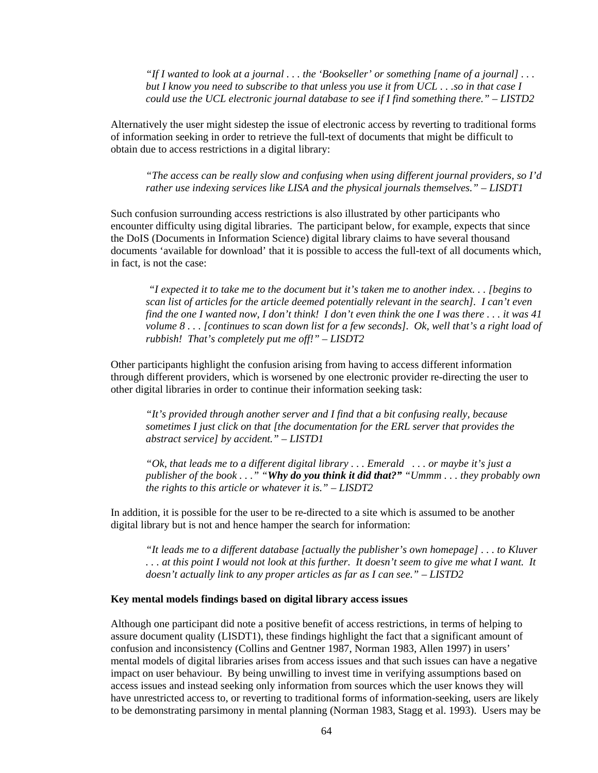*"If I wanted to look at a journal . . . the 'Bookseller' or something [name of a journal] . . . but I know you need to subscribe to that unless you use it from UCL . . .so in that case I could use the UCL electronic journal database to see if I find something there." – LISTD2* 

Alternatively the user might sidestep the issue of electronic access by reverting to traditional forms of information seeking in order to retrieve the full-text of documents that might be difficult to obtain due to access restrictions in a digital library:

*"The access can be really slow and confusing when using different journal providers, so I'd rather use indexing services like LISA and the physical journals themselves." – LISDT1* 

Such confusion surrounding access restrictions is also illustrated by other participants who encounter difficulty using digital libraries. The participant below, for example, expects that since the DoIS (Documents in Information Science) digital library claims to have several thousand documents 'available for download' that it is possible to access the full-text of all documents which, in fact, is not the case:

*"I expected it to take me to the document but it's taken me to another index. . . [begins to scan list of articles for the article deemed potentially relevant in the search]. I can't even find the one I wanted now, I don't think! I don't even think the one I was there . . . it was 41 volume 8 . . . [continues to scan down list for a few seconds]. Ok, well that's a right load of rubbish! That's completely put me off!" – LISDT2* 

Other participants highlight the confusion arising from having to access different information through different providers, which is worsened by one electronic provider re-directing the user to other digital libraries in order to continue their information seeking task:

*"It's provided through another server and I find that a bit confusing really, because sometimes I just click on that [the documentation for the ERL server that provides the abstract service] by accident." – LISTD1* 

*"Ok, that leads me to a different digital library . . . Emerald . . . or maybe it's just a publisher of the book . . ." "Why do you think it did that?" "Ummm . . . they probably own the rights to this article or whatever it is." – LISDT2* 

In addition, it is possible for the user to be re-directed to a site which is assumed to be another digital library but is not and hence hamper the search for information:

*"It leads me to a different database [actually the publisher's own homepage] . . . to Kluver . . . at this point I would not look at this further. It doesn't seem to give me what I want. It doesn't actually link to any proper articles as far as I can see." – LISTD2* 

#### **Key mental models findings based on digital library access issues**

Although one participant did note a positive benefit of access restrictions, in terms of helping to assure document quality (LISDT1), these findings highlight the fact that a significant amount of confusion and inconsistency (Collins and Gentner 1987, Norman 1983, Allen 1997) in users' mental models of digital libraries arises from access issues and that such issues can have a negative impact on user behaviour. By being unwilling to invest time in verifying assumptions based on access issues and instead seeking only information from sources which the user knows they will have unrestricted access to, or reverting to traditional forms of information-seeking, users are likely to be demonstrating parsimony in mental planning (Norman 1983, Stagg et al. 1993). Users may be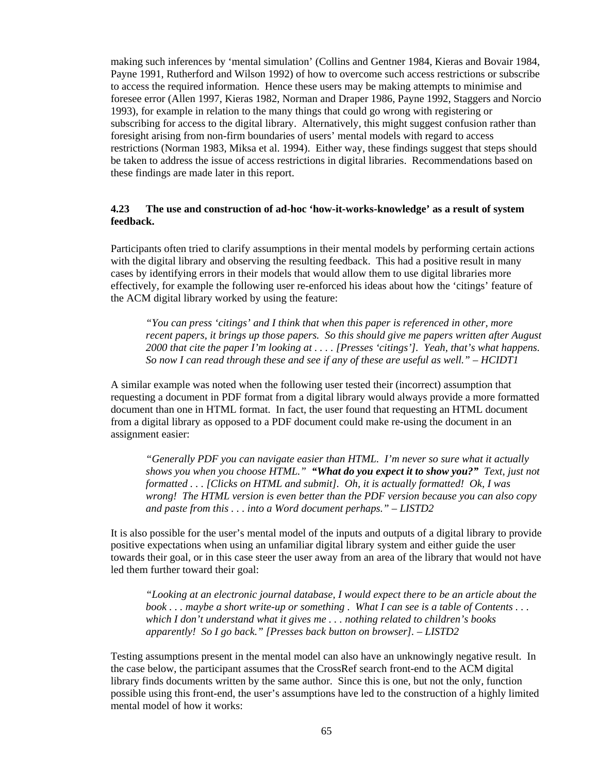making such inferences by 'mental simulation' (Collins and Gentner 1984, Kieras and Bovair 1984, Payne 1991, Rutherford and Wilson 1992) of how to overcome such access restrictions or subscribe to access the required information. Hence these users may be making attempts to minimise and foresee error (Allen 1997, Kieras 1982, Norman and Draper 1986, Payne 1992, Staggers and Norcio 1993), for example in relation to the many things that could go wrong with registering or subscribing for access to the digital library. Alternatively, this might suggest confusion rather than foresight arising from non-firm boundaries of users' mental models with regard to access restrictions (Norman 1983, Miksa et al. 1994). Either way, these findings suggest that steps should be taken to address the issue of access restrictions in digital libraries. Recommendations based on these findings are made later in this report.

### **4.23 The use and construction of ad-hoc 'how-it-works-knowledge' as a result of system feedback.**

Participants often tried to clarify assumptions in their mental models by performing certain actions with the digital library and observing the resulting feedback. This had a positive result in many cases by identifying errors in their models that would allow them to use digital libraries more effectively, for example the following user re-enforced his ideas about how the 'citings' feature of the ACM digital library worked by using the feature:

*"You can press 'citings' and I think that when this paper is referenced in other, more recent papers, it brings up those papers. So this should give me papers written after August 2000 that cite the paper I'm looking at . . . . [Presses 'citings']. Yeah, that's what happens. So now I can read through these and see if any of these are useful as well." – HCIDT1* 

A similar example was noted when the following user tested their (incorrect) assumption that requesting a document in PDF format from a digital library would always provide a more formatted document than one in HTML format. In fact, the user found that requesting an HTML document from a digital library as opposed to a PDF document could make re-using the document in an assignment easier:

*"Generally PDF you can navigate easier than HTML. I'm never so sure what it actually shows you when you choose HTML." "What do you expect it to show you?" Text, just not formatted . . . [Clicks on HTML and submit]. Oh, it is actually formatted! Ok, I was wrong! The HTML version is even better than the PDF version because you can also copy and paste from this . . . into a Word document perhaps." – LISTD2* 

It is also possible for the user's mental model of the inputs and outputs of a digital library to provide positive expectations when using an unfamiliar digital library system and either guide the user towards their goal, or in this case steer the user away from an area of the library that would not have led them further toward their goal:

*"Looking at an electronic journal database, I would expect there to be an article about the book . . . maybe a short write-up or something . What I can see is a table of Contents . . . which I don't understand what it gives me . . . nothing related to children's books apparently! So I go back." [Presses back button on browser]. – LISTD2* 

Testing assumptions present in the mental model can also have an unknowingly negative result. In the case below, the participant assumes that the CrossRef search front-end to the ACM digital library finds documents written by the same author. Since this is one, but not the only, function possible using this front-end, the user's assumptions have led to the construction of a highly limited mental model of how it works: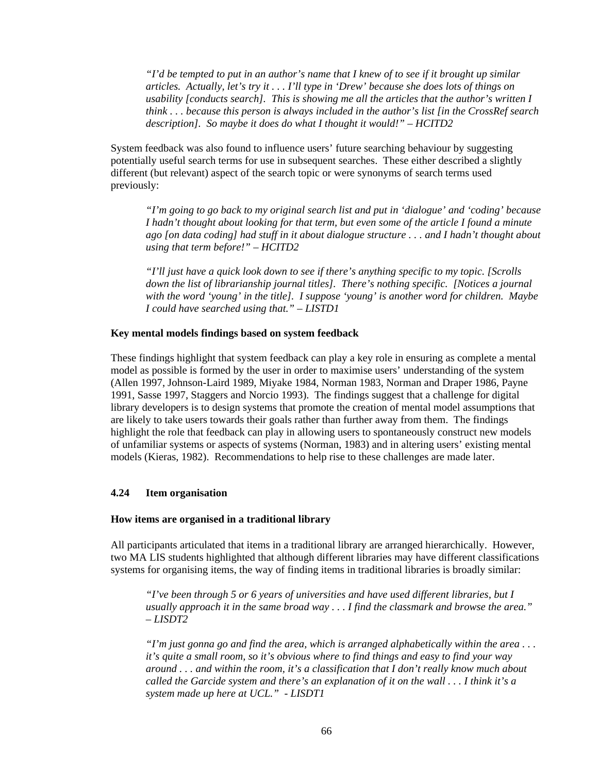*"I'd be tempted to put in an author's name that I knew of to see if it brought up similar articles. Actually, let's try it . . . I'll type in 'Drew' because she does lots of things on usability [conducts search]. This is showing me all the articles that the author's written I think . . . because this person is always included in the author's list [in the CrossRef search description]. So maybe it does do what I thought it would!" – HCITD2* 

System feedback was also found to influence users' future searching behaviour by suggesting potentially useful search terms for use in subsequent searches. These either described a slightly different (but relevant) aspect of the search topic or were synonyms of search terms used previously:

*"I'm going to go back to my original search list and put in 'dialogue' and 'coding' because I hadn't thought about looking for that term, but even some of the article I found a minute ago [on data coding] had stuff in it about dialogue structure . . . and I hadn't thought about using that term before!" – HCITD2* 

*"I'll just have a quick look down to see if there's anything specific to my topic. [Scrolls down the list of librarianship journal titles]. There's nothing specific. [Notices a journal with the word 'young' in the title]. I suppose 'young' is another word for children. Maybe I could have searched using that." – LISTD1* 

#### **Key mental models findings based on system feedback**

These findings highlight that system feedback can play a key role in ensuring as complete a mental model as possible is formed by the user in order to maximise users' understanding of the system (Allen 1997, Johnson-Laird 1989, Miyake 1984, Norman 1983, Norman and Draper 1986, Payne 1991, Sasse 1997, Staggers and Norcio 1993). The findings suggest that a challenge for digital library developers is to design systems that promote the creation of mental model assumptions that are likely to take users towards their goals rather than further away from them. The findings highlight the role that feedback can play in allowing users to spontaneously construct new models of unfamiliar systems or aspects of systems (Norman, 1983) and in altering users' existing mental models (Kieras, 1982). Recommendations to help rise to these challenges are made later.

### **4.24 Item organisation**

#### **How items are organised in a traditional library**

All participants articulated that items in a traditional library are arranged hierarchically. However, two MA LIS students highlighted that although different libraries may have different classifications systems for organising items, the way of finding items in traditional libraries is broadly similar:

*"I've been through 5 or 6 years of universities and have used different libraries, but I usually approach it in the same broad way . . . I find the classmark and browse the area." – LISDT2* 

*"I'm just gonna go and find the area, which is arranged alphabetically within the area . . . it's quite a small room, so it's obvious where to find things and easy to find your way around . . . and within the room, it's a classification that I don't really know much about called the Garcide system and there's an explanation of it on the wall . . . I think it's a system made up here at UCL." - LISDT1*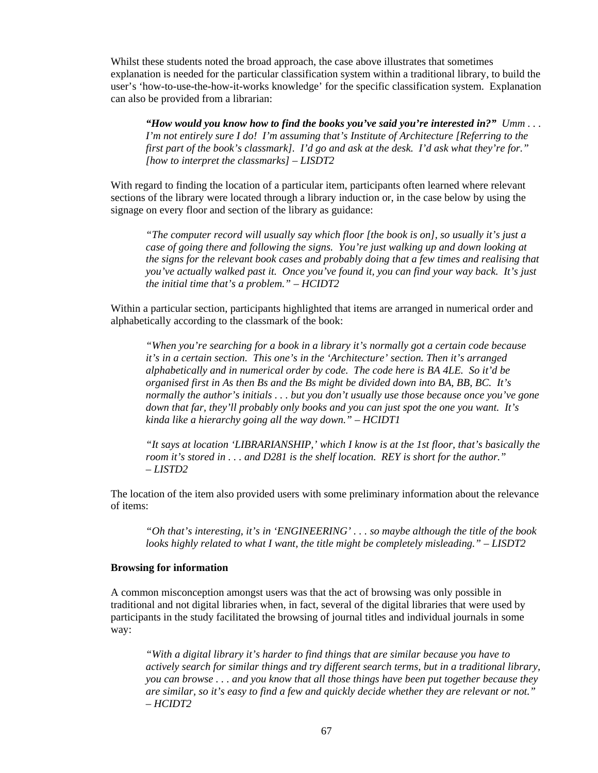Whilst these students noted the broad approach, the case above illustrates that sometimes explanation is needed for the particular classification system within a traditional library, to build the user's 'how-to-use-the-how-it-works knowledge' for the specific classification system. Explanation can also be provided from a librarian:

*"How would you know how to find the books you've said you're interested in?" Umm . . . I'm not entirely sure I do! I'm assuming that's Institute of Architecture [Referring to the first part of the book's classmark]. I'd go and ask at the desk. I'd ask what they're for." [how to interpret the classmarks] – LISDT2* 

With regard to finding the location of a particular item, participants often learned where relevant sections of the library were located through a library induction or, in the case below by using the signage on every floor and section of the library as guidance:

*"The computer record will usually say which floor [the book is on], so usually it's just a case of going there and following the signs. You're just walking up and down looking at the signs for the relevant book cases and probably doing that a few times and realising that you've actually walked past it. Once you've found it, you can find your way back. It's just the initial time that's a problem." – HCIDT2* 

Within a particular section, participants highlighted that items are arranged in numerical order and alphabetically according to the classmark of the book:

*"When you're searching for a book in a library it's normally got a certain code because it's in a certain section. This one's in the 'Architecture' section. Then it's arranged alphabetically and in numerical order by code. The code here is BA 4LE. So it'd be organised first in As then Bs and the Bs might be divided down into BA, BB, BC. It's normally the author's initials . . . but you don't usually use those because once you've gone down that far, they'll probably only books and you can just spot the one you want. It's kinda like a hierarchy going all the way down." – HCIDT1* 

*"It says at location 'LIBRARIANSHIP,' which I know is at the 1st floor, that's basically the room it's stored in . . . and D281 is the shelf location. REY is short for the author." – LISTD2* 

The location of the item also provided users with some preliminary information about the relevance of items:

*"Oh that's interesting, it's in 'ENGINEERING' . . . so maybe although the title of the book looks highly related to what I want, the title might be completely misleading." – LISDT2* 

#### **Browsing for information**

A common misconception amongst users was that the act of browsing was only possible in traditional and not digital libraries when, in fact, several of the digital libraries that were used by participants in the study facilitated the browsing of journal titles and individual journals in some way:

*"With a digital library it's harder to find things that are similar because you have to actively search for similar things and try different search terms, but in a traditional library, you can browse . . . and you know that all those things have been put together because they are similar, so it's easy to find a few and quickly decide whether they are relevant or not." – HCIDT2*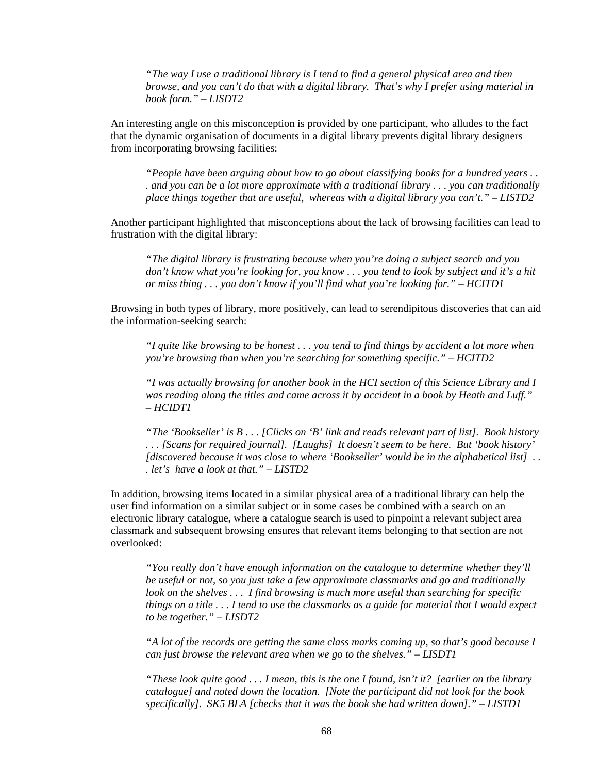*"The way I use a traditional library is I tend to find a general physical area and then browse, and you can't do that with a digital library. That's why I prefer using material in book form." – LISDT2* 

An interesting angle on this misconception is provided by one participant, who alludes to the fact that the dynamic organisation of documents in a digital library prevents digital library designers from incorporating browsing facilities:

*"People have been arguing about how to go about classifying books for a hundred years . . . and you can be a lot more approximate with a traditional library . . . you can traditionally place things together that are useful, whereas with a digital library you can't." – LISTD2* 

Another participant highlighted that misconceptions about the lack of browsing facilities can lead to frustration with the digital library:

*"The digital library is frustrating because when you're doing a subject search and you don't know what you're looking for, you know . . . you tend to look by subject and it's a hit or miss thing . . . you don't know if you'll find what you're looking for." – HCITD1* 

Browsing in both types of library, more positively, can lead to serendipitous discoveries that can aid the information-seeking search:

*"I quite like browsing to be honest . . . you tend to find things by accident a lot more when you're browsing than when you're searching for something specific." – HCITD2* 

*"I was actually browsing for another book in the HCI section of this Science Library and I was reading along the titles and came across it by accident in a book by Heath and Luff." – HCIDT1* 

*"The 'Bookseller' is B . . . [Clicks on 'B' link and reads relevant part of list]. Book history . . . [Scans for required journal]. [Laughs] It doesn't seem to be here. But 'book history' [discovered because it was close to where 'Bookseller' would be in the alphabetical list] . . . let's have a look at that." – LISTD2* 

In addition, browsing items located in a similar physical area of a traditional library can help the user find information on a similar subject or in some cases be combined with a search on an electronic library catalogue, where a catalogue search is used to pinpoint a relevant subject area classmark and subsequent browsing ensures that relevant items belonging to that section are not overlooked:

*"You really don't have enough information on the catalogue to determine whether they'll be useful or not, so you just take a few approximate classmarks and go and traditionally look on the shelves . . . I find browsing is much more useful than searching for specific things on a title . . . I tend to use the classmarks as a guide for material that I would expect to be together." – LISDT2* 

*"A lot of the records are getting the same class marks coming up, so that's good because I can just browse the relevant area when we go to the shelves." – LISDT1* 

*"These look quite good . . . I mean, this is the one I found, isn't it? [earlier on the library catalogue] and noted down the location. [Note the participant did not look for the book specifically]. SK5 BLA [checks that it was the book she had written down]." – LISTD1*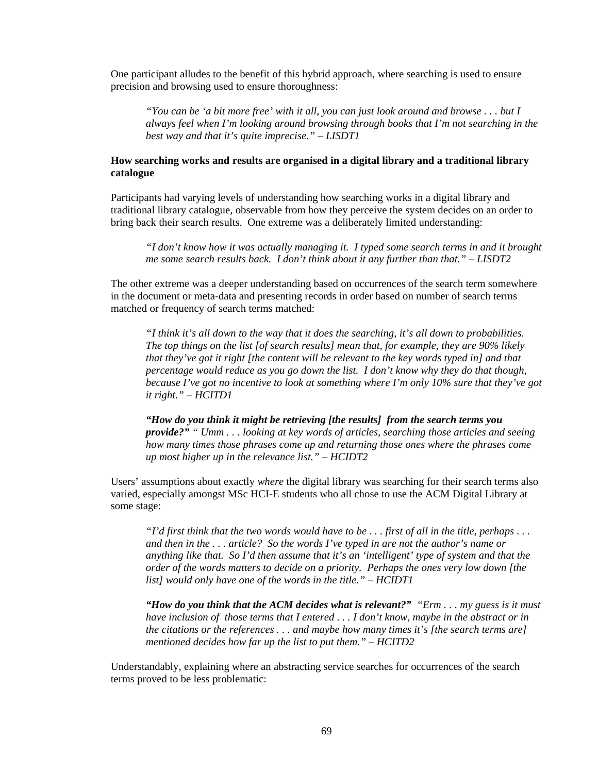One participant alludes to the benefit of this hybrid approach, where searching is used to ensure precision and browsing used to ensure thoroughness:

*"You can be 'a bit more free' with it all, you can just look around and browse . . . but I always feel when I'm looking around browsing through books that I'm not searching in the best way and that it's quite imprecise." – LISDT1*

### **How searching works and results are organised in a digital library and a traditional library catalogue**

Participants had varying levels of understanding how searching works in a digital library and traditional library catalogue, observable from how they perceive the system decides on an order to bring back their search results. One extreme was a deliberately limited understanding:

*"I don't know how it was actually managing it. I typed some search terms in and it brought me some search results back. I don't think about it any further than that." – LISDT2* 

The other extreme was a deeper understanding based on occurrences of the search term somewhere in the document or meta-data and presenting records in order based on number of search terms matched or frequency of search terms matched:

*"I think it's all down to the way that it does the searching, it's all down to probabilities. The top things on the list [of search results] mean that, for example, they are 90% likely that they've got it right [the content will be relevant to the key words typed in] and that percentage would reduce as you go down the list. I don't know why they do that though, because I've got no incentive to look at something where I'm only 10% sure that they've got it right." – HCITD1* 

*"How do you think it might be retrieving [the results] from the search terms you provide?" " Umm . . . looking at key words of articles, searching those articles and seeing how many times those phrases come up and returning those ones where the phrases come up most higher up in the relevance list." – HCIDT2* 

Users' assumptions about exactly *where* the digital library was searching for their search terms also varied, especially amongst MSc HCI-E students who all chose to use the ACM Digital Library at some stage:

*"I'd first think that the two words would have to be . . . first of all in the title, perhaps . . . and then in the . . . article? So the words I've typed in are not the author's name or anything like that. So I'd then assume that it's an 'intelligent' type of system and that the order of the words matters to decide on a priority. Perhaps the ones very low down [the list] would only have one of the words in the title." – HCIDT1* 

*"How do you think that the ACM decides what is relevant?" "Erm . . . my guess is it must have inclusion of those terms that I entered . . . I don't know, maybe in the abstract or in the citations or the references . . . and maybe how many times it's [the search terms are] mentioned decides how far up the list to put them." – HCITD2* 

Understandably, explaining where an abstracting service searches for occurrences of the search terms proved to be less problematic: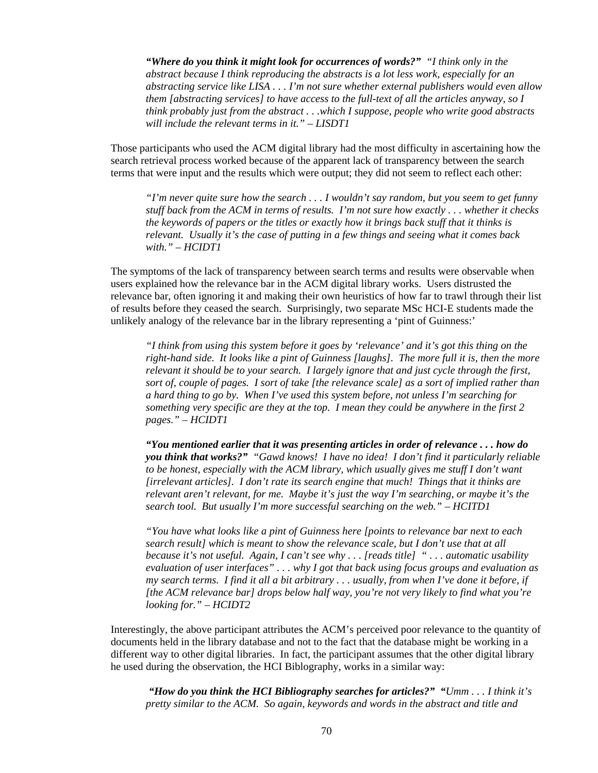*"Where do you think it might look for occurrences of words?" "I think only in the abstract because I think reproducing the abstracts is a lot less work, especially for an abstracting service like LISA . . . I'm not sure whether external publishers would even allow them [abstracting services] to have access to the full-text of all the articles anyway, so I think probably just from the abstract . . .which I suppose, people who write good abstracts will include the relevant terms in it." – LISDT1* 

Those participants who used the ACM digital library had the most difficulty in ascertaining how the search retrieval process worked because of the apparent lack of transparency between the search terms that were input and the results which were output; they did not seem to reflect each other:

*"I'm never quite sure how the search . . . I wouldn't say random, but you seem to get funny stuff back from the ACM in terms of results. I'm not sure how exactly . . . whether it checks the keywords of papers or the titles or exactly how it brings back stuff that it thinks is relevant. Usually it's the case of putting in a few things and seeing what it comes back with." – HCIDT1* 

The symptoms of the lack of transparency between search terms and results were observable when users explained how the relevance bar in the ACM digital library works. Users distrusted the relevance bar, often ignoring it and making their own heuristics of how far to trawl through their list of results before they ceased the search. Surprisingly, two separate MSc HCI-E students made the unlikely analogy of the relevance bar in the library representing a 'pint of Guinness:'

*"I think from using this system before it goes by 'relevance' and it's got this thing on the right-hand side. It looks like a pint of Guinness [laughs]. The more full it is, then the more relevant it should be to your search. I largely ignore that and just cycle through the first, sort of, couple of pages. I sort of take [the relevance scale] as a sort of implied rather than a hard thing to go by. When I've used this system before, not unless I'm searching for something very specific are they at the top. I mean they could be anywhere in the first 2 pages." – HCIDT1* 

*"You mentioned earlier that it was presenting articles in order of relevance . . . how do you think that works?" "Gawd knows! I have no idea! I don't find it particularly reliable to be honest, especially with the ACM library, which usually gives me stuff I don't want [irrelevant articles]. I don't rate its search engine that much! Things that it thinks are relevant aren't relevant, for me. Maybe it's just the way I'm searching, or maybe it's the search tool. But usually I'm more successful searching on the web." – HCITD1* 

*"You have what looks like a pint of Guinness here [points to relevance bar next to each search result] which is meant to show the relevance scale, but I don't use that at all because it's not useful. Again, I can't see why . . . [reads title] " . . . automatic usability evaluation of user interfaces" . . . why I got that back using focus groups and evaluation as my search terms. I find it all a bit arbitrary . . . usually, from when I've done it before, if [the ACM relevance bar] drops below half way, you're not very likely to find what you're looking for." – HCIDT2* 

Interestingly, the above participant attributes the ACM's perceived poor relevance to the quantity of documents held in the library database and not to the fact that the database might be working in a different way to other digital libraries. In fact, the participant assumes that the other digital library he used during the observation, the HCI Biblography, works in a similar way:

*"How do you think the HCI Bibliography searches for articles?" "Umm . . . I think it's pretty similar to the ACM. So again, keywords and words in the abstract and title and*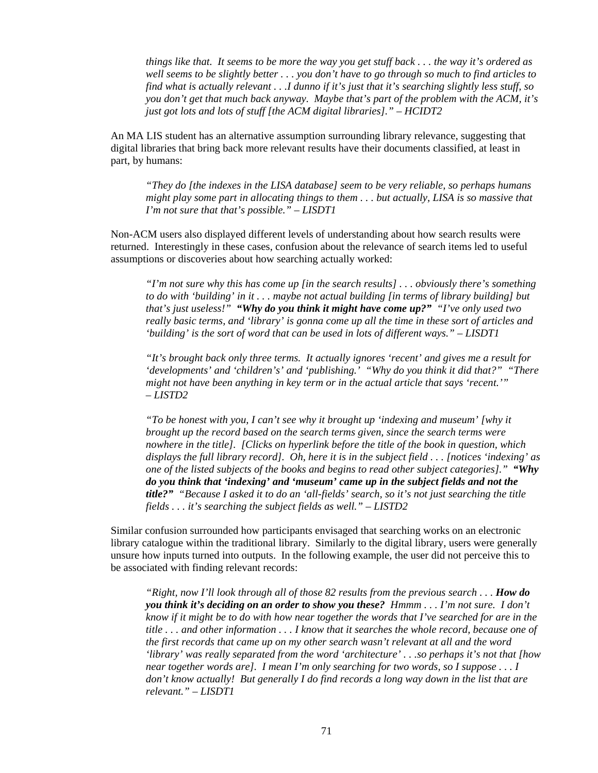*things like that. It seems to be more the way you get stuff back . . . the way it's ordered as well seems to be slightly better . . . you don't have to go through so much to find articles to find what is actually relevant . . .I dunno if it's just that it's searching slightly less stuff, so you don't get that much back anyway. Maybe that's part of the problem with the ACM, it's just got lots and lots of stuff [the ACM digital libraries]." – HCIDT2* 

An MA LIS student has an alternative assumption surrounding library relevance, suggesting that digital libraries that bring back more relevant results have their documents classified, at least in part, by humans:

*"They do [the indexes in the LISA database] seem to be very reliable, so perhaps humans might play some part in allocating things to them . . . but actually, LISA is so massive that I'm not sure that that's possible." – LISDT1* 

Non-ACM users also displayed different levels of understanding about how search results were returned. Interestingly in these cases, confusion about the relevance of search items led to useful assumptions or discoveries about how searching actually worked:

*"I'm not sure why this has come up [in the search results] . . . obviously there's something to do with 'building' in it . . . maybe not actual building [in terms of library building] but that's just useless!" "Why do you think it might have come up?" "I've only used two really basic terms, and 'library' is gonna come up all the time in these sort of articles and 'building' is the sort of word that can be used in lots of different ways." – LISDT1* 

*"It's brought back only three terms. It actually ignores 'recent' and gives me a result for 'developments' and 'children's' and 'publishing.' "Why do you think it did that?" "There might not have been anything in key term or in the actual article that says 'recent.'" – LISTD2* 

*"To be honest with you, I can't see why it brought up 'indexing and museum' [why it brought up the record based on the search terms given, since the search terms were nowhere in the title]. [Clicks on hyperlink before the title of the book in question, which displays the full library record]. Oh, here it is in the subject field . . . [notices 'indexing' as one of the listed subjects of the books and begins to read other subject categories]." "Why do you think that 'indexing' and 'museum' came up in the subject fields and not the title?" "Because I asked it to do an 'all-fields' search, so it's not just searching the title fields . . . it's searching the subject fields as well." – LISTD2* 

Similar confusion surrounded how participants envisaged that searching works on an electronic library catalogue within the traditional library. Similarly to the digital library, users were generally unsure how inputs turned into outputs. In the following example, the user did not perceive this to be associated with finding relevant records:

*"Right, now I'll look through all of those 82 results from the previous search . . . How do you think it's deciding on an order to show you these? Hmmm . . . I'm not sure. I don't know if it might be to do with how near together the words that I've searched for are in the title . . . and other information . . . I know that it searches the whole record, because one of the first records that came up on my other search wasn't relevant at all and the word 'library' was really separated from the word 'architecture' . . .so perhaps it's not that [how near together words are]. I mean I'm only searching for two words, so I suppose . . . I don't know actually! But generally I do find records a long way down in the list that are relevant." – LISDT1*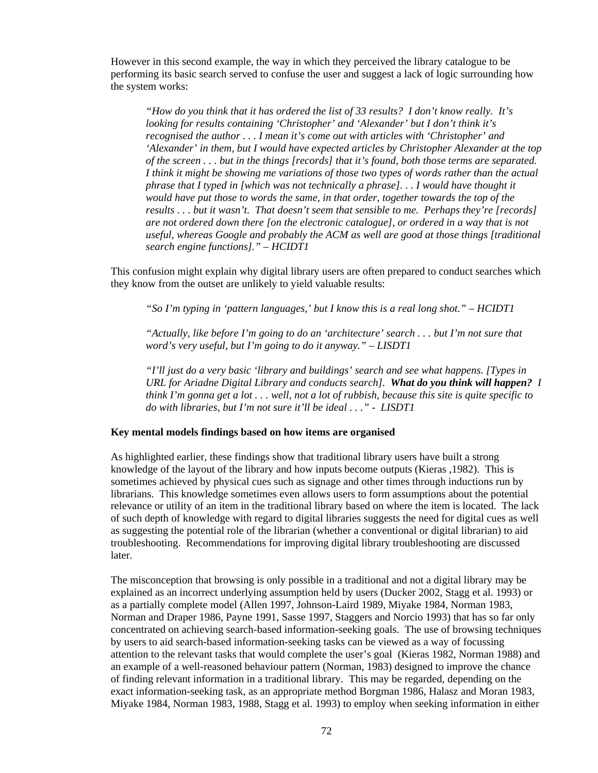However in this second example, the way in which they perceived the library catalogue to be performing its basic search served to confuse the user and suggest a lack of logic surrounding how the system works:

*"How do you think that it has ordered the list of 33 results? I don't know really. It's looking for results containing 'Christopher' and 'Alexander' but I don't think it's recognised the author . . . I mean it's come out with articles with 'Christopher' and 'Alexander' in them, but I would have expected articles by Christopher Alexander at the top of the screen . . . but in the things [records] that it's found, both those terms are separated. I think it might be showing me variations of those two types of words rather than the actual phrase that I typed in [which was not technically a phrase]. . . I would have thought it would have put those to words the same, in that order, together towards the top of the results . . . but it wasn't. That doesn't seem that sensible to me. Perhaps they're [records] are not ordered down there [on the electronic catalogue], or ordered in a way that is not useful, whereas Google and probably the ACM as well are good at those things [traditional search engine functions]." – HCIDT1* 

This confusion might explain why digital library users are often prepared to conduct searches which they know from the outset are unlikely to yield valuable results:

*"So I'm typing in 'pattern languages,' but I know this is a real long shot." – HCIDT1* 

*"Actually, like before I'm going to do an 'architecture' search . . . but I'm not sure that word's very useful, but I'm going to do it anyway." – LISDT1* 

*"I'll just do a very basic 'library and buildings' search and see what happens. [Types in URL for Ariadne Digital Library and conducts search]. What do you think will happen? I think I'm gonna get a lot . . . well, not a lot of rubbish, because this site is quite specific to do with libraries, but I'm not sure it'll be ideal . . ." - LISDT1* 

#### **Key mental models findings based on how items are organised**

As highlighted earlier, these findings show that traditional library users have built a strong knowledge of the layout of the library and how inputs become outputs (Kieras ,1982). This is sometimes achieved by physical cues such as signage and other times through inductions run by librarians. This knowledge sometimes even allows users to form assumptions about the potential relevance or utility of an item in the traditional library based on where the item is located. The lack of such depth of knowledge with regard to digital libraries suggests the need for digital cues as well as suggesting the potential role of the librarian (whether a conventional or digital librarian) to aid troubleshooting. Recommendations for improving digital library troubleshooting are discussed later.

The misconception that browsing is only possible in a traditional and not a digital library may be explained as an incorrect underlying assumption held by users (Ducker 2002, Stagg et al. 1993) or as a partially complete model (Allen 1997, Johnson-Laird 1989, Miyake 1984, Norman 1983, Norman and Draper 1986, Payne 1991, Sasse 1997, Staggers and Norcio 1993) that has so far only concentrated on achieving search-based information-seeking goals. The use of browsing techniques by users to aid search-based information-seeking tasks can be viewed as a way of focussing attention to the relevant tasks that would complete the user's goal (Kieras 1982, Norman 1988) and an example of a well-reasoned behaviour pattern (Norman, 1983) designed to improve the chance of finding relevant information in a traditional library. This may be regarded, depending on the exact information-seeking task, as an appropriate method Borgman 1986, Halasz and Moran 1983, Miyake 1984, Norman 1983, 1988, Stagg et al. 1993) to employ when seeking information in either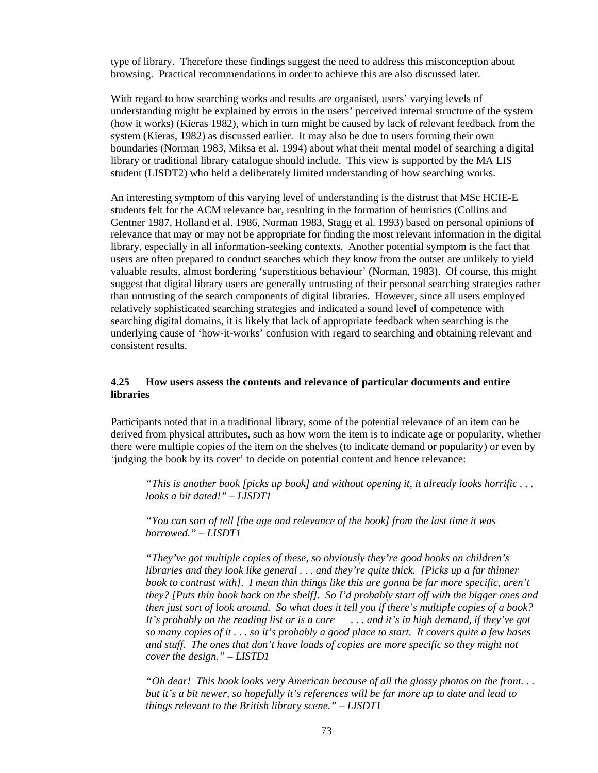type of library. Therefore these findings suggest the need to address this misconception about browsing. Practical recommendations in order to achieve this are also discussed later.

With regard to how searching works and results are organised, users' varying levels of understanding might be explained by errors in the users' perceived internal structure of the system (how it works) (Kieras 1982), which in turn might be caused by lack of relevant feedback from the system (Kieras, 1982) as discussed earlier. It may also be due to users forming their own boundaries (Norman 1983, Miksa et al. 1994) about what their mental model of searching a digital library or traditional library catalogue should include. This view is supported by the MA LIS student (LISDT2) who held a deliberately limited understanding of how searching works.

An interesting symptom of this varying level of understanding is the distrust that MSc HCIE-E students felt for the ACM relevance bar, resulting in the formation of heuristics (Collins and Gentner 1987, Holland et al. 1986, Norman 1983, Stagg et al. 1993) based on personal opinions of relevance that may or may not be appropriate for finding the most relevant information in the digital library, especially in all information-seeking contexts. Another potential symptom is the fact that users are often prepared to conduct searches which they know from the outset are unlikely to yield valuable results, almost bordering 'superstitious behaviour' (Norman, 1983). Of course, this might suggest that digital library users are generally untrusting of their personal searching strategies rather than untrusting of the search components of digital libraries. However, since all users employed relatively sophisticated searching strategies and indicated a sound level of competence with searching digital domains, it is likely that lack of appropriate feedback when searching is the underlying cause of 'how-it-works' confusion with regard to searching and obtaining relevant and consistent results.

#### **4.25 How users assess the contents and relevance of particular documents and entire libraries**

Participants noted that in a traditional library, some of the potential relevance of an item can be derived from physical attributes, such as how worn the item is to indicate age or popularity, whether there were multiple copies of the item on the shelves (to indicate demand or popularity) or even by 'judging the book by its cover' to decide on potential content and hence relevance:

*"This is another book [picks up book] and without opening it, it already looks horrific . . . looks a bit dated!" – LISDT1*

*"You can sort of tell [the age and relevance of the book] from the last time it was borrowed." – LISDT1* 

*"They've got multiple copies of these, so obviously they're good books on children's libraries and they look like general . . . and they're quite thick. [Picks up a far thinner book to contrast with]. I mean thin things like this are gonna be far more specific, aren't they? [Puts thin book back on the shelf]. So I'd probably start off with the bigger ones and then just sort of look around. So what does it tell you if there's multiple copies of a book? It's probably on the reading list or is a core . . . and it's in high demand, if they've got so many copies of it . . . so it's probably a good place to start. It covers quite a few bases and stuff. The ones that don't have loads of copies are more specific so they might not cover the design." – LISTD1* 

*"Oh dear! This book looks very American because of all the glossy photos on the front. . . but it's a bit newer, so hopefully it's references will be far more up to date and lead to things relevant to the British library scene." – LISDT1*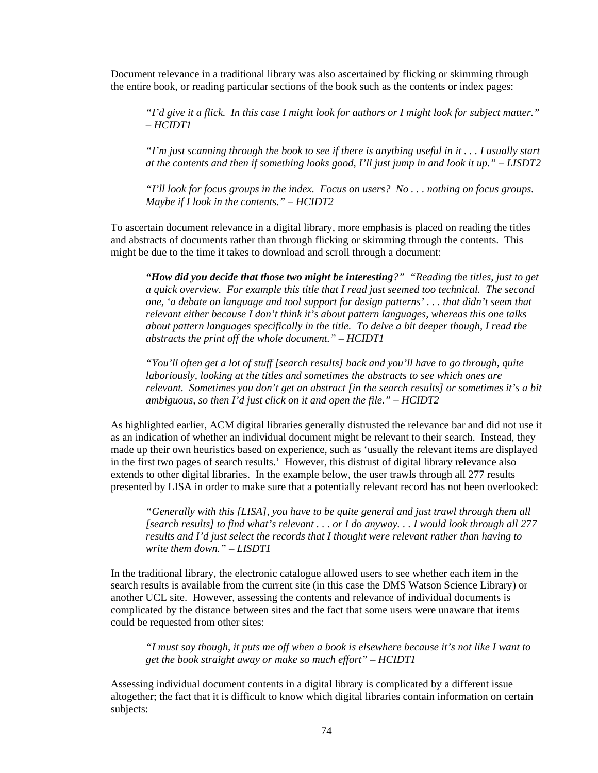Document relevance in a traditional library was also ascertained by flicking or skimming through the entire book, or reading particular sections of the book such as the contents or index pages:

*"I'd give it a flick. In this case I might look for authors or I might look for subject matter." – HCIDT1* 

*"I'm just scanning through the book to see if there is anything useful in it . . . I usually start at the contents and then if something looks good, I'll just jump in and look it up." – LISDT2* 

*"I'll look for focus groups in the index. Focus on users? No . . . nothing on focus groups. Maybe if I look in the contents." – HCIDT2* 

To ascertain document relevance in a digital library, more emphasis is placed on reading the titles and abstracts of documents rather than through flicking or skimming through the contents. This might be due to the time it takes to download and scroll through a document:

*"How did you decide that those two might be interesting?" "Reading the titles, just to get a quick overview. For example this title that I read just seemed too technical. The second one, 'a debate on language and tool support for design patterns' . . . that didn't seem that relevant either because I don't think it's about pattern languages, whereas this one talks about pattern languages specifically in the title. To delve a bit deeper though, I read the abstracts the print off the whole document." – HCIDT1* 

*"You'll often get a lot of stuff [search results] back and you'll have to go through, quite laboriously, looking at the titles and sometimes the abstracts to see which ones are relevant. Sometimes you don't get an abstract [in the search results] or sometimes it's a bit ambiguous, so then I'd just click on it and open the file." – HCIDT2* 

As highlighted earlier, ACM digital libraries generally distrusted the relevance bar and did not use it as an indication of whether an individual document might be relevant to their search. Instead, they made up their own heuristics based on experience, such as 'usually the relevant items are displayed in the first two pages of search results.' However, this distrust of digital library relevance also extends to other digital libraries. In the example below, the user trawls through all 277 results presented by LISA in order to make sure that a potentially relevant record has not been overlooked:

*"Generally with this [LISA], you have to be quite general and just trawl through them all [search results] to find what's relevant . . . or I do anyway. . . I would look through all 277 results and I'd just select the records that I thought were relevant rather than having to write them down." – LISDT1* 

In the traditional library, the electronic catalogue allowed users to see whether each item in the search results is available from the current site (in this case the DMS Watson Science Library) or another UCL site. However, assessing the contents and relevance of individual documents is complicated by the distance between sites and the fact that some users were unaware that items could be requested from other sites:

*"I must say though, it puts me off when a book is elsewhere because it's not like I want to get the book straight away or make so much effort" – HCIDT1* 

Assessing individual document contents in a digital library is complicated by a different issue altogether; the fact that it is difficult to know which digital libraries contain information on certain subjects: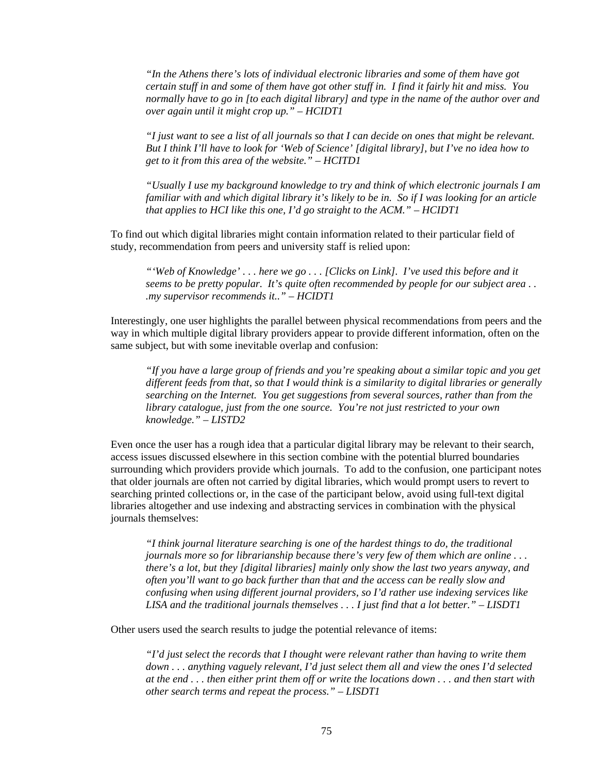*"In the Athens there's lots of individual electronic libraries and some of them have got certain stuff in and some of them have got other stuff in. I find it fairly hit and miss. You normally have to go in [to each digital library] and type in the name of the author over and over again until it might crop up." – HCIDT1* 

*"I just want to see a list of all journals so that I can decide on ones that might be relevant. But I think I'll have to look for 'Web of Science' [digital library], but I've no idea how to get to it from this area of the website." – HCITD1* 

*"Usually I use my background knowledge to try and think of which electronic journals I am familiar with and which digital library it's likely to be in. So if I was looking for an article that applies to HCI like this one, I'd go straight to the ACM." – HCIDT1* 

To find out which digital libraries might contain information related to their particular field of study, recommendation from peers and university staff is relied upon:

*"'Web of Knowledge' . . . here we go . . . [Clicks on Link]. I've used this before and it seems to be pretty popular. It's quite often recommended by people for our subject area . . .my supervisor recommends it.." – HCIDT1* 

Interestingly, one user highlights the parallel between physical recommendations from peers and the way in which multiple digital library providers appear to provide different information, often on the same subject, but with some inevitable overlap and confusion:

*"If you have a large group of friends and you're speaking about a similar topic and you get different feeds from that, so that I would think is a similarity to digital libraries or generally searching on the Internet. You get suggestions from several sources, rather than from the library catalogue, just from the one source. You're not just restricted to your own knowledge." – LISTD2* 

Even once the user has a rough idea that a particular digital library may be relevant to their search, access issues discussed elsewhere in this section combine with the potential blurred boundaries surrounding which providers provide which journals. To add to the confusion, one participant notes that older journals are often not carried by digital libraries, which would prompt users to revert to searching printed collections or, in the case of the participant below, avoid using full-text digital libraries altogether and use indexing and abstracting services in combination with the physical journals themselves:

*"I think journal literature searching is one of the hardest things to do, the traditional journals more so for librarianship because there's very few of them which are online ... there's a lot, but they [digital libraries] mainly only show the last two years anyway, and often you'll want to go back further than that and the access can be really slow and confusing when using different journal providers, so I'd rather use indexing services like LISA and the traditional journals themselves . . . I just find that a lot better." – LISDT1* 

Other users used the search results to judge the potential relevance of items:

*"I'd just select the records that I thought were relevant rather than having to write them down . . . anything vaguely relevant, I'd just select them all and view the ones I'd selected at the end . . . then either print them off or write the locations down . . . and then start with other search terms and repeat the process." – LISDT1*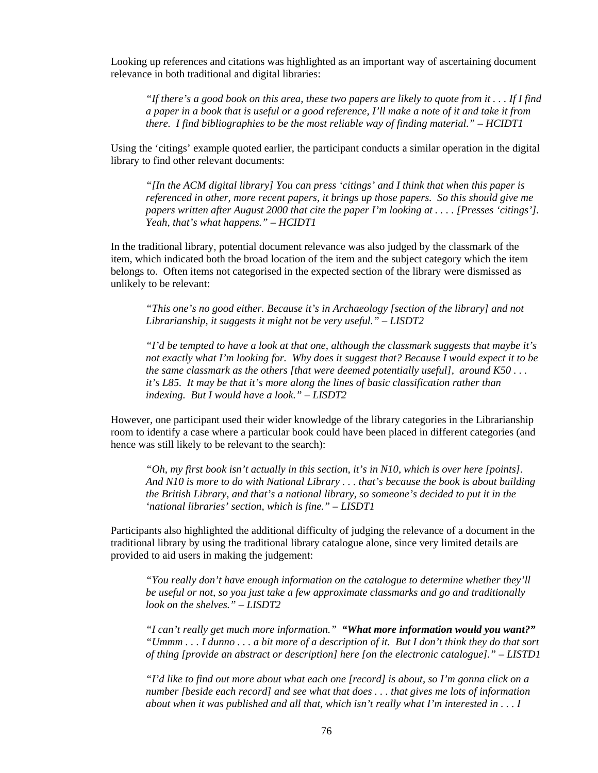Looking up references and citations was highlighted as an important way of ascertaining document relevance in both traditional and digital libraries:

*"If there's a good book on this area, these two papers are likely to quote from it . . . If I find a paper in a book that is useful or a good reference, I'll make a note of it and take it from there. I find bibliographies to be the most reliable way of finding material." – HCIDT1* 

Using the 'citings' example quoted earlier, the participant conducts a similar operation in the digital library to find other relevant documents:

*"[In the ACM digital library] You can press 'citings' and I think that when this paper is referenced in other, more recent papers, it brings up those papers. So this should give me papers written after August 2000 that cite the paper I'm looking at . . . . [Presses 'citings']. Yeah, that's what happens." – HCIDT1* 

In the traditional library, potential document relevance was also judged by the classmark of the item, which indicated both the broad location of the item and the subject category which the item belongs to. Often items not categorised in the expected section of the library were dismissed as unlikely to be relevant:

*"This one's no good either. Because it's in Archaeology [section of the library] and not Librarianship, it suggests it might not be very useful." – LISDT2* 

*"I'd be tempted to have a look at that one, although the classmark suggests that maybe it's not exactly what I'm looking for. Why does it suggest that? Because I would expect it to be the same classmark as the others [that were deemed potentially useful], around K50 . . . it's L85. It may be that it's more along the lines of basic classification rather than indexing. But I would have a look." – LISDT2* 

However, one participant used their wider knowledge of the library categories in the Librarianship room to identify a case where a particular book could have been placed in different categories (and hence was still likely to be relevant to the search):

*"Oh, my first book isn't actually in this section, it's in N10, which is over here [points]. And N10 is more to do with National Library . . . that's because the book is about building the British Library, and that's a national library, so someone's decided to put it in the 'national libraries' section, which is fine." – LISDT1* 

Participants also highlighted the additional difficulty of judging the relevance of a document in the traditional library by using the traditional library catalogue alone, since very limited details are provided to aid users in making the judgement:

*"You really don't have enough information on the catalogue to determine whether they'll be useful or not, so you just take a few approximate classmarks and go and traditionally look on the shelves." – LISDT2* 

*"I can't really get much more information." "What more information would you want?" "Ummm . . . I dunno . . . a bit more of a description of it. But I don't think they do that sort of thing [provide an abstract or description] here [on the electronic catalogue]." – LISTD1* 

*"I'd like to find out more about what each one [record] is about, so I'm gonna click on a number [beside each record] and see what that does . . . that gives me lots of information about when it was published and all that, which isn't really what I'm interested in . . . I*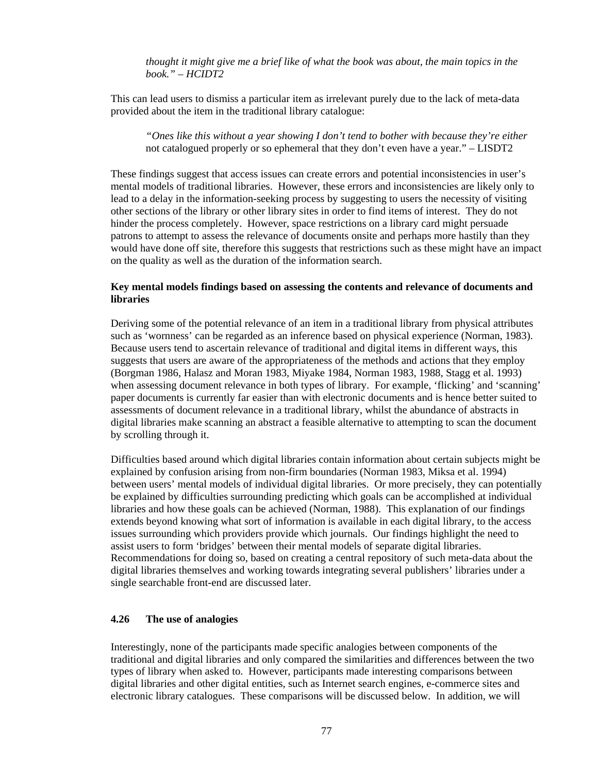*thought it might give me a brief like of what the book was about, the main topics in the book." – HCIDT2* 

This can lead users to dismiss a particular item as irrelevant purely due to the lack of meta-data provided about the item in the traditional library catalogue:

*"Ones like this without a year showing I don't tend to bother with because they're either*  not catalogued properly or so ephemeral that they don't even have a year." – LISDT2

These findings suggest that access issues can create errors and potential inconsistencies in user's mental models of traditional libraries. However, these errors and inconsistencies are likely only to lead to a delay in the information-seeking process by suggesting to users the necessity of visiting other sections of the library or other library sites in order to find items of interest. They do not hinder the process completely. However, space restrictions on a library card might persuade patrons to attempt to assess the relevance of documents onsite and perhaps more hastily than they would have done off site, therefore this suggests that restrictions such as these might have an impact on the quality as well as the duration of the information search.

#### **Key mental models findings based on assessing the contents and relevance of documents and libraries**

Deriving some of the potential relevance of an item in a traditional library from physical attributes such as 'wornness' can be regarded as an inference based on physical experience (Norman, 1983). Because users tend to ascertain relevance of traditional and digital items in different ways, this suggests that users are aware of the appropriateness of the methods and actions that they employ (Borgman 1986, Halasz and Moran 1983, Miyake 1984, Norman 1983, 1988, Stagg et al. 1993) when assessing document relevance in both types of library. For example, 'flicking' and 'scanning' paper documents is currently far easier than with electronic documents and is hence better suited to assessments of document relevance in a traditional library, whilst the abundance of abstracts in digital libraries make scanning an abstract a feasible alternative to attempting to scan the document by scrolling through it.

Difficulties based around which digital libraries contain information about certain subjects might be explained by confusion arising from non-firm boundaries (Norman 1983, Miksa et al. 1994) between users' mental models of individual digital libraries. Or more precisely, they can potentially be explained by difficulties surrounding predicting which goals can be accomplished at individual libraries and how these goals can be achieved (Norman, 1988). This explanation of our findings extends beyond knowing what sort of information is available in each digital library, to the access issues surrounding which providers provide which journals. Our findings highlight the need to assist users to form 'bridges' between their mental models of separate digital libraries. Recommendations for doing so, based on creating a central repository of such meta-data about the digital libraries themselves and working towards integrating several publishers' libraries under a single searchable front-end are discussed later.

#### **4.26 The use of analogies**

Interestingly, none of the participants made specific analogies between components of the traditional and digital libraries and only compared the similarities and differences between the two types of library when asked to. However, participants made interesting comparisons between digital libraries and other digital entities, such as Internet search engines, e-commerce sites and electronic library catalogues. These comparisons will be discussed below. In addition, we will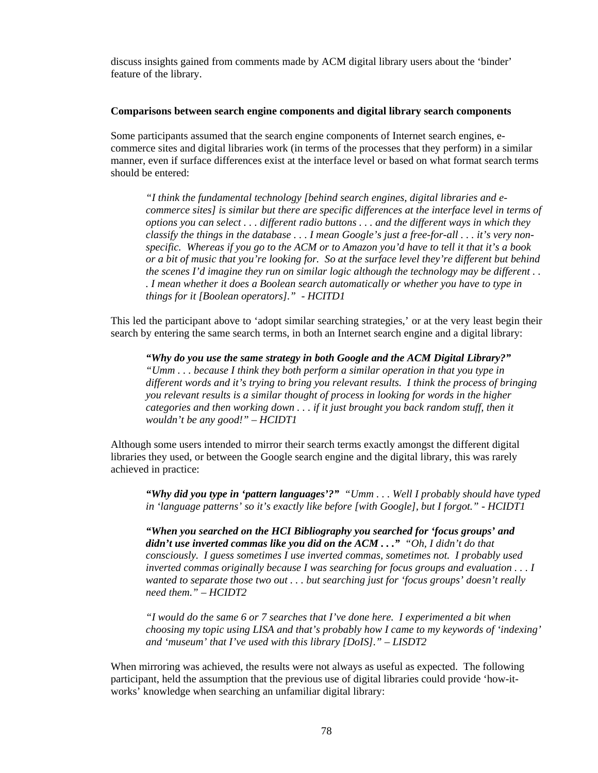discuss insights gained from comments made by ACM digital library users about the 'binder' feature of the library.

#### **Comparisons between search engine components and digital library search components**

Some participants assumed that the search engine components of Internet search engines, ecommerce sites and digital libraries work (in terms of the processes that they perform) in a similar manner, even if surface differences exist at the interface level or based on what format search terms should be entered:

*"I think the fundamental technology [behind search engines, digital libraries and ecommerce sites] is similar but there are specific differences at the interface level in terms of options you can select . . . different radio buttons . . . and the different ways in which they classify the things in the database . . . I mean Google's just a free-for-all . . . it's very nonspecific. Whereas if you go to the ACM or to Amazon you'd have to tell it that it's a book or a bit of music that you're looking for. So at the surface level they're different but behind the scenes I'd imagine they run on similar logic although the technology may be different . . . I mean whether it does a Boolean search automatically or whether you have to type in things for it [Boolean operators]." - HCITD1* 

This led the participant above to 'adopt similar searching strategies,' or at the very least begin their search by entering the same search terms, in both an Internet search engine and a digital library:

*"Why do you use the same strategy in both Google and the ACM Digital Library?" "Umm . . . because I think they both perform a similar operation in that you type in different words and it's trying to bring you relevant results. I think the process of bringing you relevant results is a similar thought of process in looking for words in the higher categories and then working down . . . if it just brought you back random stuff, then it wouldn't be any good!" – HCIDT1* 

Although some users intended to mirror their search terms exactly amongst the different digital libraries they used, or between the Google search engine and the digital library, this was rarely achieved in practice:

*"Why did you type in 'pattern languages'?" "Umm . . . Well I probably should have typed in 'language patterns' so it's exactly like before [with Google], but I forgot." - HCIDT1* 

*"When you searched on the HCI Bibliography you searched for 'focus groups' and didn't use inverted commas like you did on the ACM . . ." "Oh, I didn't do that consciously. I guess sometimes I use inverted commas, sometimes not. I probably used inverted commas originally because I was searching for focus groups and evaluation . . . I wanted to separate those two out . . . but searching just for 'focus groups' doesn't really need them." – HCIDT2* 

*"I would do the same 6 or 7 searches that I've done here. I experimented a bit when choosing my topic using LISA and that's probably how I came to my keywords of 'indexing' and 'museum' that I've used with this library [DoIS]." – LISDT2* 

When mirroring was achieved, the results were not always as useful as expected. The following participant, held the assumption that the previous use of digital libraries could provide 'how-itworks' knowledge when searching an unfamiliar digital library: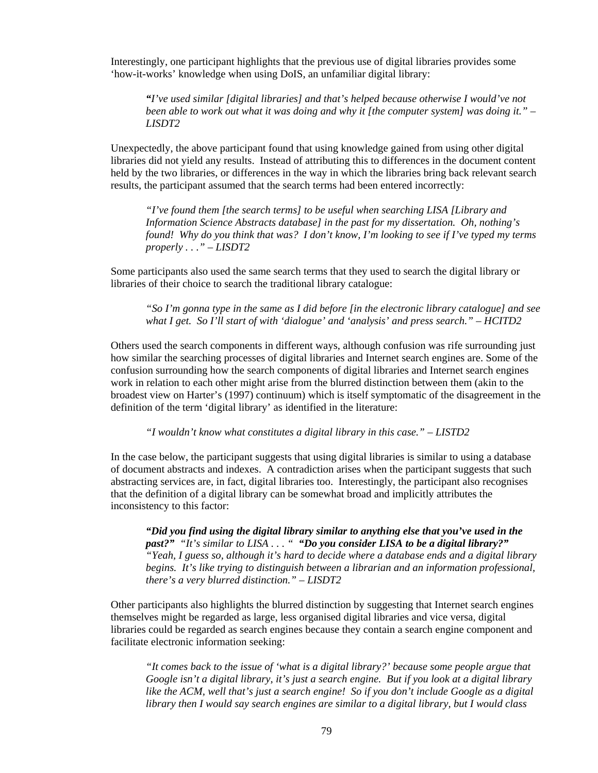Interestingly, one participant highlights that the previous use of digital libraries provides some 'how-it-works' knowledge when using DoIS, an unfamiliar digital library:

*"I've used similar [digital libraries] and that's helped because otherwise I would've not been able to work out what it was doing and why it [the computer system] was doing it." – LISDT2* 

Unexpectedly, the above participant found that using knowledge gained from using other digital libraries did not yield any results. Instead of attributing this to differences in the document content held by the two libraries, or differences in the way in which the libraries bring back relevant search results, the participant assumed that the search terms had been entered incorrectly:

*"I've found them [the search terms] to be useful when searching LISA [Library and Information Science Abstracts database] in the past for my dissertation. Oh, nothing's found! Why do you think that was? I don't know, I'm looking to see if I've typed my terms properly . . ." – LISDT2* 

Some participants also used the same search terms that they used to search the digital library or libraries of their choice to search the traditional library catalogue:

*"So I'm gonna type in the same as I did before [in the electronic library catalogue] and see what I get. So I'll start of with 'dialogue' and 'analysis' and press search." – HCITD2* 

Others used the search components in different ways, although confusion was rife surrounding just how similar the searching processes of digital libraries and Internet search engines are. Some of the confusion surrounding how the search components of digital libraries and Internet search engines work in relation to each other might arise from the blurred distinction between them (akin to the broadest view on Harter's (1997) continuum) which is itself symptomatic of the disagreement in the definition of the term 'digital library' as identified in the literature:

*"I wouldn't know what constitutes a digital library in this case." – LISTD2* 

In the case below, the participant suggests that using digital libraries is similar to using a database of document abstracts and indexes. A contradiction arises when the participant suggests that such abstracting services are, in fact, digital libraries too. Interestingly, the participant also recognises that the definition of a digital library can be somewhat broad and implicitly attributes the inconsistency to this factor:

*"Did you find using the digital library similar to anything else that you've used in the past?" "It's similar to LISA . . . " "Do you consider LISA to be a digital library?" "Yeah, I guess so, although it's hard to decide where a database ends and a digital library begins. It's like trying to distinguish between a librarian and an information professional, there's a very blurred distinction." – LISDT2* 

Other participants also highlights the blurred distinction by suggesting that Internet search engines themselves might be regarded as large, less organised digital libraries and vice versa, digital libraries could be regarded as search engines because they contain a search engine component and facilitate electronic information seeking:

*"It comes back to the issue of 'what is a digital library?' because some people argue that Google isn't a digital library, it's just a search engine. But if you look at a digital library like the ACM, well that's just a search engine! So if you don't include Google as a digital library then I would say search engines are similar to a digital library, but I would class*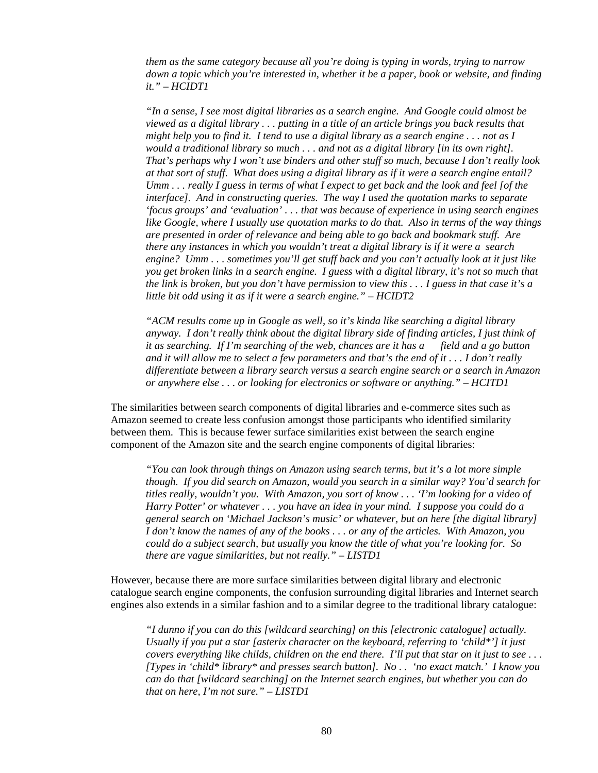*them as the same category because all you're doing is typing in words, trying to narrow down a topic which you're interested in, whether it be a paper, book or website, and finding it." – HCIDT1* 

*"In a sense, I see most digital libraries as a search engine. And Google could almost be viewed as a digital library . . . putting in a title of an article brings you back results that might help you to find it. I tend to use a digital library as a search engine . . . not as I would a traditional library so much . . . and not as a digital library [in its own right]. That's perhaps why I won't use binders and other stuff so much, because I don't really look at that sort of stuff. What does using a digital library as if it were a search engine entail? Umm . . . really I guess in terms of what I expect to get back and the look and feel [of the interface]. And in constructing queries. The way I used the quotation marks to separate 'focus groups' and 'evaluation' . . . that was because of experience in using search engines like Google, where I usually use quotation marks to do that. Also in terms of the way things are presented in order of relevance and being able to go back and bookmark stuff. Are there any instances in which you wouldn't treat a digital library is if it were a search engine? Umm . . . sometimes you'll get stuff back and you can't actually look at it just like you get broken links in a search engine. I guess with a digital library, it's not so much that the link is broken, but you don't have permission to view this . . . I guess in that case it's a little bit odd using it as if it were a search engine." – HCIDT2* 

*"ACM results come up in Google as well, so it's kinda like searching a digital library anyway. I don't really think about the digital library side of finding articles, I just think of it as searching. If I'm searching of the web, chances are it has a field and a go button and it will allow me to select a few parameters and that's the end of it . . . I don't really differentiate between a library search versus a search engine search or a search in Amazon or anywhere else . . . or looking for electronics or software or anything." – HCITD1* 

The similarities between search components of digital libraries and e-commerce sites such as Amazon seemed to create less confusion amongst those participants who identified similarity between them. This is because fewer surface similarities exist between the search engine component of the Amazon site and the search engine components of digital libraries:

*"You can look through things on Amazon using search terms, but it's a lot more simple though. If you did search on Amazon, would you search in a similar way? You'd search for titles really, wouldn't you. With Amazon, you sort of know . . . 'I'm looking for a video of Harry Potter' or whatever . . . you have an idea in your mind. I suppose you could do a general search on 'Michael Jackson's music' or whatever, but on here [the digital library] I don't know the names of any of the books . . . or any of the articles. With Amazon, you could do a subject search, but usually you know the title of what you're looking for. So there are vague similarities, but not really." – LISTD1* 

However, because there are more surface similarities between digital library and electronic catalogue search engine components, the confusion surrounding digital libraries and Internet search engines also extends in a similar fashion and to a similar degree to the traditional library catalogue:

*"I dunno if you can do this [wildcard searching] on this [electronic catalogue] actually. Usually if you put a star [asterix character on the keyboard, referring to 'child\*'] it just covers everything like childs, children on the end there. I'll put that star on it just to see . . . [Types in 'child\* library\* and presses search button]. No . . 'no exact match.' I know you can do that [wildcard searching] on the Internet search engines, but whether you can do that on here, I'm not sure." – LISTD1*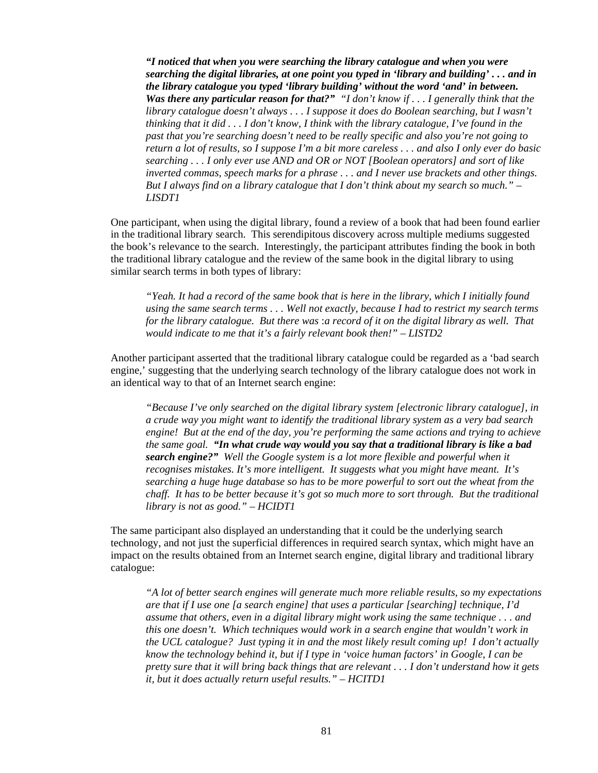*"I noticed that when you were searching the library catalogue and when you were searching the digital libraries, at one point you typed in 'library and building' . . . and in the library catalogue you typed 'library building' without the word 'and' in between. Was there any particular reason for that?" "I don't know if . . . I generally think that the library catalogue doesn't always . . . I suppose it does do Boolean searching, but I wasn't thinking that it did . . . I don't know, I think with the library catalogue, I've found in the past that you're searching doesn't need to be really specific and also you're not going to return a lot of results, so I suppose I'm a bit more careless . . . and also I only ever do basic searching . . . I only ever use AND and OR or NOT [Boolean operators] and sort of like inverted commas, speech marks for a phrase . . . and I never use brackets and other things. But I always find on a library catalogue that I don't think about my search so much." – LISDT1* 

One participant, when using the digital library, found a review of a book that had been found earlier in the traditional library search. This serendipitous discovery across multiple mediums suggested the book's relevance to the search. Interestingly, the participant attributes finding the book in both the traditional library catalogue and the review of the same book in the digital library to using similar search terms in both types of library:

*"Yeah. It had a record of the same book that is here in the library, which I initially found using the same search terms . . . Well not exactly, because I had to restrict my search terms for the library catalogue. But there was* :*a record of it on the digital library as well. That would indicate to me that it's a fairly relevant book then!" – LISTD2* 

Another participant asserted that the traditional library catalogue could be regarded as a 'bad search engine,' suggesting that the underlying search technology of the library catalogue does not work in an identical way to that of an Internet search engine:

*"Because I've only searched on the digital library system [electronic library catalogue], in a crude way you might want to identify the traditional library system as a very bad search engine! But at the end of the day, you're performing the same actions and trying to achieve the same goal. "In what crude way would you say that a traditional library is like a bad search engine?" Well the Google system is a lot more flexible and powerful when it recognises mistakes. It's more intelligent. It suggests what you might have meant. It's searching a huge huge database so has to be more powerful to sort out the wheat from the chaff. It has to be better because it's got so much more to sort through. But the traditional library is not as good." – HCIDT1* 

The same participant also displayed an understanding that it could be the underlying search technology, and not just the superficial differences in required search syntax, which might have an impact on the results obtained from an Internet search engine, digital library and traditional library catalogue:

*"A lot of better search engines will generate much more reliable results, so my expectations are that if I use one [a search engine] that uses a particular [searching] technique, I'd assume that others, even in a digital library might work using the same technique . . . and this one doesn't. Which techniques would work in a search engine that wouldn't work in the UCL catalogue? Just typing it in and the most likely result coming up! I don't actually know the technology behind it, but if I type in 'voice human factors' in Google, I can be pretty sure that it will bring back things that are relevant . . . I don't understand how it gets it, but it does actually return useful results." – HCITD1*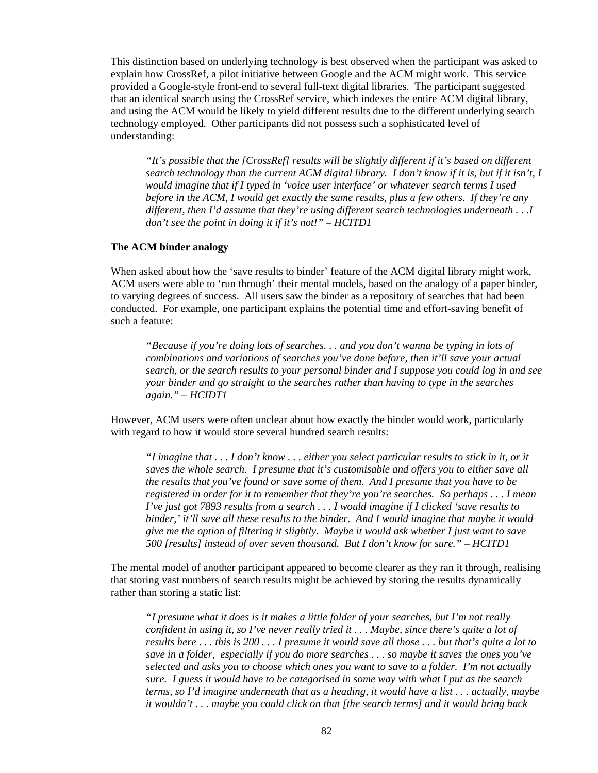This distinction based on underlying technology is best observed when the participant was asked to explain how CrossRef, a pilot initiative between Google and the ACM might work. This service provided a Google-style front-end to several full-text digital libraries. The participant suggested that an identical search using the CrossRef service, which indexes the entire ACM digital library, and using the ACM would be likely to yield different results due to the different underlying search technology employed. Other participants did not possess such a sophisticated level of understanding:

*"It's possible that the [CrossRef] results will be slightly different if it's based on different search technology than the current ACM digital library. I don't know if it is, but if it isn't, I would imagine that if I typed in 'voice user interface' or whatever search terms I used before in the ACM, I would get exactly the same results, plus a few others. If they're any different, then I'd assume that they're using different search technologies underneath . . .I don't see the point in doing it if it's not!" – HCITD1* 

#### **The ACM binder analogy**

When asked about how the 'save results to binder' feature of the ACM digital library might work, ACM users were able to 'run through' their mental models, based on the analogy of a paper binder, to varying degrees of success. All users saw the binder as a repository of searches that had been conducted. For example, one participant explains the potential time and effort-saving benefit of such a feature:

*"Because if you're doing lots of searches. . . and you don't wanna be typing in lots of combinations and variations of searches you've done before, then it'll save your actual search, or the search results to your personal binder and I suppose you could log in and see your binder and go straight to the searches rather than having to type in the searches again." – HCIDT1* 

However, ACM users were often unclear about how exactly the binder would work, particularly with regard to how it would store several hundred search results:

*"I imagine that . . . I don't know . . . either you select particular results to stick in it, or it saves the whole search. I presume that it's customisable and offers you to either save all the results that you've found or save some of them. And I presume that you have to be registered in order for it to remember that they're you're searches. So perhaps . . . I mean I've just got 7893 results from a search . . . I would imagine if I clicked 'save results to binder,' it'll save all these results to the binder. And I would imagine that maybe it would give me the option of filtering it slightly. Maybe it would ask whether I just want to save 500 [results] instead of over seven thousand. But I don't know for sure." – HCITD1* 

The mental model of another participant appeared to become clearer as they ran it through, realising that storing vast numbers of search results might be achieved by storing the results dynamically rather than storing a static list:

*"I presume what it does is it makes a little folder of your searches, but I'm not really confident in using it, so I've never really tried it . . . Maybe, since there's quite a lot of results here . . . this is 200 . . . I presume it would save all those . . . but that's quite a lot to save in a folder, especially if you do more searches . . . so maybe it saves the ones you've selected and asks you to choose which ones you want to save to a folder. I'm not actually sure. I guess it would have to be categorised in some way with what I put as the search terms, so I'd imagine underneath that as a heading, it would have a list . . . actually, maybe it wouldn't . . . maybe you could click on that [the search terms] and it would bring back*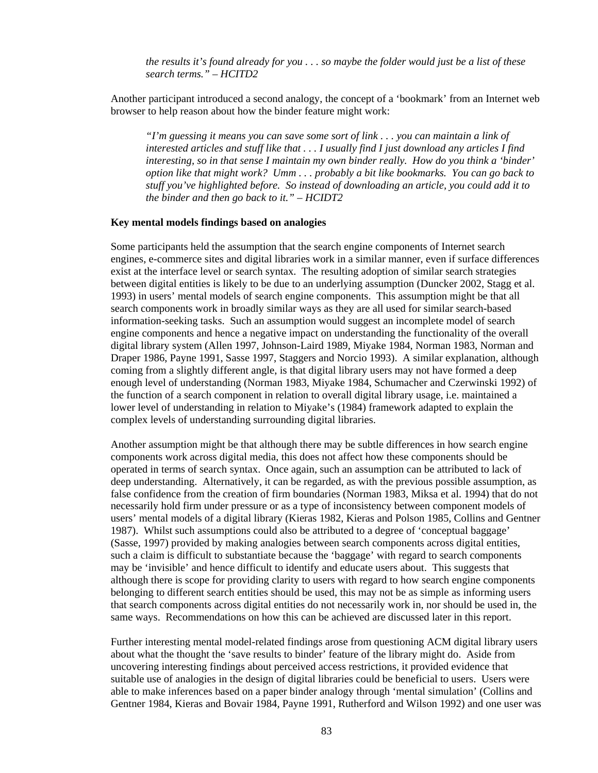*the results it's found already for you . . . so maybe the folder would just be a list of these search terms." – HCITD2* 

Another participant introduced a second analogy, the concept of a 'bookmark' from an Internet web browser to help reason about how the binder feature might work:

*"I'm guessing it means you can save some sort of link . . . you can maintain a link of interested articles and stuff like that . . . I usually find I just download any articles I find interesting, so in that sense I maintain my own binder really. How do you think a 'binder' option like that might work? Umm . . . probably a bit like bookmarks. You can go back to stuff you've highlighted before. So instead of downloading an article, you could add it to the binder and then go back to it." – HCIDT2* 

#### **Key mental models findings based on analogies**

Some participants held the assumption that the search engine components of Internet search engines, e-commerce sites and digital libraries work in a similar manner, even if surface differences exist at the interface level or search syntax. The resulting adoption of similar search strategies between digital entities is likely to be due to an underlying assumption (Duncker 2002, Stagg et al. 1993) in users' mental models of search engine components. This assumption might be that all search components work in broadly similar ways as they are all used for similar search-based information-seeking tasks. Such an assumption would suggest an incomplete model of search engine components and hence a negative impact on understanding the functionality of the overall digital library system (Allen 1997, Johnson-Laird 1989, Miyake 1984, Norman 1983, Norman and Draper 1986, Payne 1991, Sasse 1997, Staggers and Norcio 1993). A similar explanation, although coming from a slightly different angle, is that digital library users may not have formed a deep enough level of understanding (Norman 1983, Miyake 1984, Schumacher and Czerwinski 1992) of the function of a search component in relation to overall digital library usage, i.e. maintained a lower level of understanding in relation to Miyake's (1984) framework adapted to explain the complex levels of understanding surrounding digital libraries.

Another assumption might be that although there may be subtle differences in how search engine components work across digital media, this does not affect how these components should be operated in terms of search syntax. Once again, such an assumption can be attributed to lack of deep understanding. Alternatively, it can be regarded, as with the previous possible assumption, as false confidence from the creation of firm boundaries (Norman 1983, Miksa et al. 1994) that do not necessarily hold firm under pressure or as a type of inconsistency between component models of users' mental models of a digital library (Kieras 1982, Kieras and Polson 1985, Collins and Gentner 1987). Whilst such assumptions could also be attributed to a degree of 'conceptual baggage' (Sasse, 1997) provided by making analogies between search components across digital entities, such a claim is difficult to substantiate because the 'baggage' with regard to search components may be 'invisible' and hence difficult to identify and educate users about. This suggests that although there is scope for providing clarity to users with regard to how search engine components belonging to different search entities should be used, this may not be as simple as informing users that search components across digital entities do not necessarily work in, nor should be used in, the same ways. Recommendations on how this can be achieved are discussed later in this report.

Further interesting mental model-related findings arose from questioning ACM digital library users about what the thought the 'save results to binder' feature of the library might do. Aside from uncovering interesting findings about perceived access restrictions, it provided evidence that suitable use of analogies in the design of digital libraries could be beneficial to users. Users were able to make inferences based on a paper binder analogy through 'mental simulation' (Collins and Gentner 1984, Kieras and Bovair 1984, Payne 1991, Rutherford and Wilson 1992) and one user was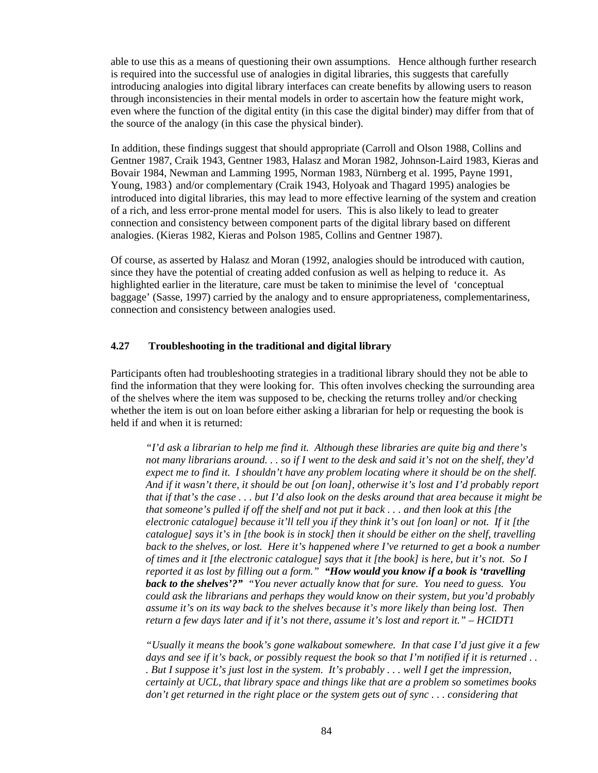able to use this as a means of questioning their own assumptions. Hence although further research is required into the successful use of analogies in digital libraries, this suggests that carefully introducing analogies into digital library interfaces can create benefits by allowing users to reason through inconsistencies in their mental models in order to ascertain how the feature might work, even where the function of the digital entity (in this case the digital binder) may differ from that of the source of the analogy (in this case the physical binder).

In addition, these findings suggest that should appropriate (Carroll and Olson 1988, Collins and Gentner 1987, Craik 1943, Gentner 1983, Halasz and Moran 1982, Johnson-Laird 1983, Kieras and Bovair 1984, Newman and Lamming 1995, Norman 1983, Nürnberg et al. 1995, Payne 1991, Young, 1983) and/or complementary (Craik 1943, Holyoak and Thagard 1995) analogies be introduced into digital libraries, this may lead to more effective learning of the system and creation of a rich, and less error-prone mental model for users. This is also likely to lead to greater connection and consistency between component parts of the digital library based on different analogies. (Kieras 1982, Kieras and Polson 1985, Collins and Gentner 1987).

Of course, as asserted by Halasz and Moran (1992, analogies should be introduced with caution, since they have the potential of creating added confusion as well as helping to reduce it. As highlighted earlier in the literature, care must be taken to minimise the level of 'conceptual baggage' (Sasse, 1997) carried by the analogy and to ensure appropriateness, complementariness, connection and consistency between analogies used.

#### **4.27 Troubleshooting in the traditional and digital library**

Participants often had troubleshooting strategies in a traditional library should they not be able to find the information that they were looking for. This often involves checking the surrounding area of the shelves where the item was supposed to be, checking the returns trolley and/or checking whether the item is out on loan before either asking a librarian for help or requesting the book is held if and when it is returned:

*"I'd ask a librarian to help me find it. Although these libraries are quite big and there's not many librarians around. . . so if I went to the desk and said it's not on the shelf, they'd expect me to find it. I shouldn't have any problem locating where it should be on the shelf. And if it wasn't there, it should be out [on loan], otherwise it's lost and I'd probably report that if that's the case . . . but I'd also look on the desks around that area because it might be that someone's pulled if off the shelf and not put it back . . . and then look at this [the electronic catalogue] because it'll tell you if they think it's out [on loan] or not. If it [the catalogue] says it's in [the book is in stock] then it should be either on the shelf, travelling back to the shelves, or lost. Here it's happened where I've returned to get a book a number of times and it [the electronic catalogue] says that it [the book] is here, but it's not. So I reported it as lost by filling out a form." "How would you know if a book is 'travelling back to the shelves'?" "You never actually know that for sure. You need to guess. You could ask the librarians and perhaps they would know on their system, but you'd probably assume it's on its way back to the shelves because it's more likely than being lost. Then return a few days later and if it's not there, assume it's lost and report it." – HCIDT1* 

*"Usually it means the book's gone walkabout somewhere. In that case I'd just give it a few days and see if it's back, or possibly request the book so that I'm notified if it is returned . . . But I suppose it's just lost in the system. It's probably . . . well I get the impression, certainly at UCL, that library space and things like that are a problem so sometimes books don't get returned in the right place or the system gets out of sync . . . considering that*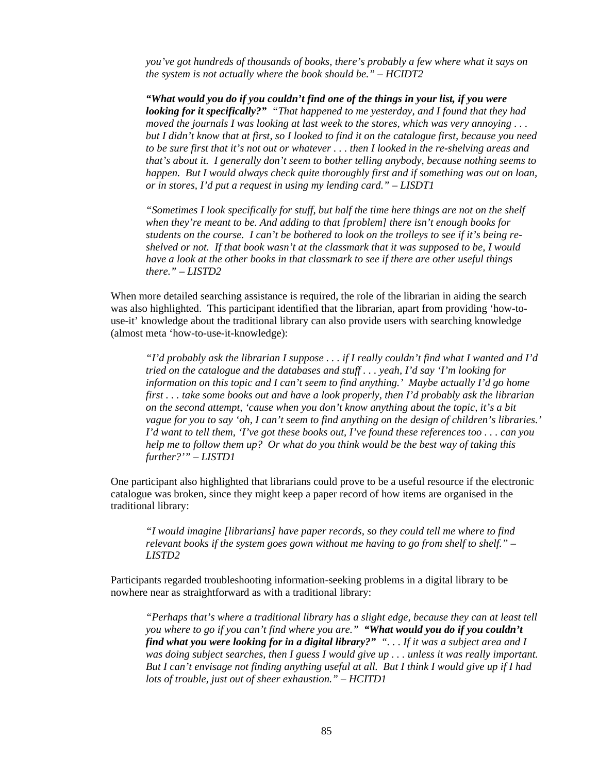*you've got hundreds of thousands of books, there's probably a few where what it says on the system is not actually where the book should be." – HCIDT2* 

*"What would you do if you couldn't find one of the things in your list, if you were looking for it specifically?" "That happened to me yesterday, and I found that they had moved the journals I was looking at last week to the stores, which was very annoying . . . but I didn't know that at first, so I looked to find it on the catalogue first, because you need to be sure first that it's not out or whatever . . . then I looked in the re-shelving areas and that's about it. I generally don't seem to bother telling anybody, because nothing seems to happen. But I would always check quite thoroughly first and if something was out on loan, or in stores, I'd put a request in using my lending card." – LISDT1* 

*"Sometimes I look specifically for stuff, but half the time here things are not on the shelf when they're meant to be. And adding to that [problem] there isn't enough books for students on the course. I can't be bothered to look on the trolleys to see if it's being reshelved or not. If that book wasn't at the classmark that it was supposed to be, I would have a look at the other books in that classmark to see if there are other useful things there." – LISTD2* 

When more detailed searching assistance is required, the role of the librarian in aiding the search was also highlighted. This participant identified that the librarian, apart from providing 'how-touse-it' knowledge about the traditional library can also provide users with searching knowledge (almost meta 'how-to-use-it-knowledge):

*"I'd probably ask the librarian I suppose . . . if I really couldn't find what I wanted and I'd tried on the catalogue and the databases and stuff . . . yeah, I'd say 'I'm looking for information on this topic and I can't seem to find anything.' Maybe actually I'd go home first . . . take some books out and have a look properly, then I'd probably ask the librarian on the second attempt, 'cause when you don't know anything about the topic, it's a bit vague for you to say 'oh, I can't seem to find anything on the design of children's libraries.' I'd want to tell them, 'I've got these books out, I've found these references too . . . can you help me to follow them up? Or what do you think would be the best way of taking this further?'" – LISTD1* 

One participant also highlighted that librarians could prove to be a useful resource if the electronic catalogue was broken, since they might keep a paper record of how items are organised in the traditional library:

*"I would imagine [librarians] have paper records, so they could tell me where to find relevant books if the system goes gown without me having to go from shelf to shelf." – LISTD2* 

Participants regarded troubleshooting information-seeking problems in a digital library to be nowhere near as straightforward as with a traditional library:

*"Perhaps that's where a traditional library has a slight edge, because they can at least tell you where to go if you can't find where you are." "What would you do if you couldn't find what you were looking for in a digital library?" ". . . If it was a subject area and I was doing subject searches, then I guess I would give up . . . unless it was really important. But I can't envisage not finding anything useful at all. But I think I would give up if I had lots of trouble, just out of sheer exhaustion." – HCITD1*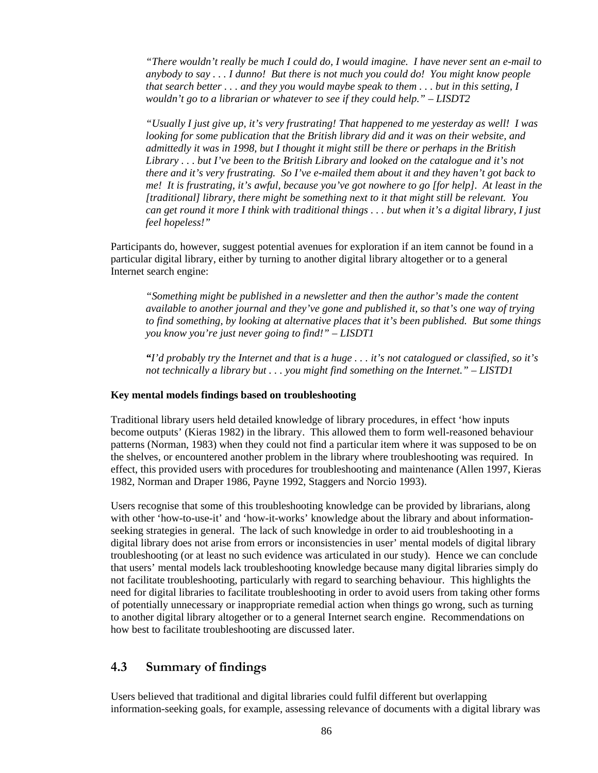*"There wouldn't really be much I could do, I would imagine. I have never sent an e-mail to anybody to say . . . I dunno! But there is not much you could do! You might know people that search better . . . and they you would maybe speak to them . . . but in this setting, I wouldn't go to a librarian or whatever to see if they could help." – LISDT2* 

*"Usually I just give up, it's very frustrating! That happened to me yesterday as well! I was looking for some publication that the British library did and it was on their website, and admittedly it was in 1998, but I thought it might still be there or perhaps in the British Library . . . but I've been to the British Library and looked on the catalogue and it's not there and it's very frustrating. So I've e-mailed them about it and they haven't got back to me! It is frustrating, it's awful, because you've got nowhere to go [for help]. At least in the [traditional] library, there might be something next to it that might still be relevant. You can get round it more I think with traditional things . . . but when it's a digital library, I just feel hopeless!"* 

Participants do, however, suggest potential avenues for exploration if an item cannot be found in a particular digital library, either by turning to another digital library altogether or to a general Internet search engine:

*"Something might be published in a newsletter and then the author's made the content available to another journal and they've gone and published it, so that's one way of trying to find something, by looking at alternative places that it's been published. But some things you know you're just never going to find!" – LISDT1* 

*"I'd probably try the Internet and that is a huge . . . it's not catalogued or classified, so it's not technically a library but . . . you might find something on the Internet." – LISTD1* 

#### **Key mental models findings based on troubleshooting**

Traditional library users held detailed knowledge of library procedures, in effect 'how inputs become outputs' (Kieras 1982) in the library. This allowed them to form well-reasoned behaviour patterns (Norman, 1983) when they could not find a particular item where it was supposed to be on the shelves, or encountered another problem in the library where troubleshooting was required. In effect, this provided users with procedures for troubleshooting and maintenance (Allen 1997, Kieras 1982, Norman and Draper 1986, Payne 1992, Staggers and Norcio 1993).

Users recognise that some of this troubleshooting knowledge can be provided by librarians, along with other 'how-to-use-it' and 'how-it-works' knowledge about the library and about informationseeking strategies in general. The lack of such knowledge in order to aid troubleshooting in a digital library does not arise from errors or inconsistencies in user' mental models of digital library troubleshooting (or at least no such evidence was articulated in our study). Hence we can conclude that users' mental models lack troubleshooting knowledge because many digital libraries simply do not facilitate troubleshooting, particularly with regard to searching behaviour. This highlights the need for digital libraries to facilitate troubleshooting in order to avoid users from taking other forms of potentially unnecessary or inappropriate remedial action when things go wrong, such as turning to another digital library altogether or to a general Internet search engine. Recommendations on how best to facilitate troubleshooting are discussed later.

### **4.3 Summary of findings**

Users believed that traditional and digital libraries could fulfil different but overlapping information-seeking goals, for example, assessing relevance of documents with a digital library was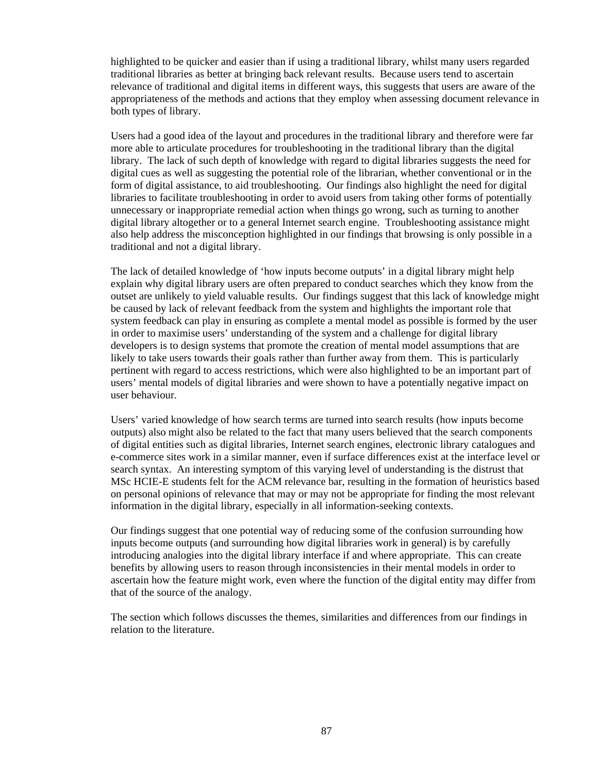highlighted to be quicker and easier than if using a traditional library, whilst many users regarded traditional libraries as better at bringing back relevant results. Because users tend to ascertain relevance of traditional and digital items in different ways, this suggests that users are aware of the appropriateness of the methods and actions that they employ when assessing document relevance in both types of library.

Users had a good idea of the layout and procedures in the traditional library and therefore were far more able to articulate procedures for troubleshooting in the traditional library than the digital library. The lack of such depth of knowledge with regard to digital libraries suggests the need for digital cues as well as suggesting the potential role of the librarian, whether conventional or in the form of digital assistance, to aid troubleshooting. Our findings also highlight the need for digital libraries to facilitate troubleshooting in order to avoid users from taking other forms of potentially unnecessary or inappropriate remedial action when things go wrong, such as turning to another digital library altogether or to a general Internet search engine. Troubleshooting assistance might also help address the misconception highlighted in our findings that browsing is only possible in a traditional and not a digital library.

The lack of detailed knowledge of 'how inputs become outputs' in a digital library might help explain why digital library users are often prepared to conduct searches which they know from the outset are unlikely to yield valuable results. Our findings suggest that this lack of knowledge might be caused by lack of relevant feedback from the system and highlights the important role that system feedback can play in ensuring as complete a mental model as possible is formed by the user in order to maximise users' understanding of the system and a challenge for digital library developers is to design systems that promote the creation of mental model assumptions that are likely to take users towards their goals rather than further away from them. This is particularly pertinent with regard to access restrictions, which were also highlighted to be an important part of users' mental models of digital libraries and were shown to have a potentially negative impact on user behaviour.

Users' varied knowledge of how search terms are turned into search results (how inputs become outputs) also might also be related to the fact that many users believed that the search components of digital entities such as digital libraries, Internet search engines, electronic library catalogues and e-commerce sites work in a similar manner, even if surface differences exist at the interface level or search syntax. An interesting symptom of this varying level of understanding is the distrust that MSc HCIE-E students felt for the ACM relevance bar, resulting in the formation of heuristics based on personal opinions of relevance that may or may not be appropriate for finding the most relevant information in the digital library, especially in all information-seeking contexts.

Our findings suggest that one potential way of reducing some of the confusion surrounding how inputs become outputs (and surrounding how digital libraries work in general) is by carefully introducing analogies into the digital library interface if and where appropriate. This can create benefits by allowing users to reason through inconsistencies in their mental models in order to ascertain how the feature might work, even where the function of the digital entity may differ from that of the source of the analogy.

The section which follows discusses the themes, similarities and differences from our findings in relation to the literature.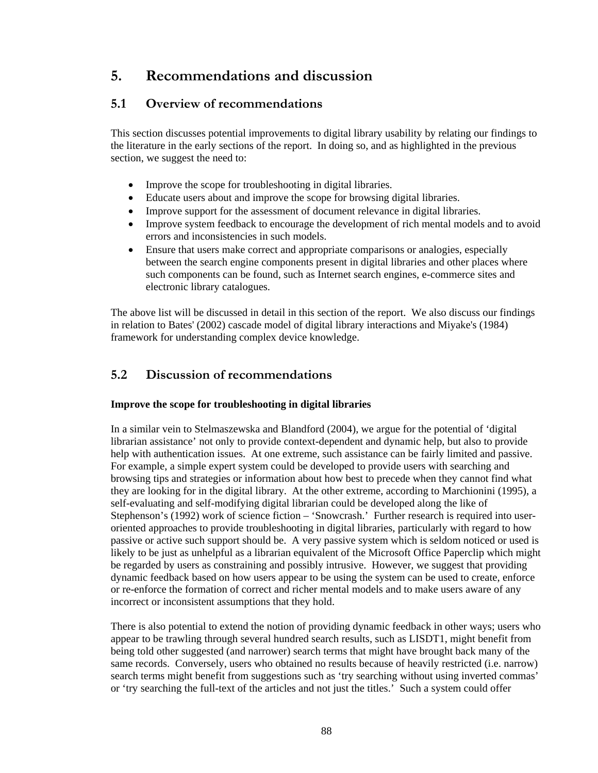# **5. Recommendations and discussion**

## **5.1 Overview of recommendations**

This section discusses potential improvements to digital library usability by relating our findings to the literature in the early sections of the report. In doing so, and as highlighted in the previous section, we suggest the need to:

- Improve the scope for troubleshooting in digital libraries.
- Educate users about and improve the scope for browsing digital libraries.
- Improve support for the assessment of document relevance in digital libraries.
- Improve system feedback to encourage the development of rich mental models and to avoid errors and inconsistencies in such models.
- Ensure that users make correct and appropriate comparisons or analogies, especially between the search engine components present in digital libraries and other places where such components can be found, such as Internet search engines, e-commerce sites and electronic library catalogues.

The above list will be discussed in detail in this section of the report. We also discuss our findings in relation to Bates' (2002) cascade model of digital library interactions and Miyake's (1984) framework for understanding complex device knowledge.

## **5.2 Discussion of recommendations**

### **Improve the scope for troubleshooting in digital libraries**

In a similar vein to Stelmaszewska and Blandford (2004), we argue for the potential of 'digital librarian assistance' not only to provide context-dependent and dynamic help, but also to provide help with authentication issues. At one extreme, such assistance can be fairly limited and passive. For example, a simple expert system could be developed to provide users with searching and browsing tips and strategies or information about how best to precede when they cannot find what they are looking for in the digital library. At the other extreme, according to Marchionini (1995), a self-evaluating and self-modifying digital librarian could be developed along the like of Stephenson's (1992) work of science fiction – 'Snowcrash.' Further research is required into useroriented approaches to provide troubleshooting in digital libraries, particularly with regard to how passive or active such support should be. A very passive system which is seldom noticed or used is likely to be just as unhelpful as a librarian equivalent of the Microsoft Office Paperclip which might be regarded by users as constraining and possibly intrusive. However, we suggest that providing dynamic feedback based on how users appear to be using the system can be used to create, enforce or re-enforce the formation of correct and richer mental models and to make users aware of any incorrect or inconsistent assumptions that they hold.

There is also potential to extend the notion of providing dynamic feedback in other ways; users who appear to be trawling through several hundred search results, such as LISDT1, might benefit from being told other suggested (and narrower) search terms that might have brought back many of the same records. Conversely, users who obtained no results because of heavily restricted (i.e. narrow) search terms might benefit from suggestions such as 'try searching without using inverted commas' or 'try searching the full-text of the articles and not just the titles.' Such a system could offer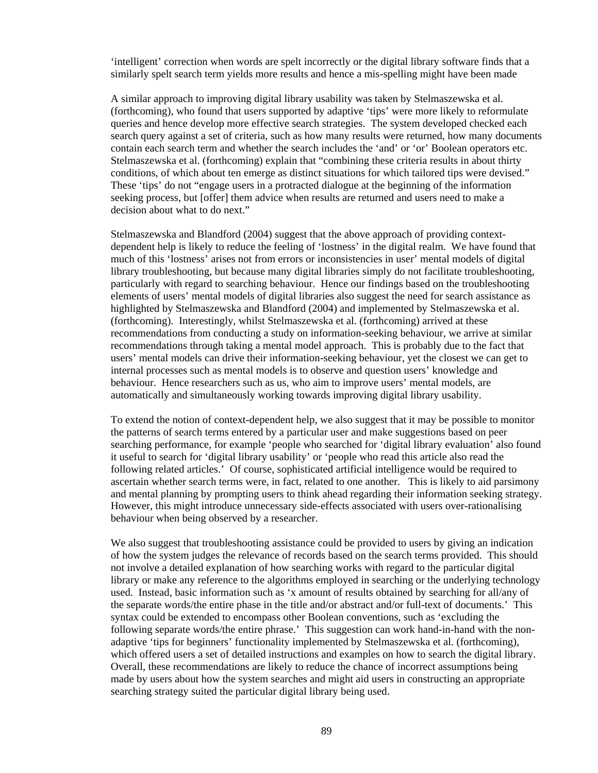'intelligent' correction when words are spelt incorrectly or the digital library software finds that a similarly spelt search term yields more results and hence a mis-spelling might have been made

A similar approach to improving digital library usability was taken by Stelmaszewska et al. (forthcoming), who found that users supported by adaptive 'tips' were more likely to reformulate queries and hence develop more effective search strategies. The system developed checked each search query against a set of criteria, such as how many results were returned, how many documents contain each search term and whether the search includes the 'and' or 'or' Boolean operators etc. Stelmaszewska et al. (forthcoming) explain that "combining these criteria results in about thirty conditions, of which about ten emerge as distinct situations for which tailored tips were devised." These 'tips' do not "engage users in a protracted dialogue at the beginning of the information seeking process, but [offer] them advice when results are returned and users need to make a decision about what to do next."

Stelmaszewska and Blandford (2004) suggest that the above approach of providing contextdependent help is likely to reduce the feeling of 'lostness' in the digital realm. We have found that much of this 'lostness' arises not from errors or inconsistencies in user' mental models of digital library troubleshooting, but because many digital libraries simply do not facilitate troubleshooting, particularly with regard to searching behaviour. Hence our findings based on the troubleshooting elements of users' mental models of digital libraries also suggest the need for search assistance as highlighted by Stelmaszewska and Blandford (2004) and implemented by Stelmaszewska et al. (forthcoming). Interestingly, whilst Stelmaszewska et al. (forthcoming) arrived at these recommendations from conducting a study on information-seeking behaviour, we arrive at similar recommendations through taking a mental model approach. This is probably due to the fact that users' mental models can drive their information-seeking behaviour, yet the closest we can get to internal processes such as mental models is to observe and question users' knowledge and behaviour. Hence researchers such as us, who aim to improve users' mental models, are automatically and simultaneously working towards improving digital library usability.

To extend the notion of context-dependent help, we also suggest that it may be possible to monitor the patterns of search terms entered by a particular user and make suggestions based on peer searching performance, for example 'people who searched for 'digital library evaluation' also found it useful to search for 'digital library usability' or 'people who read this article also read the following related articles.' Of course, sophisticated artificial intelligence would be required to ascertain whether search terms were, in fact, related to one another. This is likely to aid parsimony and mental planning by prompting users to think ahead regarding their information seeking strategy. However, this might introduce unnecessary side-effects associated with users over-rationalising behaviour when being observed by a researcher.

We also suggest that troubleshooting assistance could be provided to users by giving an indication of how the system judges the relevance of records based on the search terms provided. This should not involve a detailed explanation of how searching works with regard to the particular digital library or make any reference to the algorithms employed in searching or the underlying technology used. Instead, basic information such as 'x amount of results obtained by searching for all/any of the separate words/the entire phase in the title and/or abstract and/or full-text of documents.' This syntax could be extended to encompass other Boolean conventions, such as 'excluding the following separate words/the entire phrase.' This suggestion can work hand-in-hand with the nonadaptive 'tips for beginners' functionality implemented by Stelmaszewska et al. (forthcoming), which offered users a set of detailed instructions and examples on how to search the digital library. Overall, these recommendations are likely to reduce the chance of incorrect assumptions being made by users about how the system searches and might aid users in constructing an appropriate searching strategy suited the particular digital library being used.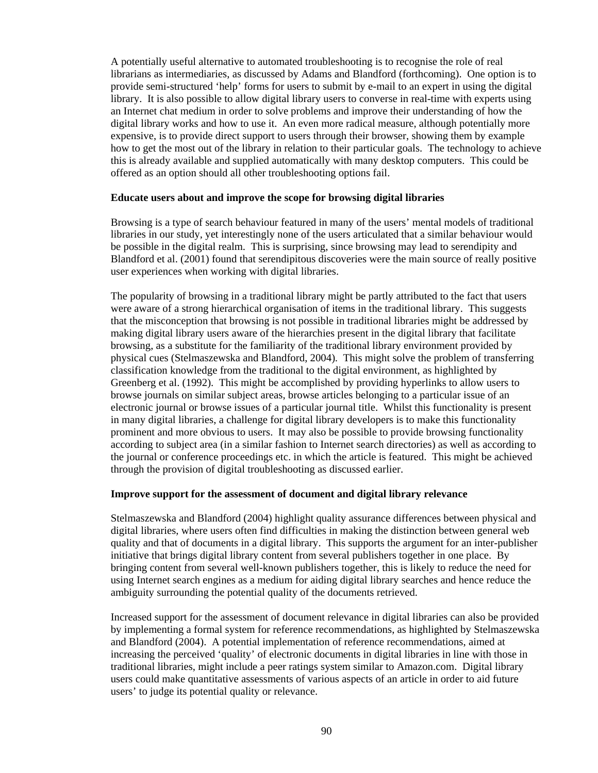A potentially useful alternative to automated troubleshooting is to recognise the role of real librarians as intermediaries, as discussed by Adams and Blandford (forthcoming). One option is to provide semi-structured 'help' forms for users to submit by e-mail to an expert in using the digital library. It is also possible to allow digital library users to converse in real-time with experts using an Internet chat medium in order to solve problems and improve their understanding of how the digital library works and how to use it. An even more radical measure, although potentially more expensive, is to provide direct support to users through their browser, showing them by example how to get the most out of the library in relation to their particular goals. The technology to achieve this is already available and supplied automatically with many desktop computers. This could be offered as an option should all other troubleshooting options fail.

#### **Educate users about and improve the scope for browsing digital libraries**

Browsing is a type of search behaviour featured in many of the users' mental models of traditional libraries in our study, yet interestingly none of the users articulated that a similar behaviour would be possible in the digital realm. This is surprising, since browsing may lead to serendipity and Blandford et al. (2001) found that serendipitous discoveries were the main source of really positive user experiences when working with digital libraries.

The popularity of browsing in a traditional library might be partly attributed to the fact that users were aware of a strong hierarchical organisation of items in the traditional library. This suggests that the misconception that browsing is not possible in traditional libraries might be addressed by making digital library users aware of the hierarchies present in the digital library that facilitate browsing, as a substitute for the familiarity of the traditional library environment provided by physical cues (Stelmaszewska and Blandford, 2004). This might solve the problem of transferring classification knowledge from the traditional to the digital environment, as highlighted by Greenberg et al. (1992). This might be accomplished by providing hyperlinks to allow users to browse journals on similar subject areas, browse articles belonging to a particular issue of an electronic journal or browse issues of a particular journal title. Whilst this functionality is present in many digital libraries, a challenge for digital library developers is to make this functionality prominent and more obvious to users. It may also be possible to provide browsing functionality according to subject area (in a similar fashion to Internet search directories) as well as according to the journal or conference proceedings etc. in which the article is featured. This might be achieved through the provision of digital troubleshooting as discussed earlier.

#### **Improve support for the assessment of document and digital library relevance**

Stelmaszewska and Blandford (2004) highlight quality assurance differences between physical and digital libraries, where users often find difficulties in making the distinction between general web quality and that of documents in a digital library. This supports the argument for an inter-publisher initiative that brings digital library content from several publishers together in one place. By bringing content from several well-known publishers together, this is likely to reduce the need for using Internet search engines as a medium for aiding digital library searches and hence reduce the ambiguity surrounding the potential quality of the documents retrieved.

Increased support for the assessment of document relevance in digital libraries can also be provided by implementing a formal system for reference recommendations, as highlighted by Stelmaszewska and Blandford (2004). A potential implementation of reference recommendations, aimed at increasing the perceived 'quality' of electronic documents in digital libraries in line with those in traditional libraries, might include a peer ratings system similar to Amazon.com. Digital library users could make quantitative assessments of various aspects of an article in order to aid future users' to judge its potential quality or relevance.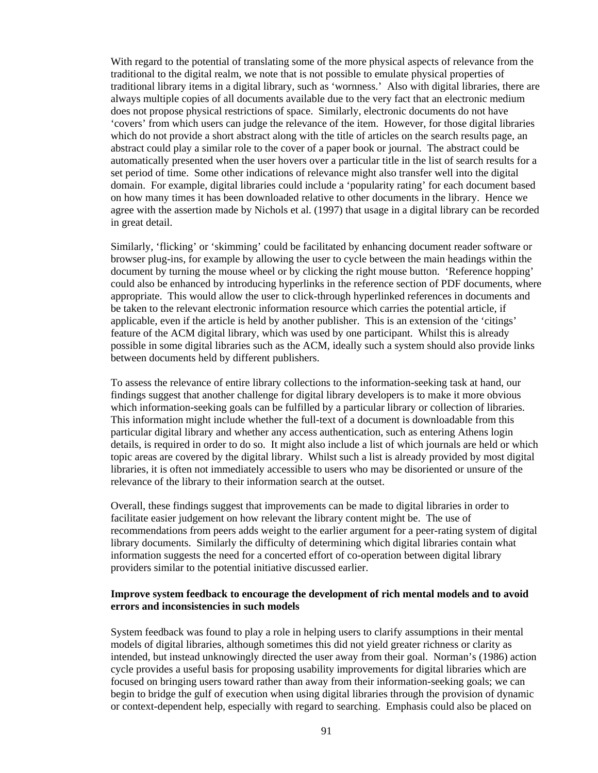With regard to the potential of translating some of the more physical aspects of relevance from the traditional to the digital realm, we note that is not possible to emulate physical properties of traditional library items in a digital library, such as 'wornness.' Also with digital libraries, there are always multiple copies of all documents available due to the very fact that an electronic medium does not propose physical restrictions of space. Similarly, electronic documents do not have 'covers' from which users can judge the relevance of the item. However, for those digital libraries which do not provide a short abstract along with the title of articles on the search results page, an abstract could play a similar role to the cover of a paper book or journal. The abstract could be automatically presented when the user hovers over a particular title in the list of search results for a set period of time. Some other indications of relevance might also transfer well into the digital domain. For example, digital libraries could include a 'popularity rating' for each document based on how many times it has been downloaded relative to other documents in the library. Hence we agree with the assertion made by Nichols et al. (1997) that usage in a digital library can be recorded in great detail.

Similarly, 'flicking' or 'skimming' could be facilitated by enhancing document reader software or browser plug-ins, for example by allowing the user to cycle between the main headings within the document by turning the mouse wheel or by clicking the right mouse button. 'Reference hopping' could also be enhanced by introducing hyperlinks in the reference section of PDF documents, where appropriate. This would allow the user to click-through hyperlinked references in documents and be taken to the relevant electronic information resource which carries the potential article, if applicable, even if the article is held by another publisher. This is an extension of the 'citings' feature of the ACM digital library, which was used by one participant. Whilst this is already possible in some digital libraries such as the ACM, ideally such a system should also provide links between documents held by different publishers.

To assess the relevance of entire library collections to the information-seeking task at hand, our findings suggest that another challenge for digital library developers is to make it more obvious which information-seeking goals can be fulfilled by a particular library or collection of libraries. This information might include whether the full-text of a document is downloadable from this particular digital library and whether any access authentication, such as entering Athens login details, is required in order to do so. It might also include a list of which journals are held or which topic areas are covered by the digital library. Whilst such a list is already provided by most digital libraries, it is often not immediately accessible to users who may be disoriented or unsure of the relevance of the library to their information search at the outset.

Overall, these findings suggest that improvements can be made to digital libraries in order to facilitate easier judgement on how relevant the library content might be. The use of recommendations from peers adds weight to the earlier argument for a peer-rating system of digital library documents. Similarly the difficulty of determining which digital libraries contain what information suggests the need for a concerted effort of co-operation between digital library providers similar to the potential initiative discussed earlier.

#### **Improve system feedback to encourage the development of rich mental models and to avoid errors and inconsistencies in such models**

System feedback was found to play a role in helping users to clarify assumptions in their mental models of digital libraries, although sometimes this did not yield greater richness or clarity as intended, but instead unknowingly directed the user away from their goal. Norman's (1986) action cycle provides a useful basis for proposing usability improvements for digital libraries which are focused on bringing users toward rather than away from their information-seeking goals; we can begin to bridge the gulf of execution when using digital libraries through the provision of dynamic or context-dependent help, especially with regard to searching. Emphasis could also be placed on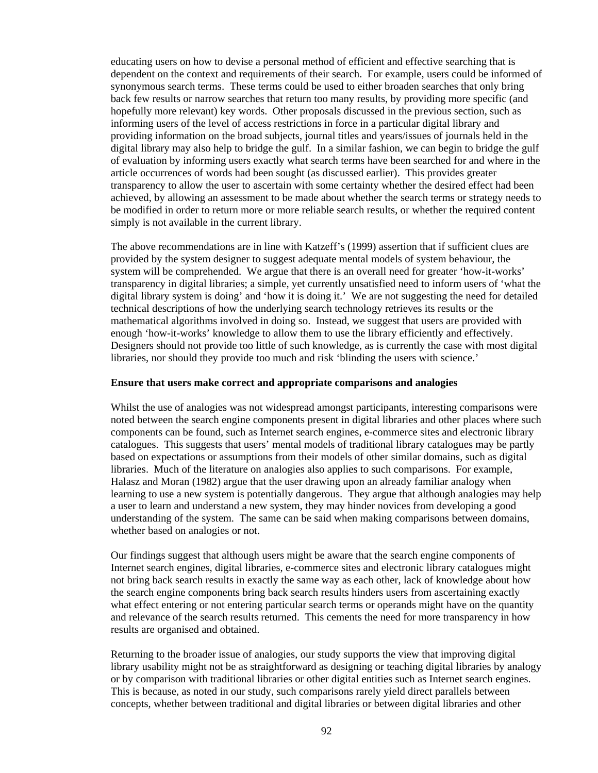educating users on how to devise a personal method of efficient and effective searching that is dependent on the context and requirements of their search. For example, users could be informed of synonymous search terms. These terms could be used to either broaden searches that only bring back few results or narrow searches that return too many results, by providing more specific (and hopefully more relevant) key words. Other proposals discussed in the previous section, such as informing users of the level of access restrictions in force in a particular digital library and providing information on the broad subjects, journal titles and years/issues of journals held in the digital library may also help to bridge the gulf. In a similar fashion, we can begin to bridge the gulf of evaluation by informing users exactly what search terms have been searched for and where in the article occurrences of words had been sought (as discussed earlier). This provides greater transparency to allow the user to ascertain with some certainty whether the desired effect had been achieved, by allowing an assessment to be made about whether the search terms or strategy needs to be modified in order to return more or more reliable search results, or whether the required content simply is not available in the current library.

The above recommendations are in line with Katzeff's (1999) assertion that if sufficient clues are provided by the system designer to suggest adequate mental models of system behaviour, the system will be comprehended. We argue that there is an overall need for greater 'how-it-works' transparency in digital libraries; a simple, yet currently unsatisfied need to inform users of 'what the digital library system is doing' and 'how it is doing it.' We are not suggesting the need for detailed technical descriptions of how the underlying search technology retrieves its results or the mathematical algorithms involved in doing so. Instead, we suggest that users are provided with enough 'how-it-works' knowledge to allow them to use the library efficiently and effectively. Designers should not provide too little of such knowledge, as is currently the case with most digital libraries, nor should they provide too much and risk 'blinding the users with science.'

#### **Ensure that users make correct and appropriate comparisons and analogies**

Whilst the use of analogies was not widespread amongst participants, interesting comparisons were noted between the search engine components present in digital libraries and other places where such components can be found, such as Internet search engines, e-commerce sites and electronic library catalogues. This suggests that users' mental models of traditional library catalogues may be partly based on expectations or assumptions from their models of other similar domains, such as digital libraries. Much of the literature on analogies also applies to such comparisons. For example, Halasz and Moran (1982) argue that the user drawing upon an already familiar analogy when learning to use a new system is potentially dangerous. They argue that although analogies may help a user to learn and understand a new system, they may hinder novices from developing a good understanding of the system. The same can be said when making comparisons between domains, whether based on analogies or not.

Our findings suggest that although users might be aware that the search engine components of Internet search engines, digital libraries, e-commerce sites and electronic library catalogues might not bring back search results in exactly the same way as each other, lack of knowledge about how the search engine components bring back search results hinders users from ascertaining exactly what effect entering or not entering particular search terms or operands might have on the quantity and relevance of the search results returned. This cements the need for more transparency in how results are organised and obtained.

Returning to the broader issue of analogies, our study supports the view that improving digital library usability might not be as straightforward as designing or teaching digital libraries by analogy or by comparison with traditional libraries or other digital entities such as Internet search engines. This is because, as noted in our study, such comparisons rarely yield direct parallels between concepts, whether between traditional and digital libraries or between digital libraries and other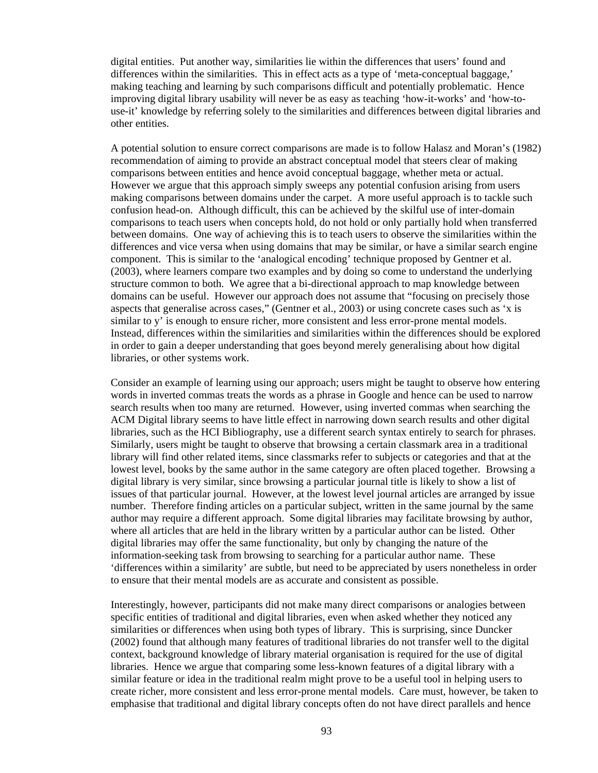digital entities. Put another way, similarities lie within the differences that users' found and differences within the similarities. This in effect acts as a type of 'meta-conceptual baggage,' making teaching and learning by such comparisons difficult and potentially problematic. Hence improving digital library usability will never be as easy as teaching 'how-it-works' and 'how-touse-it' knowledge by referring solely to the similarities and differences between digital libraries and other entities.

A potential solution to ensure correct comparisons are made is to follow Halasz and Moran's (1982) recommendation of aiming to provide an abstract conceptual model that steers clear of making comparisons between entities and hence avoid conceptual baggage, whether meta or actual. However we argue that this approach simply sweeps any potential confusion arising from users making comparisons between domains under the carpet. A more useful approach is to tackle such confusion head-on. Although difficult, this can be achieved by the skilful use of inter-domain comparisons to teach users when concepts hold, do not hold or only partially hold when transferred between domains. One way of achieving this is to teach users to observe the similarities within the differences and vice versa when using domains that may be similar, or have a similar search engine component. This is similar to the 'analogical encoding' technique proposed by Gentner et al. (2003), where learners compare two examples and by doing so come to understand the underlying structure common to both. We agree that a bi-directional approach to map knowledge between domains can be useful. However our approach does not assume that "focusing on precisely those aspects that generalise across cases," (Gentner et al., 2003) or using concrete cases such as 'x is similar to y' is enough to ensure richer, more consistent and less error-prone mental models. Instead, differences within the similarities and similarities within the differences should be explored in order to gain a deeper understanding that goes beyond merely generalising about how digital libraries, or other systems work.

Consider an example of learning using our approach; users might be taught to observe how entering words in inverted commas treats the words as a phrase in Google and hence can be used to narrow search results when too many are returned. However, using inverted commas when searching the ACM Digital library seems to have little effect in narrowing down search results and other digital libraries, such as the HCI Bibliography, use a different search syntax entirely to search for phrases. Similarly, users might be taught to observe that browsing a certain classmark area in a traditional library will find other related items, since classmarks refer to subjects or categories and that at the lowest level, books by the same author in the same category are often placed together. Browsing a digital library is very similar, since browsing a particular journal title is likely to show a list of issues of that particular journal. However, at the lowest level journal articles are arranged by issue number. Therefore finding articles on a particular subject, written in the same journal by the same author may require a different approach. Some digital libraries may facilitate browsing by author, where all articles that are held in the library written by a particular author can be listed. Other digital libraries may offer the same functionality, but only by changing the nature of the information-seeking task from browsing to searching for a particular author name. These 'differences within a similarity' are subtle, but need to be appreciated by users nonetheless in order to ensure that their mental models are as accurate and consistent as possible.

Interestingly, however, participants did not make many direct comparisons or analogies between specific entities of traditional and digital libraries, even when asked whether they noticed any similarities or differences when using both types of library. This is surprising, since Duncker (2002) found that although many features of traditional libraries do not transfer well to the digital context, background knowledge of library material organisation is required for the use of digital libraries. Hence we argue that comparing some less-known features of a digital library with a similar feature or idea in the traditional realm might prove to be a useful tool in helping users to create richer, more consistent and less error-prone mental models. Care must, however, be taken to emphasise that traditional and digital library concepts often do not have direct parallels and hence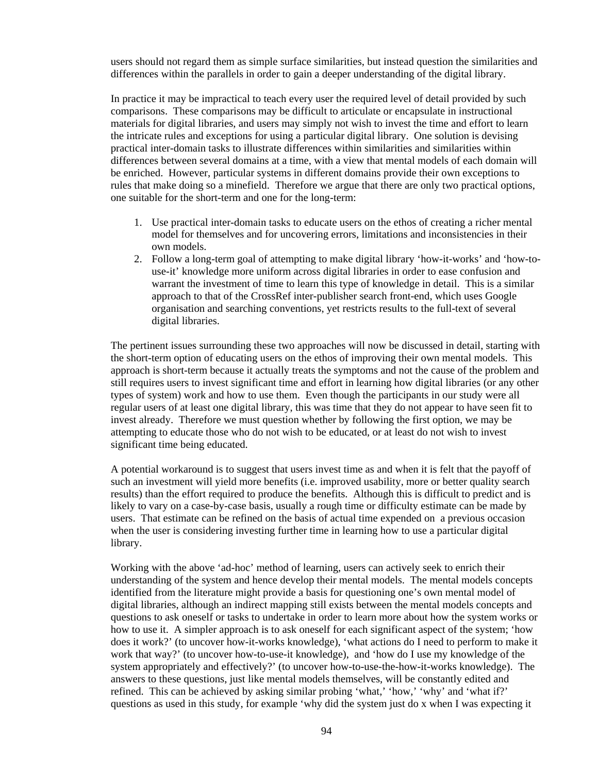users should not regard them as simple surface similarities, but instead question the similarities and differences within the parallels in order to gain a deeper understanding of the digital library.

In practice it may be impractical to teach every user the required level of detail provided by such comparisons. These comparisons may be difficult to articulate or encapsulate in instructional materials for digital libraries, and users may simply not wish to invest the time and effort to learn the intricate rules and exceptions for using a particular digital library. One solution is devising practical inter-domain tasks to illustrate differences within similarities and similarities within differences between several domains at a time, with a view that mental models of each domain will be enriched. However, particular systems in different domains provide their own exceptions to rules that make doing so a minefield. Therefore we argue that there are only two practical options, one suitable for the short-term and one for the long-term:

- 1. Use practical inter-domain tasks to educate users on the ethos of creating a richer mental model for themselves and for uncovering errors, limitations and inconsistencies in their own models.
- 2. Follow a long-term goal of attempting to make digital library 'how-it-works' and 'how-touse-it' knowledge more uniform across digital libraries in order to ease confusion and warrant the investment of time to learn this type of knowledge in detail. This is a similar approach to that of the CrossRef inter-publisher search front-end, which uses Google organisation and searching conventions, yet restricts results to the full-text of several digital libraries.

The pertinent issues surrounding these two approaches will now be discussed in detail, starting with the short-term option of educating users on the ethos of improving their own mental models. This approach is short-term because it actually treats the symptoms and not the cause of the problem and still requires users to invest significant time and effort in learning how digital libraries (or any other types of system) work and how to use them. Even though the participants in our study were all regular users of at least one digital library, this was time that they do not appear to have seen fit to invest already. Therefore we must question whether by following the first option, we may be attempting to educate those who do not wish to be educated, or at least do not wish to invest significant time being educated.

A potential workaround is to suggest that users invest time as and when it is felt that the payoff of such an investment will yield more benefits (i.e. improved usability, more or better quality search results) than the effort required to produce the benefits. Although this is difficult to predict and is likely to vary on a case-by-case basis, usually a rough time or difficulty estimate can be made by users. That estimate can be refined on the basis of actual time expended on a previous occasion when the user is considering investing further time in learning how to use a particular digital library.

Working with the above 'ad-hoc' method of learning, users can actively seek to enrich their understanding of the system and hence develop their mental models. The mental models concepts identified from the literature might provide a basis for questioning one's own mental model of digital libraries, although an indirect mapping still exists between the mental models concepts and questions to ask oneself or tasks to undertake in order to learn more about how the system works or how to use it. A simpler approach is to ask oneself for each significant aspect of the system; 'how does it work?' (to uncover how-it-works knowledge), 'what actions do I need to perform to make it work that way?' (to uncover how-to-use-it knowledge), and 'how do I use my knowledge of the system appropriately and effectively?' (to uncover how-to-use-the-how-it-works knowledge). The answers to these questions, just like mental models themselves, will be constantly edited and refined. This can be achieved by asking similar probing 'what,' 'how,' 'why' and 'what if?' questions as used in this study, for example 'why did the system just do x when I was expecting it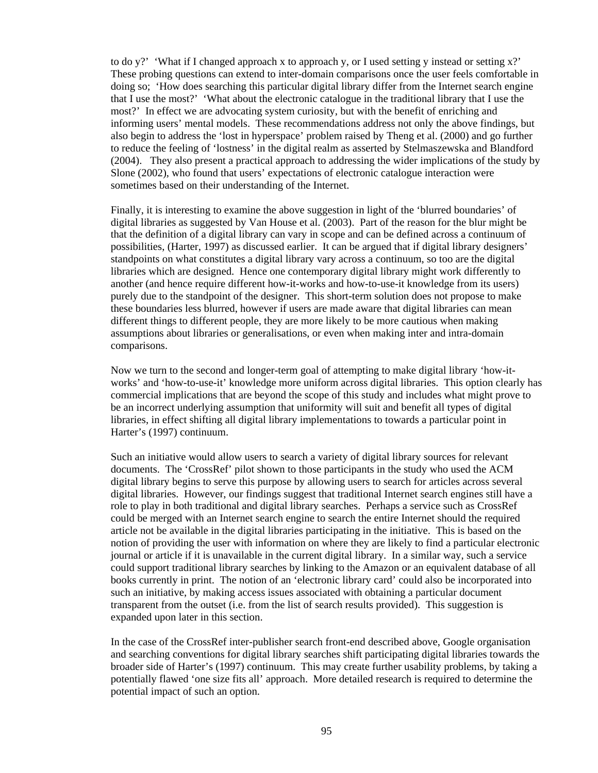to do y?' 'What if I changed approach x to approach y, or I used setting y instead or setting  $x$ ?' These probing questions can extend to inter-domain comparisons once the user feels comfortable in doing so; 'How does searching this particular digital library differ from the Internet search engine that I use the most?' 'What about the electronic catalogue in the traditional library that I use the most?' In effect we are advocating system curiosity, but with the benefit of enriching and informing users' mental models. These recommendations address not only the above findings, but also begin to address the 'lost in hyperspace' problem raised by Theng et al. (2000) and go further to reduce the feeling of 'lostness' in the digital realm as asserted by Stelmaszewska and Blandford (2004). They also present a practical approach to addressing the wider implications of the study by Slone (2002), who found that users' expectations of electronic catalogue interaction were sometimes based on their understanding of the Internet.

Finally, it is interesting to examine the above suggestion in light of the 'blurred boundaries' of digital libraries as suggested by Van House et al. (2003). Part of the reason for the blur might be that the definition of a digital library can vary in scope and can be defined across a continuum of possibilities, (Harter, 1997) as discussed earlier. It can be argued that if digital library designers' standpoints on what constitutes a digital library vary across a continuum, so too are the digital libraries which are designed. Hence one contemporary digital library might work differently to another (and hence require different how-it-works and how-to-use-it knowledge from its users) purely due to the standpoint of the designer. This short-term solution does not propose to make these boundaries less blurred, however if users are made aware that digital libraries can mean different things to different people, they are more likely to be more cautious when making assumptions about libraries or generalisations, or even when making inter and intra-domain comparisons.

Now we turn to the second and longer-term goal of attempting to make digital library 'how-itworks' and 'how-to-use-it' knowledge more uniform across digital libraries. This option clearly has commercial implications that are beyond the scope of this study and includes what might prove to be an incorrect underlying assumption that uniformity will suit and benefit all types of digital libraries, in effect shifting all digital library implementations to towards a particular point in Harter's (1997) continuum.

Such an initiative would allow users to search a variety of digital library sources for relevant documents. The 'CrossRef' pilot shown to those participants in the study who used the ACM digital library begins to serve this purpose by allowing users to search for articles across several digital libraries. However, our findings suggest that traditional Internet search engines still have a role to play in both traditional and digital library searches. Perhaps a service such as CrossRef could be merged with an Internet search engine to search the entire Internet should the required article not be available in the digital libraries participating in the initiative. This is based on the notion of providing the user with information on where they are likely to find a particular electronic journal or article if it is unavailable in the current digital library. In a similar way, such a service could support traditional library searches by linking to the Amazon or an equivalent database of all books currently in print. The notion of an 'electronic library card' could also be incorporated into such an initiative, by making access issues associated with obtaining a particular document transparent from the outset (i.e. from the list of search results provided). This suggestion is expanded upon later in this section.

In the case of the CrossRef inter-publisher search front-end described above, Google organisation and searching conventions for digital library searches shift participating digital libraries towards the broader side of Harter's (1997) continuum. This may create further usability problems, by taking a potentially flawed 'one size fits all' approach. More detailed research is required to determine the potential impact of such an option.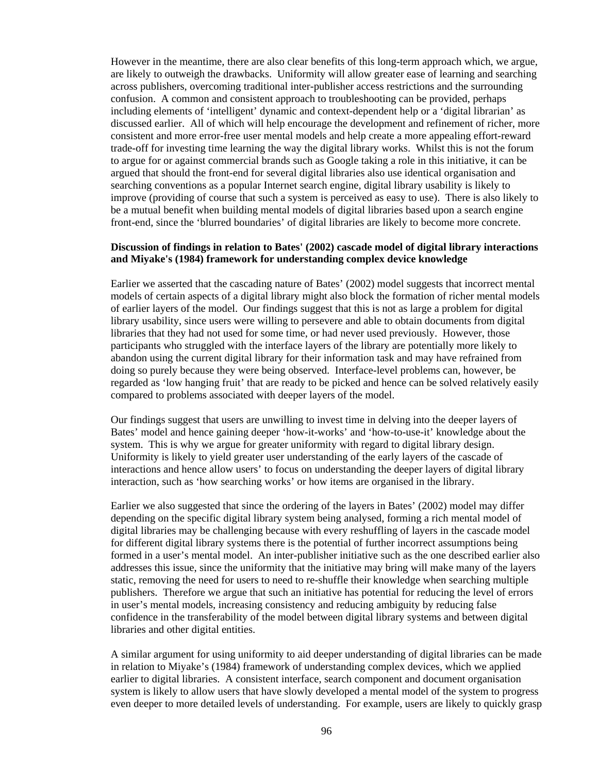However in the meantime, there are also clear benefits of this long-term approach which, we argue, are likely to outweigh the drawbacks. Uniformity will allow greater ease of learning and searching across publishers, overcoming traditional inter-publisher access restrictions and the surrounding confusion. A common and consistent approach to troubleshooting can be provided, perhaps including elements of 'intelligent' dynamic and context-dependent help or a 'digital librarian' as discussed earlier. All of which will help encourage the development and refinement of richer, more consistent and more error-free user mental models and help create a more appealing effort-reward trade-off for investing time learning the way the digital library works. Whilst this is not the forum to argue for or against commercial brands such as Google taking a role in this initiative, it can be argued that should the front-end for several digital libraries also use identical organisation and searching conventions as a popular Internet search engine, digital library usability is likely to improve (providing of course that such a system is perceived as easy to use). There is also likely to be a mutual benefit when building mental models of digital libraries based upon a search engine front-end, since the 'blurred boundaries' of digital libraries are likely to become more concrete.

#### **Discussion of findings in relation to Bates' (2002) cascade model of digital library interactions and Miyake's (1984) framework for understanding complex device knowledge**

Earlier we asserted that the cascading nature of Bates' (2002) model suggests that incorrect mental models of certain aspects of a digital library might also block the formation of richer mental models of earlier layers of the model. Our findings suggest that this is not as large a problem for digital library usability, since users were willing to persevere and able to obtain documents from digital libraries that they had not used for some time, or had never used previously. However, those participants who struggled with the interface layers of the library are potentially more likely to abandon using the current digital library for their information task and may have refrained from doing so purely because they were being observed. Interface-level problems can, however, be regarded as 'low hanging fruit' that are ready to be picked and hence can be solved relatively easily compared to problems associated with deeper layers of the model.

Our findings suggest that users are unwilling to invest time in delving into the deeper layers of Bates' model and hence gaining deeper 'how-it-works' and 'how-to-use-it' knowledge about the system. This is why we argue for greater uniformity with regard to digital library design. Uniformity is likely to yield greater user understanding of the early layers of the cascade of interactions and hence allow users' to focus on understanding the deeper layers of digital library interaction, such as 'how searching works' or how items are organised in the library.

Earlier we also suggested that since the ordering of the layers in Bates' (2002) model may differ depending on the specific digital library system being analysed, forming a rich mental model of digital libraries may be challenging because with every reshuffling of layers in the cascade model for different digital library systems there is the potential of further incorrect assumptions being formed in a user's mental model. An inter-publisher initiative such as the one described earlier also addresses this issue, since the uniformity that the initiative may bring will make many of the layers static, removing the need for users to need to re-shuffle their knowledge when searching multiple publishers. Therefore we argue that such an initiative has potential for reducing the level of errors in user's mental models, increasing consistency and reducing ambiguity by reducing false confidence in the transferability of the model between digital library systems and between digital libraries and other digital entities.

A similar argument for using uniformity to aid deeper understanding of digital libraries can be made in relation to Miyake's (1984) framework of understanding complex devices, which we applied earlier to digital libraries. A consistent interface, search component and document organisation system is likely to allow users that have slowly developed a mental model of the system to progress even deeper to more detailed levels of understanding. For example, users are likely to quickly grasp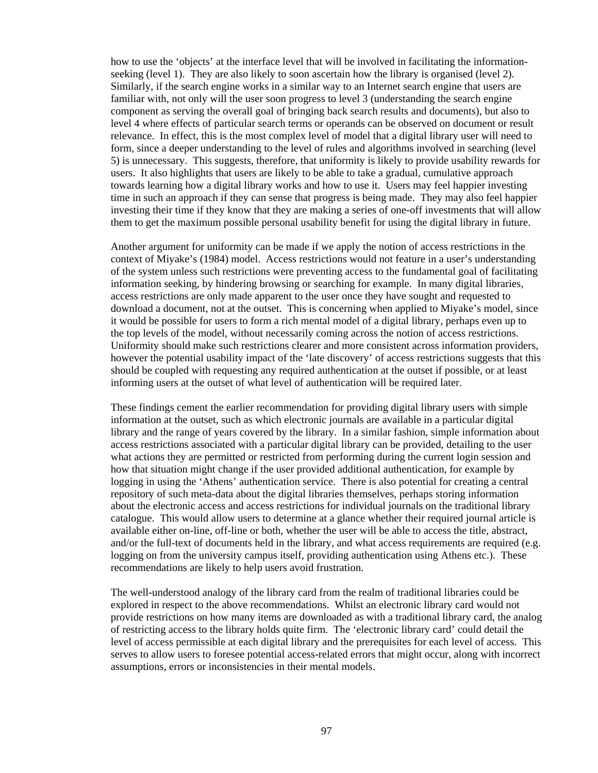how to use the 'objects' at the interface level that will be involved in facilitating the informationseeking (level 1). They are also likely to soon ascertain how the library is organised (level 2). Similarly, if the search engine works in a similar way to an Internet search engine that users are familiar with, not only will the user soon progress to level 3 (understanding the search engine component as serving the overall goal of bringing back search results and documents), but also to level 4 where effects of particular search terms or operands can be observed on document or result relevance. In effect, this is the most complex level of model that a digital library user will need to form, since a deeper understanding to the level of rules and algorithms involved in searching (level 5) is unnecessary. This suggests, therefore, that uniformity is likely to provide usability rewards for users. It also highlights that users are likely to be able to take a gradual, cumulative approach towards learning how a digital library works and how to use it. Users may feel happier investing time in such an approach if they can sense that progress is being made. They may also feel happier investing their time if they know that they are making a series of one-off investments that will allow them to get the maximum possible personal usability benefit for using the digital library in future.

Another argument for uniformity can be made if we apply the notion of access restrictions in the context of Miyake's (1984) model. Access restrictions would not feature in a user's understanding of the system unless such restrictions were preventing access to the fundamental goal of facilitating information seeking, by hindering browsing or searching for example. In many digital libraries, access restrictions are only made apparent to the user once they have sought and requested to download a document, not at the outset. This is concerning when applied to Miyake's model, since it would be possible for users to form a rich mental model of a digital library, perhaps even up to the top levels of the model, without necessarily coming across the notion of access restrictions. Uniformity should make such restrictions clearer and more consistent across information providers, however the potential usability impact of the 'late discovery' of access restrictions suggests that this should be coupled with requesting any required authentication at the outset if possible, or at least informing users at the outset of what level of authentication will be required later.

These findings cement the earlier recommendation for providing digital library users with simple information at the outset, such as which electronic journals are available in a particular digital library and the range of years covered by the library. In a similar fashion, simple information about access restrictions associated with a particular digital library can be provided, detailing to the user what actions they are permitted or restricted from performing during the current login session and how that situation might change if the user provided additional authentication, for example by logging in using the 'Athens' authentication service. There is also potential for creating a central repository of such meta-data about the digital libraries themselves, perhaps storing information about the electronic access and access restrictions for individual journals on the traditional library catalogue. This would allow users to determine at a glance whether their required journal article is available either on-line, off-line or both, whether the user will be able to access the title, abstract, and/or the full-text of documents held in the library, and what access requirements are required (e.g. logging on from the university campus itself, providing authentication using Athens etc.). These recommendations are likely to help users avoid frustration.

The well-understood analogy of the library card from the realm of traditional libraries could be explored in respect to the above recommendations. Whilst an electronic library card would not provide restrictions on how many items are downloaded as with a traditional library card, the analog of restricting access to the library holds quite firm. The 'electronic library card' could detail the level of access permissible at each digital library and the prerequisites for each level of access. This serves to allow users to foresee potential access-related errors that might occur, along with incorrect assumptions, errors or inconsistencies in their mental models.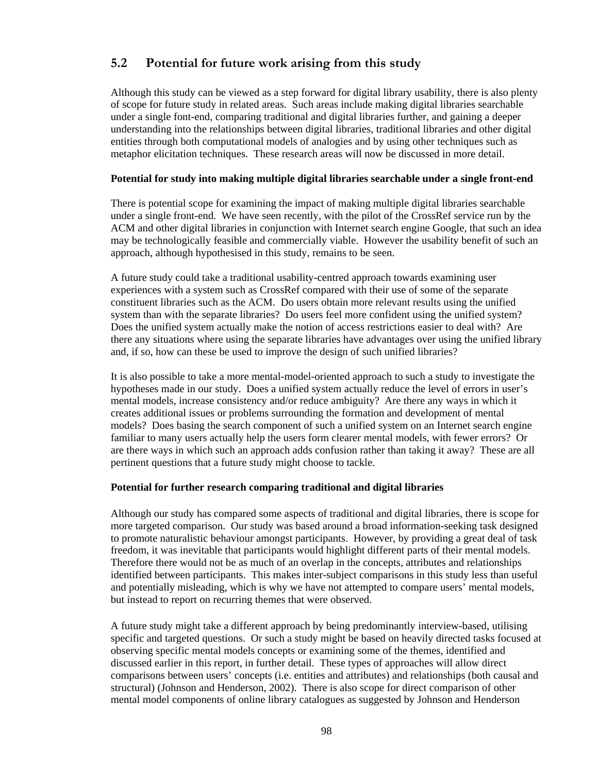## **5.2 Potential for future work arising from this study**

Although this study can be viewed as a step forward for digital library usability, there is also plenty of scope for future study in related areas. Such areas include making digital libraries searchable under a single font-end, comparing traditional and digital libraries further, and gaining a deeper understanding into the relationships between digital libraries, traditional libraries and other digital entities through both computational models of analogies and by using other techniques such as metaphor elicitation techniques. These research areas will now be discussed in more detail.

#### **Potential for study into making multiple digital libraries searchable under a single front-end**

There is potential scope for examining the impact of making multiple digital libraries searchable under a single front-end. We have seen recently, with the pilot of the CrossRef service run by the ACM and other digital libraries in conjunction with Internet search engine Google, that such an idea may be technologically feasible and commercially viable. However the usability benefit of such an approach, although hypothesised in this study, remains to be seen.

A future study could take a traditional usability-centred approach towards examining user experiences with a system such as CrossRef compared with their use of some of the separate constituent libraries such as the ACM. Do users obtain more relevant results using the unified system than with the separate libraries? Do users feel more confident using the unified system? Does the unified system actually make the notion of access restrictions easier to deal with? Are there any situations where using the separate libraries have advantages over using the unified library and, if so, how can these be used to improve the design of such unified libraries?

It is also possible to take a more mental-model-oriented approach to such a study to investigate the hypotheses made in our study. Does a unified system actually reduce the level of errors in user's mental models, increase consistency and/or reduce ambiguity? Are there any ways in which it creates additional issues or problems surrounding the formation and development of mental models? Does basing the search component of such a unified system on an Internet search engine familiar to many users actually help the users form clearer mental models, with fewer errors? Or are there ways in which such an approach adds confusion rather than taking it away? These are all pertinent questions that a future study might choose to tackle.

#### **Potential for further research comparing traditional and digital libraries**

Although our study has compared some aspects of traditional and digital libraries, there is scope for more targeted comparison. Our study was based around a broad information-seeking task designed to promote naturalistic behaviour amongst participants. However, by providing a great deal of task freedom, it was inevitable that participants would highlight different parts of their mental models. Therefore there would not be as much of an overlap in the concepts, attributes and relationships identified between participants. This makes inter-subject comparisons in this study less than useful and potentially misleading, which is why we have not attempted to compare users' mental models, but instead to report on recurring themes that were observed.

A future study might take a different approach by being predominantly interview-based, utilising specific and targeted questions. Or such a study might be based on heavily directed tasks focused at observing specific mental models concepts or examining some of the themes, identified and discussed earlier in this report, in further detail. These types of approaches will allow direct comparisons between users' concepts (i.e. entities and attributes) and relationships (both causal and structural) (Johnson and Henderson, 2002). There is also scope for direct comparison of other mental model components of online library catalogues as suggested by Johnson and Henderson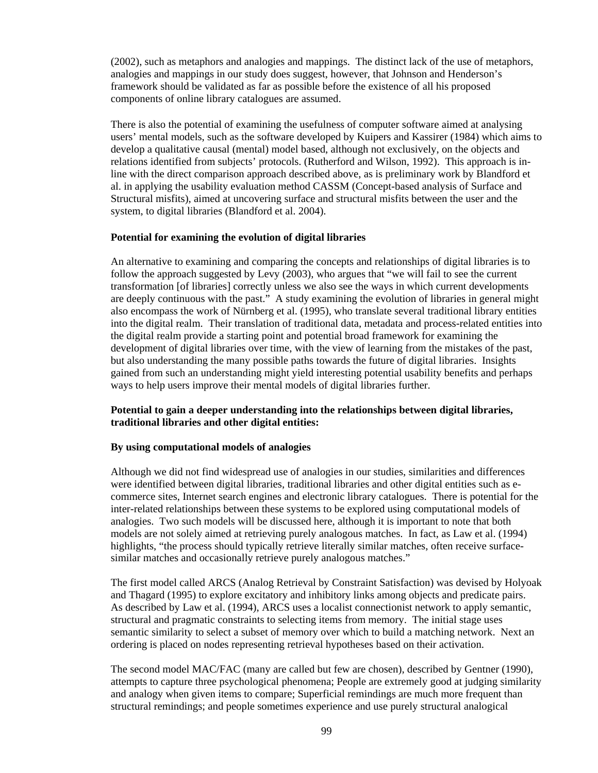(2002), such as metaphors and analogies and mappings. The distinct lack of the use of metaphors, analogies and mappings in our study does suggest, however, that Johnson and Henderson's framework should be validated as far as possible before the existence of all his proposed components of online library catalogues are assumed.

There is also the potential of examining the usefulness of computer software aimed at analysing users' mental models, such as the software developed by Kuipers and Kassirer (1984) which aims to develop a qualitative causal (mental) model based, although not exclusively, on the objects and relations identified from subjects' protocols. (Rutherford and Wilson, 1992). This approach is inline with the direct comparison approach described above, as is preliminary work by Blandford et al. in applying the usability evaluation method CASSM (Concept-based analysis of Surface and Structural misfits), aimed at uncovering surface and structural misfits between the user and the system, to digital libraries (Blandford et al. 2004).

#### **Potential for examining the evolution of digital libraries**

An alternative to examining and comparing the concepts and relationships of digital libraries is to follow the approach suggested by Levy (2003), who argues that "we will fail to see the current transformation [of libraries] correctly unless we also see the ways in which current developments are deeply continuous with the past." A study examining the evolution of libraries in general might also encompass the work of Nürnberg et al. (1995), who translate several traditional library entities into the digital realm. Their translation of traditional data, metadata and process-related entities into the digital realm provide a starting point and potential broad framework for examining the development of digital libraries over time, with the view of learning from the mistakes of the past, but also understanding the many possible paths towards the future of digital libraries. Insights gained from such an understanding might yield interesting potential usability benefits and perhaps ways to help users improve their mental models of digital libraries further.

#### **Potential to gain a deeper understanding into the relationships between digital libraries, traditional libraries and other digital entities:**

#### **By using computational models of analogies**

Although we did not find widespread use of analogies in our studies, similarities and differences were identified between digital libraries, traditional libraries and other digital entities such as ecommerce sites, Internet search engines and electronic library catalogues. There is potential for the inter-related relationships between these systems to be explored using computational models of analogies. Two such models will be discussed here, although it is important to note that both models are not solely aimed at retrieving purely analogous matches. In fact, as Law et al. (1994) highlights, "the process should typically retrieve literally similar matches, often receive surfacesimilar matches and occasionally retrieve purely analogous matches."

The first model called ARCS (Analog Retrieval by Constraint Satisfaction) was devised by Holyoak and Thagard (1995) to explore excitatory and inhibitory links among objects and predicate pairs. As described by Law et al. (1994), ARCS uses a localist connectionist network to apply semantic, structural and pragmatic constraints to selecting items from memory. The initial stage uses semantic similarity to select a subset of memory over which to build a matching network. Next an ordering is placed on nodes representing retrieval hypotheses based on their activation.

The second model MAC/FAC (many are called but few are chosen), described by Gentner (1990), attempts to capture three psychological phenomena; People are extremely good at judging similarity and analogy when given items to compare; Superficial remindings are much more frequent than structural remindings; and people sometimes experience and use purely structural analogical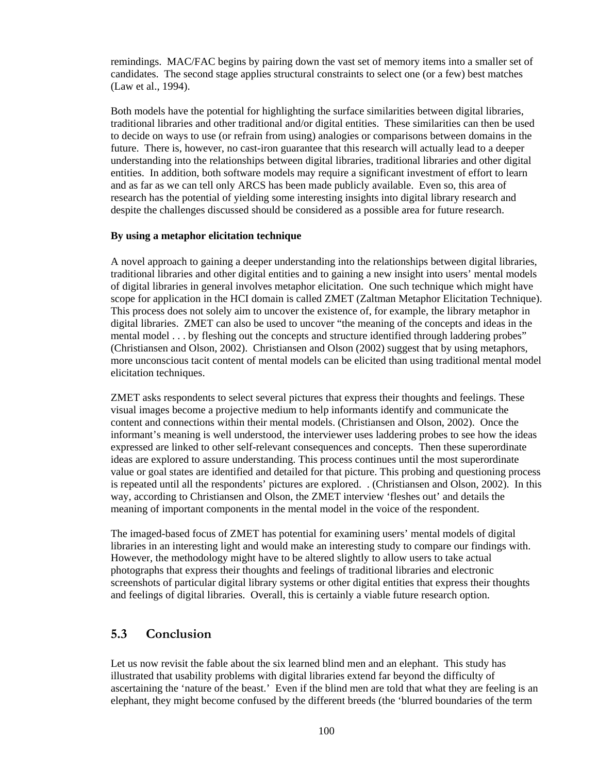remindings. MAC/FAC begins by pairing down the vast set of memory items into a smaller set of candidates. The second stage applies structural constraints to select one (or a few) best matches (Law et al., 1994).

Both models have the potential for highlighting the surface similarities between digital libraries, traditional libraries and other traditional and/or digital entities. These similarities can then be used to decide on ways to use (or refrain from using) analogies or comparisons between domains in the future. There is, however, no cast-iron guarantee that this research will actually lead to a deeper understanding into the relationships between digital libraries, traditional libraries and other digital entities. In addition, both software models may require a significant investment of effort to learn and as far as we can tell only ARCS has been made publicly available. Even so, this area of research has the potential of yielding some interesting insights into digital library research and despite the challenges discussed should be considered as a possible area for future research.

#### **By using a metaphor elicitation technique**

A novel approach to gaining a deeper understanding into the relationships between digital libraries, traditional libraries and other digital entities and to gaining a new insight into users' mental models of digital libraries in general involves metaphor elicitation. One such technique which might have scope for application in the HCI domain is called ZMET (Zaltman Metaphor Elicitation Technique). This process does not solely aim to uncover the existence of, for example, the library metaphor in digital libraries. ZMET can also be used to uncover "the meaning of the concepts and ideas in the mental model . . . by fleshing out the concepts and structure identified through laddering probes" (Christiansen and Olson, 2002). Christiansen and Olson (2002) suggest that by using metaphors, more unconscious tacit content of mental models can be elicited than using traditional mental model elicitation techniques.

ZMET asks respondents to select several pictures that express their thoughts and feelings. These visual images become a projective medium to help informants identify and communicate the content and connections within their mental models. (Christiansen and Olson, 2002). Once the informant's meaning is well understood, the interviewer uses laddering probes to see how the ideas expressed are linked to other self-relevant consequences and concepts. Then these superordinate ideas are explored to assure understanding. This process continues until the most superordinate value or goal states are identified and detailed for that picture. This probing and questioning process is repeated until all the respondents' pictures are explored. . (Christiansen and Olson, 2002). In this way, according to Christiansen and Olson, the ZMET interview 'fleshes out' and details the meaning of important components in the mental model in the voice of the respondent.

The imaged-based focus of ZMET has potential for examining users' mental models of digital libraries in an interesting light and would make an interesting study to compare our findings with. However, the methodology might have to be altered slightly to allow users to take actual photographs that express their thoughts and feelings of traditional libraries and electronic screenshots of particular digital library systems or other digital entities that express their thoughts and feelings of digital libraries. Overall, this is certainly a viable future research option.

### **5.3 Conclusion**

Let us now revisit the fable about the six learned blind men and an elephant. This study has illustrated that usability problems with digital libraries extend far beyond the difficulty of ascertaining the 'nature of the beast.' Even if the blind men are told that what they are feeling is an elephant, they might become confused by the different breeds (the 'blurred boundaries of the term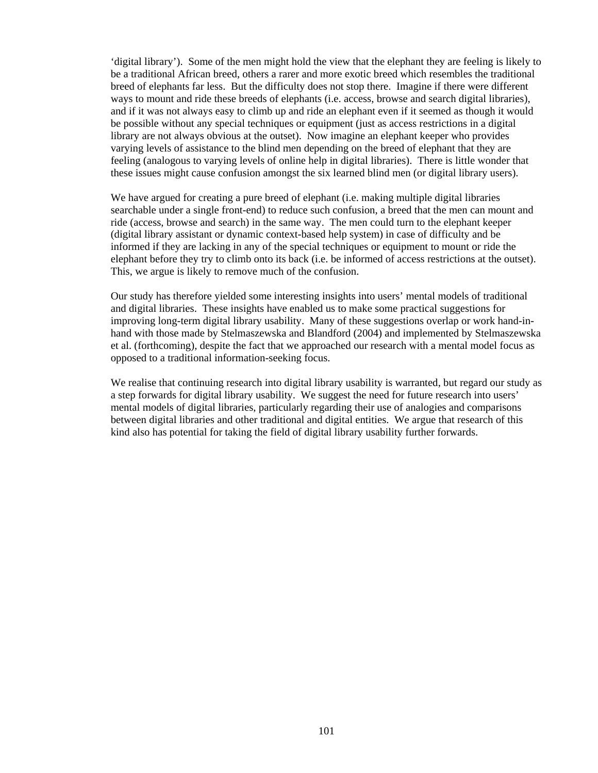'digital library'). Some of the men might hold the view that the elephant they are feeling is likely to be a traditional African breed, others a rarer and more exotic breed which resembles the traditional breed of elephants far less. But the difficulty does not stop there. Imagine if there were different ways to mount and ride these breeds of elephants (i.e. access, browse and search digital libraries), and if it was not always easy to climb up and ride an elephant even if it seemed as though it would be possible without any special techniques or equipment (just as access restrictions in a digital library are not always obvious at the outset). Now imagine an elephant keeper who provides varying levels of assistance to the blind men depending on the breed of elephant that they are feeling (analogous to varying levels of online help in digital libraries). There is little wonder that these issues might cause confusion amongst the six learned blind men (or digital library users).

We have argued for creating a pure breed of elephant (i.e. making multiple digital libraries searchable under a single front-end) to reduce such confusion, a breed that the men can mount and ride (access, browse and search) in the same way. The men could turn to the elephant keeper (digital library assistant or dynamic context-based help system) in case of difficulty and be informed if they are lacking in any of the special techniques or equipment to mount or ride the elephant before they try to climb onto its back (i.e. be informed of access restrictions at the outset). This, we argue is likely to remove much of the confusion.

Our study has therefore yielded some interesting insights into users' mental models of traditional and digital libraries. These insights have enabled us to make some practical suggestions for improving long-term digital library usability. Many of these suggestions overlap or work hand-inhand with those made by Stelmaszewska and Blandford (2004) and implemented by Stelmaszewska et al. (forthcoming), despite the fact that we approached our research with a mental model focus as opposed to a traditional information-seeking focus.

We realise that continuing research into digital library usability is warranted, but regard our study as a step forwards for digital library usability. We suggest the need for future research into users' mental models of digital libraries, particularly regarding their use of analogies and comparisons between digital libraries and other traditional and digital entities. We argue that research of this kind also has potential for taking the field of digital library usability further forwards.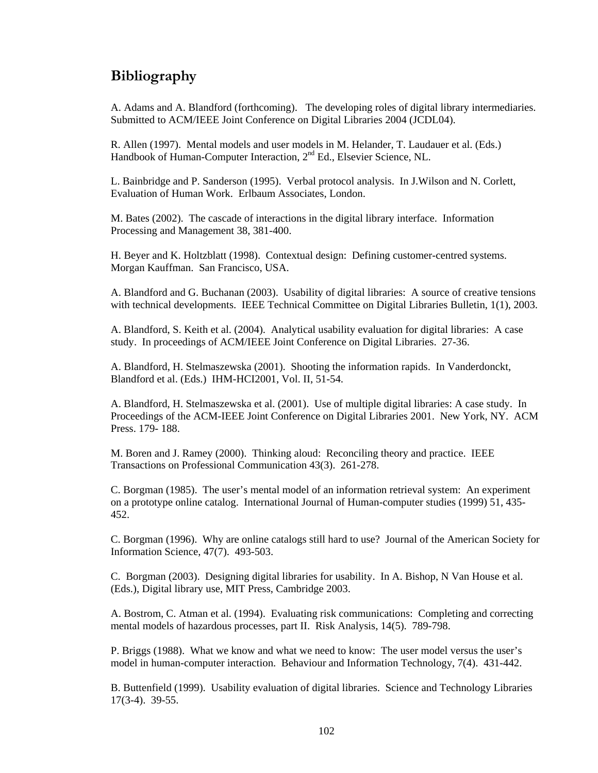# **Bibliography**

A. Adams and A. Blandford (forthcoming). The developing roles of digital library intermediaries. Submitted to ACM/IEEE Joint Conference on Digital Libraries 2004 (JCDL04).

R. Allen (1997). Mental models and user models in M. Helander, T. Laudauer et al. (Eds.) Handbook of Human-Computer Interaction, 2nd Ed., Elsevier Science, NL.

L. Bainbridge and P. Sanderson (1995). Verbal protocol analysis. In J.Wilson and N. Corlett, Evaluation of Human Work. Erlbaum Associates, London.

M. Bates (2002). The cascade of interactions in the digital library interface. Information Processing and Management 38, 381-400.

H. Beyer and K. Holtzblatt (1998). Contextual design: Defining customer-centred systems. Morgan Kauffman. San Francisco, USA.

A. Blandford and G. Buchanan (2003). Usability of digital libraries: A source of creative tensions with technical developments. IEEE Technical Committee on Digital Libraries Bulletin, 1(1), 2003.

A. Blandford, S. Keith et al. (2004). Analytical usability evaluation for digital libraries: A case study. In proceedings of ACM/IEEE Joint Conference on Digital Libraries. 27-36.

A. Blandford, H. Stelmaszewska (2001). Shooting the information rapids. In Vanderdonckt, Blandford et al. (Eds.) IHM-HCI2001, Vol. II, 51-54.

A. Blandford, H. Stelmaszewska et al. (2001). Use of multiple digital libraries: A case study. In Proceedings of the ACM-IEEE Joint Conference on Digital Libraries 2001. New York, NY. ACM Press. 179- 188.

M. Boren and J. Ramey (2000). Thinking aloud: Reconciling theory and practice. IEEE Transactions on Professional Communication 43(3). 261-278.

C. Borgman (1985). The user's mental model of an information retrieval system: An experiment on a prototype online catalog. International Journal of Human-computer studies (1999) 51, 435- 452.

C. Borgman (1996). Why are online catalogs still hard to use? Journal of the American Society for Information Science, 47(7). 493-503.

C. Borgman (2003). Designing digital libraries for usability. In A. Bishop, N Van House et al. (Eds.), Digital library use, MIT Press, Cambridge 2003.

A. Bostrom, C. Atman et al. (1994). Evaluating risk communications: Completing and correcting mental models of hazardous processes, part II. Risk Analysis, 14(5). 789-798.

P. Briggs (1988). What we know and what we need to know: The user model versus the user's model in human-computer interaction. Behaviour and Information Technology, 7(4). 431-442.

B. Buttenfield (1999). Usability evaluation of digital libraries. Science and Technology Libraries 17(3-4). 39-55.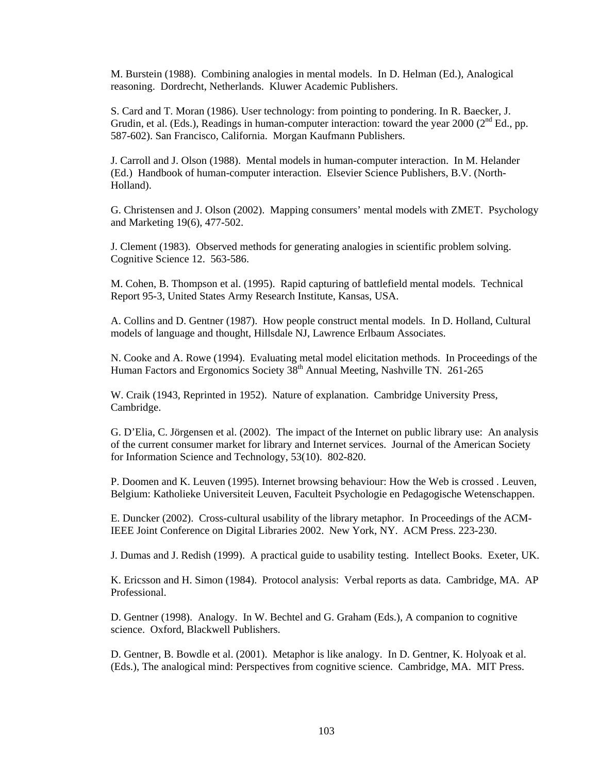M. Burstein (1988). Combining analogies in mental models. In D. Helman (Ed.), Analogical reasoning. Dordrecht, Netherlands. Kluwer Academic Publishers.

S. Card and T. Moran (1986). User technology: from pointing to pondering. In R. Baecker, J. Grudin, et al. (Eds.), Readings in human-computer interaction: toward the year  $2000$  ( $2<sup>nd</sup>$  Ed., pp. 587-602). San Francisco, California. Morgan Kaufmann Publishers.

J. Carroll and J. Olson (1988). Mental models in human-computer interaction. In M. Helander (Ed.) Handbook of human-computer interaction. Elsevier Science Publishers, B.V. (North-Holland).

G. Christensen and J. Olson (2002). Mapping consumers' mental models with ZMET. Psychology and Marketing 19(6), 477-502.

J. Clement (1983). Observed methods for generating analogies in scientific problem solving. Cognitive Science 12. 563-586.

M. Cohen, B. Thompson et al. (1995). Rapid capturing of battlefield mental models. Technical Report 95-3, United States Army Research Institute, Kansas, USA.

A. Collins and D. Gentner (1987). How people construct mental models. In D. Holland, Cultural models of language and thought, Hillsdale NJ, Lawrence Erlbaum Associates.

N. Cooke and A. Rowe (1994). Evaluating metal model elicitation methods. In Proceedings of the Human Factors and Ergonomics Society 38<sup>th</sup> Annual Meeting, Nashville TN. 261-265

W. Craik (1943, Reprinted in 1952). Nature of explanation. Cambridge University Press, Cambridge.

G. D'Elia, C. Jörgensen et al. (2002). The impact of the Internet on public library use: An analysis of the current consumer market for library and Internet services. Journal of the American Society for Information Science and Technology, 53(10). 802-820.

P. Doomen and K. Leuven (1995). Internet browsing behaviour: How the Web is crossed . Leuven, Belgium: Katholieke Universiteit Leuven, Faculteit Psychologie en Pedagogische Wetenschappen.

E. Duncker (2002). Cross-cultural usability of the library metaphor. In Proceedings of the ACM-IEEE Joint Conference on Digital Libraries 2002. New York, NY. ACM Press. 223-230.

J. Dumas and J. Redish (1999). A practical guide to usability testing. Intellect Books. Exeter, UK.

K. Ericsson and H. Simon (1984). Protocol analysis: Verbal reports as data. Cambridge, MA. AP Professional.

D. Gentner (1998). Analogy. In W. Bechtel and G. Graham (Eds.), A companion to cognitive science. Oxford, Blackwell Publishers.

D. Gentner, B. Bowdle et al. (2001). Metaphor is like analogy. In D. Gentner, K. Holyoak et al. (Eds.), The analogical mind: Perspectives from cognitive science. Cambridge, MA. MIT Press.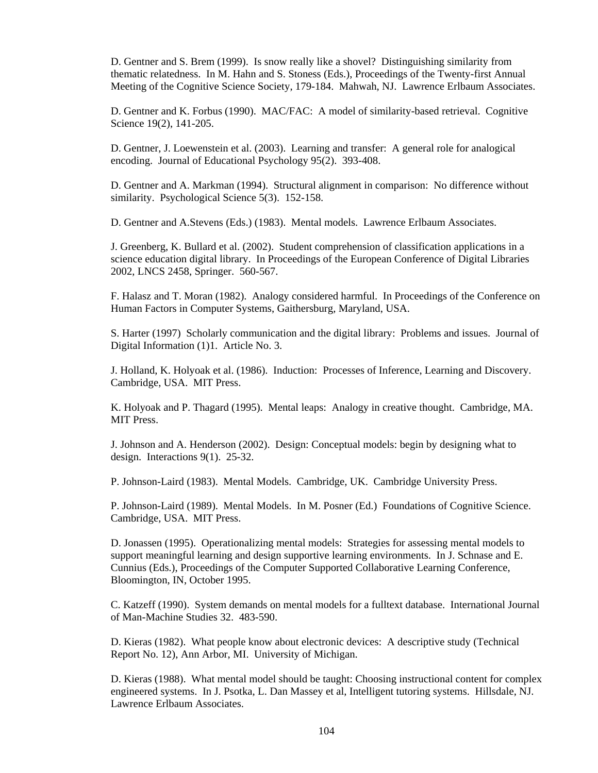D. Gentner and S. Brem (1999). Is snow really like a shovel? Distinguishing similarity from thematic relatedness. In M. Hahn and S. Stoness (Eds.), Proceedings of the Twenty-first Annual Meeting of the Cognitive Science Society, 179-184. Mahwah, NJ. Lawrence Erlbaum Associates.

D. Gentner and K. Forbus (1990). MAC/FAC: A model of similarity-based retrieval. Cognitive Science 19(2), 141-205.

D. Gentner, J. Loewenstein et al. (2003). Learning and transfer: A general role for analogical encoding. Journal of Educational Psychology 95(2). 393-408.

D. Gentner and A. Markman (1994). Structural alignment in comparison: No difference without similarity. Psychological Science 5(3). 152-158.

D. Gentner and A.Stevens (Eds.) (1983). Mental models. Lawrence Erlbaum Associates.

J. Greenberg, K. Bullard et al. (2002). Student comprehension of classification applications in a science education digital library. In Proceedings of the European Conference of Digital Libraries 2002, LNCS 2458, Springer. 560-567.

F. Halasz and T. Moran (1982). Analogy considered harmful. In Proceedings of the Conference on Human Factors in Computer Systems, Gaithersburg, Maryland, USA.

S. Harter (1997) Scholarly communication and the digital library: Problems and issues. Journal of Digital Information (1)1. Article No. 3.

J. Holland, K. Holyoak et al. (1986). Induction: Processes of Inference, Learning and Discovery. Cambridge, USA. MIT Press.

K. Holyoak and P. Thagard (1995). Mental leaps: Analogy in creative thought. Cambridge, MA. MIT Press.

J. Johnson and A. Henderson (2002). Design: Conceptual models: begin by designing what to design. Interactions 9(1). 25-32.

P. Johnson-Laird (1983). Mental Models. Cambridge, UK. Cambridge University Press.

P. Johnson-Laird (1989). Mental Models. In M. Posner (Ed.) Foundations of Cognitive Science. Cambridge, USA. MIT Press.

D. Jonassen (1995). Operationalizing mental models: Strategies for assessing mental models to support meaningful learning and design supportive learning environments. In J. Schnase and E. Cunnius (Eds.), Proceedings of the Computer Supported Collaborative Learning Conference, Bloomington, IN, October 1995.

C. Katzeff (1990). System demands on mental models for a fulltext database. International Journal of Man-Machine Studies 32. 483-590.

D. Kieras (1982). What people know about electronic devices: A descriptive study (Technical Report No. 12), Ann Arbor, MI. University of Michigan.

D. Kieras (1988). What mental model should be taught: Choosing instructional content for complex engineered systems. In J. Psotka, L. Dan Massey et al, Intelligent tutoring systems. Hillsdale, NJ. Lawrence Erlbaum Associates.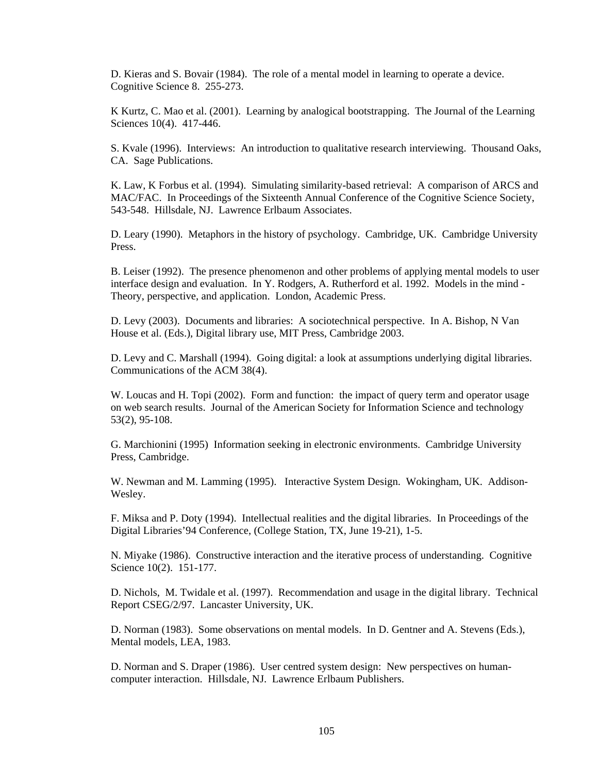D. Kieras and S. Bovair (1984). The role of a mental model in learning to operate a device. Cognitive Science 8. 255-273.

K Kurtz, C. Mao et al. (2001). Learning by analogical bootstrapping. The Journal of the Learning Sciences 10(4). 417-446.

S. Kvale (1996). Interviews: An introduction to qualitative research interviewing. Thousand Oaks, CA. Sage Publications.

K. Law, K Forbus et al. (1994). Simulating similarity-based retrieval: A comparison of ARCS and MAC/FAC. In Proceedings of the Sixteenth Annual Conference of the Cognitive Science Society, 543-548. Hillsdale, NJ. Lawrence Erlbaum Associates.

D. Leary (1990). Metaphors in the history of psychology. Cambridge, UK. Cambridge University Press.

B. Leiser (1992). The presence phenomenon and other problems of applying mental models to user interface design and evaluation. In Y. Rodgers, A. Rutherford et al. 1992. Models in the mind - Theory, perspective, and application. London, Academic Press.

D. Levy (2003). Documents and libraries: A sociotechnical perspective. In A. Bishop, N Van House et al. (Eds.), Digital library use, MIT Press, Cambridge 2003.

D. Levy and C. Marshall (1994). Going digital: a look at assumptions underlying digital libraries. Communications of the ACM 38(4).

W. Loucas and H. Topi (2002). Form and function: the impact of query term and operator usage on web search results. Journal of the American Society for Information Science and technology 53(2), 95-108.

G. Marchionini (1995) Information seeking in electronic environments. Cambridge University Press, Cambridge.

W. Newman and M. Lamming (1995). Interactive System Design. Wokingham, UK. Addison-Wesley.

F. Miksa and P. Doty (1994). Intellectual realities and the digital libraries. In Proceedings of the Digital Libraries'94 Conference, (College Station, TX, June 19-21), 1-5.

N. Miyake (1986). Constructive interaction and the iterative process of understanding. Cognitive Science 10(2). 151-177.

D. Nichols, M. Twidale et al. (1997). Recommendation and usage in the digital library. Technical Report CSEG/2/97. Lancaster University, UK.

D. Norman (1983). Some observations on mental models. In D. Gentner and A. Stevens (Eds.), Mental models, LEA, 1983.

D. Norman and S. Draper (1986). User centred system design: New perspectives on humancomputer interaction. Hillsdale, NJ. Lawrence Erlbaum Publishers.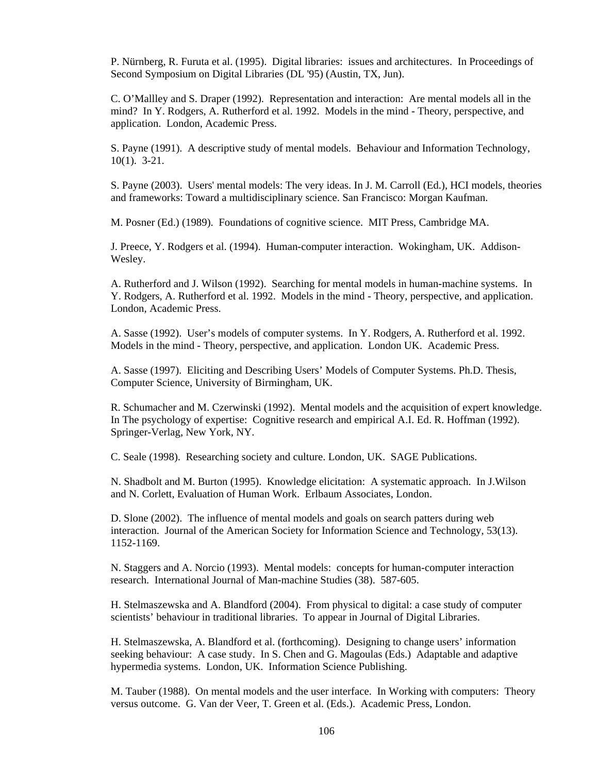P. Nürnberg, R. Furuta et al. (1995). Digital libraries: issues and architectures. In Proceedings of Second Symposium on Digital Libraries (DL '95) (Austin, TX, Jun).

C. O'Mallley and S. Draper (1992). Representation and interaction: Are mental models all in the mind? In Y. Rodgers, A. Rutherford et al. 1992. Models in the mind - Theory, perspective, and application. London, Academic Press.

S. Payne (1991). A descriptive study of mental models. Behaviour and Information Technology, 10(1). 3-21.

S. Payne (2003). Users' mental models: The very ideas. In J. M. Carroll (Ed.), HCI models, theories and frameworks: Toward a multidisciplinary science. San Francisco: Morgan Kaufman.

M. Posner (Ed.) (1989). Foundations of cognitive science. MIT Press, Cambridge MA.

J. Preece, Y. Rodgers et al. (1994). Human-computer interaction. Wokingham, UK. Addison-Wesley.

A. Rutherford and J. Wilson (1992). Searching for mental models in human-machine systems. In Y. Rodgers, A. Rutherford et al. 1992. Models in the mind - Theory, perspective, and application. London, Academic Press.

A. Sasse (1992). User's models of computer systems. In Y. Rodgers, A. Rutherford et al. 1992. Models in the mind - Theory, perspective, and application. London UK. Academic Press.

A. Sasse (1997). Eliciting and Describing Users' Models of Computer Systems. Ph.D. Thesis, Computer Science, University of Birmingham, UK.

R. Schumacher and M. Czerwinski (1992). Mental models and the acquisition of expert knowledge. In The psychology of expertise: Cognitive research and empirical A.I. Ed. R. Hoffman (1992). Springer-Verlag, New York, NY.

C. Seale (1998). Researching society and culture. London, UK. SAGE Publications.

N. Shadbolt and M. Burton (1995). Knowledge elicitation: A systematic approach. In J.Wilson and N. Corlett, Evaluation of Human Work. Erlbaum Associates, London.

D. Slone (2002). The influence of mental models and goals on search patters during web interaction. Journal of the American Society for Information Science and Technology, 53(13). 1152-1169.

N. Staggers and A. Norcio (1993). Mental models: concepts for human-computer interaction research. International Journal of Man-machine Studies (38). 587-605.

H. Stelmaszewska and A. Blandford (2004). From physical to digital: a case study of computer scientists' behaviour in traditional libraries. To appear in Journal of Digital Libraries.

H. Stelmaszewska, A. Blandford et al. (forthcoming). Designing to change users' information seeking behaviour: A case study. In S. Chen and G. Magoulas (Eds.) Adaptable and adaptive hypermedia systems. London, UK. Information Science Publishing.

M. Tauber (1988). On mental models and the user interface. In Working with computers: Theory versus outcome. G. Van der Veer, T. Green et al. (Eds.). Academic Press, London.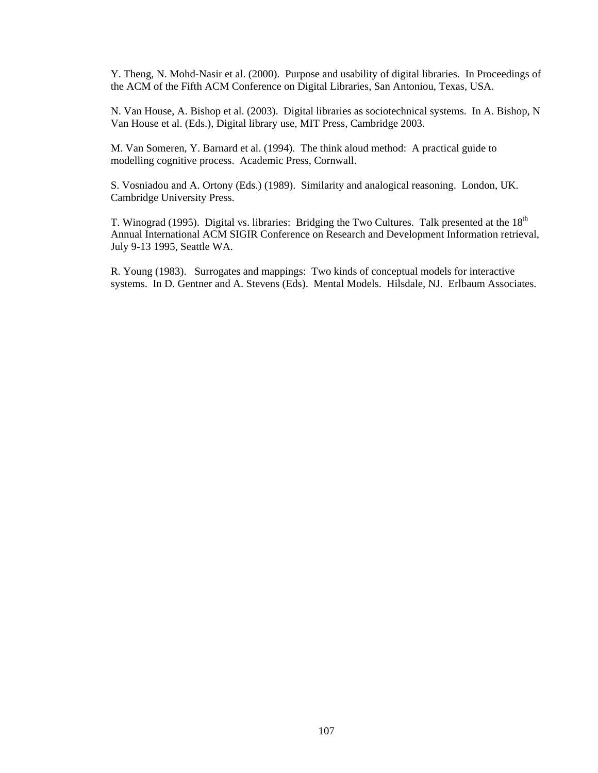Y. Theng, N. Mohd-Nasir et al. (2000). Purpose and usability of digital libraries. In Proceedings of the ACM of the Fifth ACM Conference on Digital Libraries, San Antoniou, Texas, USA.

N. Van House, A. Bishop et al. (2003). Digital libraries as sociotechnical systems. In A. Bishop, N Van House et al. (Eds.), Digital library use, MIT Press, Cambridge 2003.

M. Van Someren, Y. Barnard et al. (1994). The think aloud method: A practical guide to modelling cognitive process. Academic Press, Cornwall.

S. Vosniadou and A. Ortony (Eds.) (1989). Similarity and analogical reasoning. London, UK. Cambridge University Press.

T. Winograd (1995). Digital vs. libraries: Bridging the Two Cultures. Talk presented at the  $18<sup>th</sup>$ Annual International ACM SIGIR Conference on Research and Development Information retrieval, July 9-13 1995, Seattle WA.

R. Young (1983). Surrogates and mappings: Two kinds of conceptual models for interactive systems. In D. Gentner and A. Stevens (Eds). Mental Models. Hilsdale, NJ. Erlbaum Associates.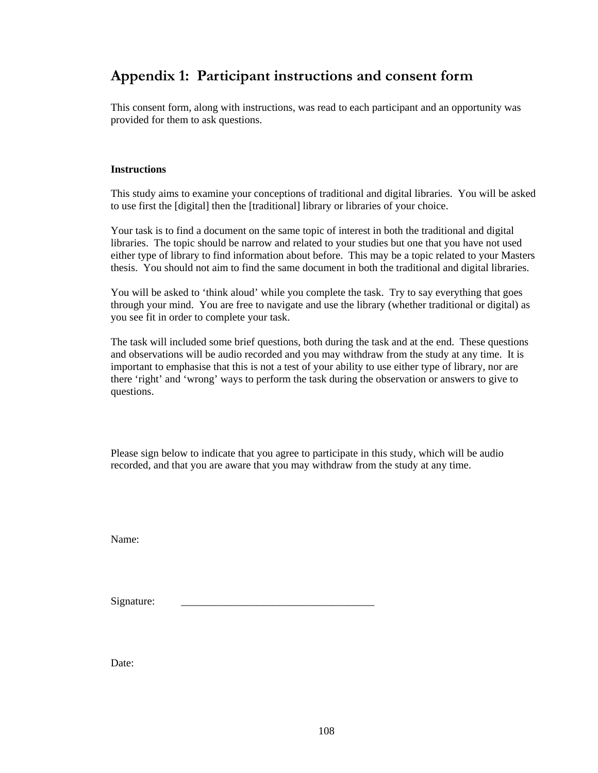# **Appendix 1: Participant instructions and consent form**

This consent form, along with instructions, was read to each participant and an opportunity was provided for them to ask questions.

#### **Instructions**

This study aims to examine your conceptions of traditional and digital libraries. You will be asked to use first the [digital] then the [traditional] library or libraries of your choice.

Your task is to find a document on the same topic of interest in both the traditional and digital libraries. The topic should be narrow and related to your studies but one that you have not used either type of library to find information about before. This may be a topic related to your Masters thesis. You should not aim to find the same document in both the traditional and digital libraries.

You will be asked to 'think aloud' while you complete the task. Try to say everything that goes through your mind. You are free to navigate and use the library (whether traditional or digital) as you see fit in order to complete your task.

The task will included some brief questions, both during the task and at the end. These questions and observations will be audio recorded and you may withdraw from the study at any time. It is important to emphasise that this is not a test of your ability to use either type of library, nor are there 'right' and 'wrong' ways to perform the task during the observation or answers to give to questions.

Please sign below to indicate that you agree to participate in this study, which will be audio recorded, and that you are aware that you may withdraw from the study at any time.

Name:

Signature:

Date: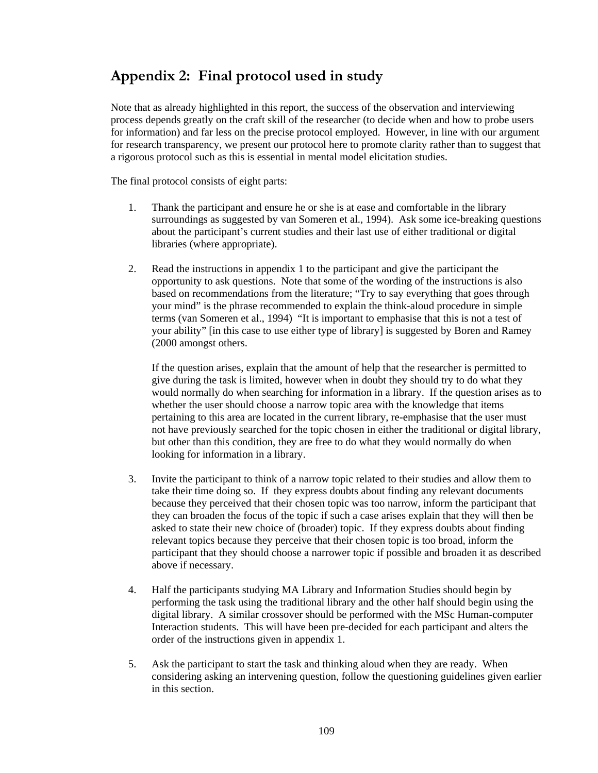# **Appendix 2: Final protocol used in study**

Note that as already highlighted in this report, the success of the observation and interviewing process depends greatly on the craft skill of the researcher (to decide when and how to probe users for information) and far less on the precise protocol employed. However, in line with our argument for research transparency, we present our protocol here to promote clarity rather than to suggest that a rigorous protocol such as this is essential in mental model elicitation studies.

The final protocol consists of eight parts:

- 1. Thank the participant and ensure he or she is at ease and comfortable in the library surroundings as suggested by van Someren et al., 1994). Ask some ice-breaking questions about the participant's current studies and their last use of either traditional or digital libraries (where appropriate).
- 2. Read the instructions in appendix 1 to the participant and give the participant the opportunity to ask questions. Note that some of the wording of the instructions is also based on recommendations from the literature; "Try to say everything that goes through your mind" is the phrase recommended to explain the think-aloud procedure in simple terms (van Someren et al., 1994) "It is important to emphasise that this is not a test of your ability" [in this case to use either type of library] is suggested by Boren and Ramey (2000 amongst others.

If the question arises, explain that the amount of help that the researcher is permitted to give during the task is limited, however when in doubt they should try to do what they would normally do when searching for information in a library. If the question arises as to whether the user should choose a narrow topic area with the knowledge that items pertaining to this area are located in the current library, re-emphasise that the user must not have previously searched for the topic chosen in either the traditional or digital library, but other than this condition, they are free to do what they would normally do when looking for information in a library.

- 3. Invite the participant to think of a narrow topic related to their studies and allow them to take their time doing so. If they express doubts about finding any relevant documents because they perceived that their chosen topic was too narrow, inform the participant that they can broaden the focus of the topic if such a case arises explain that they will then be asked to state their new choice of (broader) topic. If they express doubts about finding relevant topics because they perceive that their chosen topic is too broad, inform the participant that they should choose a narrower topic if possible and broaden it as described above if necessary.
- 4. Half the participants studying MA Library and Information Studies should begin by performing the task using the traditional library and the other half should begin using the digital library. A similar crossover should be performed with the MSc Human-computer Interaction students. This will have been pre-decided for each participant and alters the order of the instructions given in appendix 1.
- 5. Ask the participant to start the task and thinking aloud when they are ready. When considering asking an intervening question, follow the questioning guidelines given earlier in this section.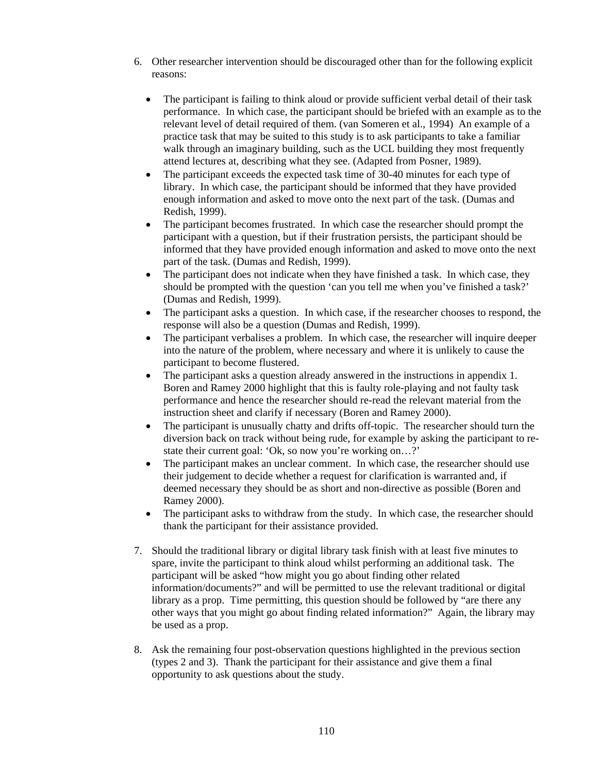- 6. Other researcher intervention should be discouraged other than for the following explicit reasons:
	- The participant is failing to think aloud or provide sufficient verbal detail of their task performance. In which case, the participant should be briefed with an example as to the relevant level of detail required of them. (van Someren et al., 1994) An example of a practice task that may be suited to this study is to ask participants to take a familiar walk through an imaginary building, such as the UCL building they most frequently attend lectures at, describing what they see. (Adapted from Posner, 1989).
	- The participant exceeds the expected task time of 30-40 minutes for each type of library. In which case, the participant should be informed that they have provided enough information and asked to move onto the next part of the task. (Dumas and Redish, 1999).
	- The participant becomes frustrated. In which case the researcher should prompt the participant with a question, but if their frustration persists, the participant should be informed that they have provided enough information and asked to move onto the next part of the task. (Dumas and Redish, 1999).
	- The participant does not indicate when they have finished a task. In which case, they should be prompted with the question 'can you tell me when you've finished a task?' (Dumas and Redish, 1999).
	- The participant asks a question. In which case, if the researcher chooses to respond, the response will also be a question (Dumas and Redish, 1999).
	- The participant verbalises a problem. In which case, the researcher will inquire deeper into the nature of the problem, where necessary and where it is unlikely to cause the participant to become flustered.
	- The participant asks a question already answered in the instructions in appendix 1. Boren and Ramey 2000 highlight that this is faulty role-playing and not faulty task performance and hence the researcher should re-read the relevant material from the instruction sheet and clarify if necessary (Boren and Ramey 2000).
	- The participant is unusually chatty and drifts off-topic. The researcher should turn the diversion back on track without being rude, for example by asking the participant to restate their current goal: 'Ok, so now you're working on…?'
	- The participant makes an unclear comment. In which case, the researcher should use their judgement to decide whether a request for clarification is warranted and, if deemed necessary they should be as short and non-directive as possible (Boren and Ramey 2000).
	- The participant asks to withdraw from the study. In which case, the researcher should thank the participant for their assistance provided.
- 7. Should the traditional library or digital library task finish with at least five minutes to spare, invite the participant to think aloud whilst performing an additional task. The participant will be asked "how might you go about finding other related information/documents?" and will be permitted to use the relevant traditional or digital library as a prop. Time permitting, this question should be followed by "are there any other ways that you might go about finding related information?" Again, the library may be used as a prop.
- 8. Ask the remaining four post-observation questions highlighted in the previous section (types 2 and 3). Thank the participant for their assistance and give them a final opportunity to ask questions about the study.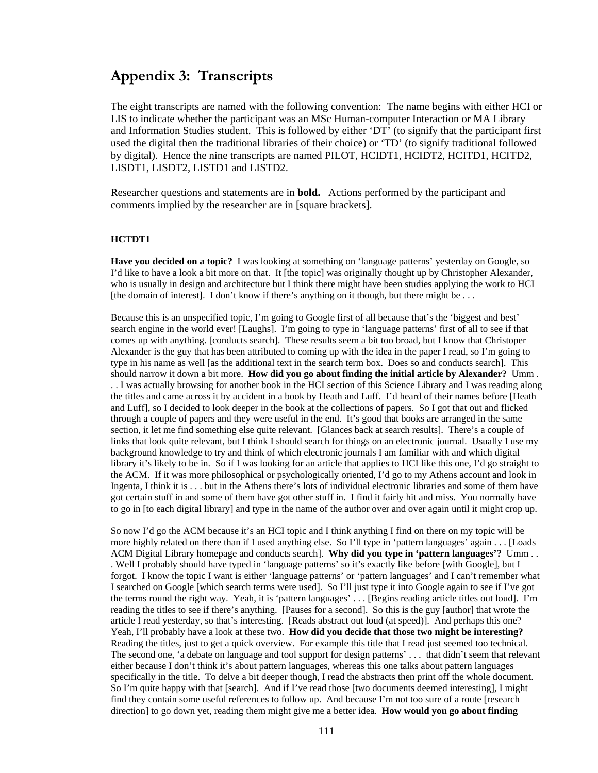## **Appendix 3: Transcripts**

The eight transcripts are named with the following convention: The name begins with either HCI or LIS to indicate whether the participant was an MSc Human-computer Interaction or MA Library and Information Studies student. This is followed by either 'DT' (to signify that the participant first used the digital then the traditional libraries of their choice) or 'TD' (to signify traditional followed by digital). Hence the nine transcripts are named PILOT, HCIDT1, HCIDT2, HCITD1, HCITD2, LISDT1, LISDT2, LISTD1 and LISTD2.

Researcher questions and statements are in **bold.** Actions performed by the participant and comments implied by the researcher are in [square brackets].

#### **HCTDT1**

**Have you decided on a topic?** I was looking at something on 'language patterns' yesterday on Google, so I'd like to have a look a bit more on that. It [the topic] was originally thought up by Christopher Alexander, who is usually in design and architecture but I think there might have been studies applying the work to HCI [the domain of interest]. I don't know if there's anything on it though, but there might be . . .

Because this is an unspecified topic, I'm going to Google first of all because that's the 'biggest and best' search engine in the world ever! [Laughs]. I'm going to type in 'language patterns' first of all to see if that comes up with anything. [conducts search]. These results seem a bit too broad, but I know that Christoper Alexander is the guy that has been attributed to coming up with the idea in the paper I read, so I'm going to type in his name as well [as the additional text in the search term box. Does so and conducts search]. This should narrow it down a bit more. **How did you go about finding the initial article by Alexander?** Umm . . . I was actually browsing for another book in the HCI section of this Science Library and I was reading along the titles and came across it by accident in a book by Heath and Luff. I'd heard of their names before [Heath and Luff], so I decided to look deeper in the book at the collections of papers. So I got that out and flicked through a couple of papers and they were useful in the end. It's good that books are arranged in the same section, it let me find something else quite relevant. [Glances back at search results]. There's a couple of links that look quite relevant, but I think I should search for things on an electronic journal. Usually I use my background knowledge to try and think of which electronic journals I am familiar with and which digital library it's likely to be in. So if I was looking for an article that applies to HCI like this one, I'd go straight to the ACM. If it was more philosophical or psychologically oriented, I'd go to my Athens account and look in Ingenta, I think it is . . . but in the Athens there's lots of individual electronic libraries and some of them have got certain stuff in and some of them have got other stuff in. I find it fairly hit and miss. You normally have to go in [to each digital library] and type in the name of the author over and over again until it might crop up.

So now I'd go the ACM because it's an HCI topic and I think anything I find on there on my topic will be more highly related on there than if I used anything else. So I'll type in 'pattern languages' again . . . [Loads ACM Digital Library homepage and conducts search]. **Why did you type in 'pattern languages'?** Umm . . . Well I probably should have typed in 'language patterns' so it's exactly like before [with Google], but I forgot. I know the topic I want is either 'language patterns' or 'pattern languages' and I can't remember what I searched on Google [which search terms were used]. So I'll just type it into Google again to see if I've got the terms round the right way. Yeah, it is 'pattern languages' . . . [Begins reading article titles out loud]. I'm reading the titles to see if there's anything. [Pauses for a second]. So this is the guy [author] that wrote the article I read yesterday, so that's interesting. [Reads abstract out loud (at speed)]. And perhaps this one? Yeah, I'll probably have a look at these two. **How did you decide that those two might be interesting?** Reading the titles, just to get a quick overview. For example this title that I read just seemed too technical. The second one, 'a debate on language and tool support for design patterns' . . . that didn't seem that relevant either because I don't think it's about pattern languages, whereas this one talks about pattern languages specifically in the title. To delve a bit deeper though, I read the abstracts then print off the whole document. So I'm quite happy with that [search]. And if I've read those [two documents deemed interesting], I might find they contain some useful references to follow up. And because I'm not too sure of a route [research direction] to go down yet, reading them might give me a better idea. **How would you go about finding**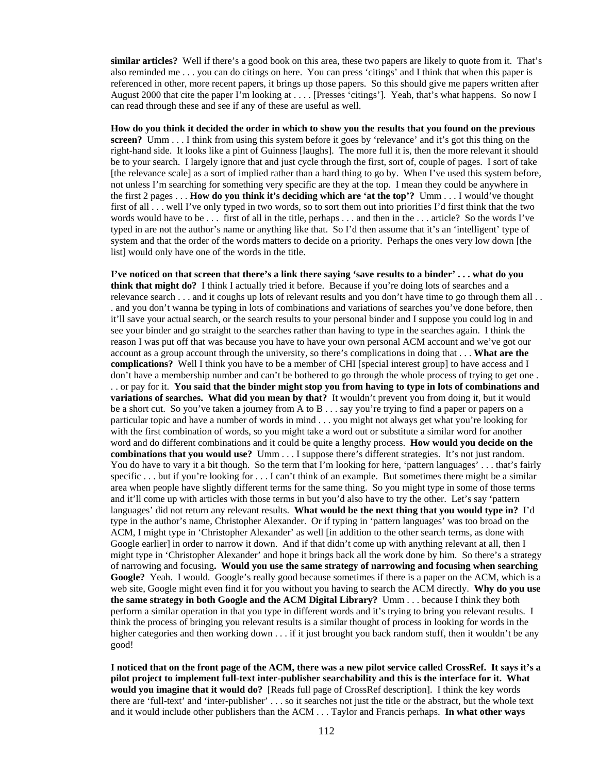**similar articles?** Well if there's a good book on this area, these two papers are likely to quote from it. That's also reminded me . . . you can do citings on here. You can press 'citings' and I think that when this paper is referenced in other, more recent papers, it brings up those papers. So this should give me papers written after August 2000 that cite the paper I'm looking at . . . . [Presses 'citings']. Yeah, that's what happens. So now I can read through these and see if any of these are useful as well.

**How do you think it decided the order in which to show you the results that you found on the previous screen?** Umm . . . I think from using this system before it goes by 'relevance' and it's got this thing on the right-hand side. It looks like a pint of Guinness [laughs]. The more full it is, then the more relevant it should be to your search. I largely ignore that and just cycle through the first, sort of, couple of pages. I sort of take [the relevance scale] as a sort of implied rather than a hard thing to go by. When I've used this system before, not unless I'm searching for something very specific are they at the top. I mean they could be anywhere in the first 2 pages . . . **How do you think it's deciding which are 'at the top'?** Umm . . . I would've thought first of all . . . well I've only typed in two words, so to sort them out into priorities I'd first think that the two words would have to be . . . first of all in the title, perhaps . . . and then in the . . . article? So the words I've typed in are not the author's name or anything like that. So I'd then assume that it's an 'intelligent' type of system and that the order of the words matters to decide on a priority. Perhaps the ones very low down [the list] would only have one of the words in the title.

**I've noticed on that screen that there's a link there saying 'save results to a binder' . . . what do you think that might do?** I think I actually tried it before. Because if you're doing lots of searches and a relevance search . . . and it coughs up lots of relevant results and you don't have time to go through them all . . . and you don't wanna be typing in lots of combinations and variations of searches you've done before, then it'll save your actual search, or the search results to your personal binder and I suppose you could log in and see your binder and go straight to the searches rather than having to type in the searches again. I think the reason I was put off that was because you have to have your own personal ACM account and we've got our account as a group account through the university, so there's complications in doing that . . . **What are the complications?** Well I think you have to be a member of CHI [special interest group] to have access and I don't have a membership number and can't be bothered to go through the whole process of trying to get one . . . or pay for it. **You said that the binder might stop you from having to type in lots of combinations and variations of searches. What did you mean by that?** It wouldn't prevent you from doing it, but it would be a short cut. So you've taken a journey from A to B . . . say you're trying to find a paper or papers on a particular topic and have a number of words in mind . . . you might not always get what you're looking for with the first combination of words, so you might take a word out or substitute a similar word for another word and do different combinations and it could be quite a lengthy process. **How would you decide on the combinations that you would use?** Umm . . . I suppose there's different strategies. It's not just random. You do have to vary it a bit though. So the term that I'm looking for here, 'pattern languages' ... that's fairly specific . . . but if you're looking for . . . I can't think of an example. But sometimes there might be a similar area when people have slightly different terms for the same thing. So you might type in some of those terms and it'll come up with articles with those terms in but you'd also have to try the other. Let's say 'pattern languages' did not return any relevant results. **What would be the next thing that you would type in?** I'd type in the author's name, Christopher Alexander. Or if typing in 'pattern languages' was too broad on the ACM, I might type in 'Christopher Alexander' as well [in addition to the other search terms, as done with Google earlier] in order to narrow it down. And if that didn't come up with anything relevant at all, then I might type in 'Christopher Alexander' and hope it brings back all the work done by him. So there's a strategy of narrowing and focusing**. Would you use the same strategy of narrowing and focusing when searching**  Google? Yeah. I would. Google's really good because sometimes if there is a paper on the ACM, which is a web site, Google might even find it for you without you having to search the ACM directly. **Why do you use the same strategy in both Google and the ACM Digital Library?** Umm . . . because I think they both perform a similar operation in that you type in different words and it's trying to bring you relevant results. I think the process of bringing you relevant results is a similar thought of process in looking for words in the higher categories and then working down . . . if it just brought you back random stuff, then it wouldn't be any good!

**I noticed that on the front page of the ACM, there was a new pilot service called CrossRef. It says it's a pilot project to implement full-text inter-publisher searchability and this is the interface for it. What would you imagine that it would do?** [Reads full page of CrossRef description]. I think the key words there are 'full-text' and 'inter-publisher' . . . so it searches not just the title or the abstract, but the whole text and it would include other publishers than the ACM . . . Taylor and Francis perhaps. **In what other ways**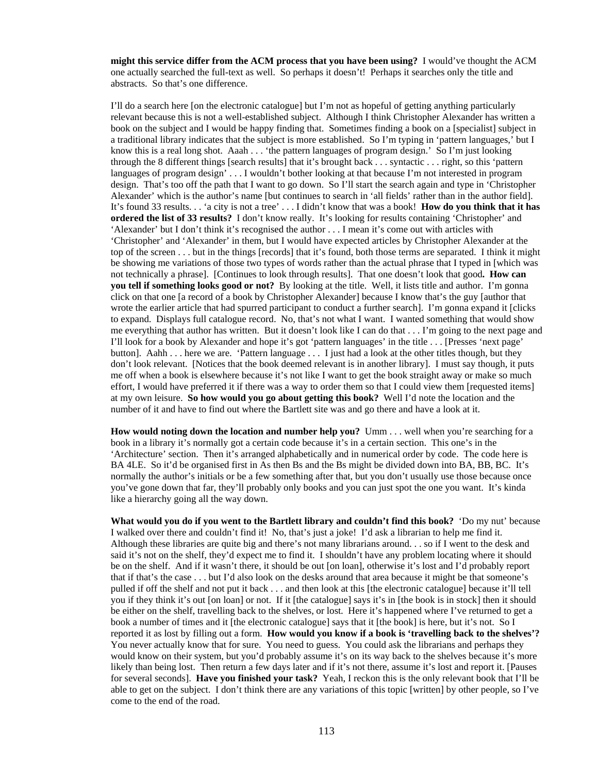**might this service differ from the ACM process that you have been using?** I would've thought the ACM one actually searched the full-text as well. So perhaps it doesn't! Perhaps it searches only the title and abstracts. So that's one difference.

I'll do a search here [on the electronic catalogue] but I'm not as hopeful of getting anything particularly relevant because this is not a well-established subject. Although I think Christopher Alexander has written a book on the subject and I would be happy finding that. Sometimes finding a book on a [specialist] subject in a traditional library indicates that the subject is more established. So I'm typing in 'pattern languages,' but I know this is a real long shot. Aaah . . . 'the pattern languages of program design.' So I'm just looking through the 8 different things [search results] that it's brought back . . . syntactic . . . right, so this 'pattern languages of program design' . . . I wouldn't bother looking at that because I'm not interested in program design. That's too off the path that I want to go down. So I'll start the search again and type in 'Christopher Alexander' which is the author's name [but continues to search in 'all fields' rather than in the author field]. It's found 33 results. . . 'a city is not a tree' . . . I didn't know that was a book! **How do you think that it has ordered the list of 33 results?** I don't know really. It's looking for results containing 'Christopher' and 'Alexander' but I don't think it's recognised the author . . . I mean it's come out with articles with 'Christopher' and 'Alexander' in them, but I would have expected articles by Christopher Alexander at the top of the screen . . . but in the things [records] that it's found, both those terms are separated. I think it might be showing me variations of those two types of words rather than the actual phrase that I typed in [which was not technically a phrase]. [Continues to look through results]. That one doesn't look that good**. How can you tell if something looks good or not?** By looking at the title. Well, it lists title and author. I'm gonna click on that one [a record of a book by Christopher Alexander] because I know that's the guy [author that wrote the earlier article that had spurred participant to conduct a further search]. I'm gonna expand it [clicks to expand. Displays full catalogue record. No, that's not what I want. I wanted something that would show me everything that author has written. But it doesn't look like I can do that . . . I'm going to the next page and I'll look for a book by Alexander and hope it's got 'pattern languages' in the title . . . [Presses 'next page' button]. Aahh . . . here we are. 'Pattern language . . . I just had a look at the other titles though, but they don't look relevant. [Notices that the book deemed relevant is in another library]. I must say though, it puts me off when a book is elsewhere because it's not like I want to get the book straight away or make so much effort, I would have preferred it if there was a way to order them so that I could view them [requested items] at my own leisure. **So how would you go about getting this book?** Well I'd note the location and the number of it and have to find out where the Bartlett site was and go there and have a look at it.

**How would noting down the location and number help you?** Umm . . . well when you're searching for a book in a library it's normally got a certain code because it's in a certain section. This one's in the 'Architecture' section. Then it's arranged alphabetically and in numerical order by code. The code here is BA 4LE. So it'd be organised first in As then Bs and the Bs might be divided down into BA, BB, BC. It's normally the author's initials or be a few something after that, but you don't usually use those because once you've gone down that far, they'll probably only books and you can just spot the one you want. It's kinda like a hierarchy going all the way down.

**What would you do if you went to the Bartlett library and couldn't find this book?** 'Do my nut' because I walked over there and couldn't find it! No, that's just a joke! I'd ask a librarian to help me find it. Although these libraries are quite big and there's not many librarians around. . . so if I went to the desk and said it's not on the shelf, they'd expect me to find it. I shouldn't have any problem locating where it should be on the shelf. And if it wasn't there, it should be out [on loan], otherwise it's lost and I'd probably report that if that's the case . . . but I'd also look on the desks around that area because it might be that someone's pulled if off the shelf and not put it back . . . and then look at this [the electronic catalogue] because it'll tell you if they think it's out [on loan] or not. If it [the catalogue] says it's in [the book is in stock] then it should be either on the shelf, travelling back to the shelves, or lost. Here it's happened where I've returned to get a book a number of times and it [the electronic catalogue] says that it [the book] is here, but it's not. So I reported it as lost by filling out a form. **How would you know if a book is 'travelling back to the shelves'?** You never actually know that for sure. You need to guess. You could ask the librarians and perhaps they would know on their system, but you'd probably assume it's on its way back to the shelves because it's more likely than being lost. Then return a few days later and if it's not there, assume it's lost and report it. [Pauses for several seconds]. **Have you finished your task?** Yeah, I reckon this is the only relevant book that I'll be able to get on the subject. I don't think there are any variations of this topic [written] by other people, so I've come to the end of the road.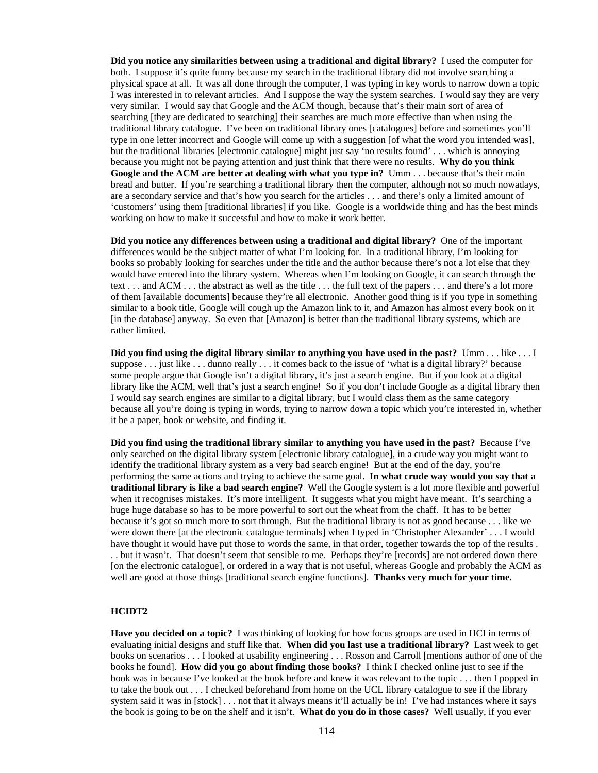**Did you notice any similarities between using a traditional and digital library?** I used the computer for both. I suppose it's quite funny because my search in the traditional library did not involve searching a physical space at all. It was all done through the computer, I was typing in key words to narrow down a topic I was interested in to relevant articles. And I suppose the way the system searches. I would say they are very very similar. I would say that Google and the ACM though, because that's their main sort of area of searching [they are dedicated to searching] their searches are much more effective than when using the traditional library catalogue. I've been on traditional library ones [catalogues] before and sometimes you'll type in one letter incorrect and Google will come up with a suggestion [of what the word you intended was], but the traditional libraries [electronic catalogue] might just say 'no results found' . . . which is annoying because you might not be paying attention and just think that there were no results. **Why do you think Google and the ACM are better at dealing with what you type in?** Umm . . . because that's their main bread and butter. If you're searching a traditional library then the computer, although not so much nowadays, are a secondary service and that's how you search for the articles . . . and there's only a limited amount of 'customers' using them [traditional libraries] if you like. Google is a worldwide thing and has the best minds working on how to make it successful and how to make it work better.

**Did you notice any differences between using a traditional and digital library?** One of the important differences would be the subject matter of what I'm looking for. In a traditional library, I'm looking for books so probably looking for searches under the title and the author because there's not a lot else that they would have entered into the library system. Whereas when I'm looking on Google, it can search through the text . . . and ACM . . . the abstract as well as the title . . . the full text of the papers . . . and there's a lot more of them [available documents] because they're all electronic. Another good thing is if you type in something similar to a book title, Google will cough up the Amazon link to it, and Amazon has almost every book on it [in the database] anyway. So even that [Amazon] is better than the traditional library systems, which are rather limited.

**Did you find using the digital library similar to anything you have used in the past?** Umm . . . like . . . I suppose . . . just like . . . dunno really . . . it comes back to the issue of 'what is a digital library?' because some people argue that Google isn't a digital library, it's just a search engine. But if you look at a digital library like the ACM, well that's just a search engine! So if you don't include Google as a digital library then I would say search engines are similar to a digital library, but I would class them as the same category because all you're doing is typing in words, trying to narrow down a topic which you're interested in, whether it be a paper, book or website, and finding it.

**Did you find using the traditional library similar to anything you have used in the past?** Because I've only searched on the digital library system [electronic library catalogue], in a crude way you might want to identify the traditional library system as a very bad search engine! But at the end of the day, you're performing the same actions and trying to achieve the same goal. **In what crude way would you say that a traditional library is like a bad search engine?** Well the Google system is a lot more flexible and powerful when it recognises mistakes. It's more intelligent. It suggests what you might have meant. It's searching a huge huge database so has to be more powerful to sort out the wheat from the chaff. It has to be better because it's got so much more to sort through. But the traditional library is not as good because . . . like we were down there [at the electronic catalogue terminals] when I typed in 'Christopher Alexander' . . . I would have thought it would have put those to words the same, in that order, together towards the top of the results . . . but it wasn't. That doesn't seem that sensible to me. Perhaps they're [records] are not ordered down there [on the electronic catalogue], or ordered in a way that is not useful, whereas Google and probably the ACM as well are good at those things [traditional search engine functions]. **Thanks very much for your time.**

### **HCIDT2**

**Have you decided on a topic?** I was thinking of looking for how focus groups are used in HCI in terms of evaluating initial designs and stuff like that. **When did you last use a traditional library?** Last week to get books on scenarios . . . I looked at usability engineering . . . Rosson and Carroll [mentions author of one of the books he found]. **How did you go about finding those books?** I think I checked online just to see if the book was in because I've looked at the book before and knew it was relevant to the topic . . . then I popped in to take the book out . . . I checked beforehand from home on the UCL library catalogue to see if the library system said it was in [stock] . . . not that it always means it'll actually be in! I've had instances where it says the book is going to be on the shelf and it isn't. **What do you do in those cases?** Well usually, if you ever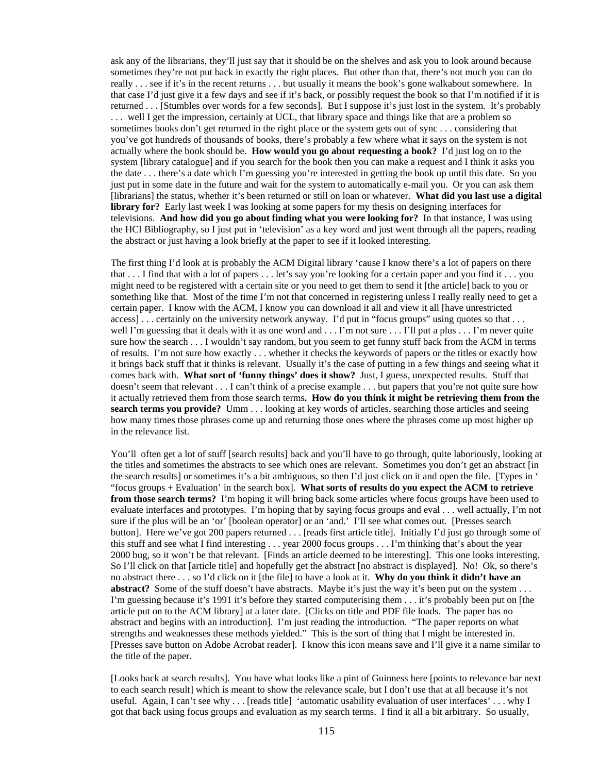ask any of the librarians, they'll just say that it should be on the shelves and ask you to look around because sometimes they're not put back in exactly the right places. But other than that, there's not much you can do really . . . see if it's in the recent returns . . . but usually it means the book's gone walkabout somewhere. In that case I'd just give it a few days and see if it's back, or possibly request the book so that I'm notified if it is returned . . . [Stumbles over words for a few seconds]. But I suppose it's just lost in the system. It's probably . . . well I get the impression, certainly at UCL, that library space and things like that are a problem so sometimes books don't get returned in the right place or the system gets out of sync . . . considering that you've got hundreds of thousands of books, there's probably a few where what it says on the system is not actually where the book should be. **How would you go about requesting a book?** I'd just log on to the system [library catalogue] and if you search for the book then you can make a request and I think it asks you the date . . . there's a date which I'm guessing you're interested in getting the book up until this date. So you just put in some date in the future and wait for the system to automatically e-mail you. Or you can ask them [librarians] the status, whether it's been returned or still on loan or whatever. **What did you last use a digital library for?** Early last week I was looking at some papers for my thesis on designing interfaces for televisions. **And how did you go about finding what you were looking for?** In that instance, I was using the HCI Bibliography, so I just put in 'television' as a key word and just went through all the papers, reading the abstract or just having a look briefly at the paper to see if it looked interesting.

The first thing I'd look at is probably the ACM Digital library 'cause I know there's a lot of papers on there that . . . I find that with a lot of papers . . . let's say you're looking for a certain paper and you find it . . . you might need to be registered with a certain site or you need to get them to send it [the article] back to you or something like that. Most of the time I'm not that concerned in registering unless I really really need to get a certain paper. I know with the ACM, I know you can download it all and view it all [have unrestricted access] . . . certainly on the university network anyway. I'd put in "focus groups" using quotes so that . . . well I'm guessing that it deals with it as one word and . . . I'm not sure . . . I'll put a plus . . . I'm never quite sure how the search . . . I wouldn't say random, but you seem to get funny stuff back from the ACM in terms of results. I'm not sure how exactly . . . whether it checks the keywords of papers or the titles or exactly how it brings back stuff that it thinks is relevant. Usually it's the case of putting in a few things and seeing what it comes back with. **What sort of 'funny things' does it show?** Just, I guess, unexpected results. Stuff that doesn't seem that relevant . . . I can't think of a precise example . . . but papers that you're not quite sure how it actually retrieved them from those search terms**. How do you think it might be retrieving them from the search terms you provide?** Umm . . . looking at key words of articles, searching those articles and seeing how many times those phrases come up and returning those ones where the phrases come up most higher up in the relevance list.

You'll often get a lot of stuff [search results] back and you'll have to go through, quite laboriously, looking at the titles and sometimes the abstracts to see which ones are relevant. Sometimes you don't get an abstract [in the search results] or sometimes it's a bit ambiguous, so then I'd just click on it and open the file. [Types in ' "focus groups + Evaluation' in the search box]. **What sorts of results do you expect the ACM to retrieve from those search terms?** I'm hoping it will bring back some articles where focus groups have been used to evaluate interfaces and prototypes. I'm hoping that by saying focus groups and eval . . . well actually, I'm not sure if the plus will be an 'or' [boolean operator] or an 'and.' I'll see what comes out. [Presses search button]. Here we've got 200 papers returned . . . [reads first article title]. Initially I'd just go through some of this stuff and see what I find interesting . . . year 2000 focus groups . . . I'm thinking that's about the year 2000 bug, so it won't be that relevant. [Finds an article deemed to be interesting]. This one looks interesting. So I'll click on that [article title] and hopefully get the abstract [no abstract is displayed]. No! Ok, so there's no abstract there . . . so I'd click on it [the file] to have a look at it. **Why do you think it didn't have an abstract?** Some of the stuff doesn't have abstracts. Maybe it's just the way it's been put on the system . . . I'm guessing because it's 1991 it's before they started computerising them . . . it's probably been put on [the article put on to the ACM library] at a later date. [Clicks on title and PDF file loads. The paper has no abstract and begins with an introduction]. I'm just reading the introduction. "The paper reports on what strengths and weaknesses these methods yielded." This is the sort of thing that I might be interested in. [Presses save button on Adobe Acrobat reader]. I know this icon means save and I'll give it a name similar to the title of the paper.

[Looks back at search results]. You have what looks like a pint of Guinness here [points to relevance bar next to each search result] which is meant to show the relevance scale, but I don't use that at all because it's not useful. Again, I can't see why . . . [reads title] 'automatic usability evaluation of user interfaces' . . . why I got that back using focus groups and evaluation as my search terms. I find it all a bit arbitrary. So usually,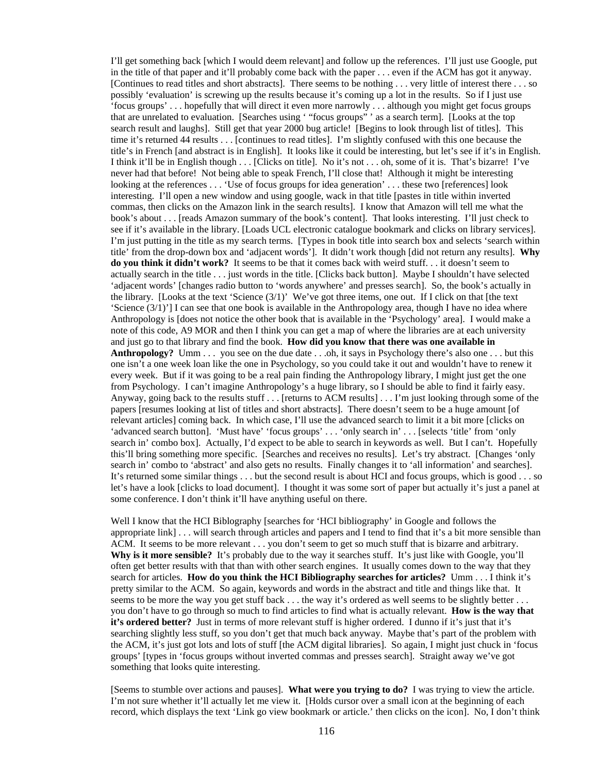I'll get something back [which I would deem relevant] and follow up the references. I'll just use Google, put in the title of that paper and it'll probably come back with the paper . . . even if the ACM has got it anyway. [Continues to read titles and short abstracts]. There seems to be nothing . . . very little of interest there . . . so possibly 'evaluation' is screwing up the results because it's coming up a lot in the results. So if I just use 'focus groups' . . . hopefully that will direct it even more narrowly . . . although you might get focus groups that are unrelated to evaluation. [Searches using ' "focus groups" ' as a search term]. [Looks at the top search result and laughs]. Still get that year 2000 bug article! [Begins to look through list of titles]. This time it's returned 44 results . . . [continues to read titles]. I'm slightly confused with this one because the title's in French [and abstract is in English]. It looks like it could be interesting, but let's see if it's in English. I think it'll be in English though . . . [Clicks on title]. No it's not . . . oh, some of it is. That's bizarre! I've never had that before! Not being able to speak French, I'll close that! Although it might be interesting looking at the references . . . 'Use of focus groups for idea generation' . . . these two [references] look interesting. I'll open a new window and using google, wack in that title [pastes in title within inverted commas, then clicks on the Amazon link in the search results]. I know that Amazon will tell me what the book's about . . . [reads Amazon summary of the book's content]. That looks interesting. I'll just check to see if it's available in the library. [Loads UCL electronic catalogue bookmark and clicks on library services]. I'm just putting in the title as my search terms. [Types in book title into search box and selects 'search within title' from the drop-down box and 'adjacent words']. It didn't work though [did not return any results]. **Why do you think it didn't work?** It seems to be that it comes back with weird stuff. . . it doesn't seem to actually search in the title . . . just words in the title. [Clicks back button]. Maybe I shouldn't have selected 'adjacent words' [changes radio button to 'words anywhere' and presses search]. So, the book's actually in the library. [Looks at the text 'Science (3/1)' We've got three items, one out. If I click on that [the text 'Science (3/1)'] I can see that one book is available in the Anthropology area, though I have no idea where Anthropology is [does not notice the other book that is available in the 'Psychology' area]. I would make a note of this code, A9 MOR and then I think you can get a map of where the libraries are at each university and just go to that library and find the book. **How did you know that there was one available in Anthropology?** Umm . . . you see on the due date . . .oh, it says in Psychology there's also one . . . but this one isn't a one week loan like the one in Psychology, so you could take it out and wouldn't have to renew it every week. But if it was going to be a real pain finding the Anthropology library, I might just get the one from Psychology. I can't imagine Anthropology's a huge library, so I should be able to find it fairly easy. Anyway, going back to the results stuff . . . [returns to ACM results] . . . I'm just looking through some of the papers [resumes looking at list of titles and short abstracts]. There doesn't seem to be a huge amount [of relevant articles] coming back. In which case, I'll use the advanced search to limit it a bit more [clicks on 'advanced search button]. 'Must have' 'focus groups' . . . 'only search in' . . . [selects 'title' from 'only search in' combo box]. Actually, I'd expect to be able to search in keywords as well. But I can't. Hopefully this'll bring something more specific. [Searches and receives no results]. Let's try abstract. [Changes 'only search in' combo to 'abstract' and also gets no results. Finally changes it to 'all information' and searches]. It's returned some similar things . . . but the second result is about HCI and focus groups, which is good . . . so let's have a look [clicks to load document]. I thought it was some sort of paper but actually it's just a panel at some conference. I don't think it'll have anything useful on there.

Well I know that the HCI Biblography [searches for 'HCI bibliography' in Google and follows the appropriate link] . . . will search through articles and papers and I tend to find that it's a bit more sensible than ACM. It seems to be more relevant . . . you don't seem to get so much stuff that is bizarre and arbitrary. **Why is it more sensible?** It's probably due to the way it searches stuff. It's just like with Google, you'll often get better results with that than with other search engines. It usually comes down to the way that they search for articles. **How do you think the HCI Bibliography searches for articles?** Umm . . . I think it's pretty similar to the ACM. So again, keywords and words in the abstract and title and things like that. It seems to be more the way you get stuff back . . . the way it's ordered as well seems to be slightly better . . . you don't have to go through so much to find articles to find what is actually relevant. **How is the way that it's ordered better?** Just in terms of more relevant stuff is higher ordered. I dunno if it's just that it's searching slightly less stuff, so you don't get that much back anyway. Maybe that's part of the problem with the ACM, it's just got lots and lots of stuff [the ACM digital libraries]. So again, I might just chuck in 'focus groups' [types in 'focus groups without inverted commas and presses search]. Straight away we've got something that looks quite interesting.

[Seems to stumble over actions and pauses]. **What were you trying to do?** I was trying to view the article. I'm not sure whether it'll actually let me view it. [Holds cursor over a small icon at the beginning of each record, which displays the text 'Link go view bookmark or article.' then clicks on the icon]. No, I don't think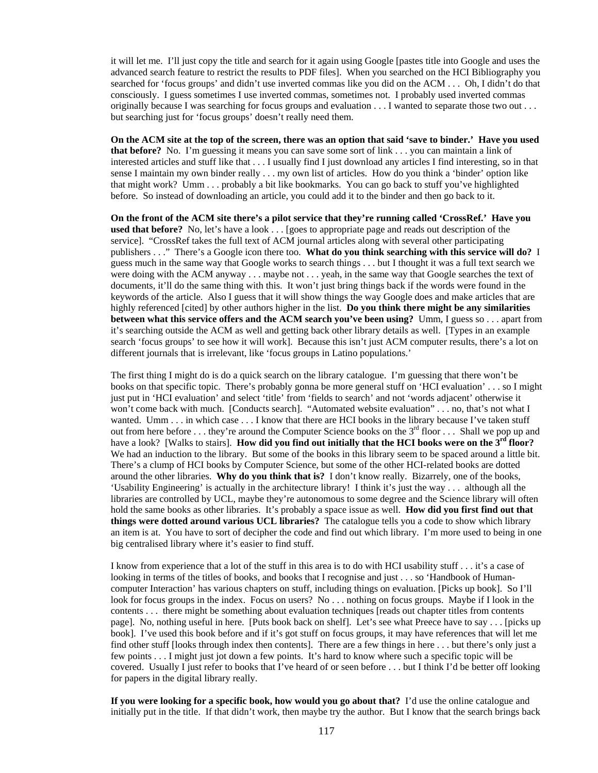it will let me. I'll just copy the title and search for it again using Google [pastes title into Google and uses the advanced search feature to restrict the results to PDF files]. When you searched on the HCI Bibliography you searched for 'focus groups' and didn't use inverted commas like you did on the ACM . . . Oh, I didn't do that consciously. I guess sometimes I use inverted commas, sometimes not. I probably used inverted commas originally because I was searching for focus groups and evaluation . . . I wanted to separate those two out . . . but searching just for 'focus groups' doesn't really need them.

**On the ACM site at the top of the screen, there was an option that said 'save to binder.' Have you used that before?** No. I'm guessing it means you can save some sort of link . . . you can maintain a link of interested articles and stuff like that . . . I usually find I just download any articles I find interesting, so in that sense I maintain my own binder really . . . my own list of articles. How do you think a 'binder' option like that might work? Umm . . . probably a bit like bookmarks. You can go back to stuff you've highlighted before. So instead of downloading an article, you could add it to the binder and then go back to it.

**On the front of the ACM site there's a pilot service that they're running called 'CrossRef.' Have you used that before?** No, let's have a look . . . [goes to appropriate page and reads out description of the service]. "CrossRef takes the full text of ACM journal articles along with several other participating publishers . . ." There's a Google icon there too. **What do you think searching with this service will do?** I guess much in the same way that Google works to search things . . . but I thought it was a full text search we were doing with the ACM anyway . . . maybe not . . . yeah, in the same way that Google searches the text of documents, it'll do the same thing with this. It won't just bring things back if the words were found in the keywords of the article. Also I guess that it will show things the way Google does and make articles that are highly referenced [cited] by other authors higher in the list. **Do you think there might be any similarities between what this service offers and the ACM search you've been using?** Umm, I guess so . . . apart from it's searching outside the ACM as well and getting back other library details as well. [Types in an example search 'focus groups' to see how it will work]. Because this isn't just ACM computer results, there's a lot on different journals that is irrelevant, like 'focus groups in Latino populations.'

The first thing I might do is do a quick search on the library catalogue. I'm guessing that there won't be books on that specific topic. There's probably gonna be more general stuff on 'HCI evaluation' . . . so I might just put in 'HCI evaluation' and select 'title' from 'fields to search' and not 'words adjacent' otherwise it won't come back with much. [Conducts search]. "Automated website evaluation" . . . no, that's not what I wanted. Umm . . . in which case . . . I know that there are HCI books in the library because I've taken stuff out from here before ... they're around the Computer Science books on the  $3^{rd}$  floor ... Shall we pop up and have a look? [Walks to stairs]. **How did you find out initially that the HCI books were on the 3<sup>rd</sup> floor?** We had an induction to the library. But some of the books in this library seem to be spaced around a little bit. There's a clump of HCI books by Computer Science, but some of the other HCI-related books are dotted around the other libraries. **Why do you think that is?** I don't know really. Bizarrely, one of the books, 'Usability Engineering' is actually in the architecture library! I think it's just the way . . . although all the libraries are controlled by UCL, maybe they're autonomous to some degree and the Science library will often hold the same books as other libraries. It's probably a space issue as well. **How did you first find out that things were dotted around various UCL libraries?** The catalogue tells you a code to show which library an item is at. You have to sort of decipher the code and find out which library. I'm more used to being in one big centralised library where it's easier to find stuff.

I know from experience that a lot of the stuff in this area is to do with HCI usability stuff . . . it's a case of looking in terms of the titles of books, and books that I recognise and just . . . so 'Handbook of Humancomputer Interaction' has various chapters on stuff, including things on evaluation. [Picks up book]. So I'll look for focus groups in the index. Focus on users? No . . . nothing on focus groups. Maybe if I look in the contents . . . there might be something about evaluation techniques [reads out chapter titles from contents page]. No, nothing useful in here. [Puts book back on shelf]. Let's see what Preece have to say . . . [picks up book]. I've used this book before and if it's got stuff on focus groups, it may have references that will let me find other stuff [looks through index then contents]. There are a few things in here . . . but there's only just a few points . . . I might just jot down a few points. It's hard to know where such a specific topic will be covered. Usually I just refer to books that I've heard of or seen before . . . but I think I'd be better off looking for papers in the digital library really.

**If you were looking for a specific book, how would you go about that?** I'd use the online catalogue and initially put in the title. If that didn't work, then maybe try the author. But I know that the search brings back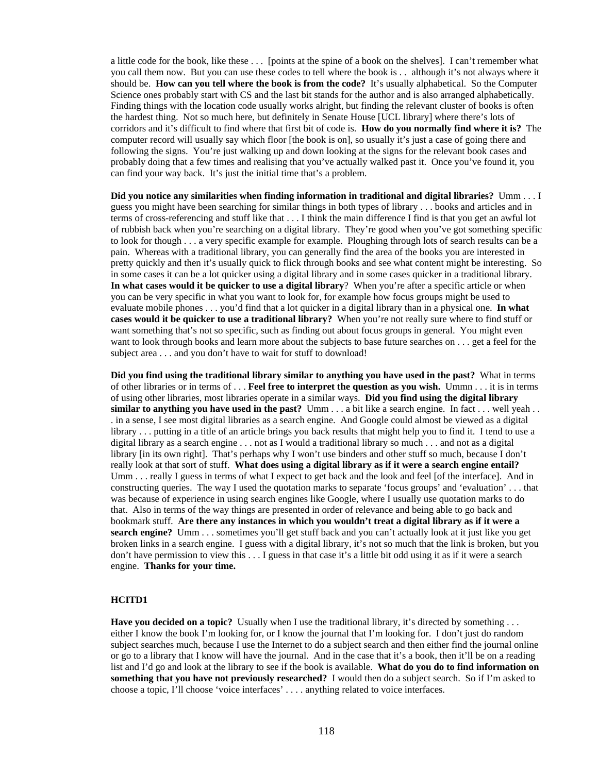a little code for the book, like these . . . [points at the spine of a book on the shelves]. I can't remember what you call them now. But you can use these codes to tell where the book is . . although it's not always where it should be. **How can you tell where the book is from the code?** It's usually alphabetical. So the Computer Science ones probably start with CS and the last bit stands for the author and is also arranged alphabetically. Finding things with the location code usually works alright, but finding the relevant cluster of books is often the hardest thing. Not so much here, but definitely in Senate House [UCL library] where there's lots of corridors and it's difficult to find where that first bit of code is. **How do you normally find where it is?** The computer record will usually say which floor [the book is on], so usually it's just a case of going there and following the signs. You're just walking up and down looking at the signs for the relevant book cases and probably doing that a few times and realising that you've actually walked past it. Once you've found it, you can find your way back. It's just the initial time that's a problem.

**Did you notice any similarities when finding information in traditional and digital libraries?** Umm . . . I guess you might have been searching for similar things in both types of library . . . books and articles and in terms of cross-referencing and stuff like that . . . I think the main difference I find is that you get an awful lot of rubbish back when you're searching on a digital library. They're good when you've got something specific to look for though . . . a very specific example for example. Ploughing through lots of search results can be a pain. Whereas with a traditional library, you can generally find the area of the books you are interested in pretty quickly and then it's usually quick to flick through books and see what content might be interesting. So in some cases it can be a lot quicker using a digital library and in some cases quicker in a traditional library. **In what cases would it be quicker to use a digital library**? When you're after a specific article or when you can be very specific in what you want to look for, for example how focus groups might be used to evaluate mobile phones . . . you'd find that a lot quicker in a digital library than in a physical one. **In what cases would it be quicker to use a traditional library?** When you're not really sure where to find stuff or want something that's not so specific, such as finding out about focus groups in general. You might even want to look through books and learn more about the subjects to base future searches on . . . get a feel for the subject area . . . and you don't have to wait for stuff to download!

**Did you find using the traditional library similar to anything you have used in the past?** What in terms of other libraries or in terms of . . . **Feel free to interpret the question as you wish.** Ummn . . . it is in terms of using other libraries, most libraries operate in a similar ways. **Did you find using the digital library similar to anything you have used in the past?** Umm . . . a bit like a search engine. In fact . . . well yeah . . . in a sense, I see most digital libraries as a search engine. And Google could almost be viewed as a digital library . . . putting in a title of an article brings you back results that might help you to find it. I tend to use a digital library as a search engine . . . not as I would a traditional library so much . . . and not as a digital library [in its own right]. That's perhaps why I won't use binders and other stuff so much, because I don't really look at that sort of stuff. **What does using a digital library as if it were a search engine entail?** Umm . . . really I guess in terms of what I expect to get back and the look and feel [of the interface]. And in constructing queries. The way I used the quotation marks to separate 'focus groups' and 'evaluation' . . . that was because of experience in using search engines like Google, where I usually use quotation marks to do that. Also in terms of the way things are presented in order of relevance and being able to go back and bookmark stuff. **Are there any instances in which you wouldn't treat a digital library as if it were a search engine?** Umm . . . sometimes you'll get stuff back and you can't actually look at it just like you get broken links in a search engine. I guess with a digital library, it's not so much that the link is broken, but you don't have permission to view this . . . I guess in that case it's a little bit odd using it as if it were a search engine. **Thanks for your time.**

#### **HCITD1**

**Have you decided on a topic?** Usually when I use the traditional library, it's directed by something . . . either I know the book I'm looking for, or I know the journal that I'm looking for. I don't just do random subject searches much, because I use the Internet to do a subject search and then either find the journal online or go to a library that I know will have the journal. And in the case that it's a book, then it'll be on a reading list and I'd go and look at the library to see if the book is available. **What do you do to find information on something that you have not previously researched?** I would then do a subject search. So if I'm asked to choose a topic, I'll choose 'voice interfaces' . . . . anything related to voice interfaces.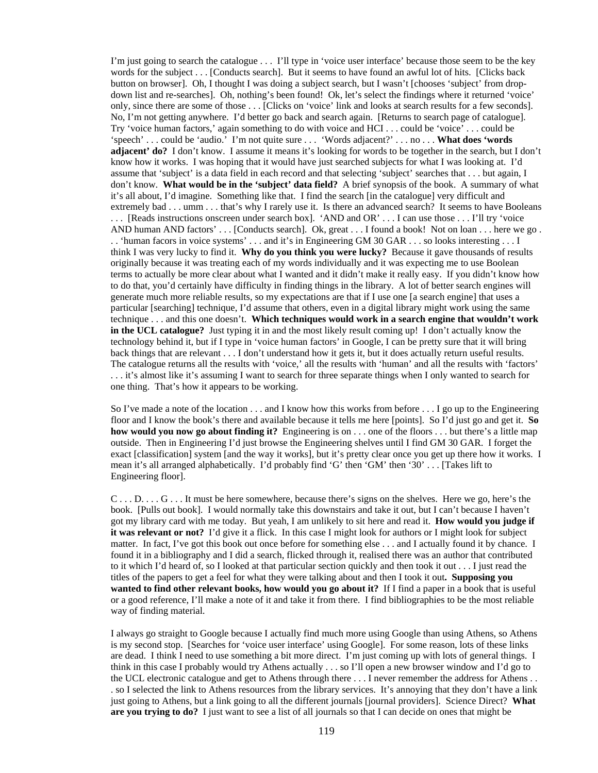I'm just going to search the catalogue . . . I'll type in 'voice user interface' because those seem to be the key words for the subject . . . [Conducts search]. But it seems to have found an awful lot of hits. [Clicks back button on browser]. Oh, I thought I was doing a subject search, but I wasn't [chooses 'subject' from dropdown list and re-searches]. Oh, nothing's been found! Ok, let's select the findings where it returned 'voice' only, since there are some of those . . . [Clicks on 'voice' link and looks at search results for a few seconds]. No, I'm not getting anywhere. I'd better go back and search again. [Returns to search page of catalogue]. Try 'voice human factors,' again something to do with voice and HCI . . . could be 'voice' . . . could be 'speech' . . . could be 'audio.' I'm not quite sure . . . 'Words adjacent?' . . . no . . . **What does 'words adjacent' do?** I don't know. I assume it means it's looking for words to be together in the search, but I don't know how it works. I was hoping that it would have just searched subjects for what I was looking at. I'd assume that 'subject' is a data field in each record and that selecting 'subject' searches that . . . but again, I don't know. **What would be in the 'subject' data field?** A brief synopsis of the book. A summary of what it's all about, I'd imagine. Something like that. I find the search [in the catalogue] very difficult and extremely bad . . . umm . . . that's why I rarely use it. Is there an advanced search? It seems to have Booleans . . . [Reads instructions onscreen under search box]. 'AND and OR' . . . I can use those . . . I'll try 'voice AND human AND factors' . . . [Conducts search]. Ok, great . . . I found a book! Not on loan . . . here we go . . . 'human facors in voice systems' . . . and it's in Engineering GM 30 GAR . . . so looks interesting . . . I think I was very lucky to find it. **Why do you think you were lucky?** Because it gave thousands of results originally because it was treating each of my words individually and it was expecting me to use Boolean terms to actually be more clear about what I wanted and it didn't make it really easy. If you didn't know how to do that, you'd certainly have difficulty in finding things in the library. A lot of better search engines will generate much more reliable results, so my expectations are that if I use one [a search engine] that uses a particular [searching] technique, I'd assume that others, even in a digital library might work using the same technique . . . and this one doesn't. **Which techniques would work in a search engine that wouldn't work in the UCL catalogue?** Just typing it in and the most likely result coming up! I don't actually know the technology behind it, but if I type in 'voice human factors' in Google, I can be pretty sure that it will bring back things that are relevant . . . I don't understand how it gets it, but it does actually return useful results. The catalogue returns all the results with 'voice,' all the results with 'human' and all the results with 'factors' . . . it's almost like it's assuming I want to search for three separate things when I only wanted to search for one thing. That's how it appears to be working.

So I've made a note of the location . . . and I know how this works from before . . . I go up to the Engineering floor and I know the book's there and available because it tells me here [points]. So I'd just go and get it. **So how would you now go about finding it?** Engineering is on . . . one of the floors . . . but there's a little map outside. Then in Engineering I'd just browse the Engineering shelves until I find GM 30 GAR. I forget the exact [classification] system [and the way it works], but it's pretty clear once you get up there how it works. I mean it's all arranged alphabetically. I'd probably find 'G' then 'GM' then '30' . . . [Takes lift to Engineering floor].

C . . . D. . . . G . . . It must be here somewhere, because there's signs on the shelves. Here we go, here's the book. [Pulls out book]. I would normally take this downstairs and take it out, but I can't because I haven't got my library card with me today. But yeah, I am unlikely to sit here and read it. **How would you judge if it was relevant or not?** I'd give it a flick. In this case I might look for authors or I might look for subject matter. In fact, I've got this book out once before for something else ... and I actually found it by chance. I found it in a bibliography and I did a search, flicked through it, realised there was an author that contributed to it which I'd heard of, so I looked at that particular section quickly and then took it out . . . I just read the titles of the papers to get a feel for what they were talking about and then I took it out**. Supposing you wanted to find other relevant books, how would you go about it?** If I find a paper in a book that is useful or a good reference, I'll make a note of it and take it from there. I find bibliographies to be the most reliable way of finding material.

I always go straight to Google because I actually find much more using Google than using Athens, so Athens is my second stop. [Searches for 'voice user interface' using Google]. For some reason, lots of these links are dead. I think I need to use something a bit more direct. I'm just coming up with lots of general things. I think in this case I probably would try Athens actually . . . so I'll open a new browser window and I'd go to the UCL electronic catalogue and get to Athens through there . . . I never remember the address for Athens . . . so I selected the link to Athens resources from the library services. It's annoying that they don't have a link just going to Athens, but a link going to all the different journals [journal providers]. Science Direct? **What are you trying to do?** I just want to see a list of all journals so that I can decide on ones that might be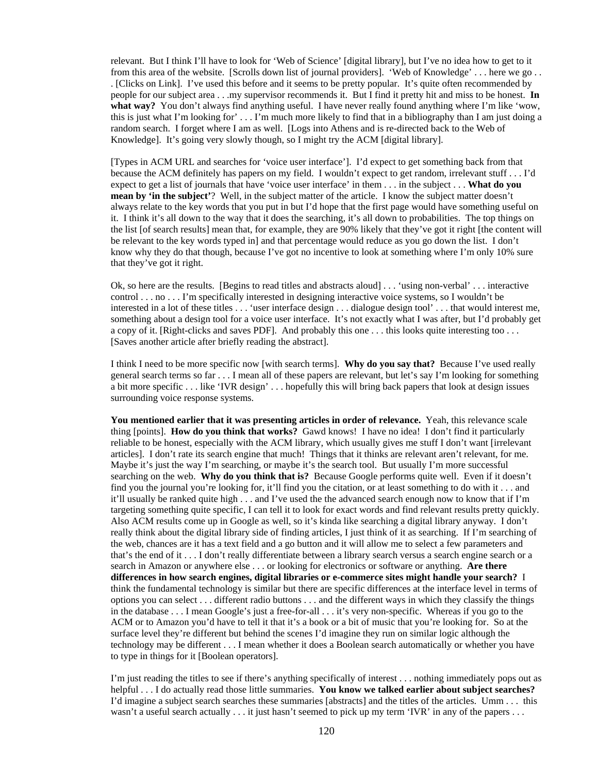relevant. But I think I'll have to look for 'Web of Science' [digital library], but I've no idea how to get to it from this area of the website. [Scrolls down list of journal providers]. 'Web of Knowledge' . . . here we go . . . [Clicks on Link]. I've used this before and it seems to be pretty popular. It's quite often recommended by people for our subject area . . .my supervisor recommends it. But I find it pretty hit and miss to be honest. **In what way?** You don't always find anything useful. I have never really found anything where I'm like 'wow, this is just what I'm looking for' . . . I'm much more likely to find that in a bibliography than I am just doing a random search. I forget where I am as well. [Logs into Athens and is re-directed back to the Web of Knowledge]. It's going very slowly though, so I might try the ACM [digital library].

[Types in ACM URL and searches for 'voice user interface']. I'd expect to get something back from that because the ACM definitely has papers on my field. I wouldn't expect to get random, irrelevant stuff . . . I'd expect to get a list of journals that have 'voice user interface' in them . . . in the subject . . . **What do you mean by 'in the subject'**? Well, in the subject matter of the article. I know the subject matter doesn't always relate to the key words that you put in but I'd hope that the first page would have something useful on it. I think it's all down to the way that it does the searching, it's all down to probabilities. The top things on the list [of search results] mean that, for example, they are 90% likely that they've got it right [the content will be relevant to the key words typed in] and that percentage would reduce as you go down the list. I don't know why they do that though, because I've got no incentive to look at something where I'm only 10% sure that they've got it right.

Ok, so here are the results. [Begins to read titles and abstracts aloud] . . . 'using non-verbal' . . . interactive control . . . no . . . I'm specifically interested in designing interactive voice systems, so I wouldn't be interested in a lot of these titles . . . 'user interface design . . . dialogue design tool' . . . that would interest me, something about a design tool for a voice user interface. It's not exactly what I was after, but I'd probably get a copy of it. [Right-clicks and saves PDF]. And probably this one . . . this looks quite interesting too . . . [Saves another article after briefly reading the abstract].

I think I need to be more specific now [with search terms]. **Why do you say that?** Because I've used really general search terms so far . . . I mean all of these papers are relevant, but let's say I'm looking for something a bit more specific . . . like 'IVR design' . . . hopefully this will bring back papers that look at design issues surrounding voice response systems.

**You mentioned earlier that it was presenting articles in order of relevance.** Yeah, this relevance scale thing [points]. **How do you think that works?** Gawd knows! I have no idea! I don't find it particularly reliable to be honest, especially with the ACM library, which usually gives me stuff I don't want [irrelevant articles]. I don't rate its search engine that much! Things that it thinks are relevant aren't relevant, for me. Maybe it's just the way I'm searching, or maybe it's the search tool. But usually I'm more successful searching on the web. Why do you think that is? Because Google performs quite well. Even if it doesn't find you the journal you're looking for, it'll find you the citation, or at least something to do with it . . . and it'll usually be ranked quite high . . . and I've used the the advanced search enough now to know that if I'm targeting something quite specific, I can tell it to look for exact words and find relevant results pretty quickly. Also ACM results come up in Google as well, so it's kinda like searching a digital library anyway. I don't really think about the digital library side of finding articles, I just think of it as searching. If I'm searching of the web, chances are it has a text field and a go button and it will allow me to select a few parameters and that's the end of it . . . I don't really differentiate between a library search versus a search engine search or a search in Amazon or anywhere else . . . or looking for electronics or software or anything. **Are there differences in how search engines, digital libraries or e-commerce sites might handle your search?** I think the fundamental technology is similar but there are specific differences at the interface level in terms of options you can select . . . different radio buttons . . . and the different ways in which they classify the things in the database . . . I mean Google's just a free-for-all . . . it's very non-specific. Whereas if you go to the ACM or to Amazon you'd have to tell it that it's a book or a bit of music that you're looking for. So at the surface level they're different but behind the scenes I'd imagine they run on similar logic although the technology may be different . . . I mean whether it does a Boolean search automatically or whether you have to type in things for it [Boolean operators].

I'm just reading the titles to see if there's anything specifically of interest . . . nothing immediately pops out as helpful . . . I do actually read those little summaries. **You know we talked earlier about subject searches?** I'd imagine a subject search searches these summaries [abstracts] and the titles of the articles. Umm . . . this wasn't a useful search actually . . . it just hasn't seemed to pick up my term 'IVR' in any of the papers . . .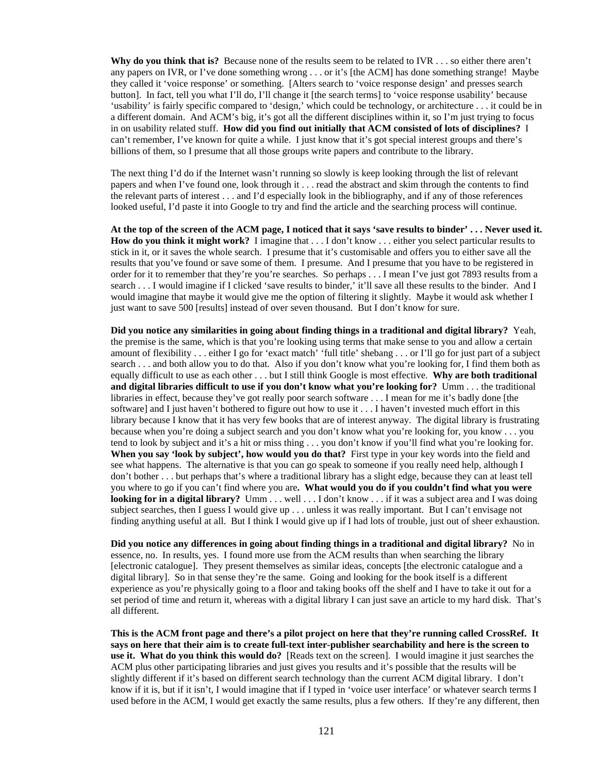**Why do you think that is?** Because none of the results seem to be related to IVR . . . so either there aren't any papers on IVR, or I've done something wrong . . . or it's [the ACM] has done something strange! Maybe they called it 'voice response' or something. [Alters search to 'voice response design' and presses search button]. In fact, tell you what I'll do, I'll change it [the search terms] to 'voice response usability' because 'usability' is fairly specific compared to 'design,' which could be technology, or architecture . . . it could be in a different domain. And ACM's big, it's got all the different disciplines within it, so I'm just trying to focus in on usability related stuff. **How did you find out initially that ACM consisted of lots of disciplines?** I can't remember, I've known for quite a while. I just know that it's got special interest groups and there's billions of them, so I presume that all those groups write papers and contribute to the library.

The next thing I'd do if the Internet wasn't running so slowly is keep looking through the list of relevant papers and when I've found one, look through it . . . read the abstract and skim through the contents to find the relevant parts of interest . . . and I'd especially look in the bibliography, and if any of those references looked useful, I'd paste it into Google to try and find the article and the searching process will continue.

**At the top of the screen of the ACM page, I noticed that it says 'save results to binder' . . . Never used it. How do you think it might work?** I imagine that . . . I don't know . . . either you select particular results to stick in it, or it saves the whole search. I presume that it's customisable and offers you to either save all the results that you've found or save some of them. I presume. And I presume that you have to be registered in order for it to remember that they're you're searches. So perhaps . . . I mean I've just got 7893 results from a search . . . I would imagine if I clicked 'save results to binder,' it'll save all these results to the binder. And I would imagine that maybe it would give me the option of filtering it slightly. Maybe it would ask whether I just want to save 500 [results] instead of over seven thousand. But I don't know for sure.

**Did you notice any similarities in going about finding things in a traditional and digital library?** Yeah, the premise is the same, which is that you're looking using terms that make sense to you and allow a certain amount of flexibility . . . either I go for 'exact match' 'full title' shebang . . . or I'll go for just part of a subject search . . . and both allow you to do that. Also if you don't know what you're looking for, I find them both as equally difficult to use as each other . . . but I still think Google is most effective. **Why are both traditional and digital libraries difficult to use if you don't know what you're looking for?** Umm . . . the traditional libraries in effect, because they've got really poor search software . . . I mean for me it's badly done [the software] and I just haven't bothered to figure out how to use it . . . I haven't invested much effort in this library because I know that it has very few books that are of interest anyway. The digital library is frustrating because when you're doing a subject search and you don't know what you're looking for, you know . . . you tend to look by subject and it's a hit or miss thing . . . you don't know if you'll find what you're looking for. **When you say 'look by subject', how would you do that?** First type in your key words into the field and see what happens. The alternative is that you can go speak to someone if you really need help, although I don't bother . . . but perhaps that's where a traditional library has a slight edge, because they can at least tell you where to go if you can't find where you are**. What would you do if you couldn't find what you were looking for in a digital library?** Umm . . . well . . . I don't know . . . if it was a subject area and I was doing subject searches, then I guess I would give up . . . unless it was really important. But I can't envisage not finding anything useful at all. But I think I would give up if I had lots of trouble, just out of sheer exhaustion.

**Did you notice any differences in going about finding things in a traditional and digital library?** No in essence, no. In results, yes. I found more use from the ACM results than when searching the library [electronic catalogue]. They present themselves as similar ideas, concepts [the electronic catalogue and a digital library]. So in that sense they're the same. Going and looking for the book itself is a different experience as you're physically going to a floor and taking books off the shelf and I have to take it out for a set period of time and return it, whereas with a digital library I can just save an article to my hard disk. That's all different.

**This is the ACM front page and there's a pilot project on here that they're running called CrossRef. It says on here that their aim is to create full-text inter-publisher searchability and here is the screen to use it. What do you think this would do?** [Reads text on the screen]. I would imagine it just searches the ACM plus other participating libraries and just gives you results and it's possible that the results will be slightly different if it's based on different search technology than the current ACM digital library. I don't know if it is, but if it isn't, I would imagine that if I typed in 'voice user interface' or whatever search terms I used before in the ACM, I would get exactly the same results, plus a few others. If they're any different, then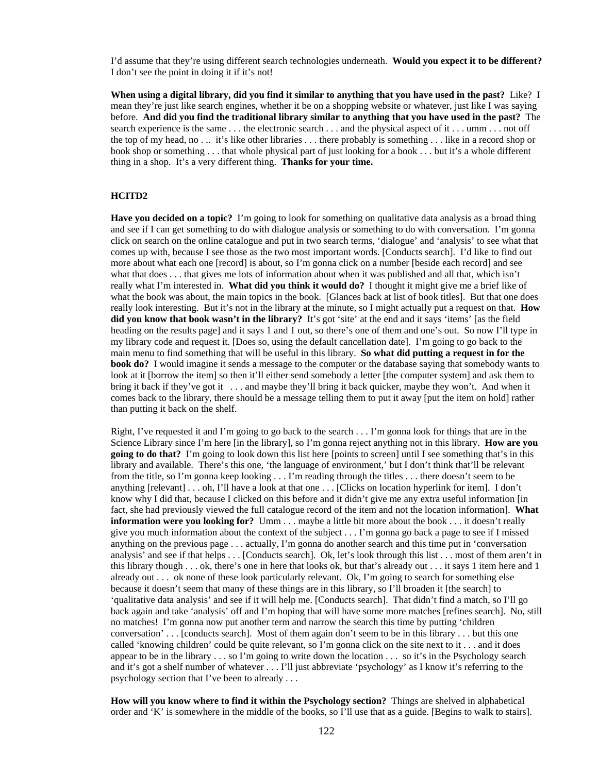I'd assume that they're using different search technologies underneath. **Would you expect it to be different?** I don't see the point in doing it if it's not!

**When using a digital library, did you find it similar to anything that you have used in the past?** Like? I mean they're just like search engines, whether it be on a shopping website or whatever, just like I was saying before. **And did you find the traditional library similar to anything that you have used in the past?** The search experience is the same . . . the electronic search . . . and the physical aspect of it . . . umm . . . not off the top of my head, no . .. it's like other libraries . . . there probably is something . . . like in a record shop or book shop or something . . . that whole physical part of just looking for a book . . . but it's a whole different thing in a shop. It's a very different thing. **Thanks for your time.**

#### **HCITD2**

**Have you decided on a topic?** I'm going to look for something on qualitative data analysis as a broad thing and see if I can get something to do with dialogue analysis or something to do with conversation. I'm gonna click on search on the online catalogue and put in two search terms, 'dialogue' and 'analysis' to see what that comes up with, because I see those as the two most important words. [Conducts search]. I'd like to find out more about what each one [record] is about, so I'm gonna click on a number [beside each record] and see what that does . . . that gives me lots of information about when it was published and all that, which isn't really what I'm interested in. **What did you think it would do?** I thought it might give me a brief like of what the book was about, the main topics in the book. [Glances back at list of book titles]. But that one does really look interesting. But it's not in the library at the minute, so I might actually put a request on that. **How did you know that book wasn't in the library?** It's got 'site' at the end and it says 'items' [as the field heading on the results page] and it says 1 and 1 out, so there's one of them and one's out. So now I'll type in my library code and request it. [Does so, using the default cancellation date]. I'm going to go back to the main menu to find something that will be useful in this library. **So what did putting a request in for the book do?** I would imagine it sends a message to the computer or the database saying that somebody wants to look at it [borrow the item] so then it'll either send somebody a letter [the computer system] and ask them to bring it back if they've got it . . . and maybe they'll bring it back quicker, maybe they won't. And when it comes back to the library, there should be a message telling them to put it away [put the item on hold] rather than putting it back on the shelf.

Right, I've requested it and I'm going to go back to the search . . . I'm gonna look for things that are in the Science Library since I'm here [in the library], so I'm gonna reject anything not in this library. **How are you going to do that?** I'm going to look down this list here [points to screen] until I see something that's in this library and available. There's this one, 'the language of environment,' but I don't think that'll be relevant from the title, so I'm gonna keep looking . . . I'm reading through the titles . . . there doesn't seem to be anything [relevant] . . . oh, I'll have a look at that one . . . [Clicks on location hyperlink for item]. I don't know why I did that, because I clicked on this before and it didn't give me any extra useful information [in fact, she had previously viewed the full catalogue record of the item and not the location information]. **What information were you looking for?** Umm . . . maybe a little bit more about the book . . . it doesn't really give you much information about the context of the subject . . . I'm gonna go back a page to see if I missed anything on the previous page . . . actually, I'm gonna do another search and this time put in 'conversation analysis' and see if that helps . . . [Conducts search]. Ok, let's look through this list . . . most of them aren't in this library though . . . ok, there's one in here that looks ok, but that's already out . . . it says 1 item here and 1 already out . . . ok none of these look particularly relevant. Ok, I'm going to search for something else because it doesn't seem that many of these things are in this library, so I'll broaden it [the search] to 'qualitative data analysis' and see if it will help me. [Conducts search]. That didn't find a match, so I'll go back again and take 'analysis' off and I'm hoping that will have some more matches [refines search]. No, still no matches! I'm gonna now put another term and narrow the search this time by putting 'children conversation' . . . [conducts search]. Most of them again don't seem to be in this library . . . but this one called 'knowing children' could be quite relevant, so I'm gonna click on the site next to it . . . and it does appear to be in the library . . . so I'm going to write down the location . . . so it's in the Psychology search and it's got a shelf number of whatever . . . I'll just abbreviate 'psychology' as I know it's referring to the psychology section that I've been to already . . .

**How will you know where to find it within the Psychology section?** Things are shelved in alphabetical order and 'K' is somewhere in the middle of the books, so I'll use that as a guide. [Begins to walk to stairs].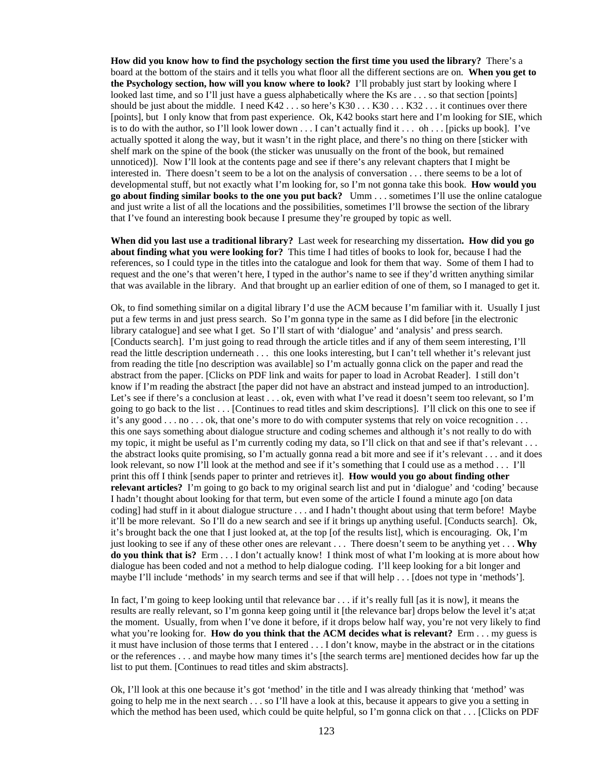**How did you know how to find the psychology section the first time you used the library?** There's a board at the bottom of the stairs and it tells you what floor all the different sections are on. **When you get to the Psychology section, how will you know where to look?** I'll probably just start by looking where I looked last time, and so I'll just have a guess alphabetically where the Ks are . . . so that section [points] should be just about the middle. I need  $K42...$  so here's  $K30...K30...K32...$  it continues over there [points], but I only know that from past experience. Ok, K42 books start here and I'm looking for SIE, which is to do with the author, so I'll look lower down  $\dots$  I can't actually find it  $\dots$  oh  $\dots$  [picks up book]. I've actually spotted it along the way, but it wasn't in the right place, and there's no thing on there [sticker with shelf mark on the spine of the book (the sticker was unusually on the front of the book, but remained unnoticed)]. Now I'll look at the contents page and see if there's any relevant chapters that I might be interested in. There doesn't seem to be a lot on the analysis of conversation . . . there seems to be a lot of developmental stuff, but not exactly what I'm looking for, so I'm not gonna take this book. **How would you go about finding similar books to the one you put back?** Umm . . . sometimes I'll use the online catalogue and just write a list of all the locations and the possibilities, sometimes I'll browse the section of the library that I've found an interesting book because I presume they're grouped by topic as well.

**When did you last use a traditional library?** Last week for researching my dissertation**. How did you go about finding what you were looking for?** This time I had titles of books to look for, because I had the references, so I could type in the titles into the catalogue and look for them that way. Some of them I had to request and the one's that weren't here, I typed in the author's name to see if they'd written anything similar that was available in the library. And that brought up an earlier edition of one of them, so I managed to get it.

Ok, to find something similar on a digital library I'd use the ACM because I'm familiar with it. Usually I just put a few terms in and just press search. So I'm gonna type in the same as I did before [in the electronic library catalogue] and see what I get. So I'll start of with 'dialogue' and 'analysis' and press search. [Conducts search]. I'm just going to read through the article titles and if any of them seem interesting, I'll read the little description underneath . . . this one looks interesting, but I can't tell whether it's relevant just from reading the title [no description was available] so I'm actually gonna click on the paper and read the abstract from the paper. [Clicks on PDF link and waits for paper to load in Acrobat Reader]. I still don't know if I'm reading the abstract [the paper did not have an abstract and instead jumped to an introduction]. Let's see if there's a conclusion at least . . . ok, even with what I've read it doesn't seem too relevant, so I'm going to go back to the list . . . [Continues to read titles and skim descriptions]. I'll click on this one to see if it's any good . . . no . . . ok, that one's more to do with computer systems that rely on voice recognition . . . this one says something about dialogue structure and coding schemes and although it's not really to do with my topic, it might be useful as I'm currently coding my data, so I'll click on that and see if that's relevant ... the abstract looks quite promising, so I'm actually gonna read a bit more and see if it's relevant . . . and it does look relevant, so now I'll look at the method and see if it's something that I could use as a method . . . I'll print this off I think [sends paper to printer and retrieves it]. **How would you go about finding other relevant articles?** I'm going to go back to my original search list and put in 'dialogue' and 'coding' because I hadn't thought about looking for that term, but even some of the article I found a minute ago [on data coding] had stuff in it about dialogue structure . . . and I hadn't thought about using that term before! Maybe it'll be more relevant. So I'll do a new search and see if it brings up anything useful. [Conducts search]. Ok, it's brought back the one that I just looked at, at the top [of the results list], which is encouraging. Ok, I'm just looking to see if any of these other ones are relevant . . . There doesn't seem to be anything yet . . . **Why do you think that is?** Erm . . . I don't actually know! I think most of what I'm looking at is more about how dialogue has been coded and not a method to help dialogue coding. I'll keep looking for a bit longer and maybe I'll include 'methods' in my search terms and see if that will help . . . [does not type in 'methods'].

In fact, I'm going to keep looking until that relevance bar . . . if it's really full [as it is now], it means the results are really relevant, so I'm gonna keep going until it [the relevance bar] drops below the level it's at;at the moment. Usually, from when I've done it before, if it drops below half way, you're not very likely to find what you're looking for. **How do you think that the ACM decides what is relevant?** Erm . . . my guess is it must have inclusion of those terms that I entered . . . I don't know, maybe in the abstract or in the citations or the references . . . and maybe how many times it's [the search terms are] mentioned decides how far up the list to put them. [Continues to read titles and skim abstracts].

Ok, I'll look at this one because it's got 'method' in the title and I was already thinking that 'method' was going to help me in the next search . . . so I'll have a look at this, because it appears to give you a setting in which the method has been used, which could be quite helpful, so I'm gonna click on that . . . [Clicks on PDF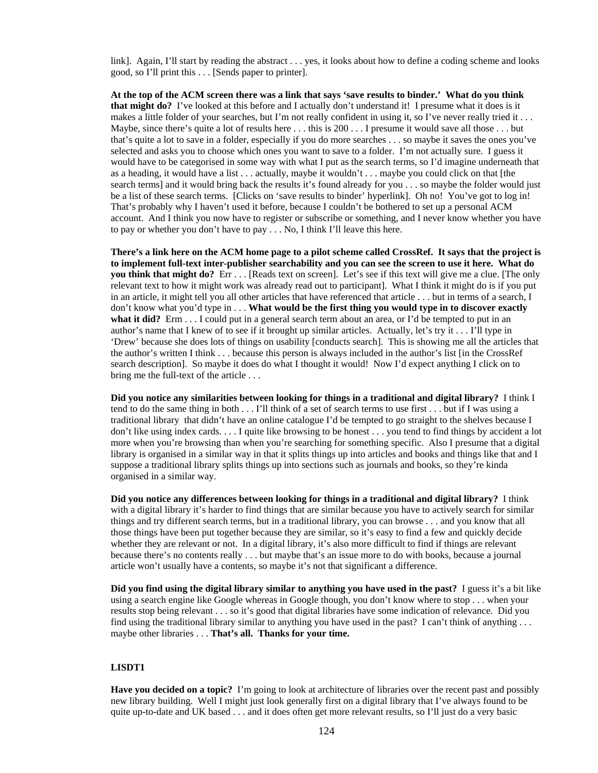link]. Again, I'll start by reading the abstract . . . yes, it looks about how to define a coding scheme and looks good, so I'll print this . . . [Sends paper to printer].

**At the top of the ACM screen there was a link that says 'save results to binder.' What do you think that might do?** I've looked at this before and I actually don't understand it! I presume what it does is it makes a little folder of your searches, but I'm not really confident in using it, so I've never really tried it . . . Maybe, since there's quite a lot of results here  $\dots$  this is 200  $\dots$  I presume it would save all those  $\dots$  but that's quite a lot to save in a folder, especially if you do more searches . . . so maybe it saves the ones you've selected and asks you to choose which ones you want to save to a folder. I'm not actually sure. I guess it would have to be categorised in some way with what I put as the search terms, so I'd imagine underneath that as a heading, it would have a list . . . actually, maybe it wouldn't . . . maybe you could click on that [the search terms] and it would bring back the results it's found already for you . . . so maybe the folder would just be a list of these search terms. [Clicks on 'save results to binder' hyperlink]. Oh no! You've got to log in! That's probably why I haven't used it before, because I couldn't be bothered to set up a personal ACM account. And I think you now have to register or subscribe or something, and I never know whether you have to pay or whether you don't have to pay . . . No, I think I'll leave this here.

**There's a link here on the ACM home page to a pilot scheme called CrossRef. It says that the project is to implement full-text inter-publisher searchability and you can see the screen to use it here. What do you think that might do?** Err . . . [Reads text on screen]. Let's see if this text will give me a clue. [The only relevant text to how it might work was already read out to participant]. What I think it might do is if you put in an article, it might tell you all other articles that have referenced that article . . . but in terms of a search, I don't know what you'd type in . . . **What would be the first thing you would type in to discover exactly what it did?** Erm . . . I could put in a general search term about an area, or I'd be tempted to put in an author's name that I knew of to see if it brought up similar articles. Actually, let's try it . . . I'll type in 'Drew' because she does lots of things on usability [conducts search]. This is showing me all the articles that the author's written I think . . . because this person is always included in the author's list [in the CrossRef search description]. So maybe it does do what I thought it would! Now I'd expect anything I click on to bring me the full-text of the article . . .

**Did you notice any similarities between looking for things in a traditional and digital library?** I think I tend to do the same thing in both . . . I'll think of a set of search terms to use first . . . but if I was using a traditional library that didn't have an online catalogue I'd be tempted to go straight to the shelves because I don't like using index cards. . . . I quite like browsing to be honest . . . you tend to find things by accident a lot more when you're browsing than when you're searching for something specific. Also I presume that a digital library is organised in a similar way in that it splits things up into articles and books and things like that and I suppose a traditional library splits things up into sections such as journals and books, so they're kinda organised in a similar way.

**Did you notice any differences between looking for things in a traditional and digital library?** I think with a digital library it's harder to find things that are similar because you have to actively search for similar things and try different search terms, but in a traditional library, you can browse . . . and you know that all those things have been put together because they are similar, so it's easy to find a few and quickly decide whether they are relevant or not. In a digital library, it's also more difficult to find if things are relevant because there's no contents really . . . but maybe that's an issue more to do with books, because a journal article won't usually have a contents, so maybe it's not that significant a difference.

**Did you find using the digital library similar to anything you have used in the past?** I guess it's a bit like using a search engine like Google whereas in Google though, you don't know where to stop . . . when your results stop being relevant . . . so it's good that digital libraries have some indication of relevance. Did you find using the traditional library similar to anything you have used in the past? I can't think of anything . . . maybe other libraries . . . **That's all. Thanks for your time.** 

#### **LISDT1**

**Have you decided on a topic?** I'm going to look at architecture of libraries over the recent past and possibly new library building. Well I might just look generally first on a digital library that I've always found to be quite up-to-date and UK based . . . and it does often get more relevant results, so I'll just do a very basic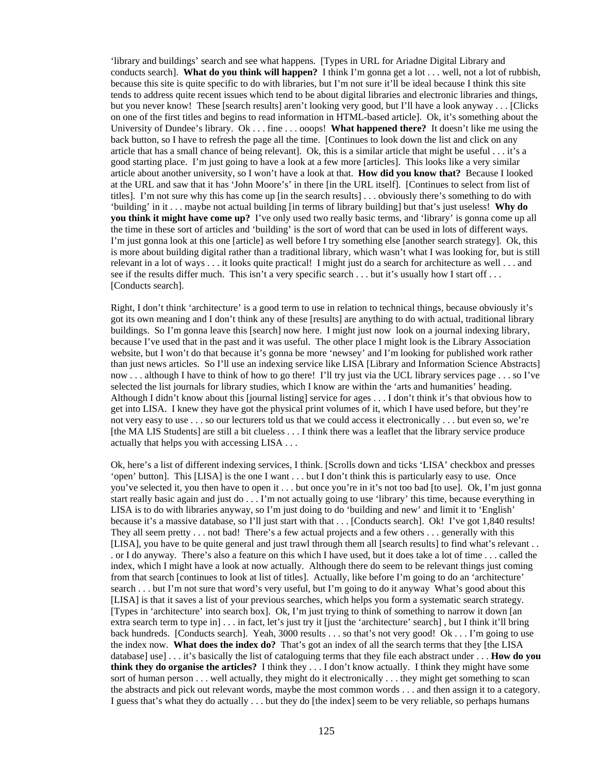'library and buildings' search and see what happens. [Types in URL for Ariadne Digital Library and conducts search]. **What do you think will happen?** I think I'm gonna get a lot . . . well, not a lot of rubbish, because this site is quite specific to do with libraries, but I'm not sure it'll be ideal because I think this site tends to address quite recent issues which tend to be about digital libraries and electronic libraries and things, but you never know! These [search results] aren't looking very good, but I'll have a look anyway . . . [Clicks on one of the first titles and begins to read information in HTML-based article]. Ok, it's something about the University of Dundee's library. Ok . . . fine . . . ooops! **What happened there?** It doesn't like me using the back button, so I have to refresh the page all the time. [Continues to look down the list and click on any article that has a small chance of being relevant]. Ok, this is a similar article that might be useful . . . it's a good starting place. I'm just going to have a look at a few more [articles]. This looks like a very similar article about another university, so I won't have a look at that. **How did you know that?** Because I looked at the URL and saw that it has 'John Moore's' in there [in the URL itself]. [Continues to select from list of titles]. I'm not sure why this has come up [in the search results] . . . obviously there's something to do with 'building' in it . . . maybe not actual building [in terms of library building] but that's just useless! **Why do you think it might have come up?** I've only used two really basic terms, and 'library' is gonna come up all the time in these sort of articles and 'building' is the sort of word that can be used in lots of different ways. I'm just gonna look at this one [article] as well before I try something else [another search strategy]. Ok, this is more about building digital rather than a traditional library, which wasn't what I was looking for, but is still relevant in a lot of ways . . . it looks quite practical! I might just do a search for architecture as well . . . and see if the results differ much. This isn't a very specific search . . . but it's usually how I start off . . . [Conducts search].

Right, I don't think 'architecture' is a good term to use in relation to technical things, because obviously it's got its own meaning and I don't think any of these [results] are anything to do with actual, traditional library buildings. So I'm gonna leave this [search] now here. I might just now look on a journal indexing library, because I've used that in the past and it was useful. The other place I might look is the Library Association website, but I won't do that because it's gonna be more 'newsey' and I'm looking for published work rather than just news articles. So I'll use an indexing service like LISA [Library and Information Science Abstracts] now . . . although I have to think of how to go there! I'll try just via the UCL library services page . . . so I've selected the list journals for library studies, which I know are within the 'arts and humanities' heading. Although I didn't know about this [journal listing] service for ages . . . I don't think it's that obvious how to get into LISA. I knew they have got the physical print volumes of it, which I have used before, but they're not very easy to use . . . so our lecturers told us that we could access it electronically . . . but even so, we're [the MA LIS Students] are still a bit clueless . . . I think there was a leaflet that the library service produce actually that helps you with accessing LISA . . .

Ok, here's a list of different indexing services, I think. [Scrolls down and ticks 'LISA' checkbox and presses 'open' button]. This [LISA] is the one I want . . . but I don't think this is particularly easy to use. Once you've selected it, you then have to open it . . . but once you're in it's not too bad [to use]. Ok, I'm just gonna start really basic again and just do . . . I'm not actually going to use 'library' this time, because everything in LISA is to do with libraries anyway, so I'm just doing to do 'building and new' and limit it to 'English' because it's a massive database, so I'll just start with that . . . [Conducts search]. Ok! I've got 1,840 results! They all seem pretty . . . not bad! There's a few actual projects and a few others . . . generally with this [LISA], you have to be quite general and just trawl through them all [search results] to find what's relevant . . . or I do anyway. There's also a feature on this which I have used, but it does take a lot of time . . . called the index, which I might have a look at now actually. Although there do seem to be relevant things just coming from that search [continues to look at list of titles]. Actually, like before I'm going to do an 'architecture' search . . . but I'm not sure that word's very useful, but I'm going to do it anyway What's good about this [LISA] is that it saves a list of your previous searches, which helps you form a systematic search strategy. [Types in 'architecture' into search box]. Ok, I'm just trying to think of something to narrow it down [an extra search term to type in] . . . in fact, let's just try it [just the 'architecture' search] , but I think it'll bring back hundreds. [Conducts search]. Yeah, 3000 results . . . so that's not very good! Ok . . . I'm going to use the index now. **What does the index do?** That's got an index of all the search terms that they [the LISA database] use] . . . it's basically the list of cataloguing terms that they file each abstract under . . . **How do you think they do organise the articles?** I think they . . . I don't know actually. I think they might have some sort of human person . . . well actually, they might do it electronically . . . they might get something to scan the abstracts and pick out relevant words, maybe the most common words . . . and then assign it to a category. I guess that's what they do actually . . . but they do [the index] seem to be very reliable, so perhaps humans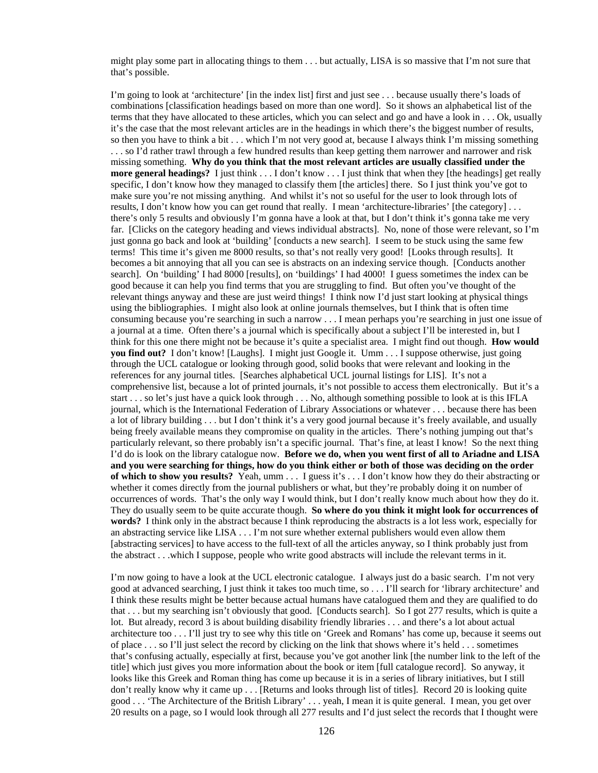might play some part in allocating things to them . . . but actually, LISA is so massive that I'm not sure that that's possible.

I'm going to look at 'architecture' [in the index list] first and just see . . . because usually there's loads of combinations [classification headings based on more than one word]. So it shows an alphabetical list of the terms that they have allocated to these articles, which you can select and go and have a look in . . . Ok, usually it's the case that the most relevant articles are in the headings in which there's the biggest number of results, so then you have to think a bit . . . which I'm not very good at, because I always think I'm missing something . . . so I'd rather trawl through a few hundred results than keep getting them narrower and narrower and risk missing something. **Why do you think that the most relevant articles are usually classified under the more general headings?** I just think . . . I don't know . . . I just think that when they [the headings] get really specific, I don't know how they managed to classify them [the articles] there. So I just think you've got to make sure you're not missing anything. And whilst it's not so useful for the user to look through lots of results, I don't know how you can get round that really. I mean 'architecture-libraries' [the category] . . . there's only 5 results and obviously I'm gonna have a look at that, but I don't think it's gonna take me very far. [Clicks on the category heading and views individual abstracts]. No, none of those were relevant, so I'm just gonna go back and look at 'building' [conducts a new search]. I seem to be stuck using the same few terms! This time it's given me 8000 results, so that's not really very good! [Looks through results]. It becomes a bit annoying that all you can see is abstracts on an indexing service though. [Conducts another search]. On 'building' I had 8000 [results], on 'buildings' I had 4000! I guess sometimes the index can be good because it can help you find terms that you are struggling to find. But often you've thought of the relevant things anyway and these are just weird things! I think now I'd just start looking at physical things using the bibliographies. I might also look at online journals themselves, but I think that is often time consuming because you're searching in such a narrow . . . I mean perhaps you're searching in just one issue of a journal at a time. Often there's a journal which is specifically about a subject I'll be interested in, but I think for this one there might not be because it's quite a specialist area. I might find out though. **How would you find out?** I don't know! [Laughs]. I might just Google it. Umm . . . I suppose otherwise, just going through the UCL catalogue or looking through good, solid books that were relevant and looking in the references for any journal titles. [Searches alphabetical UCL journal listings for LIS]. It's not a comprehensive list, because a lot of printed journals, it's not possible to access them electronically. But it's a start . . . so let's just have a quick look through . . . No, although something possible to look at is this IFLA journal, which is the International Federation of Library Associations or whatever . . . because there has been a lot of library building . . . but I don't think it's a very good journal because it's freely available, and usually being freely available means they compromise on quality in the articles. There's nothing jumping out that's particularly relevant, so there probably isn't a specific journal. That's fine, at least I know! So the next thing I'd do is look on the library catalogue now. **Before we do, when you went first of all to Ariadne and LISA and you were searching for things, how do you think either or both of those was deciding on the order of which to show you results?** Yeah, umm . . . I guess it's . . . I don't know how they do their abstracting or whether it comes directly from the journal publishers or what, but they're probably doing it on number of occurrences of words. That's the only way I would think, but I don't really know much about how they do it. They do usually seem to be quite accurate though. **So where do you think it might look for occurrences of words?** I think only in the abstract because I think reproducing the abstracts is a lot less work, especially for an abstracting service like LISA . . . I'm not sure whether external publishers would even allow them [abstracting services] to have access to the full-text of all the articles anyway, so I think probably just from the abstract . . .which I suppose, people who write good abstracts will include the relevant terms in it.

I'm now going to have a look at the UCL electronic catalogue. I always just do a basic search. I'm not very good at advanced searching, I just think it takes too much time, so . . . I'll search for 'library architecture' and I think these results might be better because actual humans have catalogued them and they are qualified to do that . . . but my searching isn't obviously that good. [Conducts search]. So I got 277 results, which is quite a lot. But already, record 3 is about building disability friendly libraries . . . and there's a lot about actual architecture too . . . I'll just try to see why this title on 'Greek and Romans' has come up, because it seems out of place . . . so I'll just select the record by clicking on the link that shows where it's held . . . sometimes that's confusing actually, especially at first, because you've got another link [the number link to the left of the title] which just gives you more information about the book or item [full catalogue record]. So anyway, it looks like this Greek and Roman thing has come up because it is in a series of library initiatives, but I still don't really know why it came up . . . [Returns and looks through list of titles]. Record 20 is looking quite good . . . 'The Architecture of the British Library' . . . yeah, I mean it is quite general. I mean, you get over 20 results on a page, so I would look through all 277 results and I'd just select the records that I thought were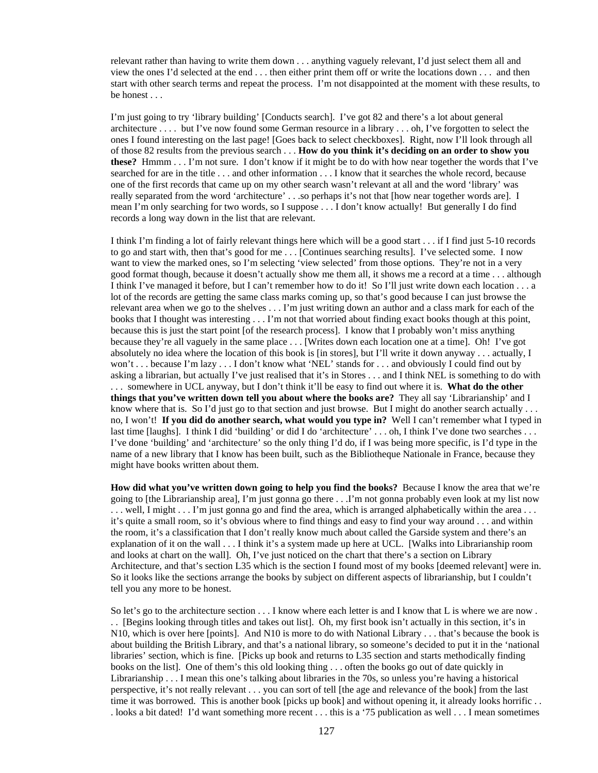relevant rather than having to write them down . . . anything vaguely relevant, I'd just select them all and view the ones I'd selected at the end . . . then either print them off or write the locations down . . . and then start with other search terms and repeat the process. I'm not disappointed at the moment with these results, to be honest . . .

I'm just going to try 'library building' [Conducts search]. I've got 82 and there's a lot about general architecture . . . . but I've now found some German resource in a library . . . oh, I've forgotten to select the ones I found interesting on the last page! [Goes back to select checkboxes]. Right, now I'll look through all of those 82 results from the previous search . . . **How do you think it's deciding on an order to show you these?** Hmmm . . . I'm not sure. I don't know if it might be to do with how near together the words that I've searched for are in the title . . . and other information . . . I know that it searches the whole record, because one of the first records that came up on my other search wasn't relevant at all and the word 'library' was really separated from the word 'architecture' . . .so perhaps it's not that [how near together words are]. I mean I'm only searching for two words, so I suppose . . . I don't know actually! But generally I do find records a long way down in the list that are relevant.

I think I'm finding a lot of fairly relevant things here which will be a good start . . . if I find just 5-10 records to go and start with, then that's good for me . . . [Continues searching results]. I've selected some. I now want to view the marked ones, so I'm selecting 'view selected' from those options. They're not in a very good format though, because it doesn't actually show me them all, it shows me a record at a time . . . although I think I've managed it before, but I can't remember how to do it! So I'll just write down each location . . . a lot of the records are getting the same class marks coming up, so that's good because I can just browse the relevant area when we go to the shelves . . . I'm just writing down an author and a class mark for each of the books that I thought was interesting . . . I'm not that worried about finding exact books though at this point, because this is just the start point [of the research process]. I know that I probably won't miss anything because they're all vaguely in the same place . . . [Writes down each location one at a time]. Oh! I've got absolutely no idea where the location of this book is [in stores], but I'll write it down anyway . . . actually, I won't . . . because I'm lazy . . . I don't know what 'NEL' stands for . . . and obviously I could find out by asking a librarian, but actually I've just realised that it's in Stores . . . and I think NEL is something to do with . . . somewhere in UCL anyway, but I don't think it'll be easy to find out where it is. **What do the other things that you've written down tell you about where the books are?** They all say 'Librarianship' and I know where that is. So I'd just go to that section and just browse. But I might do another search actually ... no, I won't! **If you did do another search, what would you type in?** Well I can't remember what I typed in last time [laughs]. I think I did 'building' or did I do 'architecture' . . . oh, I think I've done two searches . . . I've done 'building' and 'architecture' so the only thing I'd do, if I was being more specific, is I'd type in the name of a new library that I know has been built, such as the Bibliotheque Nationale in France, because they might have books written about them.

**How did what you've written down going to help you find the books?** Because I know the area that we're going to [the Librarianship area], I'm just gonna go there . . .I'm not gonna probably even look at my list now  $\dots$  well, I might  $\dots$  I'm just gonna go and find the area, which is arranged alphabetically within the area  $\dots$ it's quite a small room, so it's obvious where to find things and easy to find your way around . . . and within the room, it's a classification that I don't really know much about called the Garside system and there's an explanation of it on the wall . . . I think it's a system made up here at UCL. [Walks into Librarianship room and looks at chart on the wall]. Oh, I've just noticed on the chart that there's a section on Library Architecture, and that's section L35 which is the section I found most of my books [deemed relevant] were in. So it looks like the sections arrange the books by subject on different aspects of librarianship, but I couldn't tell you any more to be honest.

So let's go to the architecture section . . . I know where each letter is and I know that L is where we are now . . . [Begins looking through titles and takes out list]. Oh, my first book isn't actually in this section, it's in N10, which is over here [points]. And N10 is more to do with National Library . . . that's because the book is about building the British Library, and that's a national library, so someone's decided to put it in the 'national libraries' section, which is fine. [Picks up book and returns to L35 section and starts methodically finding books on the list]. One of them's this old looking thing . . . often the books go out of date quickly in Librarianship . . . I mean this one's talking about libraries in the 70s, so unless you're having a historical perspective, it's not really relevant . . . you can sort of tell [the age and relevance of the book] from the last time it was borrowed. This is another book [picks up book] and without opening it, it already looks horrific.. . looks a bit dated! I'd want something more recent . . . this is a '75 publication as well . . . I mean sometimes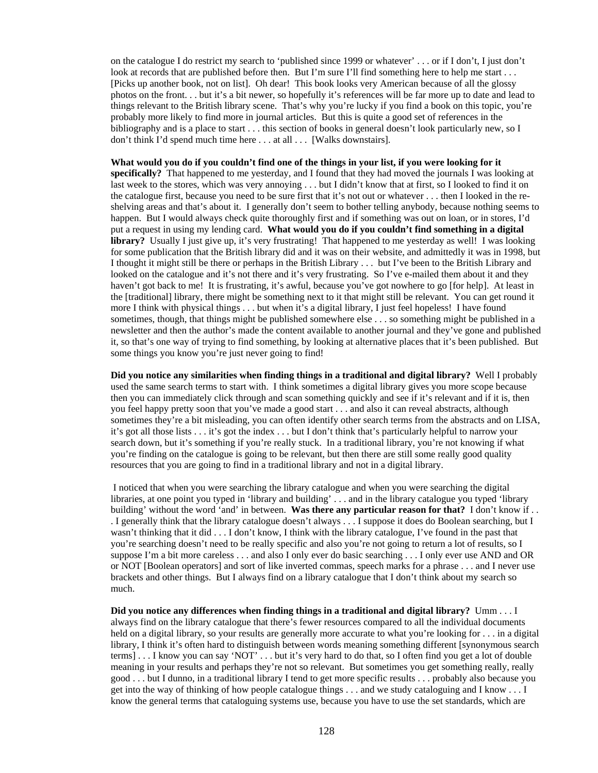on the catalogue I do restrict my search to 'published since 1999 or whatever' . . . or if I don't, I just don't look at records that are published before then. But I'm sure I'll find something here to help me start . . . [Picks up another book, not on list]. Oh dear! This book looks very American because of all the glossy photos on the front. . . but it's a bit newer, so hopefully it's references will be far more up to date and lead to things relevant to the British library scene. That's why you're lucky if you find a book on this topic, you're probably more likely to find more in journal articles. But this is quite a good set of references in the bibliography and is a place to start . . . this section of books in general doesn't look particularly new, so I don't think I'd spend much time here . . . at all . . . [Walks downstairs].

What would you do if you couldn't find one of the things in your list, if you were looking for it **specifically?** That happened to me yesterday, and I found that they had moved the journals I was looking at last week to the stores, which was very annoying . . . but I didn't know that at first, so I looked to find it on the catalogue first, because you need to be sure first that it's not out or whatever . . . then I looked in the reshelving areas and that's about it. I generally don't seem to bother telling anybody, because nothing seems to happen. But I would always check quite thoroughly first and if something was out on loan, or in stores, I'd put a request in using my lending card. **What would you do if you couldn't find something in a digital library?** Usually I just give up, it's very frustrating! That happened to me yesterday as well! I was looking for some publication that the British library did and it was on their website, and admittedly it was in 1998, but I thought it might still be there or perhaps in the British Library . . . but I've been to the British Library and looked on the catalogue and it's not there and it's very frustrating. So I've e-mailed them about it and they haven't got back to me! It is frustrating, it's awful, because you've got nowhere to go [for help]. At least in the [traditional] library, there might be something next to it that might still be relevant. You can get round it more I think with physical things . . . but when it's a digital library, I just feel hopeless! I have found sometimes, though, that things might be published somewhere else . . . so something might be published in a newsletter and then the author's made the content available to another journal and they've gone and published it, so that's one way of trying to find something, by looking at alternative places that it's been published. But some things you know you're just never going to find!

**Did you notice any similarities when finding things in a traditional and digital library?** Well I probably used the same search terms to start with. I think sometimes a digital library gives you more scope because then you can immediately click through and scan something quickly and see if it's relevant and if it is, then you feel happy pretty soon that you've made a good start . . . and also it can reveal abstracts, although sometimes they're a bit misleading, you can often identify other search terms from the abstracts and on LISA, it's got all those lists . . . it's got the index . . . but I don't think that's particularly helpful to narrow your search down, but it's something if you're really stuck. In a traditional library, you're not knowing if what you're finding on the catalogue is going to be relevant, but then there are still some really good quality resources that you are going to find in a traditional library and not in a digital library.

 I noticed that when you were searching the library catalogue and when you were searching the digital libraries, at one point you typed in 'library and building' . . . and in the library catalogue you typed 'library building' without the word 'and' in between. **Was there any particular reason for that?** I don't know if . . . I generally think that the library catalogue doesn't always . . . I suppose it does do Boolean searching, but I wasn't thinking that it did . . . I don't know, I think with the library catalogue, I've found in the past that you're searching doesn't need to be really specific and also you're not going to return a lot of results, so I suppose I'm a bit more careless . . . and also I only ever do basic searching . . . I only ever use AND and OR or NOT [Boolean operators] and sort of like inverted commas, speech marks for a phrase . . . and I never use brackets and other things. But I always find on a library catalogue that I don't think about my search so much.

**Did you notice any differences when finding things in a traditional and digital library?** Umm . . . I always find on the library catalogue that there's fewer resources compared to all the individual documents held on a digital library, so your results are generally more accurate to what you're looking for . . . in a digital library, I think it's often hard to distinguish between words meaning something different [synonymous search terms] . . . I know you can say 'NOT' . . . but it's very hard to do that, so I often find you get a lot of double meaning in your results and perhaps they're not so relevant. But sometimes you get something really, really good . . . but I dunno, in a traditional library I tend to get more specific results . . . probably also because you get into the way of thinking of how people catalogue things . . . and we study cataloguing and I know . . . I know the general terms that cataloguing systems use, because you have to use the set standards, which are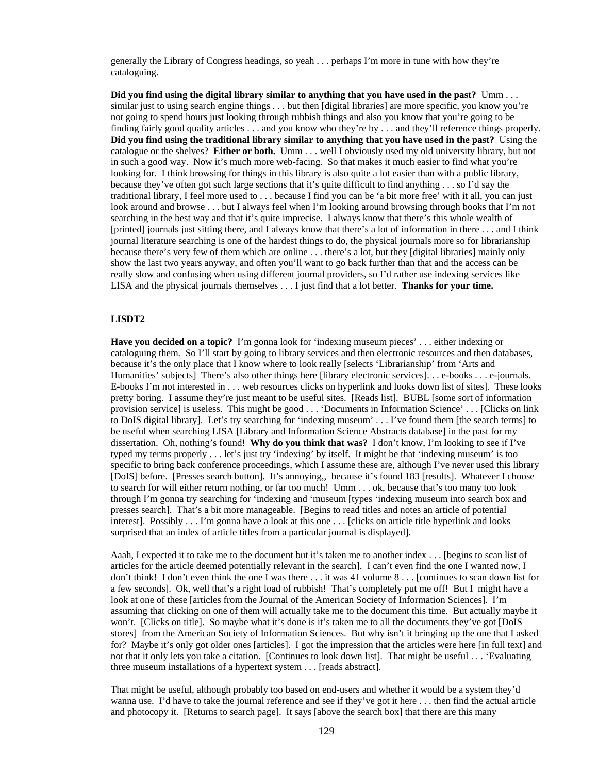generally the Library of Congress headings, so yeah . . . perhaps I'm more in tune with how they're cataloguing.

**Did you find using the digital library similar to anything that you have used in the past?** Umm . . . similar just to using search engine things . . . but then [digital libraries] are more specific, you know you're not going to spend hours just looking through rubbish things and also you know that you're going to be finding fairly good quality articles . . . and you know who they're by . . . and they'll reference things properly. **Did you find using the traditional library similar to anything that you have used in the past?** Using the catalogue or the shelves? **Either or both.** Umm . . . well I obviously used my old university library, but not in such a good way. Now it's much more web-facing. So that makes it much easier to find what you're looking for. I think browsing for things in this library is also quite a lot easier than with a public library, because they've often got such large sections that it's quite difficult to find anything . . . so I'd say the traditional library, I feel more used to . . . because I find you can be 'a bit more free' with it all, you can just look around and browse . . . but I always feel when I'm looking around browsing through books that I'm not searching in the best way and that it's quite imprecise. I always know that there's this whole wealth of [printed] journals just sitting there, and I always know that there's a lot of information in there . . . and I think journal literature searching is one of the hardest things to do, the physical journals more so for librarianship because there's very few of them which are online . . . there's a lot, but they [digital libraries] mainly only show the last two years anyway, and often you'll want to go back further than that and the access can be really slow and confusing when using different journal providers, so I'd rather use indexing services like LISA and the physical journals themselves . . . I just find that a lot better. **Thanks for your time.**

#### **LISDT2**

**Have you decided on a topic?** I'm gonna look for 'indexing museum pieces' . . . either indexing or cataloguing them. So I'll start by going to library services and then electronic resources and then databases, because it's the only place that I know where to look really [selects 'Librarianship' from 'Arts and Humanities' subjects] There's also other things here [library electronic services]. . . e-books . . . e-journals. E-books I'm not interested in . . . web resources clicks on hyperlink and looks down list of sites]. These looks pretty boring. I assume they're just meant to be useful sites. [Reads list]. BUBL [some sort of information provision service] is useless. This might be good . . . 'Documents in Information Science' . . . [Clicks on link to DoIS digital library]. Let's try searching for 'indexing museum' . . . I've found them [the search terms] to be useful when searching LISA [Library and Information Science Abstracts database] in the past for my dissertation. Oh, nothing's found! **Why do you think that was?** I don't know, I'm looking to see if I've typed my terms properly . . . let's just try 'indexing' by itself. It might be that 'indexing museum' is too specific to bring back conference proceedings, which I assume these are, although I've never used this library [DoIS] before. [Presses search button]. It's annoying,, because it's found 183 [results]. Whatever I choose to search for will either return nothing, or far too much! Umm . . . ok, because that's too many too look through I'm gonna try searching for 'indexing and 'museum [types 'indexing museum into search box and presses search]. That's a bit more manageable. [Begins to read titles and notes an article of potential interest]. Possibly . . . I'm gonna have a look at this one . . . [clicks on article title hyperlink and looks surprised that an index of article titles from a particular journal is displayed].

Aaah, I expected it to take me to the document but it's taken me to another index . . . [begins to scan list of articles for the article deemed potentially relevant in the search]. I can't even find the one I wanted now, I don't think! I don't even think the one I was there . . . it was 41 volume 8 . . . [continues to scan down list for a few seconds]. Ok, well that's a right load of rubbish! That's completely put me off! But I might have a look at one of these [articles from the Journal of the American Society of Information Sciences]. I'm assuming that clicking on one of them will actually take me to the document this time. But actually maybe it won't. [Clicks on title]. So maybe what it's done is it's taken me to all the documents they've got [DoIS] stores] from the American Society of Information Sciences. But why isn't it bringing up the one that I asked for? Maybe it's only got older ones [articles]. I got the impression that the articles were here [in full text] and not that it only lets you take a citation. [Continues to look down list]. That might be useful . . . 'Evaluating three museum installations of a hypertext system . . . [reads abstract].

That might be useful, although probably too based on end-users and whether it would be a system they'd wanna use. I'd have to take the journal reference and see if they've got it here . . . then find the actual article and photocopy it. [Returns to search page]. It says [above the search box] that there are this many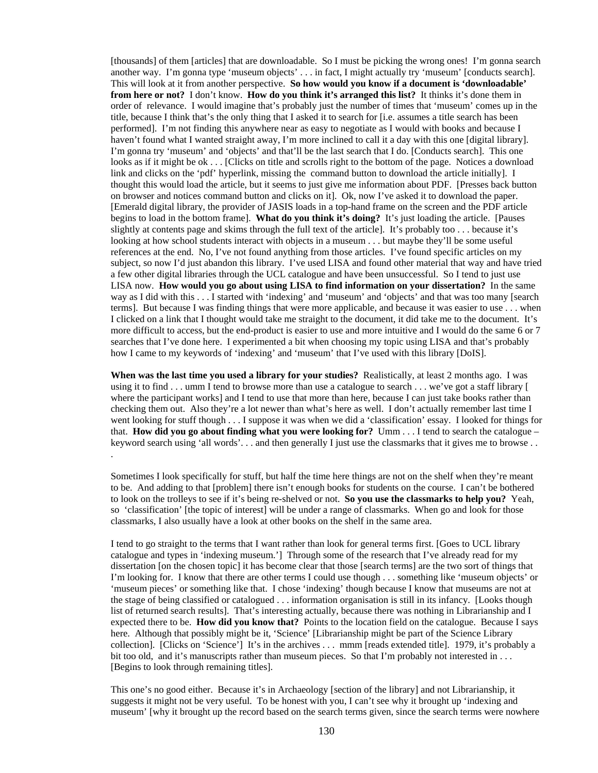[thousands] of them [articles] that are downloadable. So I must be picking the wrong ones! I'm gonna search another way. I'm gonna type 'museum objects' . . . in fact, I might actually try 'museum' [conducts search]. This will look at it from another perspective. **So how would you know if a document is 'downloadable' from here or not?** I don't know. **How do you think it's arranged this list?** It thinks it's done them in order of relevance. I would imagine that's probably just the number of times that 'museum' comes up in the title, because I think that's the only thing that I asked it to search for [i.e. assumes a title search has been performed]. I'm not finding this anywhere near as easy to negotiate as I would with books and because I haven't found what I wanted straight away, I'm more inclined to call it a day with this one [digital library]. I'm gonna try 'museum' and 'objects' and that'll be the last search that I do. [Conducts search]. This one looks as if it might be ok . . . [Clicks on title and scrolls right to the bottom of the page. Notices a download link and clicks on the 'pdf' hyperlink, missing the command button to download the article initially]. I thought this would load the article, but it seems to just give me information about PDF. [Presses back button on browser and notices command button and clicks on it]. Ok, now I've asked it to download the paper. [Emerald digital library, the provider of JASIS loads in a top-hand frame on the screen and the PDF article begins to load in the bottom frame]. **What do you think it's doing?** It's just loading the article. [Pauses slightly at contents page and skims through the full text of the article]. It's probably too . . . because it's looking at how school students interact with objects in a museum . . . but maybe they'll be some useful references at the end. No, I've not found anything from those articles. I've found specific articles on my subject, so now I'd just abandon this library. I've used LISA and found other material that way and have tried a few other digital libraries through the UCL catalogue and have been unsuccessful. So I tend to just use LISA now. **How would you go about using LISA to find information on your dissertation?** In the same way as I did with this . . . I started with 'indexing' and 'museum' and 'objects' and that was too many [search terms]. But because I was finding things that were more applicable, and because it was easier to use . . . when I clicked on a link that I thought would take me straight to the document, it did take me to the document. It's more difficult to access, but the end-product is easier to use and more intuitive and I would do the same 6 or 7 searches that I've done here. I experimented a bit when choosing my topic using LISA and that's probably how I came to my keywords of 'indexing' and 'museum' that I've used with this library [DoIS].

**When was the last time you used a library for your studies?** Realistically, at least 2 months ago. I was using it to find . . . umm I tend to browse more than use a catalogue to search . . . we've got a staff library [ where the participant works] and I tend to use that more than here, because I can just take books rather than checking them out. Also they're a lot newer than what's here as well. I don't actually remember last time I went looking for stuff though . . . I suppose it was when we did a 'classification' essay. I looked for things for that. **How did you go about finding what you were looking for?** Umm . . . I tend to search the catalogue – keyword search using 'all words'. . . and then generally I just use the classmarks that it gives me to browse . . .

Sometimes I look specifically for stuff, but half the time here things are not on the shelf when they're meant to be. And adding to that [problem] there isn't enough books for students on the course. I can't be bothered to look on the trolleys to see if it's being re-shelved or not. **So you use the classmarks to help you?** Yeah, so 'classification' [the topic of interest] will be under a range of classmarks. When go and look for those classmarks, I also usually have a look at other books on the shelf in the same area.

I tend to go straight to the terms that I want rather than look for general terms first. [Goes to UCL library catalogue and types in 'indexing museum.'] Through some of the research that I've already read for my dissertation [on the chosen topic] it has become clear that those [search terms] are the two sort of things that I'm looking for. I know that there are other terms I could use though . . . something like 'museum objects' or 'museum pieces' or something like that. I chose 'indexing' though because I know that museums are not at the stage of being classified or catalogued . . . information organisation is still in its infancy. [Looks though list of returned search results]. That's interesting actually, because there was nothing in Librarianship and I expected there to be. **How did you know that?** Points to the location field on the catalogue. Because I says here. Although that possibly might be it, 'Science' [Librarianship might be part of the Science Library collection]. [Clicks on 'Science'] It's in the archives . . . mmm [reads extended title]. 1979, it's probably a bit too old, and it's manuscripts rather than museum pieces. So that I'm probably not interested in . . . [Begins to look through remaining titles].

This one's no good either. Because it's in Archaeology [section of the library] and not Librarianship, it suggests it might not be very useful. To be honest with you, I can't see why it brought up 'indexing and museum' [why it brought up the record based on the search terms given, since the search terms were nowhere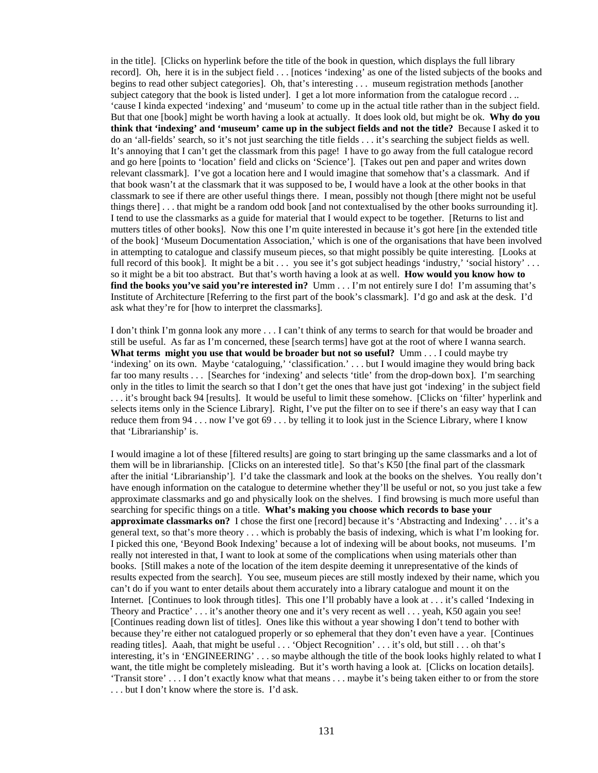in the title]. [Clicks on hyperlink before the title of the book in question, which displays the full library record]. Oh, here it is in the subject field . . . [notices 'indexing' as one of the listed subjects of the books and begins to read other subject categories]. Oh, that's interesting . . . museum registration methods [another subject category that the book is listed under]. I get a lot more information from the catalogue record . .. 'cause I kinda expected 'indexing' and 'museum' to come up in the actual title rather than in the subject field. But that one [book] might be worth having a look at actually. It does look old, but might be ok. **Why do you think that 'indexing' and 'museum' came up in the subject fields and not the title?** Because I asked it to do an 'all-fields' search, so it's not just searching the title fields . . . it's searching the subject fields as well. It's annoying that I can't get the classmark from this page! I have to go away from the full catalogue record and go here [points to 'location' field and clicks on 'Science']. [Takes out pen and paper and writes down relevant classmark]. I've got a location here and I would imagine that somehow that's a classmark. And if that book wasn't at the classmark that it was supposed to be, I would have a look at the other books in that classmark to see if there are other useful things there. I mean, possibly not though [there might not be useful things there] . . . that might be a random odd book [and not contextualised by the other books surrounding it]. I tend to use the classmarks as a guide for material that I would expect to be together. [Returns to list and mutters titles of other books]. Now this one I'm quite interested in because it's got here [in the extended title of the book] 'Museum Documentation Association,' which is one of the organisations that have been involved in attempting to catalogue and classify museum pieces, so that might possibly be quite interesting. [Looks at full record of this book]. It might be a bit . . . you see it's got subject headings 'industry,' 'social history' . . . so it might be a bit too abstract. But that's worth having a look at as well. **How would you know how to find the books you've said you're interested in?** Umm . . . I'm not entirely sure I do! I'm assuming that's Institute of Architecture [Referring to the first part of the book's classmark]. I'd go and ask at the desk. I'd ask what they're for [how to interpret the classmarks].

I don't think I'm gonna look any more . . . I can't think of any terms to search for that would be broader and still be useful. As far as I'm concerned, these [search terms] have got at the root of where I wanna search. **What terms might you use that would be broader but not so useful?** Umm . . . I could maybe try 'indexing' on its own. Maybe 'cataloguing,' 'classification.' . . . but I would imagine they would bring back far too many results . . . [Searches for 'indexing' and selects 'title' from the drop-down box]. I'm searching only in the titles to limit the search so that I don't get the ones that have just got 'indexing' in the subject field . . . it's brought back 94 [results]. It would be useful to limit these somehow. [Clicks on 'filter' hyperlink and selects items only in the Science Library]. Right, I've put the filter on to see if there's an easy way that I can reduce them from 94 . . . now I've got 69 . . . by telling it to look just in the Science Library, where I know that 'Librarianship' is.

I would imagine a lot of these [filtered results] are going to start bringing up the same classmarks and a lot of them will be in librarianship. [Clicks on an interested title]. So that's K50 [the final part of the classmark after the initial 'Librarianship']. I'd take the classmark and look at the books on the shelves. You really don't have enough information on the catalogue to determine whether they'll be useful or not, so you just take a few approximate classmarks and go and physically look on the shelves. I find browsing is much more useful than searching for specific things on a title. **What's making you choose which records to base your approximate classmarks on?** I chose the first one [record] because it's 'Abstracting and Indexing' . . . it's a general text, so that's more theory . . . which is probably the basis of indexing, which is what I'm looking for. I picked this one, 'Beyond Book Indexing' because a lot of indexing will be about books, not museums. I'm really not interested in that, I want to look at some of the complications when using materials other than books. [Still makes a note of the location of the item despite deeming it unrepresentative of the kinds of results expected from the search]. You see, museum pieces are still mostly indexed by their name, which you can't do if you want to enter details about them accurately into a library catalogue and mount it on the Internet. [Continues to look through titles]. This one I'll probably have a look at . . . it's called 'Indexing in Theory and Practice' . . . it's another theory one and it's very recent as well . . . yeah, K50 again you see! [Continues reading down list of titles]. Ones like this without a year showing I don't tend to bother with because they're either not catalogued properly or so ephemeral that they don't even have a year. [Continues reading titles]. Aaah, that might be useful . . . 'Object Recognition' . . . it's old, but still . . . oh that's interesting, it's in 'ENGINEERING' . . . so maybe although the title of the book looks highly related to what I want, the title might be completely misleading. But it's worth having a look at. [Clicks on location details]. 'Transit store' . . . I don't exactly know what that means . . . maybe it's being taken either to or from the store . . . but I don't know where the store is. I'd ask.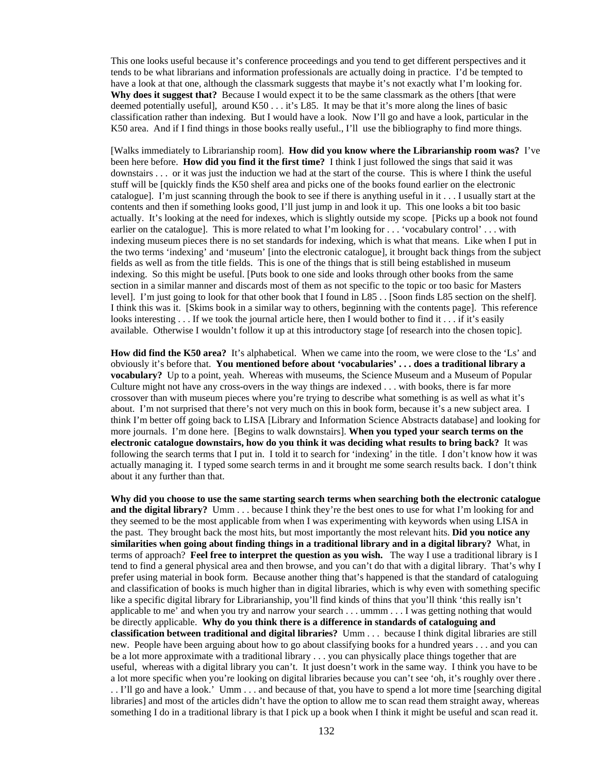This one looks useful because it's conference proceedings and you tend to get different perspectives and it tends to be what librarians and information professionals are actually doing in practice. I'd be tempted to have a look at that one, although the classmark suggests that maybe it's not exactly what I'm looking for. **Why does it suggest that?** Because I would expect it to be the same classmark as the others [that were deemed potentially useful], around K50 . . . it's L85. It may be that it's more along the lines of basic classification rather than indexing. But I would have a look. Now I'll go and have a look, particular in the K50 area. And if I find things in those books really useful., I'll use the bibliography to find more things.

[Walks immediately to Librarianship room]. **How did you know where the Librarianship room was?** I've been here before. **How did you find it the first time?** I think I just followed the sings that said it was downstairs . . . or it was just the induction we had at the start of the course. This is where I think the useful stuff will be [quickly finds the K50 shelf area and picks one of the books found earlier on the electronic catalogue]. I'm just scanning through the book to see if there is anything useful in it . . . I usually start at the contents and then if something looks good, I'll just jump in and look it up. This one looks a bit too basic actually. It's looking at the need for indexes, which is slightly outside my scope. [Picks up a book not found earlier on the catalogue]. This is more related to what I'm looking for . . . 'vocabulary control' . . . with indexing museum pieces there is no set standards for indexing, which is what that means. Like when I put in the two terms 'indexing' and 'museum' [into the electronic catalogue], it brought back things from the subject fields as well as from the title fields. This is one of the things that is still being established in museum indexing. So this might be useful. [Puts book to one side and looks through other books from the same section in a similar manner and discards most of them as not specific to the topic or too basic for Masters level]. I'm just going to look for that other book that I found in L85 . . [Soon finds L85 section on the shelf]. I think this was it. [Skims book in a similar way to others, beginning with the contents page]. This reference looks interesting . . . If we took the journal article here, then I would bother to find it . . . if it's easily available. Otherwise I wouldn't follow it up at this introductory stage [of research into the chosen topic].

**How did find the K50 area?** It's alphabetical. When we came into the room, we were close to the 'Ls' and obviously it's before that. **You mentioned before about 'vocabularies' . . . does a traditional library a vocabulary?** Up to a point, yeah. Whereas with museums, the Science Museum and a Museum of Popular Culture might not have any cross-overs in the way things are indexed . . . with books, there is far more crossover than with museum pieces where you're trying to describe what something is as well as what it's about. I'm not surprised that there's not very much on this in book form, because it's a new subject area. I think I'm better off going back to LISA [Library and Information Science Abstracts database] and looking for more journals. I'm done here. [Begins to walk downstairs]. **When you typed your search terms on the electronic catalogue downstairs, how do you think it was deciding what results to bring back?** It was following the search terms that I put in. I told it to search for 'indexing' in the title. I don't know how it was actually managing it. I typed some search terms in and it brought me some search results back. I don't think about it any further than that.

**Why did you choose to use the same starting search terms when searching both the electronic catalogue and the digital library?** Umm . . . because I think they're the best ones to use for what I'm looking for and they seemed to be the most applicable from when I was experimenting with keywords when using LISA in the past. They brought back the most hits, but most importantly the most relevant hits. **Did you notice any similarities when going about finding things in a traditional library and in a digital library?** What, in terms of approach? **Feel free to interpret the question as you wish.** The way I use a traditional library is I tend to find a general physical area and then browse, and you can't do that with a digital library. That's why I prefer using material in book form. Because another thing that's happened is that the standard of cataloguing and classification of books is much higher than in digital libraries, which is why even with something specific like a specific digital library for Librarianship, you'll find kinds of thins that you'll think 'this really isn't applicable to me' and when you try and narrow your search . . . ummm . . . I was getting nothing that would be directly applicable. **Why do you think there is a difference in standards of cataloguing and classification between traditional and digital libraries?** Umm . . . because I think digital libraries are still new. People have been arguing about how to go about classifying books for a hundred years . . . and you can be a lot more approximate with a traditional library . . . you can physically place things together that are useful, whereas with a digital library you can't. It just doesn't work in the same way. I think you have to be a lot more specific when you're looking on digital libraries because you can't see 'oh, it's roughly over there . . . I'll go and have a look.' Umm . . . and because of that, you have to spend a lot more time [searching digital libraries] and most of the articles didn't have the option to allow me to scan read them straight away, whereas something I do in a traditional library is that I pick up a book when I think it might be useful and scan read it.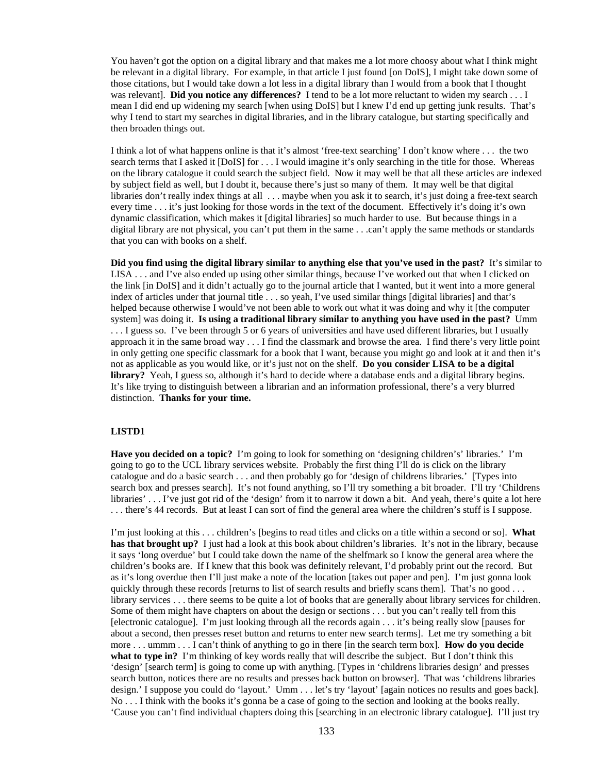You haven't got the option on a digital library and that makes me a lot more choosy about what I think might be relevant in a digital library. For example, in that article I just found [on DoIS], I might take down some of those citations, but I would take down a lot less in a digital library than I would from a book that I thought was relevant]. **Did you notice any differences?** I tend to be a lot more reluctant to widen my search . . . I mean I did end up widening my search [when using DoIS] but I knew I'd end up getting junk results. That's why I tend to start my searches in digital libraries, and in the library catalogue, but starting specifically and then broaden things out.

I think a lot of what happens online is that it's almost 'free-text searching' I don't know where . . . the two search terms that I asked it [DoIS] for . . . I would imagine it's only searching in the title for those. Whereas on the library catalogue it could search the subject field. Now it may well be that all these articles are indexed by subject field as well, but I doubt it, because there's just so many of them. It may well be that digital libraries don't really index things at all . . . maybe when you ask it to search, it's just doing a free-text search every time . . . it's just looking for those words in the text of the document. Effectively it's doing it's own dynamic classification, which makes it [digital libraries] so much harder to use. But because things in a digital library are not physical, you can't put them in the same . . .can't apply the same methods or standards that you can with books on a shelf.

**Did you find using the digital library similar to anything else that you've used in the past?** It's similar to LISA . . . and I've also ended up using other similar things, because I've worked out that when I clicked on the link [in DoIS] and it didn't actually go to the journal article that I wanted, but it went into a more general index of articles under that journal title . . . so yeah, I've used similar things [digital libraries] and that's helped because otherwise I would've not been able to work out what it was doing and why it [the computer system] was doing it. **Is using a traditional library similar to anything you have used in the past?** Umm . . . I guess so. I've been through 5 or 6 years of universities and have used different libraries, but I usually approach it in the same broad way . . . I find the classmark and browse the area. I find there's very little point in only getting one specific classmark for a book that I want, because you might go and look at it and then it's not as applicable as you would like, or it's just not on the shelf. **Do you consider LISA to be a digital library?** Yeah, I guess so, although it's hard to decide where a database ends and a digital library begins. It's like trying to distinguish between a librarian and an information professional, there's a very blurred distinction. **Thanks for your time.**

#### **LISTD1**

**Have you decided on a topic?** I'm going to look for something on 'designing children's' libraries.' I'm going to go to the UCL library services website. Probably the first thing I'll do is click on the library catalogue and do a basic search . . . and then probably go for 'design of childrens libraries.' [Types into search box and presses search]. It's not found anything, so I'll try something a bit broader. I'll try 'Childrens libraries' . . . I've just got rid of the 'design' from it to narrow it down a bit. And yeah, there's quite a lot here . . . there's 44 records. But at least I can sort of find the general area where the children's stuff is I suppose.

I'm just looking at this . . . children's [begins to read titles and clicks on a title within a second or so]. **What has that brought up?** I just had a look at this book about children's libraries. It's not in the library, because it says 'long overdue' but I could take down the name of the shelfmark so I know the general area where the children's books are. If I knew that this book was definitely relevant, I'd probably print out the record. But as it's long overdue then I'll just make a note of the location [takes out paper and pen]. I'm just gonna look quickly through these records [returns to list of search results and briefly scans them]. That's no good . . . library services . . . there seems to be quite a lot of books that are generally about library services for children. Some of them might have chapters on about the design or sections . . . but you can't really tell from this [electronic catalogue]. I'm just looking through all the records again . . . it's being really slow [pauses for about a second, then presses reset button and returns to enter new search terms]. Let me try something a bit more . . . ummm . . . I can't think of anything to go in there [in the search term box]. **How do you decide what to type in?** I'm thinking of key words really that will describe the subject. But I don't think this 'design' [search term] is going to come up with anything. [Types in 'childrens libraries design' and presses search button, notices there are no results and presses back button on browser]. That was 'childrens libraries design.' I suppose you could do 'layout.' Umm . . . let's try 'layout' [again notices no results and goes back]. No . . . I think with the books it's gonna be a case of going to the section and looking at the books really. 'Cause you can't find individual chapters doing this [searching in an electronic library catalogue]. I'll just try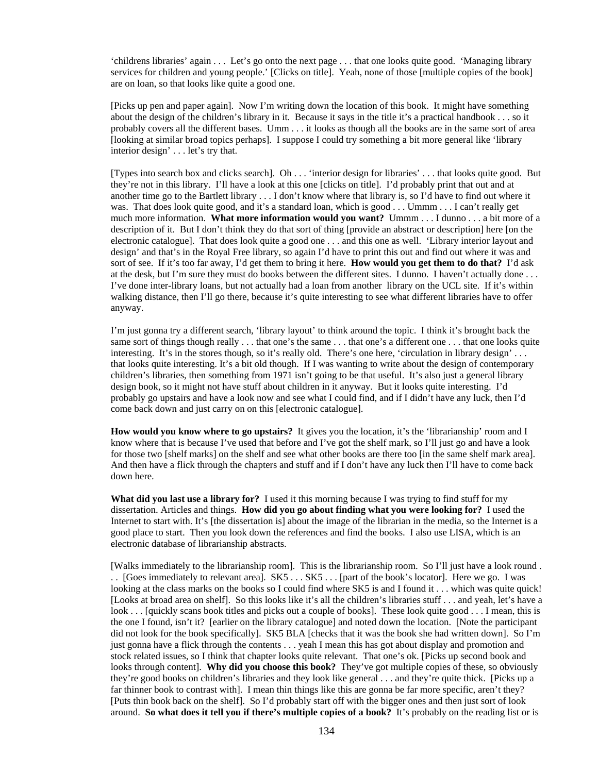'childrens libraries' again . . . Let's go onto the next page . . . that one looks quite good. 'Managing library services for children and young people.' [Clicks on title]. Yeah, none of those [multiple copies of the book] are on loan, so that looks like quite a good one.

[Picks up pen and paper again]. Now I'm writing down the location of this book. It might have something about the design of the children's library in it. Because it says in the title it's a practical handbook . . . so it probably covers all the different bases. Umm . . . it looks as though all the books are in the same sort of area [looking at similar broad topics perhaps]. I suppose I could try something a bit more general like 'library interior design' . . . let's try that.

[Types into search box and clicks search]. Oh . . . 'interior design for libraries' . . . that looks quite good. But they're not in this library. I'll have a look at this one [clicks on title]. I'd probably print that out and at another time go to the Bartlett library . . . I don't know where that library is, so I'd have to find out where it was. That does look quite good, and it's a standard loan, which is good . . . Ummm . . . I can't really get much more information. **What more information would you want?** Ummm . . . I dunno . . . a bit more of a description of it. But I don't think they do that sort of thing [provide an abstract or description] here [on the electronic catalogue]. That does look quite a good one . . . and this one as well. 'Library interior layout and design' and that's in the Royal Free library, so again I'd have to print this out and find out where it was and sort of see. If it's too far away, I'd get them to bring it here. **How would you get them to do that?** I'd ask at the desk, but I'm sure they must do books between the different sites. I dunno. I haven't actually done . . . I've done inter-library loans, but not actually had a loan from another library on the UCL site. If it's within walking distance, then I'll go there, because it's quite interesting to see what different libraries have to offer anyway.

I'm just gonna try a different search, 'library layout' to think around the topic. I think it's brought back the same sort of things though really . . . that one's the same . . . that one's a different one . . . that one looks quite interesting. It's in the stores though, so it's really old. There's one here, 'circulation in library design' ... that looks quite interesting. It's a bit old though. If I was wanting to write about the design of contemporary children's libraries, then something from 1971 isn't going to be that useful. It's also just a general library design book, so it might not have stuff about children in it anyway. But it looks quite interesting. I'd probably go upstairs and have a look now and see what I could find, and if I didn't have any luck, then I'd come back down and just carry on on this [electronic catalogue].

**How would you know where to go upstairs?** It gives you the location, it's the 'librarianship' room and I know where that is because I've used that before and I've got the shelf mark, so I'll just go and have a look for those two [shelf marks] on the shelf and see what other books are there too [in the same shelf mark area]. And then have a flick through the chapters and stuff and if I don't have any luck then I'll have to come back down here.

**What did you last use a library for?** I used it this morning because I was trying to find stuff for my dissertation. Articles and things. **How did you go about finding what you were looking for?** I used the Internet to start with. It's [the dissertation is] about the image of the librarian in the media, so the Internet is a good place to start. Then you look down the references and find the books. I also use LISA, which is an electronic database of librarianship abstracts.

[Walks immediately to the librarianship room]. This is the librarianship room. So I'll just have a look round . . . [Goes immediately to relevant area]. SK5 . . . SK5 . . . [part of the book's locator]. Here we go. I was looking at the class marks on the books so I could find where SK5 is and I found it . . . which was quite quick! [Looks at broad area on shelf]. So this looks like it's all the children's libraries stuff . . . and yeah, let's have a look . . . [quickly scans book titles and picks out a couple of books]. These look quite good . . . I mean, this is the one I found, isn't it? [earlier on the library catalogue] and noted down the location. [Note the participant did not look for the book specifically]. SK5 BLA [checks that it was the book she had written down]. So I'm just gonna have a flick through the contents . . . yeah I mean this has got about display and promotion and stock related issues, so I think that chapter looks quite relevant. That one's ok. [Picks up second book and looks through content]. **Why did you choose this book?** They've got multiple copies of these, so obviously they're good books on children's libraries and they look like general . . . and they're quite thick. [Picks up a far thinner book to contrast with]. I mean thin things like this are gonna be far more specific, aren't they? [Puts thin book back on the shelf]. So I'd probably start off with the bigger ones and then just sort of look around. **So what does it tell you if there's multiple copies of a book?** It's probably on the reading list or is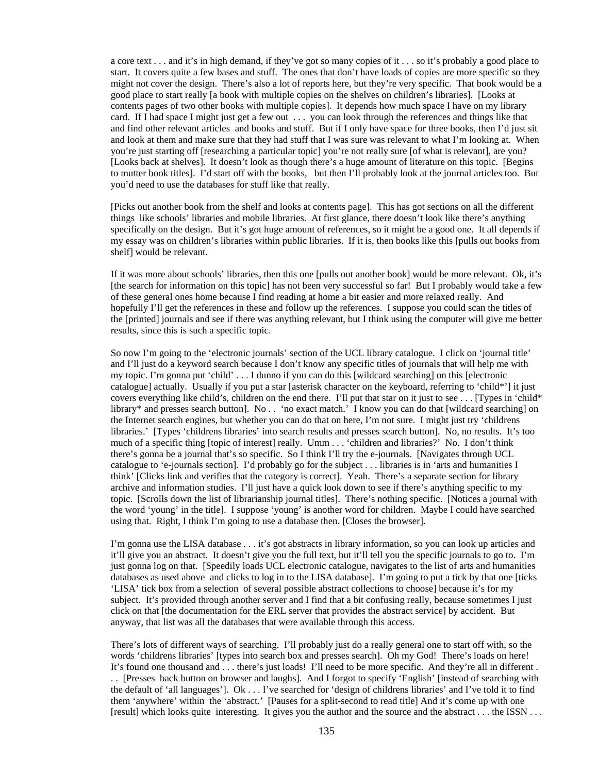a core text . . . and it's in high demand, if they've got so many copies of it . . . so it's probably a good place to start. It covers quite a few bases and stuff. The ones that don't have loads of copies are more specific so they might not cover the design. There's also a lot of reports here, but they're very specific. That book would be a good place to start really [a book with multiple copies on the shelves on children's libraries]. [Looks at contents pages of two other books with multiple copies]. It depends how much space I have on my library card. If I had space I might just get a few out . . . you can look through the references and things like that and find other relevant articles and books and stuff. But if I only have space for three books, then I'd just sit and look at them and make sure that they had stuff that I was sure was relevant to what I'm looking at. When you're just starting off [researching a particular topic] you're not really sure [of what is relevant], are you? [Looks back at shelves]. It doesn't look as though there's a huge amount of literature on this topic. [Begins to mutter book titles]. I'd start off with the books, but then I'll probably look at the journal articles too. But you'd need to use the databases for stuff like that really.

[Picks out another book from the shelf and looks at contents page]. This has got sections on all the different things like schools' libraries and mobile libraries. At first glance, there doesn't look like there's anything specifically on the design. But it's got huge amount of references, so it might be a good one. It all depends if my essay was on children's libraries within public libraries. If it is, then books like this [pulls out books from shelf] would be relevant.

If it was more about schools' libraries, then this one [pulls out another book] would be more relevant. Ok, it's [the search for information on this topic] has not been very successful so far! But I probably would take a few of these general ones home because I find reading at home a bit easier and more relaxed really. And hopefully I'll get the references in these and follow up the references. I suppose you could scan the titles of the [printed] journals and see if there was anything relevant, but I think using the computer will give me better results, since this is such a specific topic.

So now I'm going to the 'electronic journals' section of the UCL library catalogue. I click on 'journal title' and I'll just do a keyword search because I don't know any specific titles of journals that will help me with my topic. I'm gonna put 'child' . . . I dunno if you can do this [wildcard searching] on this [electronic catalogue] actually. Usually if you put a star [asterisk character on the keyboard, referring to 'child\*'] it just covers everything like child's, children on the end there. I'll put that star on it just to see . . . [Types in 'child\* library\* and presses search button]. No . . 'no exact match.' I know you can do that [wildcard searching] on the Internet search engines, but whether you can do that on here, I'm not sure. I might just try 'childrens libraries.' [Types 'childrens libraries' into search results and presses search button]. No, no results. It's too much of a specific thing [topic of interest] really. Umm . . . 'children and libraries?' No. I don't think there's gonna be a journal that's so specific. So I think I'll try the e-journals. [Navigates through UCL catalogue to 'e-journals section]. I'd probably go for the subject . . . libraries is in 'arts and humanities I think' [Clicks link and verifies that the category is correct]. Yeah. There's a separate section for library archive and information studies. I'll just have a quick look down to see if there's anything specific to my topic. [Scrolls down the list of librarianship journal titles]. There's nothing specific. [Notices a journal with the word 'young' in the title]. I suppose 'young' is another word for children. Maybe I could have searched using that. Right, I think I'm going to use a database then. [Closes the browser].

I'm gonna use the LISA database . . . it's got abstracts in library information, so you can look up articles and it'll give you an abstract. It doesn't give you the full text, but it'll tell you the specific journals to go to. I'm just gonna log on that. [Speedily loads UCL electronic catalogue, navigates to the list of arts and humanities databases as used above and clicks to log in to the LISA database]. I'm going to put a tick by that one [ticks 'LISA' tick box from a selection of several possible abstract collections to choose] because it's for my subject. It's provided through another server and I find that a bit confusing really, because sometimes I just click on that [the documentation for the ERL server that provides the abstract service] by accident. But anyway, that list was all the databases that were available through this access.

There's lots of different ways of searching. I'll probably just do a really general one to start off with, so the words 'childrens libraries' [types into search box and presses search]. Oh my God! There's loads on here! It's found one thousand and . . . there's just loads! I'll need to be more specific. And they're all in different . . . [Presses back button on browser and laughs]. And I forgot to specify 'English' [instead of searching with the default of 'all languages']. Ok . . . I've searched for 'design of childrens libraries' and I've told it to find them 'anywhere' within the 'abstract.' [Pauses for a split-second to read title] And it's come up with one [result] which looks quite interesting. It gives you the author and the source and the abstract . . . the ISSN . . .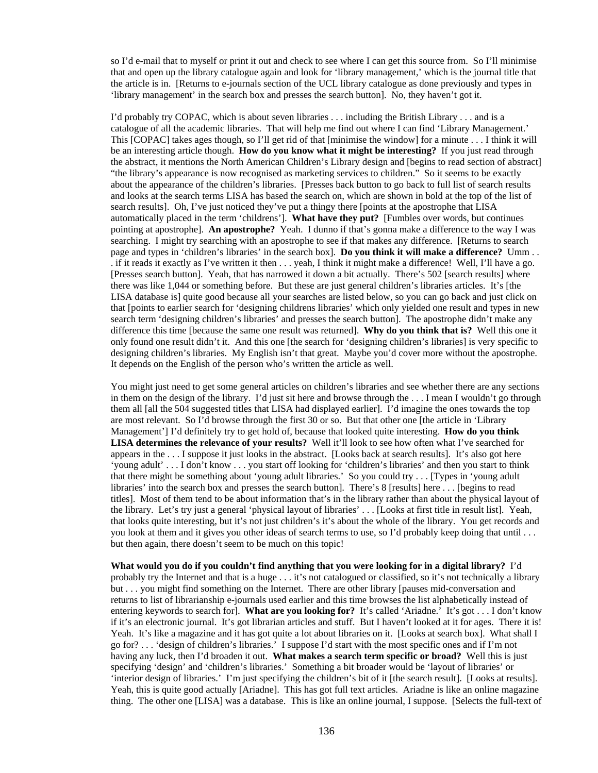so I'd e-mail that to myself or print it out and check to see where I can get this source from. So I'll minimise that and open up the library catalogue again and look for 'library management,' which is the journal title that the article is in. [Returns to e-journals section of the UCL library catalogue as done previously and types in 'library management' in the search box and presses the search button]. No, they haven't got it.

I'd probably try COPAC, which is about seven libraries . . . including the British Library . . . and is a catalogue of all the academic libraries. That will help me find out where I can find 'Library Management.' This [COPAC] takes ages though, so I'll get rid of that [minimise the window] for a minute . . . I think it will be an interesting article though. **How do you know what it might be interesting?** If you just read through the abstract, it mentions the North American Children's Library design and [begins to read section of abstract] "the library's appearance is now recognised as marketing services to children." So it seems to be exactly about the appearance of the children's libraries. [Presses back button to go back to full list of search results and looks at the search terms LISA has based the search on, which are shown in bold at the top of the list of search results]. Oh, I've just noticed they've put a thingy there [points at the apostrophe that LISA automatically placed in the term 'childrens']. **What have they put?** [Fumbles over words, but continues pointing at apostrophe]. **An apostrophe?** Yeah. I dunno if that's gonna make a difference to the way I was searching. I might try searching with an apostrophe to see if that makes any difference. [Returns to search page and types in 'children's libraries' in the search box]. **Do you think it will make a difference?** Umm . . . if it reads it exactly as I've written it then . . . yeah, I think it might make a difference! Well, I'll have a go. [Presses search button]. Yeah, that has narrowed it down a bit actually. There's 502 [search results] where there was like 1,044 or something before. But these are just general children's libraries articles. It's [the LISA database is] quite good because all your searches are listed below, so you can go back and just click on that [points to earlier search for 'designing childrens libraries' which only yielded one result and types in new search term 'designing children's libraries' and presses the search button]. The apostrophe didn't make any difference this time [because the same one result was returned]. **Why do you think that is?** Well this one it only found one result didn't it. And this one [the search for 'designing children's libraries] is very specific to designing children's libraries. My English isn't that great. Maybe you'd cover more without the apostrophe. It depends on the English of the person who's written the article as well.

You might just need to get some general articles on children's libraries and see whether there are any sections in them on the design of the library. I'd just sit here and browse through the . . . I mean I wouldn't go through them all [all the 504 suggested titles that LISA had displayed earlier]. I'd imagine the ones towards the top are most relevant. So I'd browse through the first 30 or so. But that other one [the article in 'Library Management'] I'd definitely try to get hold of, because that looked quite interesting. **How do you think LISA determines the relevance of your results?** Well it'll look to see how often what I've searched for appears in the . . . I suppose it just looks in the abstract. [Looks back at search results]. It's also got here 'young adult' . . . I don't know . . . you start off looking for 'children's libraries' and then you start to think that there might be something about 'young adult libraries.' So you could try . . . [Types in 'young adult libraries' into the search box and presses the search button]. There's 8 [results] here . . . [begins to read titles]. Most of them tend to be about information that's in the library rather than about the physical layout of the library. Let's try just a general 'physical layout of libraries' . . . [Looks at first title in result list]. Yeah, that looks quite interesting, but it's not just children's it's about the whole of the library. You get records and you look at them and it gives you other ideas of search terms to use, so I'd probably keep doing that until . . . but then again, there doesn't seem to be much on this topic!

**What would you do if you couldn't find anything that you were looking for in a digital library?** I'd probably try the Internet and that is a huge . . . it's not catalogued or classified, so it's not technically a library but . . . you might find something on the Internet. There are other library [pauses mid-conversation and returns to list of librarianship e-journals used earlier and this time browses the list alphabetically instead of entering keywords to search for]. **What are you looking for?** It's called 'Ariadne.' It's got . . . I don't know if it's an electronic journal. It's got librarian articles and stuff. But I haven't looked at it for ages. There it is! Yeah. It's like a magazine and it has got quite a lot about libraries on it. [Looks at search box]. What shall I go for? . . . 'design of children's libraries.' I suppose I'd start with the most specific ones and if I'm not having any luck, then I'd broaden it out. **What makes a search term specific or broad?** Well this is just specifying 'design' and 'children's libraries.' Something a bit broader would be 'layout of libraries' or 'interior design of libraries.' I'm just specifying the children's bit of it [the search result]. [Looks at results]. Yeah, this is quite good actually [Ariadne]. This has got full text articles. Ariadne is like an online magazine thing. The other one [LISA] was a database. This is like an online journal, I suppose. [Selects the full-text of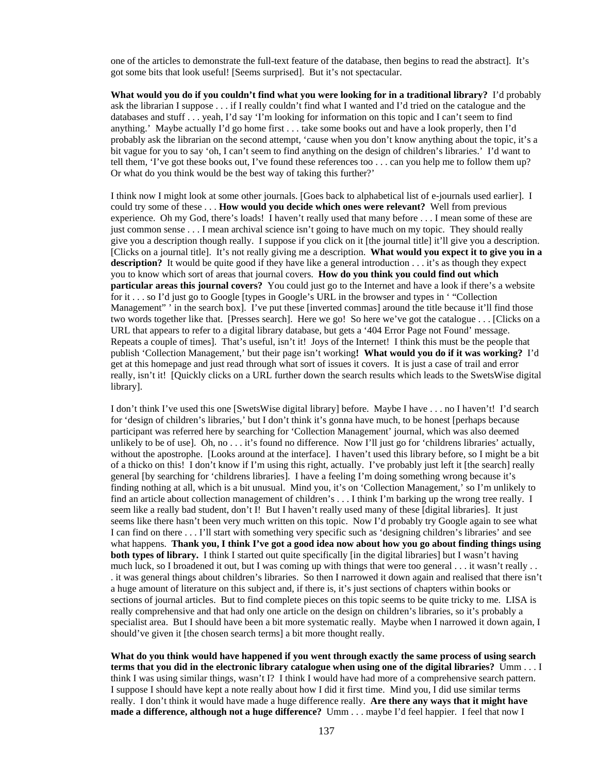one of the articles to demonstrate the full-text feature of the database, then begins to read the abstract]. It's got some bits that look useful! [Seems surprised]. But it's not spectacular.

**What would you do if you couldn't find what you were looking for in a traditional library?** I'd probably ask the librarian I suppose . . . if I really couldn't find what I wanted and I'd tried on the catalogue and the databases and stuff . . . yeah, I'd say 'I'm looking for information on this topic and I can't seem to find anything.' Maybe actually I'd go home first . . . take some books out and have a look properly, then I'd probably ask the librarian on the second attempt, 'cause when you don't know anything about the topic, it's a bit vague for you to say 'oh, I can't seem to find anything on the design of children's libraries.' I'd want to tell them, 'I've got these books out, I've found these references too . . . can you help me to follow them up? Or what do you think would be the best way of taking this further?'

I think now I might look at some other journals. [Goes back to alphabetical list of e-journals used earlier]. I could try some of these . . . **How would you decide which ones were relevant?** Well from previous experience. Oh my God, there's loads! I haven't really used that many before . . . I mean some of these are just common sense . . . I mean archival science isn't going to have much on my topic. They should really give you a description though really. I suppose if you click on it [the journal title] it'll give you a description. [Clicks on a journal title]. It's not really giving me a description. **What would you expect it to give you in a description?** It would be quite good if they have like a general introduction . . . it's as though they expect you to know which sort of areas that journal covers. **How do you think you could find out which particular areas this journal covers?** You could just go to the Internet and have a look if there's a website for it . . . so I'd just go to Google [types in Google's URL in the browser and types in ' "Collection Management" in the search box]. I've put these [inverted commas] around the title because it'll find those two words together like that. [Presses search]. Here we go! So here we've got the catalogue . . . [Clicks on a URL that appears to refer to a digital library database, but gets a '404 Error Page not Found' message. Repeats a couple of times]. That's useful, isn't it! Joys of the Internet! I think this must be the people that publish 'Collection Management,' but their page isn't working**! What would you do if it was working?** I'd get at this homepage and just read through what sort of issues it covers. It is just a case of trail and error really, isn't it! [Quickly clicks on a URL further down the search results which leads to the SwetsWise digital library].

I don't think I've used this one [SwetsWise digital library] before. Maybe I have . . . no I haven't! I'd search for 'design of children's libraries,' but I don't think it's gonna have much, to be honest [perhaps because participant was referred here by searching for 'Collection Management' journal, which was also deemed unlikely to be of use]. Oh, no  $\dots$  it's found no difference. Now I'll just go for 'childrens libraries' actually, without the apostrophe. [Looks around at the interface]. I haven't used this library before, so I might be a bit of a thicko on this! I don't know if I'm using this right, actually. I've probably just left it [the search] really general [by searching for 'childrens libraries]. I have a feeling I'm doing something wrong because it's finding nothing at all, which is a bit unusual. Mind you, it's on 'Collection Management,' so I'm unlikely to find an article about collection management of children's . . . I think I'm barking up the wrong tree really. I seem like a really bad student, don't I! But I haven't really used many of these [digital libraries]. It just seems like there hasn't been very much written on this topic. Now I'd probably try Google again to see what I can find on there . . . I'll start with something very specific such as 'designing children's libraries' and see what happens. **Thank you, I think I've got a good idea now about how you go about finding things using both types of library.** I think I started out quite specifically [in the digital libraries] but I wasn't having much luck, so I broadened it out, but I was coming up with things that were too general . . . it wasn't really . . . it was general things about children's libraries. So then I narrowed it down again and realised that there isn't a huge amount of literature on this subject and, if there is, it's just sections of chapters within books or sections of journal articles. But to find complete pieces on this topic seems to be quite tricky to me. LISA is really comprehensive and that had only one article on the design on children's libraries, so it's probably a specialist area. But I should have been a bit more systematic really. Maybe when I narrowed it down again, I should've given it [the chosen search terms] a bit more thought really.

**What do you think would have happened if you went through exactly the same process of using search terms that you did in the electronic library catalogue when using one of the digital libraries?** Umm . . . I think I was using similar things, wasn't I? I think I would have had more of a comprehensive search pattern. I suppose I should have kept a note really about how I did it first time. Mind you, I did use similar terms really. I don't think it would have made a huge difference really. **Are there any ways that it might have made a difference, although not a huge difference?** Umm . . . maybe I'd feel happier. I feel that now I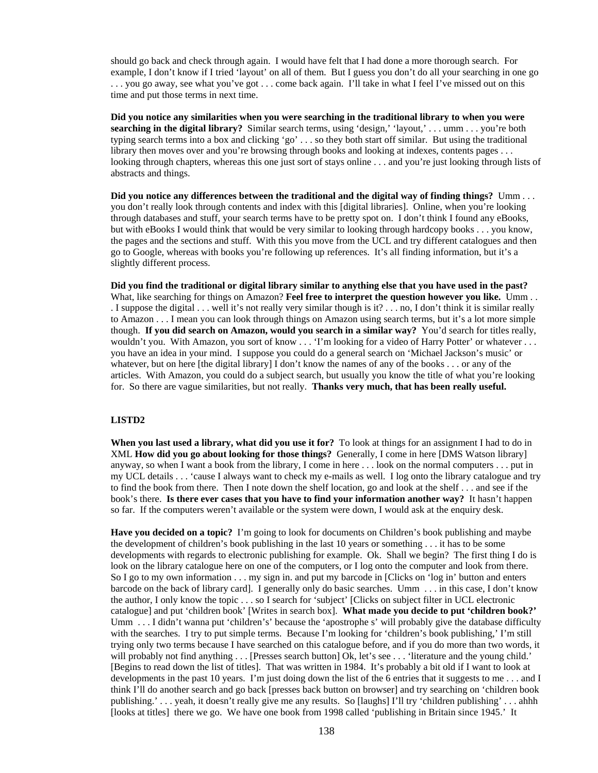should go back and check through again. I would have felt that I had done a more thorough search. For example, I don't know if I tried 'layout' on all of them. But I guess you don't do all your searching in one go . . . you go away, see what you've got . . . come back again. I'll take in what I feel I've missed out on this time and put those terms in next time.

**Did you notice any similarities when you were searching in the traditional library to when you were searching in the digital library?** Similar search terms, using 'design,' 'layout,' . . . umm . . . you're both typing search terms into a box and clicking 'go' . . . so they both start off similar. But using the traditional library then moves over and you're browsing through books and looking at indexes, contents pages . . . looking through chapters, whereas this one just sort of stays online . . . and you're just looking through lists of abstracts and things.

**Did you notice any differences between the traditional and the digital way of finding things?** Umm . . . you don't really look through contents and index with this [digital libraries]. Online, when you're looking through databases and stuff, your search terms have to be pretty spot on. I don't think I found any eBooks, but with eBooks I would think that would be very similar to looking through hardcopy books . . . you know, the pages and the sections and stuff. With this you move from the UCL and try different catalogues and then go to Google, whereas with books you're following up references. It's all finding information, but it's a slightly different process.

**Did you find the traditional or digital library similar to anything else that you have used in the past?**  What, like searching for things on Amazon? **Feel free to interpret the question however you like.** Umm . . . I suppose the digital . . . well it's not really very similar though is it? . . . no, I don't think it is similar really to Amazon . . . I mean you can look through things on Amazon using search terms, but it's a lot more simple though. **If you did search on Amazon, would you search in a similar way?** You'd search for titles really, wouldn't you. With Amazon, you sort of know . . . 'I'm looking for a video of Harry Potter' or whatever . . . you have an idea in your mind. I suppose you could do a general search on 'Michael Jackson's music' or whatever, but on here [the digital library] I don't know the names of any of the books . . . or any of the articles. With Amazon, you could do a subject search, but usually you know the title of what you're looking for. So there are vague similarities, but not really. **Thanks very much, that has been really useful.**

#### **LISTD2**

**When you last used a library, what did you use it for?** To look at things for an assignment I had to do in XML **How did you go about looking for those things?** Generally, I come in here [DMS Watson library] anyway, so when I want a book from the library, I come in here . . . look on the normal computers . . . put in my UCL details . . . 'cause I always want to check my e-mails as well. I log onto the library catalogue and try to find the book from there. Then I note down the shelf location, go and look at the shelf . . . and see if the book's there. **Is there ever cases that you have to find your information another way?** It hasn't happen so far. If the computers weren't available or the system were down, I would ask at the enquiry desk.

**Have you decided on a topic?** I'm going to look for documents on Children's book publishing and maybe the development of children's book publishing in the last 10 years or something . . . it has to be some developments with regards to electronic publishing for example. Ok. Shall we begin? The first thing I do is look on the library catalogue here on one of the computers, or I log onto the computer and look from there. So I go to my own information . . . my sign in. and put my barcode in [Clicks on 'log in' button and enters barcode on the back of library card]. I generally only do basic searches. Umm . . . in this case, I don't know the author, I only know the topic . . . so I search for 'subject' [Clicks on subject filter in UCL electronic catalogue] and put 'children book' [Writes in search box]. **What made you decide to put 'children book?'**  Umm . . . I didn't wanna put 'children's' because the 'apostrophe s' will probably give the database difficulty with the searches. I try to put simple terms. Because I'm looking for 'children's book publishing,' I'm still trying only two terms because I have searched on this catalogue before, and if you do more than two words, it will probably not find anything . . . [Presses search button] Ok, let's see . . . 'literature and the young child.' [Begins to read down the list of titles]. That was written in 1984. It's probably a bit old if I want to look at developments in the past 10 years. I'm just doing down the list of the 6 entries that it suggests to me . . . and I think I'll do another search and go back [presses back button on browser] and try searching on 'children book publishing.' . . . yeah, it doesn't really give me any results. So [laughs] I'll try 'children publishing' . . . ahhh [looks at titles] there we go. We have one book from 1998 called 'publishing in Britain since 1945.' It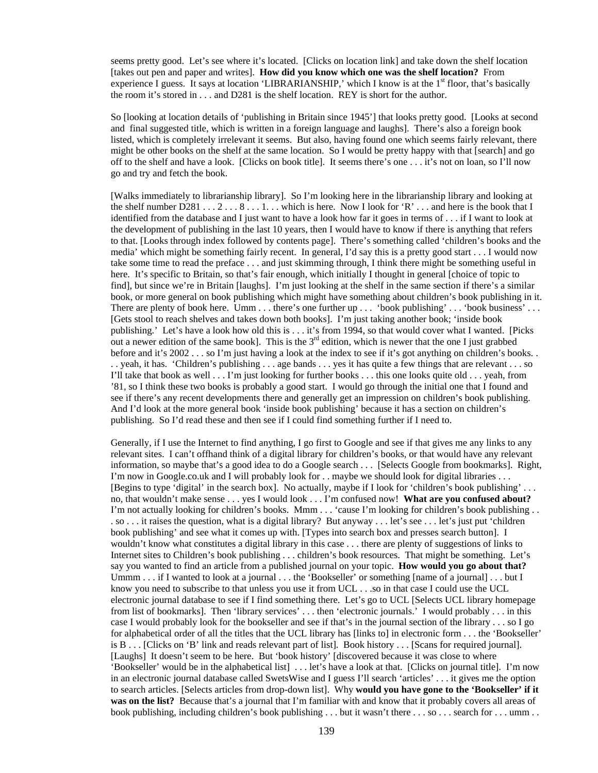seems pretty good. Let's see where it's located. [Clicks on location link] and take down the shelf location [takes out pen and paper and writes]. **How did you know which one was the shelf location?** From experience I guess. It says at location 'LIBRARIANSHIP,' which I know is at the  $1<sup>st</sup>$  floor, that's basically the room it's stored in . . . and D281 is the shelf location. REY is short for the author.

So [looking at location details of 'publishing in Britain since 1945'] that looks pretty good. [Looks at second and final suggested title, which is written in a foreign language and laughs]. There's also a foreign book listed, which is completely irrelevant it seems. But also, having found one which seems fairly relevant, there might be other books on the shelf at the same location. So I would be pretty happy with that [search] and go off to the shelf and have a look. [Clicks on book title]. It seems there's one . . . it's not on loan, so I'll now go and try and fetch the book.

[Walks immediately to librarianship library]. So I'm looking here in the librarianship library and looking at the shelf number  $D281 \ldots 2 \ldots 8 \ldots 1 \ldots$  which is here. Now I look for 'R'  $\ldots$  and here is the book that I identified from the database and I just want to have a look how far it goes in terms of . . . if I want to look at the development of publishing in the last 10 years, then I would have to know if there is anything that refers to that. [Looks through index followed by contents page]. There's something called 'children's books and the media' which might be something fairly recent. In general, I'd say this is a pretty good start . . . I would now take some time to read the preface . . . and just skimming through, I think there might be something useful in here. It's specific to Britain, so that's fair enough, which initially I thought in general [choice of topic to find], but since we're in Britain [laughs]. I'm just looking at the shelf in the same section if there's a similar book, or more general on book publishing which might have something about children's book publishing in it. There are plenty of book here. Umm . . . there's one further up . . . 'book publishing' . . . 'book business' . . . [Gets stool to reach shelves and takes down both books]. I'm just taking another book; 'inside book publishing.' Let's have a look how old this is . . . it's from 1994, so that would cover what I wanted. [Picks out a newer edition of the same book]. This is the  $3<sup>rd</sup>$  edition, which is newer that the one I just grabbed before and it's 2002 . . . so I'm just having a look at the index to see if it's got anything on children's books. . . . yeah, it has. 'Children's publishing . . . age bands . . . yes it has quite a few things that are relevant . . . so I'll take that book as well . . . I'm just looking for further books . . . this one looks quite old . . . yeah, from '81, so I think these two books is probably a good start. I would go through the initial one that I found and see if there's any recent developments there and generally get an impression on children's book publishing. And I'd look at the more general book 'inside book publishing' because it has a section on children's publishing. So I'd read these and then see if I could find something further if I need to.

Generally, if I use the Internet to find anything, I go first to Google and see if that gives me any links to any relevant sites. I can't offhand think of a digital library for children's books, or that would have any relevant information, so maybe that's a good idea to do a Google search . . . [Selects Google from bookmarks]. Right, I'm now in Google.co.uk and I will probably look for . . maybe we should look for digital libraries . . . [Begins to type 'digital' in the search box]. No actually, maybe if I look for 'children's book publishing' . . . no, that wouldn't make sense . . . yes I would look . . . I'm confused now! **What are you confused about?** I'm not actually looking for children's books. Mmm . . . 'cause I'm looking for children's book publishing . . . so . . . it raises the question, what is a digital library? But anyway . . . let's see . . . let's just put 'children book publishing' and see what it comes up with. [Types into search box and presses search button]. I wouldn't know what constitutes a digital library in this case . . . there are plenty of suggestions of links to Internet sites to Children's book publishing . . . children's book resources. That might be something. Let's say you wanted to find an article from a published journal on your topic. **How would you go about that?** Ummm . . . if I wanted to look at a journal . . . the 'Bookseller' or something [name of a journal] . . . but I know you need to subscribe to that unless you use it from UCL . . .so in that case I could use the UCL electronic journal database to see if I find something there. Let's go to UCL [Selects UCL library homepage from list of bookmarks]. Then 'library services' . . . then 'electronic journals.' I would probably . . . in this case I would probably look for the bookseller and see if that's in the journal section of the library . . . so I go for alphabetical order of all the titles that the UCL library has [links to] in electronic form . . . the 'Bookseller' is B . . . [Clicks on 'B' link and reads relevant part of list]. Book history . . . [Scans for required journal]. [Laughs] It doesn't seem to be here. But 'book history' [discovered because it was close to where 'Bookseller' would be in the alphabetical list] . . . let's have a look at that. [Clicks on journal title]. I'm now in an electronic journal database called SwetsWise and I guess I'll search 'articles' . . . it gives me the option to search articles. [Selects articles from drop-down list]. Why **would you have gone to the 'Bookseller' if it was on the list?** Because that's a journal that I'm familiar with and know that it probably covers all areas of book publishing, including children's book publishing . . . but it wasn't there . . . so . . . search for . . . umm . .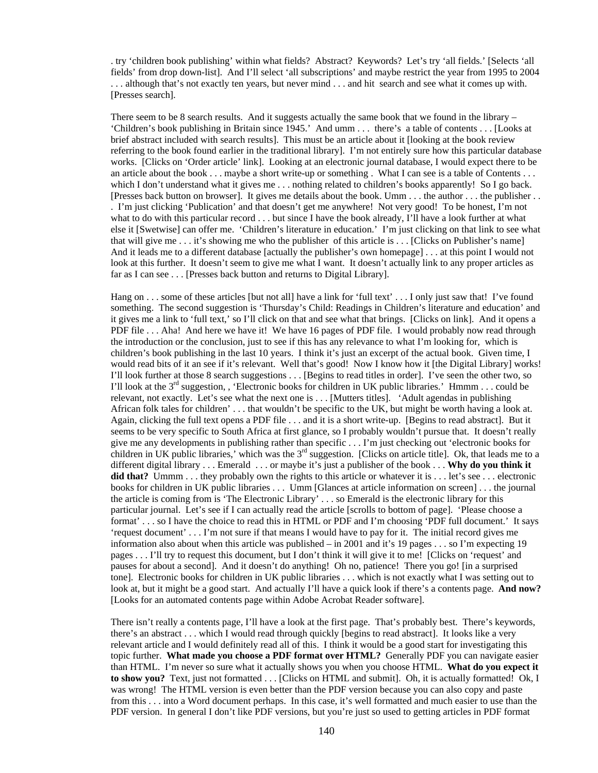. try 'children book publishing' within what fields? Abstract? Keywords? Let's try 'all fields.' [Selects 'all fields' from drop down-list]. And I'll select 'all subscriptions' and maybe restrict the year from 1995 to 2004 . . . although that's not exactly ten years, but never mind . . . and hit search and see what it comes up with. [Presses search].

There seem to be 8 search results. And it suggests actually the same book that we found in the library – 'Children's book publishing in Britain since 1945.' And umm . . . there's a table of contents . . . [Looks at brief abstract included with search results]. This must be an article about it [looking at the book review referring to the book found earlier in the traditional library]. I'm not entirely sure how this particular database works. [Clicks on 'Order article' link]. Looking at an electronic journal database, I would expect there to be an article about the book . . . maybe a short write-up or something . What I can see is a table of Contents . . . which I don't understand what it gives me . . . nothing related to children's books apparently! So I go back. [Presses back button on browser]. It gives me details about the book. Umm . . . the author . . . the publisher . . . I'm just clicking 'Publication' and that doesn't get me anywhere! Not very good! To be honest, I'm not what to do with this particular record . . . but since I have the book already, I'll have a look further at what else it [Swetwise] can offer me. 'Children's literature in education.' I'm just clicking on that link to see what that will give me . . . it's showing me who the publisher of this article is . . . [Clicks on Publisher's name] And it leads me to a different database [actually the publisher's own homepage] . . . at this point I would not look at this further. It doesn't seem to give me what I want. It doesn't actually link to any proper articles as far as I can see . . . [Presses back button and returns to Digital Library].

Hang on . . . some of these articles [but not all] have a link for 'full text' . . . I only just saw that! I've found something. The second suggestion is 'Thursday's Child: Readings in Children's literature and education' and it gives me a link to 'full text,' so I'll click on that and see what that brings. [Clicks on link]. And it opens a PDF file . . . Aha! And here we have it! We have 16 pages of PDF file. I would probably now read through the introduction or the conclusion, just to see if this has any relevance to what I'm looking for, which is children's book publishing in the last 10 years. I think it's just an excerpt of the actual book. Given time, I would read bits of it an see if it's relevant. Well that's good! Now I know how it [the Digital Library] works! I'll look further at those 8 search suggestions . . . [Begins to read titles in order]. I've seen the other two, so I'll look at the  $3<sup>rd</sup>$  suggestion, , 'Electronic books for children in UK public libraries.' Hmmm . . . could be relevant, not exactly. Let's see what the next one is . . . [Mutters titles]. 'Adult agendas in publishing African folk tales for children' . . . that wouldn't be specific to the UK, but might be worth having a look at. Again, clicking the full text opens a PDF file . . . and it is a short write-up. [Begins to read abstract]. But it seems to be very specific to South Africa at first glance, so I probably wouldn't pursue that. It doesn't really give me any developments in publishing rather than specific . . . I'm just checking out 'electronic books for children in UK public libraries,' which was the  $3<sup>rd</sup>$  suggestion. [Clicks on article title]. Ok, that leads me to a different digital library . . . Emerald . . . or maybe it's just a publisher of the book . . . **Why do you think it did that?** Ummm . . . they probably own the rights to this article or whatever it is . . . let's see . . . electronic books for children in UK public libraries . . . Umm [Glances at article information on screen] . . . the journal the article is coming from is 'The Electronic Library' . . . so Emerald is the electronic library for this particular journal. Let's see if I can actually read the article [scrolls to bottom of page]. 'Please choose a format' . . . so I have the choice to read this in HTML or PDF and I'm choosing 'PDF full document.' It says 'request document' . . . I'm not sure if that means I would have to pay for it. The initial record gives me information also about when this article was published – in 2001 and it's 19 pages . . . so I'm expecting 19 pages . . . I'll try to request this document, but I don't think it will give it to me! [Clicks on 'request' and pauses for about a second]. And it doesn't do anything! Oh no, patience! There you go! [in a surprised tone]. Electronic books for children in UK public libraries . . . which is not exactly what I was setting out to look at, but it might be a good start. And actually I'll have a quick look if there's a contents page. **And now?** [Looks for an automated contents page within Adobe Acrobat Reader software].

There isn't really a contents page, I'll have a look at the first page. That's probably best. There's keywords, there's an abstract . . . which I would read through quickly [begins to read abstract]. It looks like a very relevant article and I would definitely read all of this. I think it would be a good start for investigating this topic further. **What made you choose a PDF format over HTML?** Generally PDF you can navigate easier than HTML. I'm never so sure what it actually shows you when you choose HTML. **What do you expect it to show you?** Text, just not formatted . . . [Clicks on HTML and submit]. Oh, it is actually formatted! Ok, I was wrong! The HTML version is even better than the PDF version because you can also copy and paste from this . . . into a Word document perhaps. In this case, it's well formatted and much easier to use than the PDF version. In general I don't like PDF versions, but you're just so used to getting articles in PDF format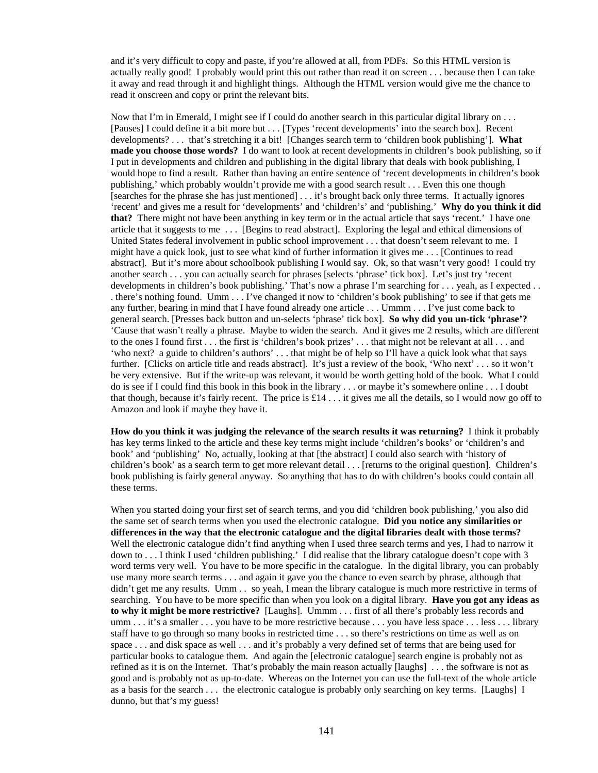and it's very difficult to copy and paste, if you're allowed at all, from PDFs. So this HTML version is actually really good! I probably would print this out rather than read it on screen . . . because then I can take it away and read through it and highlight things. Although the HTML version would give me the chance to read it onscreen and copy or print the relevant bits.

Now that I'm in Emerald, I might see if I could do another search in this particular digital library on . . . [Pauses] I could define it a bit more but . . . [Types 'recent developments' into the search box]. Recent developments? . . . that's stretching it a bit! [Changes search term to 'children book publishing']. **What made you choose those words?** I do want to look at recent developments in children's book publishing, so if I put in developments and children and publishing in the digital library that deals with book publishing, I would hope to find a result. Rather than having an entire sentence of 'recent developments in children's book publishing,' which probably wouldn't provide me with a good search result . . . Even this one though [searches for the phrase she has just mentioned] . . . it's brought back only three terms. It actually ignores 'recent' and gives me a result for 'developments' and 'children's' and 'publishing.' **Why do you think it did that?** There might not have been anything in key term or in the actual article that says 'recent.' I have one article that it suggests to me . . . [Begins to read abstract]. Exploring the legal and ethical dimensions of United States federal involvement in public school improvement . . . that doesn't seem relevant to me. I might have a quick look, just to see what kind of further information it gives me . . . [Continues to read abstract]. But it's more about schoolbook publishing I would say. Ok, so that wasn't very good! I could try another search . . . you can actually search for phrases [selects 'phrase' tick box]. Let's just try 'recent developments in children's book publishing.' That's now a phrase I'm searching for . . . yeah, as I expected . . . there's nothing found. Umm . . . I've changed it now to 'children's book publishing' to see if that gets me any further, bearing in mind that I have found already one article . . . Ummm . . . I've just come back to general search. [Presses back button and un-selects 'phrase' tick box]. **So why did you un-tick 'phrase'?** 'Cause that wasn't really a phrase. Maybe to widen the search. And it gives me 2 results, which are different to the ones I found first . . . the first is 'children's book prizes' . . . that might not be relevant at all . . . and 'who next? a guide to children's authors' . . . that might be of help so I'll have a quick look what that says further. [Clicks on article title and reads abstract]. It's just a review of the book, 'Who next' . . . so it won't be very extensive. But if the write-up was relevant, it would be worth getting hold of the book. What I could do is see if I could find this book in this book in the library . . . or maybe it's somewhere online . . . I doubt that though, because it's fairly recent. The price is £14 . . . it gives me all the details, so I would now go off to Amazon and look if maybe they have it.

**How do you think it was judging the relevance of the search results it was returning?** I think it probably has key terms linked to the article and these key terms might include 'children's books' or 'children's and book' and 'publishing' No, actually, looking at that [the abstract] I could also search with 'history of children's book' as a search term to get more relevant detail . . . [returns to the original question]. Children's book publishing is fairly general anyway. So anything that has to do with children's books could contain all these terms.

When you started doing your first set of search terms, and you did 'children book publishing,' you also did the same set of search terms when you used the electronic catalogue. **Did you notice any similarities or differences in the way that the electronic catalogue and the digital libraries dealt with those terms?** Well the electronic catalogue didn't find anything when I used three search terms and yes, I had to narrow it down to . . . I think I used 'children publishing.' I did realise that the library catalogue doesn't cope with 3 word terms very well. You have to be more specific in the catalogue. In the digital library, you can probably use many more search terms . . . and again it gave you the chance to even search by phrase, although that didn't get me any results. Umm . . so yeah, I mean the library catalogue is much more restrictive in terms of searching. You have to be more specific than when you look on a digital library. **Have you got any ideas as to why it might be more restrictive?** [Laughs]. Ummm . . . first of all there's probably less records and umm . . . it's a smaller . . . you have to be more restrictive because . . . you have less space . . . less . . . library staff have to go through so many books in restricted time . . . so there's restrictions on time as well as on space . . . and disk space as well . . . and it's probably a very defined set of terms that are being used for particular books to catalogue them. And again the [electronic catalogue] search engine is probably not as refined as it is on the Internet. That's probably the main reason actually [laughs] . . . the software is not as good and is probably not as up-to-date. Whereas on the Internet you can use the full-text of the whole article as a basis for the search . . . the electronic catalogue is probably only searching on key terms. [Laughs] I dunno, but that's my guess!